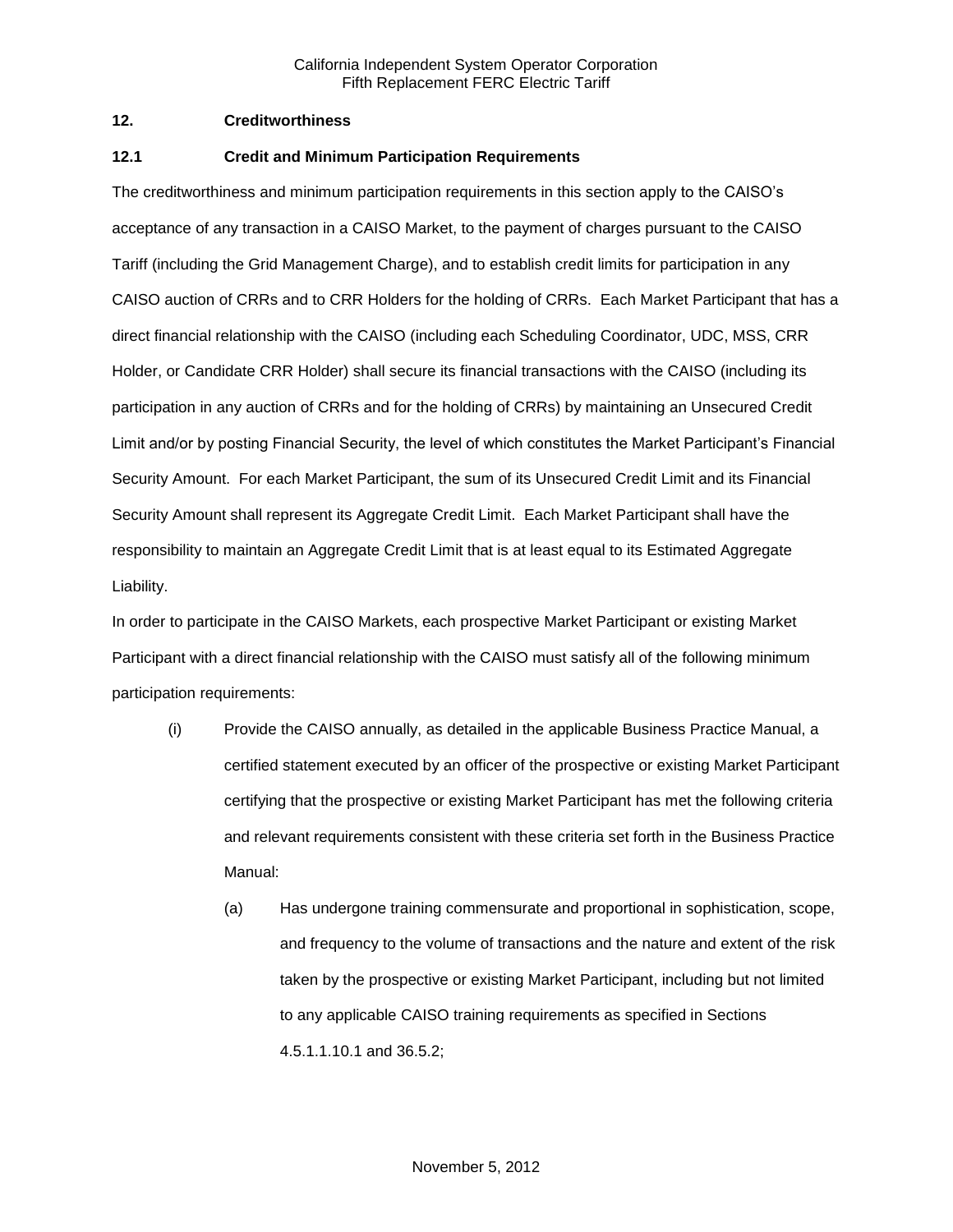### **12. Creditworthiness**

### **12.1 Credit and Minimum Participation Requirements**

The creditworthiness and minimum participation requirements in this section apply to the CAISO's acceptance of any transaction in a CAISO Market, to the payment of charges pursuant to the CAISO Tariff (including the Grid Management Charge), and to establish credit limits for participation in any CAISO auction of CRRs and to CRR Holders for the holding of CRRs. Each Market Participant that has a direct financial relationship with the CAISO (including each Scheduling Coordinator, UDC, MSS, CRR Holder, or Candidate CRR Holder) shall secure its financial transactions with the CAISO (including its participation in any auction of CRRs and for the holding of CRRs) by maintaining an Unsecured Credit Limit and/or by posting Financial Security, the level of which constitutes the Market Participant's Financial Security Amount. For each Market Participant, the sum of its Unsecured Credit Limit and its Financial Security Amount shall represent its Aggregate Credit Limit. Each Market Participant shall have the responsibility to maintain an Aggregate Credit Limit that is at least equal to its Estimated Aggregate Liability.

In order to participate in the CAISO Markets, each prospective Market Participant or existing Market Participant with a direct financial relationship with the CAISO must satisfy all of the following minimum participation requirements:

- (i) Provide the CAISO annually, as detailed in the applicable Business Practice Manual, a certified statement executed by an officer of the prospective or existing Market Participant certifying that the prospective or existing Market Participant has met the following criteria and relevant requirements consistent with these criteria set forth in the Business Practice Manual:
	- (a) Has undergone training commensurate and proportional in sophistication, scope, and frequency to the volume of transactions and the nature and extent of the risk taken by the prospective or existing Market Participant, including but not limited to any applicable CAISO training requirements as specified in Sections 4.5.1.1.10.1 and 36.5.2;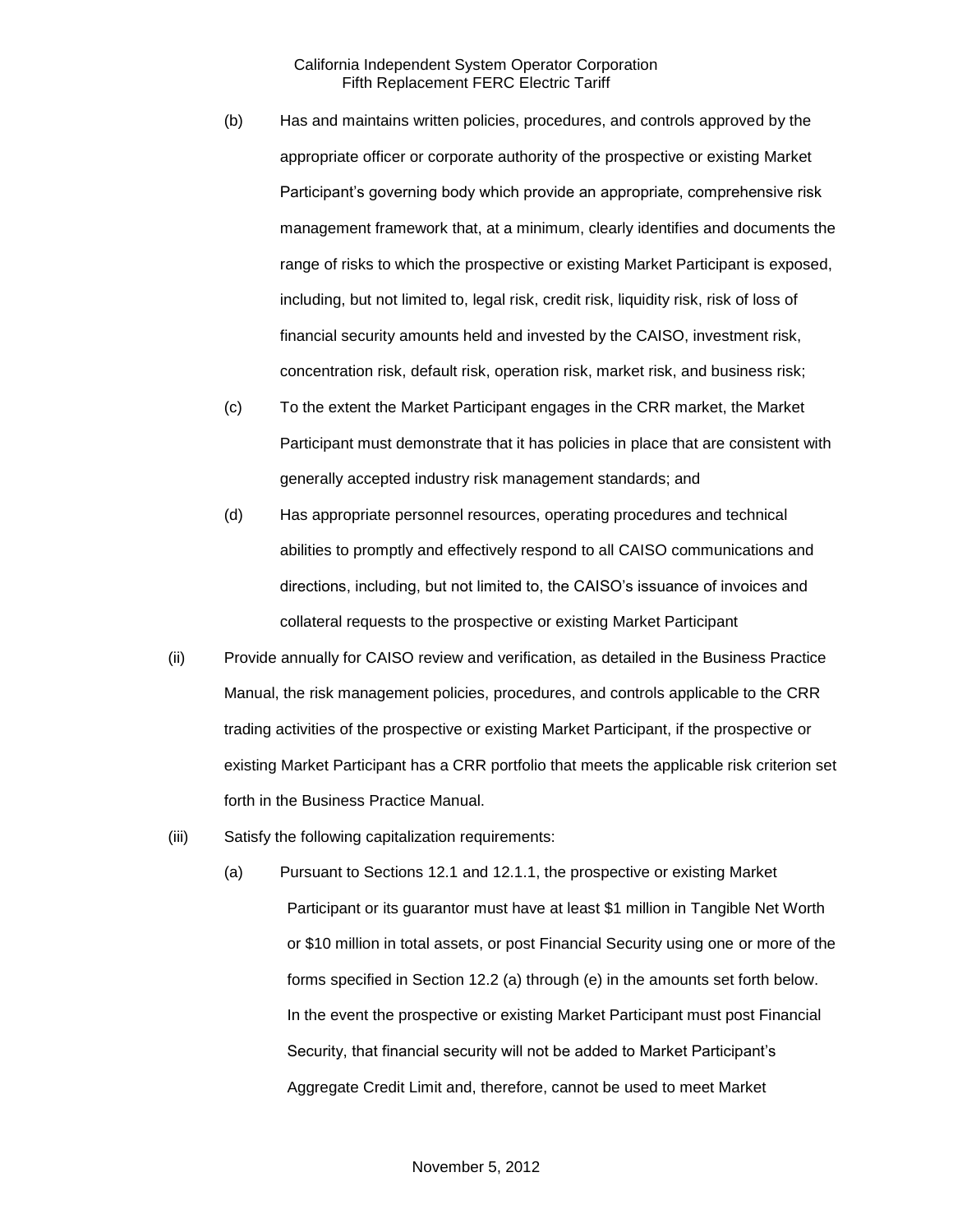- (b) Has and maintains written policies, procedures, and controls approved by the appropriate officer or corporate authority of the prospective or existing Market Participant's governing body which provide an appropriate, comprehensive risk management framework that, at a minimum, clearly identifies and documents the range of risks to which the prospective or existing Market Participant is exposed, including, but not limited to, legal risk, credit risk, liquidity risk, risk of loss of financial security amounts held and invested by the CAISO, investment risk, concentration risk, default risk, operation risk, market risk, and business risk;
- (c) To the extent the Market Participant engages in the CRR market, the Market Participant must demonstrate that it has policies in place that are consistent with generally accepted industry risk management standards; and
- (d) Has appropriate personnel resources, operating procedures and technical abilities to promptly and effectively respond to all CAISO communications and directions, including, but not limited to, the CAISO's issuance of invoices and collateral requests to the prospective or existing Market Participant
- (ii) Provide annually for CAISO review and verification, as detailed in the Business Practice Manual, the risk management policies, procedures, and controls applicable to the CRR trading activities of the prospective or existing Market Participant, if the prospective or existing Market Participant has a CRR portfolio that meets the applicable risk criterion set forth in the Business Practice Manual.
- (iii) Satisfy the following capitalization requirements:
	- (a) Pursuant to Sections 12.1 and 12.1.1, the prospective or existing Market Participant or its guarantor must have at least \$1 million in Tangible Net Worth or \$10 million in total assets, or post Financial Security using one or more of the forms specified in Section 12.2 (a) through (e) in the amounts set forth below. In the event the prospective or existing Market Participant must post Financial Security, that financial security will not be added to Market Participant's Aggregate Credit Limit and, therefore, cannot be used to meet Market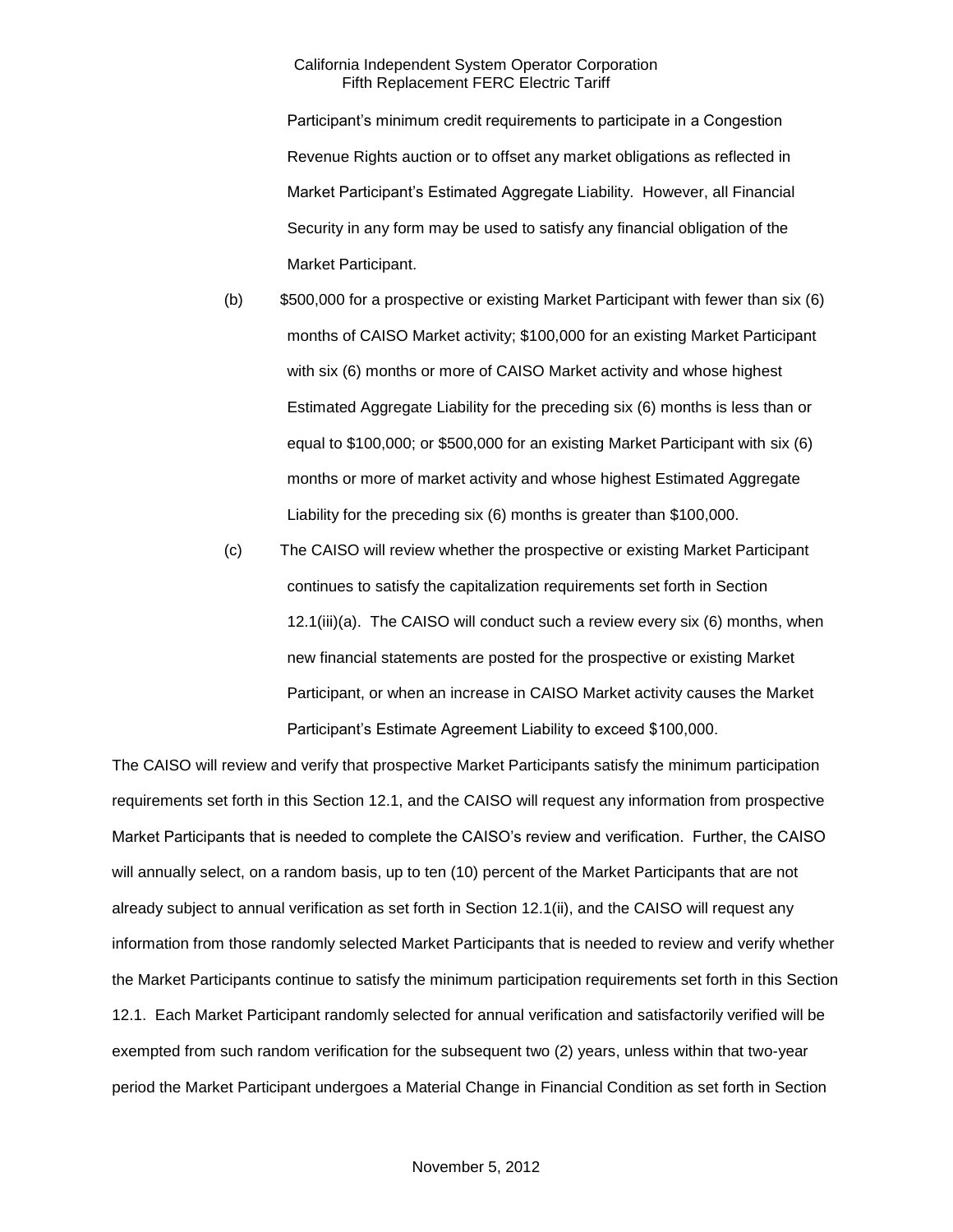Participant's minimum credit requirements to participate in a Congestion Revenue Rights auction or to offset any market obligations as reflected in Market Participant's Estimated Aggregate Liability. However, all Financial Security in any form may be used to satisfy any financial obligation of the Market Participant.

- (b) \$500,000 for a prospective or existing Market Participant with fewer than six (6) months of CAISO Market activity; \$100,000 for an existing Market Participant with six (6) months or more of CAISO Market activity and whose highest Estimated Aggregate Liability for the preceding six (6) months is less than or equal to \$100,000; or \$500,000 for an existing Market Participant with six (6) months or more of market activity and whose highest Estimated Aggregate Liability for the preceding six (6) months is greater than \$100,000.
- (c) The CAISO will review whether the prospective or existing Market Participant continues to satisfy the capitalization requirements set forth in Section 12.1(iii)(a). The CAISO will conduct such a review every six (6) months, when new financial statements are posted for the prospective or existing Market Participant, or when an increase in CAISO Market activity causes the Market Participant's Estimate Agreement Liability to exceed \$100,000.

The CAISO will review and verify that prospective Market Participants satisfy the minimum participation requirements set forth in this Section 12.1, and the CAISO will request any information from prospective Market Participants that is needed to complete the CAISO's review and verification. Further, the CAISO will annually select, on a random basis, up to ten (10) percent of the Market Participants that are not already subject to annual verification as set forth in Section 12.1(ii), and the CAISO will request any information from those randomly selected Market Participants that is needed to review and verify whether the Market Participants continue to satisfy the minimum participation requirements set forth in this Section 12.1. Each Market Participant randomly selected for annual verification and satisfactorily verified will be exempted from such random verification for the subsequent two (2) years, unless within that two-year period the Market Participant undergoes a Material Change in Financial Condition as set forth in Section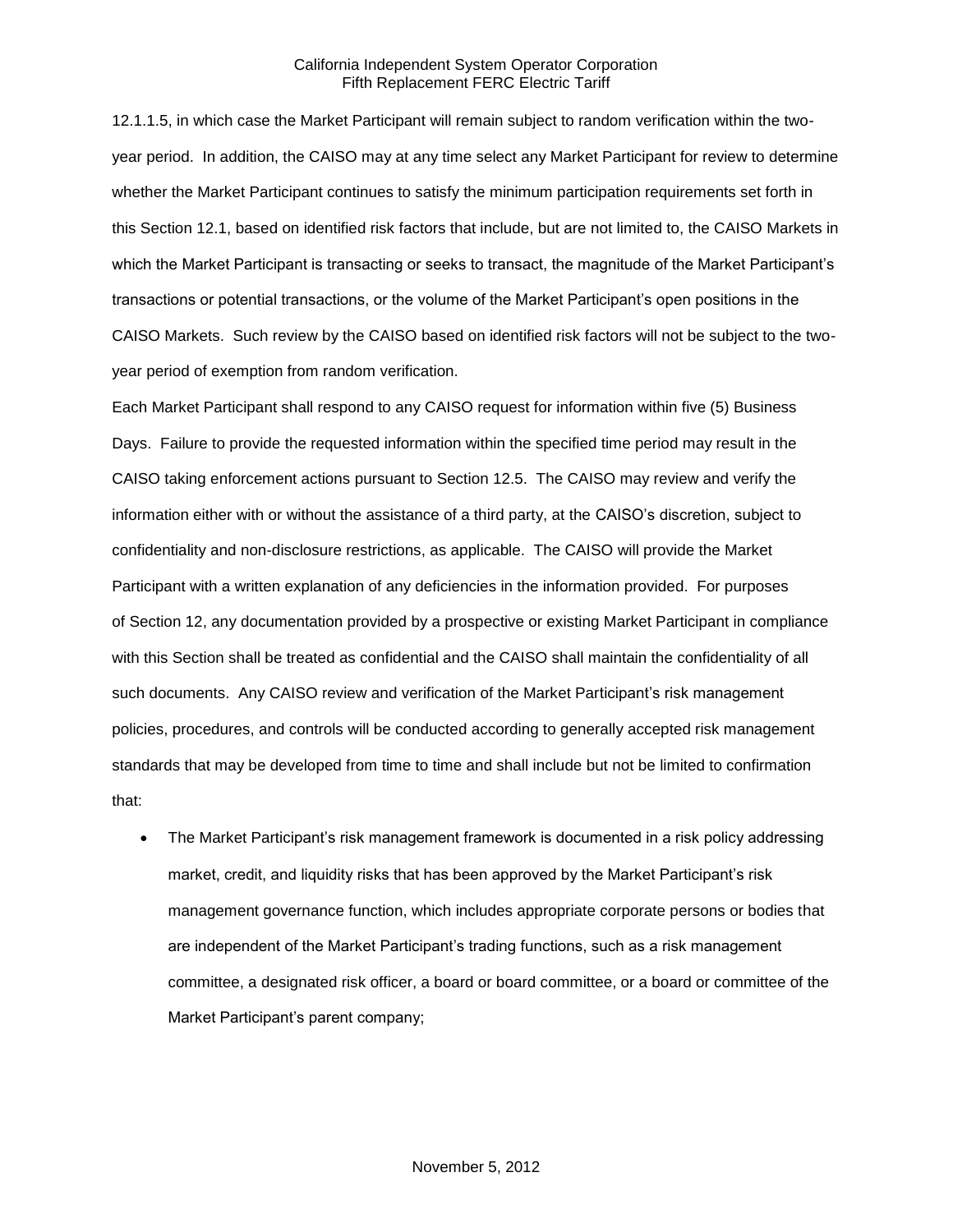12.1.1.5, in which case the Market Participant will remain subject to random verification within the twoyear period. In addition, the CAISO may at any time select any Market Participant for review to determine whether the Market Participant continues to satisfy the minimum participation requirements set forth in this Section 12.1, based on identified risk factors that include, but are not limited to, the CAISO Markets in which the Market Participant is transacting or seeks to transact, the magnitude of the Market Participant's transactions or potential transactions, or the volume of the Market Participant's open positions in the CAISO Markets. Such review by the CAISO based on identified risk factors will not be subject to the twoyear period of exemption from random verification.

Each Market Participant shall respond to any CAISO request for information within five (5) Business Days. Failure to provide the requested information within the specified time period may result in the CAISO taking enforcement actions pursuant to Section 12.5. The CAISO may review and verify the information either with or without the assistance of a third party, at the CAISO's discretion, subject to confidentiality and non-disclosure restrictions, as applicable. The CAISO will provide the Market Participant with a written explanation of any deficiencies in the information provided. For purposes of Section 12, any documentation provided by a prospective or existing Market Participant in compliance with this Section shall be treated as confidential and the CAISO shall maintain the confidentiality of all such documents. Any CAISO review and verification of the Market Participant's risk management policies, procedures, and controls will be conducted according to generally accepted risk management standards that may be developed from time to time and shall include but not be limited to confirmation that:

 The Market Participant's risk management framework is documented in a risk policy addressing market, credit, and liquidity risks that has been approved by the Market Participant's risk management governance function, which includes appropriate corporate persons or bodies that are independent of the Market Participant's trading functions, such as a risk management committee, a designated risk officer, a board or board committee, or a board or committee of the Market Participant's parent company;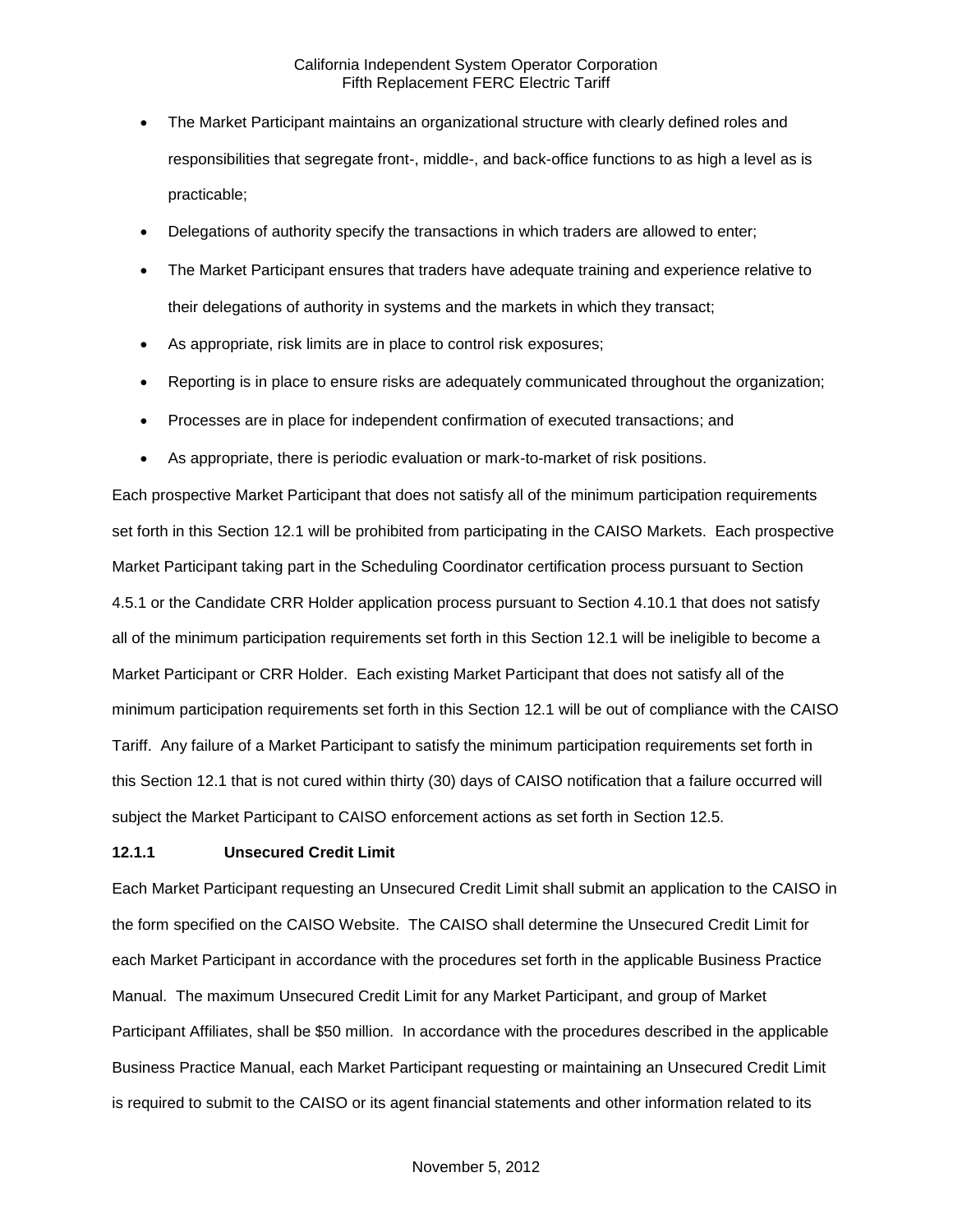- The Market Participant maintains an organizational structure with clearly defined roles and responsibilities that segregate front-, middle-, and back-office functions to as high a level as is practicable;
- Delegations of authority specify the transactions in which traders are allowed to enter;
- The Market Participant ensures that traders have adequate training and experience relative to their delegations of authority in systems and the markets in which they transact;
- As appropriate, risk limits are in place to control risk exposures;
- Reporting is in place to ensure risks are adequately communicated throughout the organization;
- Processes are in place for independent confirmation of executed transactions; and
- As appropriate, there is periodic evaluation or mark-to-market of risk positions.

Each prospective Market Participant that does not satisfy all of the minimum participation requirements set forth in this Section 12.1 will be prohibited from participating in the CAISO Markets. Each prospective Market Participant taking part in the Scheduling Coordinator certification process pursuant to Section 4.5.1 or the Candidate CRR Holder application process pursuant to Section 4.10.1 that does not satisfy all of the minimum participation requirements set forth in this Section 12.1 will be ineligible to become a Market Participant or CRR Holder. Each existing Market Participant that does not satisfy all of the minimum participation requirements set forth in this Section 12.1 will be out of compliance with the CAISO Tariff. Any failure of a Market Participant to satisfy the minimum participation requirements set forth in this Section 12.1 that is not cured within thirty (30) days of CAISO notification that a failure occurred will subject the Market Participant to CAISO enforcement actions as set forth in Section 12.5.

#### **12.1.1 Unsecured Credit Limit**

Each Market Participant requesting an Unsecured Credit Limit shall submit an application to the CAISO in the form specified on the CAISO Website. The CAISO shall determine the Unsecured Credit Limit for each Market Participant in accordance with the procedures set forth in the applicable Business Practice Manual. The maximum Unsecured Credit Limit for any Market Participant, and group of Market Participant Affiliates, shall be \$50 million. In accordance with the procedures described in the applicable Business Practice Manual, each Market Participant requesting or maintaining an Unsecured Credit Limit is required to submit to the CAISO or its agent financial statements and other information related to its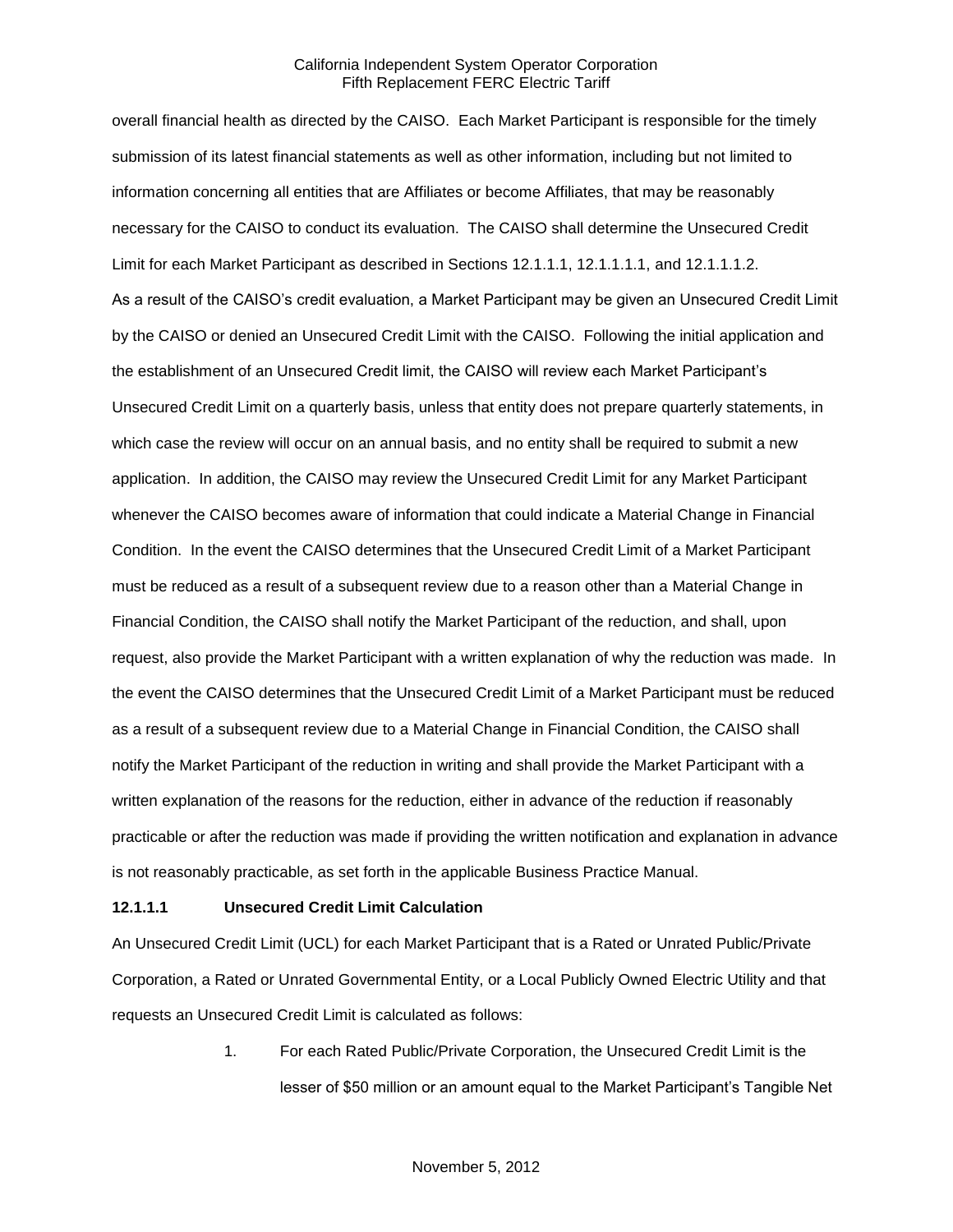overall financial health as directed by the CAISO. Each Market Participant is responsible for the timely submission of its latest financial statements as well as other information, including but not limited to information concerning all entities that are Affiliates or become Affiliates, that may be reasonably necessary for the CAISO to conduct its evaluation. The CAISO shall determine the Unsecured Credit Limit for each Market Participant as described in Sections 12.1.1.1, 12.1.1.1.1, and 12.1.1.1.2. As a result of the CAISO's credit evaluation, a Market Participant may be given an Unsecured Credit Limit by the CAISO or denied an Unsecured Credit Limit with the CAISO. Following the initial application and the establishment of an Unsecured Credit limit, the CAISO will review each Market Participant's Unsecured Credit Limit on a quarterly basis, unless that entity does not prepare quarterly statements, in which case the review will occur on an annual basis, and no entity shall be required to submit a new application. In addition, the CAISO may review the Unsecured Credit Limit for any Market Participant whenever the CAISO becomes aware of information that could indicate a Material Change in Financial Condition. In the event the CAISO determines that the Unsecured Credit Limit of a Market Participant must be reduced as a result of a subsequent review due to a reason other than a Material Change in Financial Condition, the CAISO shall notify the Market Participant of the reduction, and shall, upon request, also provide the Market Participant with a written explanation of why the reduction was made. In the event the CAISO determines that the Unsecured Credit Limit of a Market Participant must be reduced as a result of a subsequent review due to a Material Change in Financial Condition, the CAISO shall notify the Market Participant of the reduction in writing and shall provide the Market Participant with a written explanation of the reasons for the reduction, either in advance of the reduction if reasonably practicable or after the reduction was made if providing the written notification and explanation in advance is not reasonably practicable, as set forth in the applicable Business Practice Manual.

#### **12.1.1.1 Unsecured Credit Limit Calculation**

An Unsecured Credit Limit (UCL) for each Market Participant that is a Rated or Unrated Public/Private Corporation, a Rated or Unrated Governmental Entity, or a Local Publicly Owned Electric Utility and that requests an Unsecured Credit Limit is calculated as follows:

> 1. For each Rated Public/Private Corporation, the Unsecured Credit Limit is the lesser of \$50 million or an amount equal to the Market Participant's Tangible Net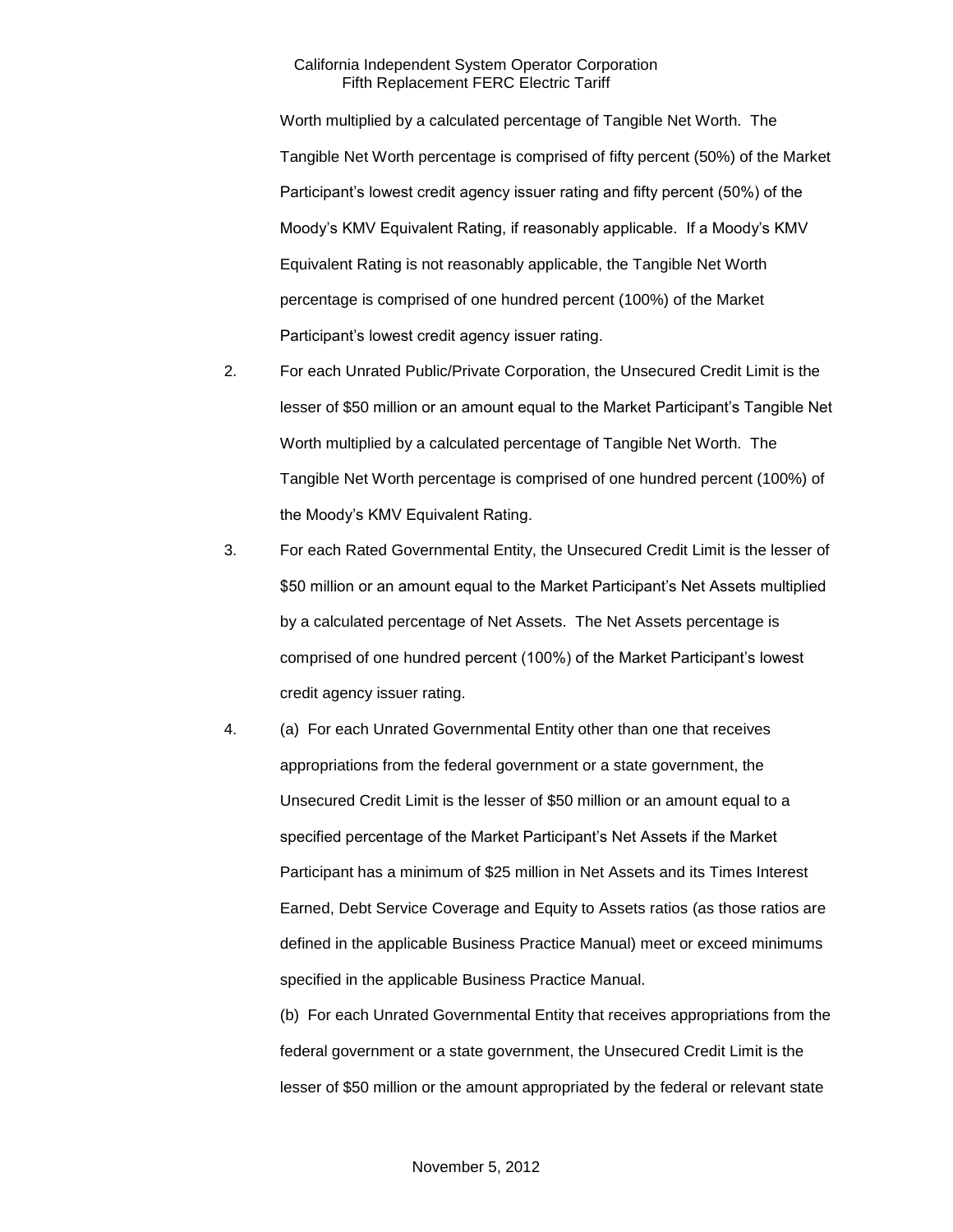Worth multiplied by a calculated percentage of Tangible Net Worth. The Tangible Net Worth percentage is comprised of fifty percent (50%) of the Market Participant's lowest credit agency issuer rating and fifty percent (50%) of the Moody's KMV Equivalent Rating, if reasonably applicable. If a Moody's KMV Equivalent Rating is not reasonably applicable, the Tangible Net Worth percentage is comprised of one hundred percent (100%) of the Market Participant's lowest credit agency issuer rating.

- 2. For each Unrated Public/Private Corporation, the Unsecured Credit Limit is the lesser of \$50 million or an amount equal to the Market Participant's Tangible Net Worth multiplied by a calculated percentage of Tangible Net Worth. The Tangible Net Worth percentage is comprised of one hundred percent (100%) of the Moody's KMV Equivalent Rating.
- 3. For each Rated Governmental Entity, the Unsecured Credit Limit is the lesser of \$50 million or an amount equal to the Market Participant's Net Assets multiplied by a calculated percentage of Net Assets. The Net Assets percentage is comprised of one hundred percent (100%) of the Market Participant's lowest credit agency issuer rating.
- 4. (a) For each Unrated Governmental Entity other than one that receives appropriations from the federal government or a state government, the Unsecured Credit Limit is the lesser of \$50 million or an amount equal to a specified percentage of the Market Participant's Net Assets if the Market Participant has a minimum of \$25 million in Net Assets and its Times Interest Earned, Debt Service Coverage and Equity to Assets ratios (as those ratios are defined in the applicable Business Practice Manual) meet or exceed minimums specified in the applicable Business Practice Manual.

(b) For each Unrated Governmental Entity that receives appropriations from the federal government or a state government, the Unsecured Credit Limit is the lesser of \$50 million or the amount appropriated by the federal or relevant state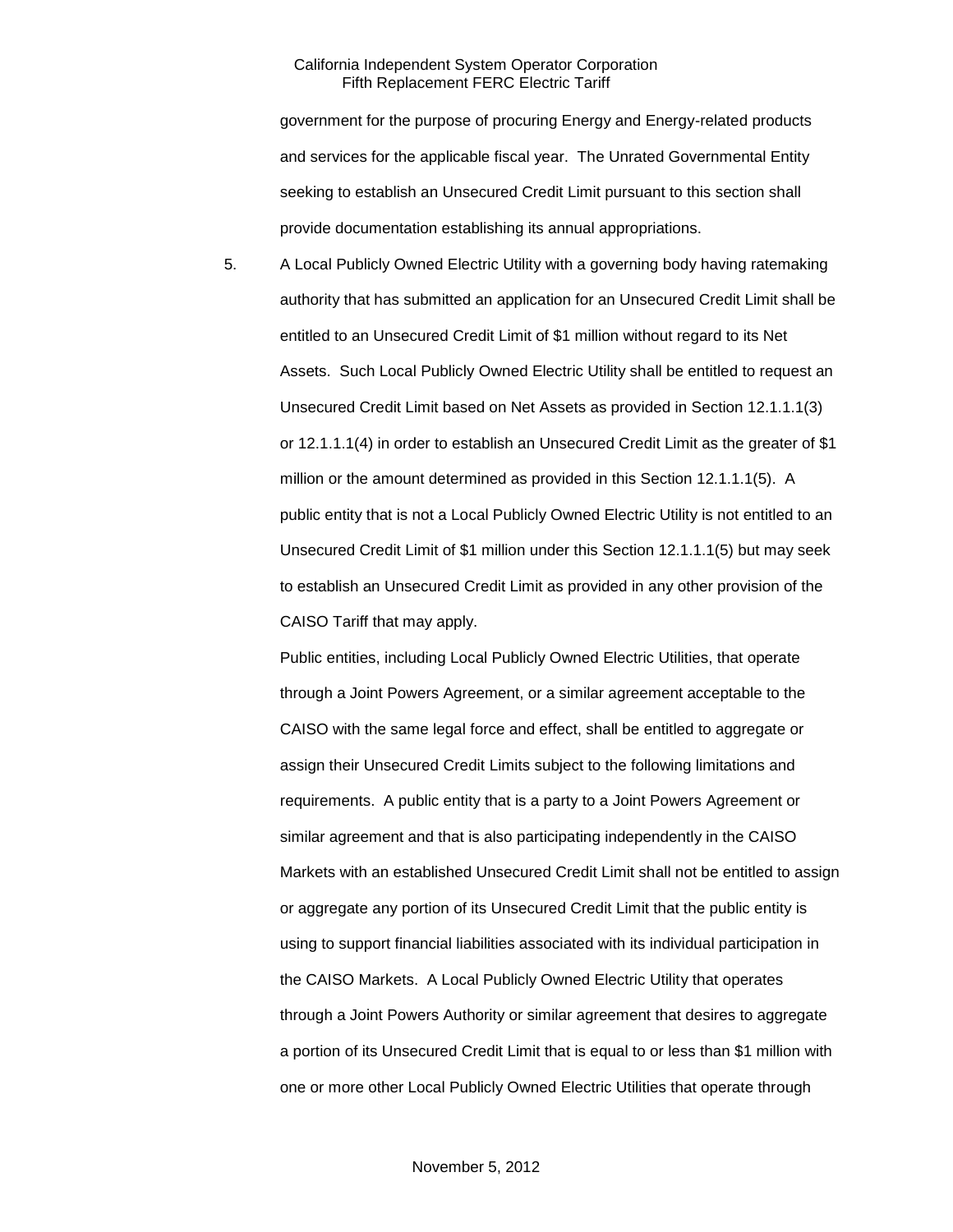government for the purpose of procuring Energy and Energy-related products and services for the applicable fiscal year. The Unrated Governmental Entity seeking to establish an Unsecured Credit Limit pursuant to this section shall provide documentation establishing its annual appropriations.

5. A Local Publicly Owned Electric Utility with a governing body having ratemaking authority that has submitted an application for an Unsecured Credit Limit shall be entitled to an Unsecured Credit Limit of \$1 million without regard to its Net Assets. Such Local Publicly Owned Electric Utility shall be entitled to request an Unsecured Credit Limit based on Net Assets as provided in Section 12.1.1.1(3) or 12.1.1.1(4) in order to establish an Unsecured Credit Limit as the greater of \$1 million or the amount determined as provided in this Section 12.1.1.1(5). A public entity that is not a Local Publicly Owned Electric Utility is not entitled to an Unsecured Credit Limit of \$1 million under this Section 12.1.1.1(5) but may seek to establish an Unsecured Credit Limit as provided in any other provision of the CAISO Tariff that may apply.

Public entities, including Local Publicly Owned Electric Utilities, that operate through a Joint Powers Agreement, or a similar agreement acceptable to the CAISO with the same legal force and effect, shall be entitled to aggregate or assign their Unsecured Credit Limits subject to the following limitations and requirements. A public entity that is a party to a Joint Powers Agreement or similar agreement and that is also participating independently in the CAISO Markets with an established Unsecured Credit Limit shall not be entitled to assign or aggregate any portion of its Unsecured Credit Limit that the public entity is using to support financial liabilities associated with its individual participation in the CAISO Markets. A Local Publicly Owned Electric Utility that operates through a Joint Powers Authority or similar agreement that desires to aggregate a portion of its Unsecured Credit Limit that is equal to or less than \$1 million with one or more other Local Publicly Owned Electric Utilities that operate through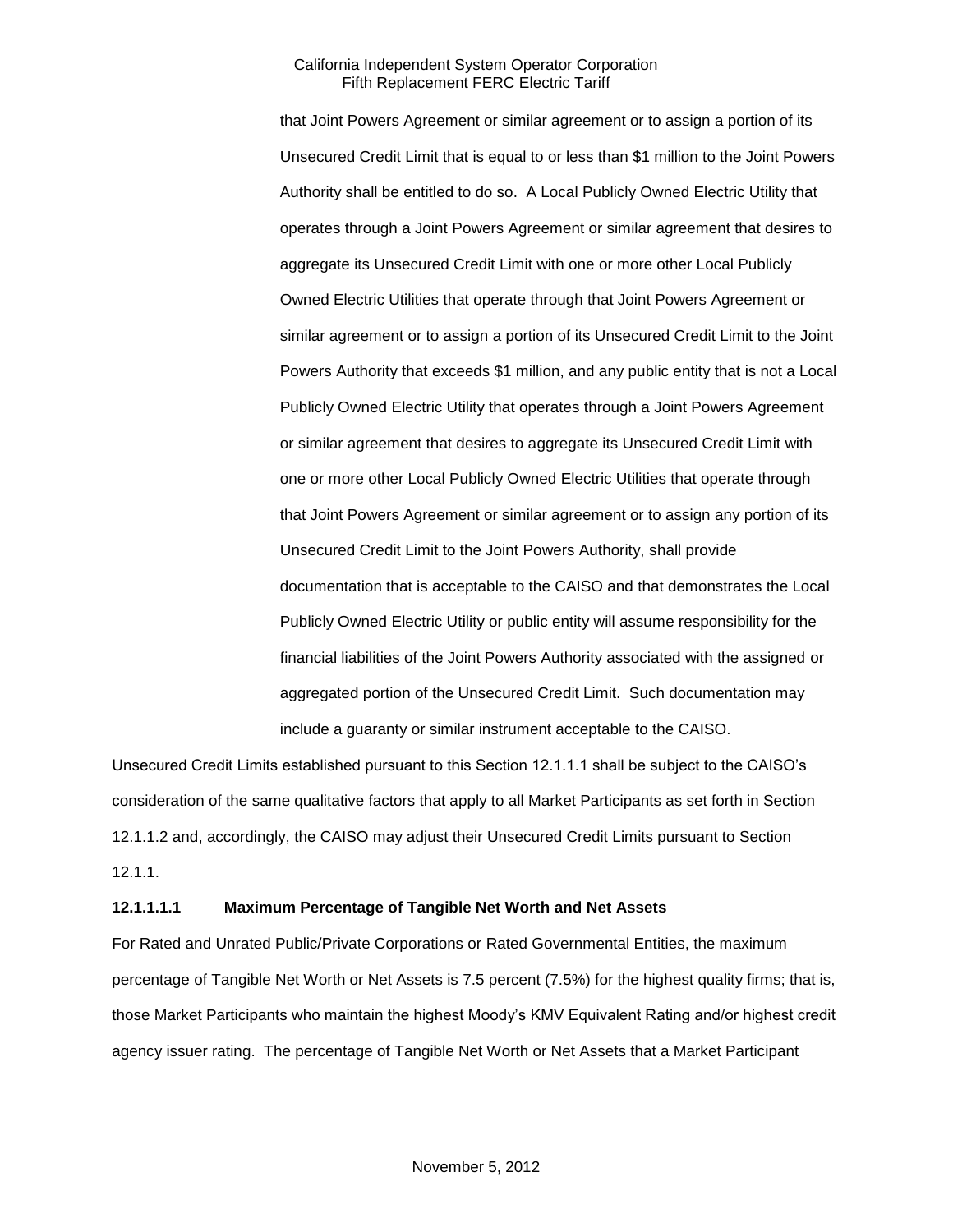that Joint Powers Agreement or similar agreement or to assign a portion of its Unsecured Credit Limit that is equal to or less than \$1 million to the Joint Powers Authority shall be entitled to do so. A Local Publicly Owned Electric Utility that operates through a Joint Powers Agreement or similar agreement that desires to aggregate its Unsecured Credit Limit with one or more other Local Publicly Owned Electric Utilities that operate through that Joint Powers Agreement or similar agreement or to assign a portion of its Unsecured Credit Limit to the Joint Powers Authority that exceeds \$1 million, and any public entity that is not a Local Publicly Owned Electric Utility that operates through a Joint Powers Agreement or similar agreement that desires to aggregate its Unsecured Credit Limit with one or more other Local Publicly Owned Electric Utilities that operate through that Joint Powers Agreement or similar agreement or to assign any portion of its Unsecured Credit Limit to the Joint Powers Authority, shall provide documentation that is acceptable to the CAISO and that demonstrates the Local Publicly Owned Electric Utility or public entity will assume responsibility for the financial liabilities of the Joint Powers Authority associated with the assigned or aggregated portion of the Unsecured Credit Limit. Such documentation may include a guaranty or similar instrument acceptable to the CAISO.

Unsecured Credit Limits established pursuant to this Section 12.1.1.1 shall be subject to the CAISO's consideration of the same qualitative factors that apply to all Market Participants as set forth in Section 12.1.1.2 and, accordingly, the CAISO may adjust their Unsecured Credit Limits pursuant to Section 12.1.1.

#### **12.1.1.1.1 Maximum Percentage of Tangible Net Worth and Net Assets**

For Rated and Unrated Public/Private Corporations or Rated Governmental Entities, the maximum percentage of Tangible Net Worth or Net Assets is 7.5 percent (7.5%) for the highest quality firms; that is, those Market Participants who maintain the highest Moody's KMV Equivalent Rating and/or highest credit agency issuer rating. The percentage of Tangible Net Worth or Net Assets that a Market Participant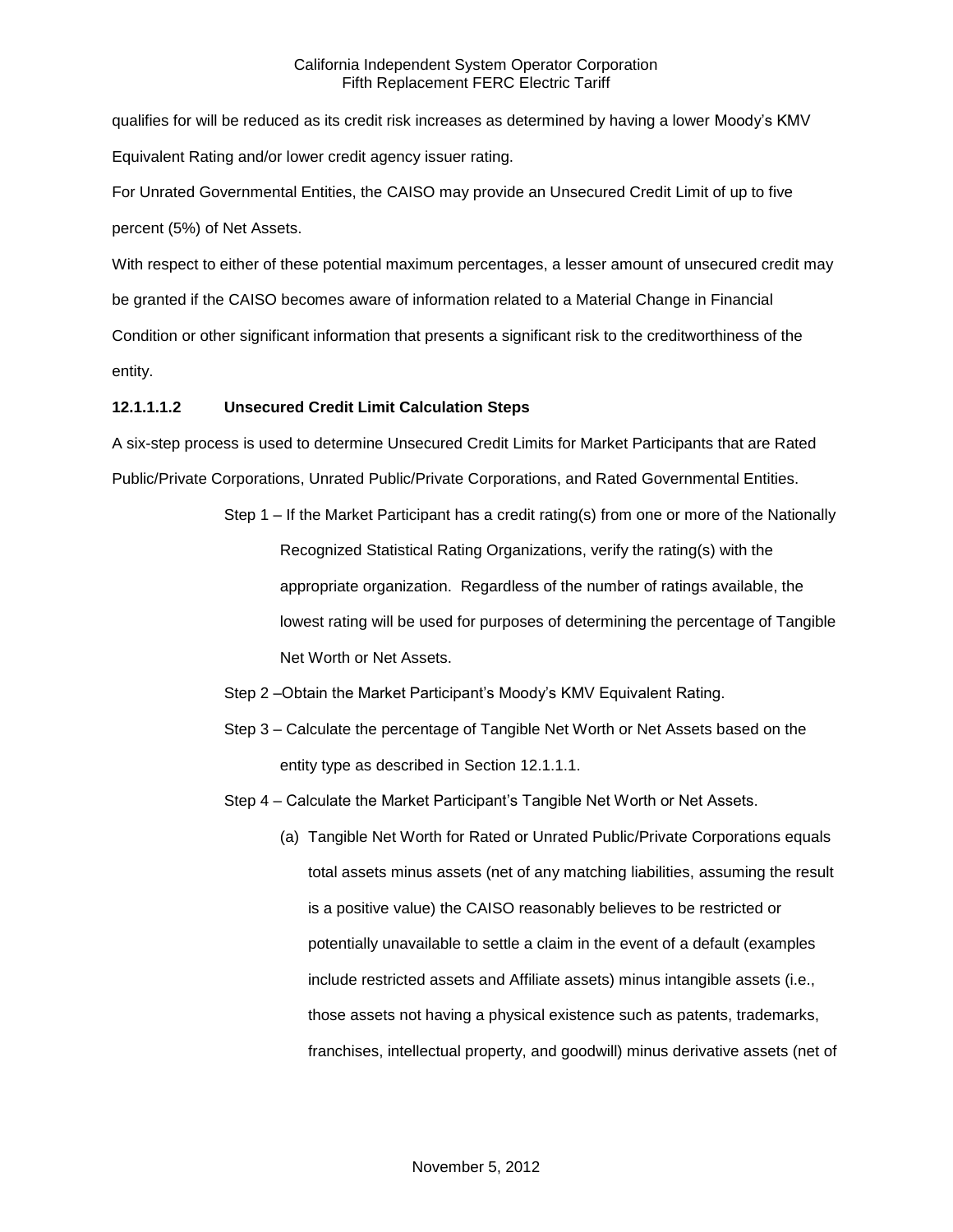qualifies for will be reduced as its credit risk increases as determined by having a lower Moody's KMV Equivalent Rating and/or lower credit agency issuer rating.

For Unrated Governmental Entities, the CAISO may provide an Unsecured Credit Limit of up to five percent (5%) of Net Assets.

With respect to either of these potential maximum percentages, a lesser amount of unsecured credit may be granted if the CAISO becomes aware of information related to a Material Change in Financial Condition or other significant information that presents a significant risk to the creditworthiness of the entity.

## **12.1.1.1.2 Unsecured Credit Limit Calculation Steps**

A six-step process is used to determine Unsecured Credit Limits for Market Participants that are Rated Public/Private Corporations, Unrated Public/Private Corporations, and Rated Governmental Entities.

- Step 1 If the Market Participant has a credit rating(s) from one or more of the Nationally Recognized Statistical Rating Organizations, verify the rating(s) with the appropriate organization. Regardless of the number of ratings available, the lowest rating will be used for purposes of determining the percentage of Tangible Net Worth or Net Assets.
- Step 2 –Obtain the Market Participant's Moody's KMV Equivalent Rating.
- Step 3 Calculate the percentage of Tangible Net Worth or Net Assets based on the entity type as described in Section 12.1.1.1.
- Step 4 Calculate the Market Participant's Tangible Net Worth or Net Assets.
	- (a) Tangible Net Worth for Rated or Unrated Public/Private Corporations equals total assets minus assets (net of any matching liabilities, assuming the result is a positive value) the CAISO reasonably believes to be restricted or potentially unavailable to settle a claim in the event of a default (examples include restricted assets and Affiliate assets) minus intangible assets (i.e., those assets not having a physical existence such as patents, trademarks, franchises, intellectual property, and goodwill) minus derivative assets (net of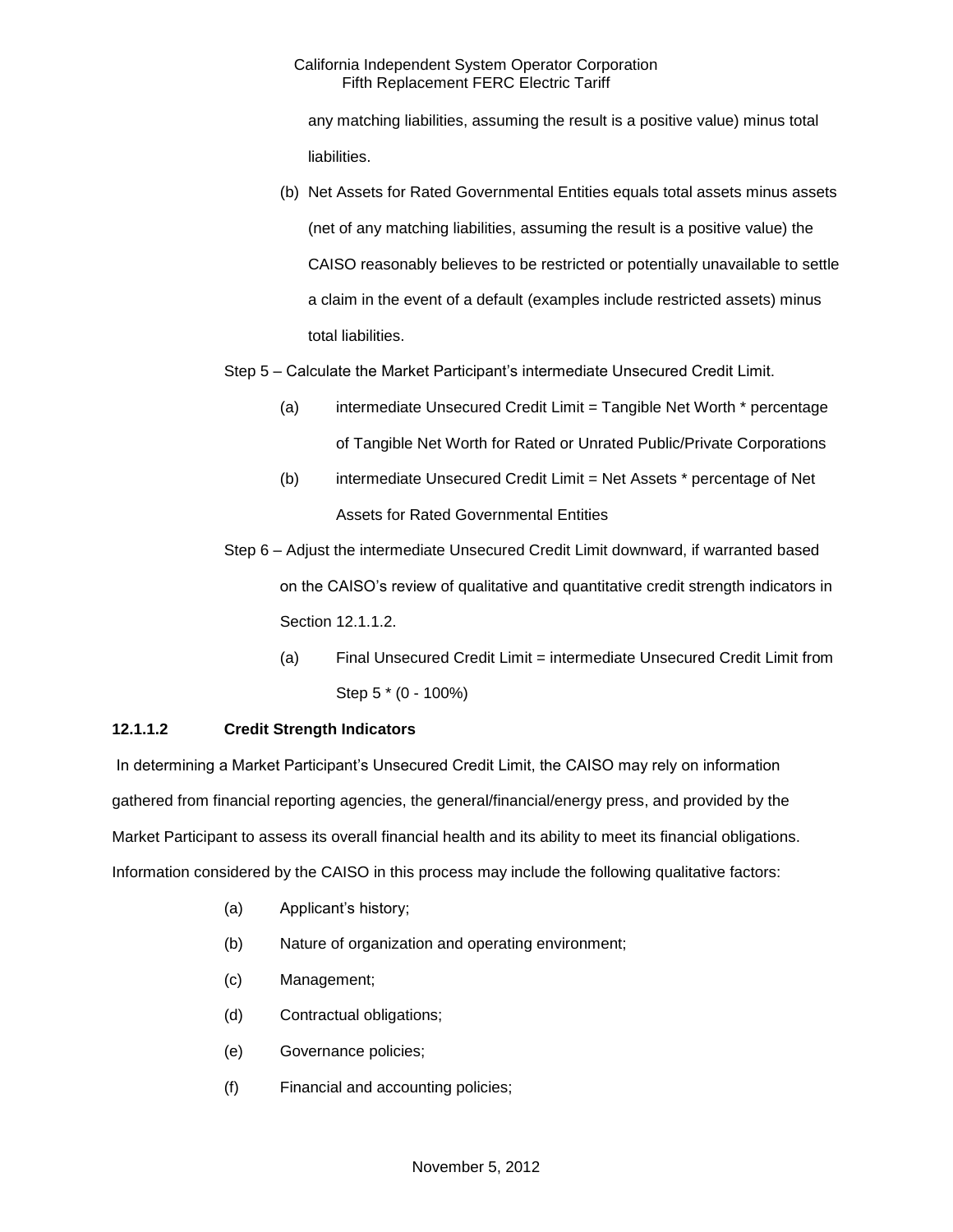any matching liabilities, assuming the result is a positive value) minus total liabilities.

(b) Net Assets for Rated Governmental Entities equals total assets minus assets (net of any matching liabilities, assuming the result is a positive value) the CAISO reasonably believes to be restricted or potentially unavailable to settle a claim in the event of a default (examples include restricted assets) minus total liabilities.

## Step 5 – Calculate the Market Participant's intermediate Unsecured Credit Limit.

- (a) intermediate Unsecured Credit Limit = Tangible Net Worth \* percentage of Tangible Net Worth for Rated or Unrated Public/Private Corporations
- (b) intermediate Unsecured Credit Limit = Net Assets \* percentage of Net Assets for Rated Governmental Entities

Step 6 – Adjust the intermediate Unsecured Credit Limit downward, if warranted based on the CAISO's review of qualitative and quantitative credit strength indicators in Section 12.1.1.2.

(a) Final Unsecured Credit Limit = intermediate Unsecured Credit Limit from Step 5 \* (0 - 100%)

## **12.1.1.2 Credit Strength Indicators**

In determining a Market Participant's Unsecured Credit Limit, the CAISO may rely on information gathered from financial reporting agencies, the general/financial/energy press, and provided by the Market Participant to assess its overall financial health and its ability to meet its financial obligations. Information considered by the CAISO in this process may include the following qualitative factors:

- (a) Applicant's history;
- (b) Nature of organization and operating environment;
- (c) Management;
- (d) Contractual obligations;
- (e) Governance policies;
- (f) Financial and accounting policies;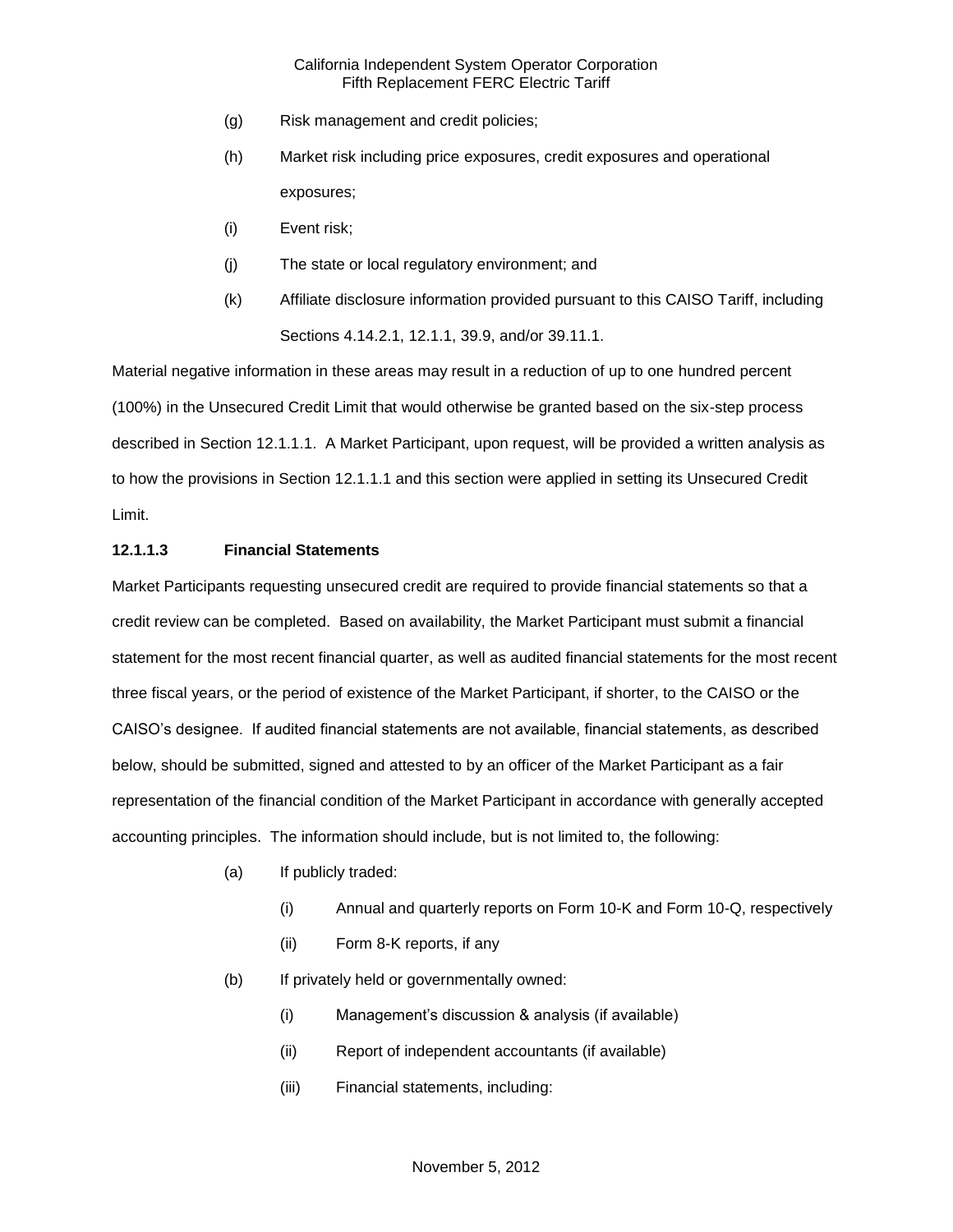- (g) Risk management and credit policies;
- (h) Market risk including price exposures, credit exposures and operational exposures;
- (i) Event risk;
- (j) The state or local regulatory environment; and
- (k) Affiliate disclosure information provided pursuant to this CAISO Tariff, including Sections 4.14.2.1, 12.1.1, 39.9, and/or 39.11.1.

Material negative information in these areas may result in a reduction of up to one hundred percent (100%) in the Unsecured Credit Limit that would otherwise be granted based on the six-step process described in Section 12.1.1.1. A Market Participant, upon request, will be provided a written analysis as to how the provisions in Section 12.1.1.1 and this section were applied in setting its Unsecured Credit Limit.

## **12.1.1.3 Financial Statements**

Market Participants requesting unsecured credit are required to provide financial statements so that a credit review can be completed. Based on availability, the Market Participant must submit a financial statement for the most recent financial quarter, as well as audited financial statements for the most recent three fiscal years, or the period of existence of the Market Participant, if shorter, to the CAISO or the CAISO's designee. If audited financial statements are not available, financial statements, as described below, should be submitted, signed and attested to by an officer of the Market Participant as a fair representation of the financial condition of the Market Participant in accordance with generally accepted accounting principles. The information should include, but is not limited to, the following:

- (a) If publicly traded:
	- (i) Annual and quarterly reports on Form 10-K and Form 10-Q, respectively
	- (ii) Form 8-K reports, if any
- (b) If privately held or governmentally owned:
	- (i) Management's discussion & analysis (if available)
	- (ii) Report of independent accountants (if available)
	- (iii) Financial statements, including: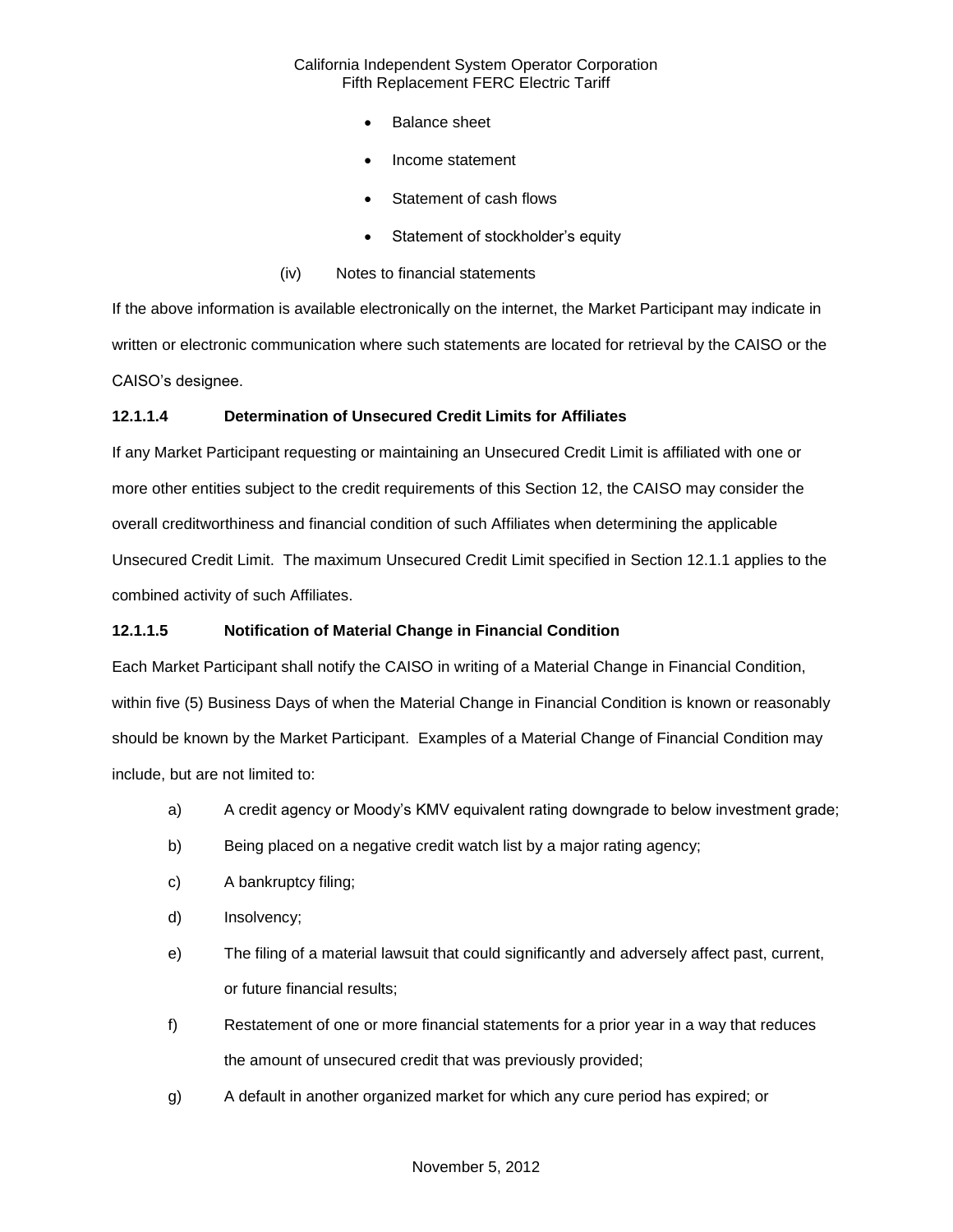- Balance sheet
- Income statement
- Statement of cash flows
- Statement of stockholder's equity
- (iv) Notes to financial statements

If the above information is available electronically on the internet, the Market Participant may indicate in written or electronic communication where such statements are located for retrieval by the CAISO or the CAISO's designee.

### **12.1.1.4 Determination of Unsecured Credit Limits for Affiliates**

If any Market Participant requesting or maintaining an Unsecured Credit Limit is affiliated with one or more other entities subject to the credit requirements of this Section 12, the CAISO may consider the overall creditworthiness and financial condition of such Affiliates when determining the applicable Unsecured Credit Limit. The maximum Unsecured Credit Limit specified in Section 12.1.1 applies to the combined activity of such Affiliates.

#### **12.1.1.5 Notification of Material Change in Financial Condition**

Each Market Participant shall notify the CAISO in writing of a Material Change in Financial Condition, within five (5) Business Days of when the Material Change in Financial Condition is known or reasonably should be known by the Market Participant. Examples of a Material Change of Financial Condition may include, but are not limited to:

- a) A credit agency or Moody's KMV equivalent rating downgrade to below investment grade;
- b) Being placed on a negative credit watch list by a major rating agency;
- c) A bankruptcy filing;
- d) Insolvency;
- e) The filing of a material lawsuit that could significantly and adversely affect past, current, or future financial results;
- f) Restatement of one or more financial statements for a prior year in a way that reduces the amount of unsecured credit that was previously provided;
- g) A default in another organized market for which any cure period has expired; or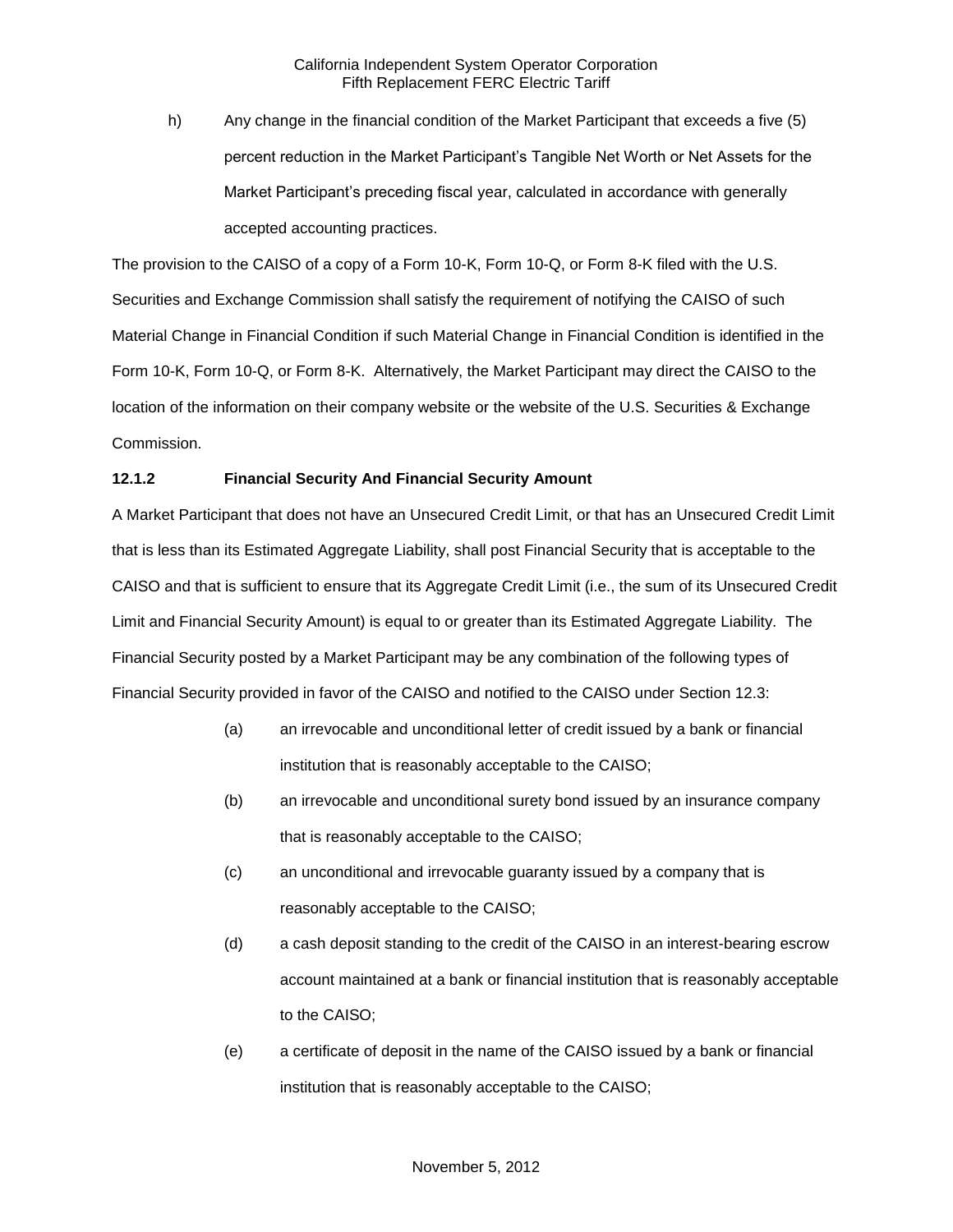h) Any change in the financial condition of the Market Participant that exceeds a five (5) percent reduction in the Market Participant's Tangible Net Worth or Net Assets for the Market Participant's preceding fiscal year, calculated in accordance with generally accepted accounting practices.

The provision to the CAISO of a copy of a Form 10-K, Form 10-Q, or Form 8-K filed with the U.S. Securities and Exchange Commission shall satisfy the requirement of notifying the CAISO of such Material Change in Financial Condition if such Material Change in Financial Condition is identified in the Form 10-K, Form 10-Q, or Form 8-K. Alternatively, the Market Participant may direct the CAISO to the location of the information on their company website or the website of the U.S. Securities & Exchange Commission.

## **12.1.2 Financial Security And Financial Security Amount**

A Market Participant that does not have an Unsecured Credit Limit, or that has an Unsecured Credit Limit that is less than its Estimated Aggregate Liability, shall post Financial Security that is acceptable to the CAISO and that is sufficient to ensure that its Aggregate Credit Limit (i.e., the sum of its Unsecured Credit Limit and Financial Security Amount) is equal to or greater than its Estimated Aggregate Liability. The Financial Security posted by a Market Participant may be any combination of the following types of Financial Security provided in favor of the CAISO and notified to the CAISO under Section 12.3:

- (a) an irrevocable and unconditional letter of credit issued by a bank or financial institution that is reasonably acceptable to the CAISO;
- (b) an irrevocable and unconditional surety bond issued by an insurance company that is reasonably acceptable to the CAISO;
- (c) an unconditional and irrevocable guaranty issued by a company that is reasonably acceptable to the CAISO;
- (d) a cash deposit standing to the credit of the CAISO in an interest-bearing escrow account maintained at a bank or financial institution that is reasonably acceptable to the CAISO;
- (e) a certificate of deposit in the name of the CAISO issued by a bank or financial institution that is reasonably acceptable to the CAISO;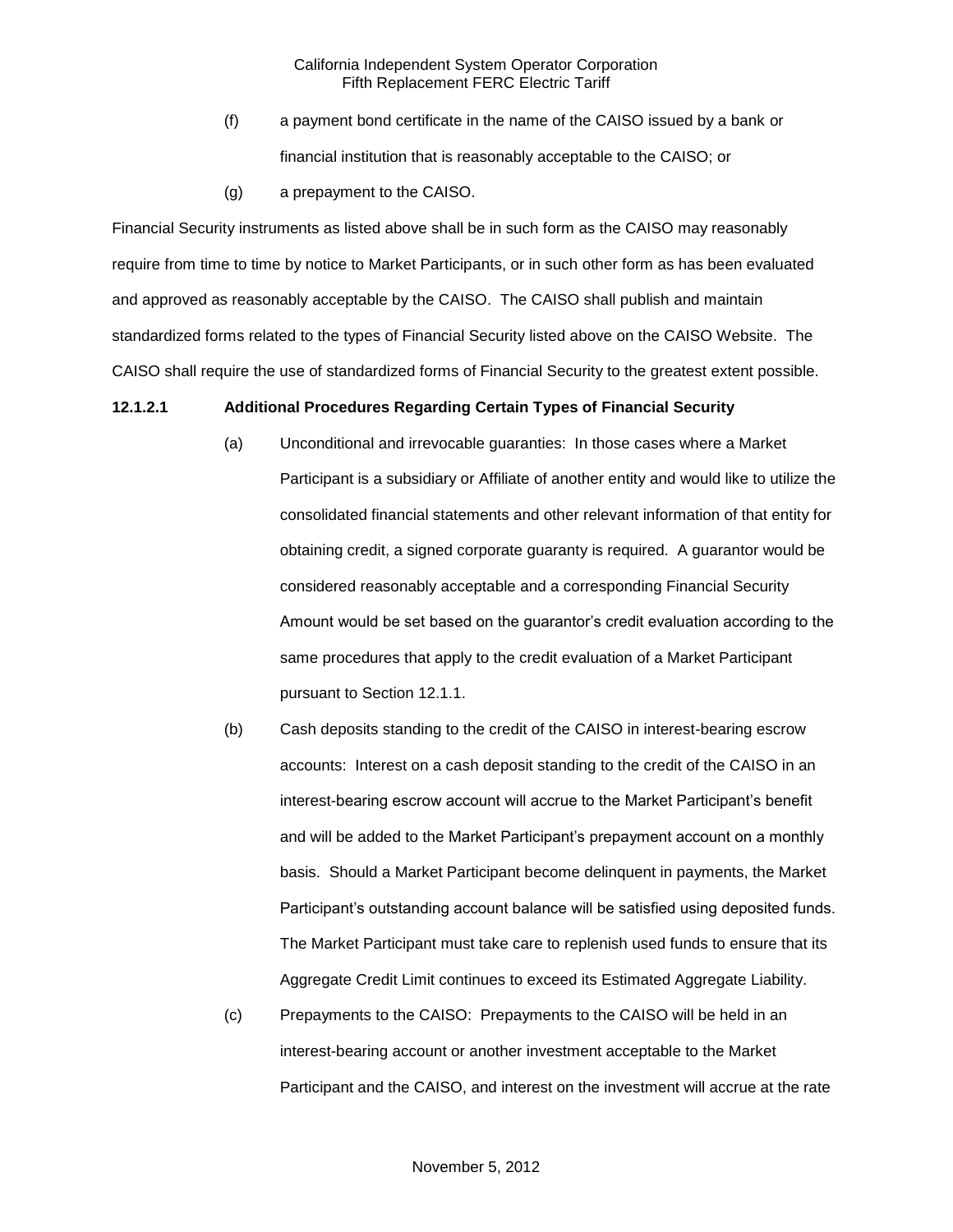- (f) a payment bond certificate in the name of the CAISO issued by a bank or financial institution that is reasonably acceptable to the CAISO; or
- (g) a prepayment to the CAISO.

Financial Security instruments as listed above shall be in such form as the CAISO may reasonably require from time to time by notice to Market Participants, or in such other form as has been evaluated and approved as reasonably acceptable by the CAISO. The CAISO shall publish and maintain standardized forms related to the types of Financial Security listed above on the CAISO Website. The CAISO shall require the use of standardized forms of Financial Security to the greatest extent possible.

#### **12.1.2.1 Additional Procedures Regarding Certain Types of Financial Security**

- (a) Unconditional and irrevocable guaranties: In those cases where a Market Participant is a subsidiary or Affiliate of another entity and would like to utilize the consolidated financial statements and other relevant information of that entity for obtaining credit, a signed corporate guaranty is required. A guarantor would be considered reasonably acceptable and a corresponding Financial Security Amount would be set based on the guarantor's credit evaluation according to the same procedures that apply to the credit evaluation of a Market Participant pursuant to Section 12.1.1.
- (b) Cash deposits standing to the credit of the CAISO in interest-bearing escrow accounts: Interest on a cash deposit standing to the credit of the CAISO in an interest-bearing escrow account will accrue to the Market Participant's benefit and will be added to the Market Participant's prepayment account on a monthly basis. Should a Market Participant become delinquent in payments, the Market Participant's outstanding account balance will be satisfied using deposited funds. The Market Participant must take care to replenish used funds to ensure that its Aggregate Credit Limit continues to exceed its Estimated Aggregate Liability.
- (c) Prepayments to the CAISO: Prepayments to the CAISO will be held in an interest-bearing account or another investment acceptable to the Market Participant and the CAISO, and interest on the investment will accrue at the rate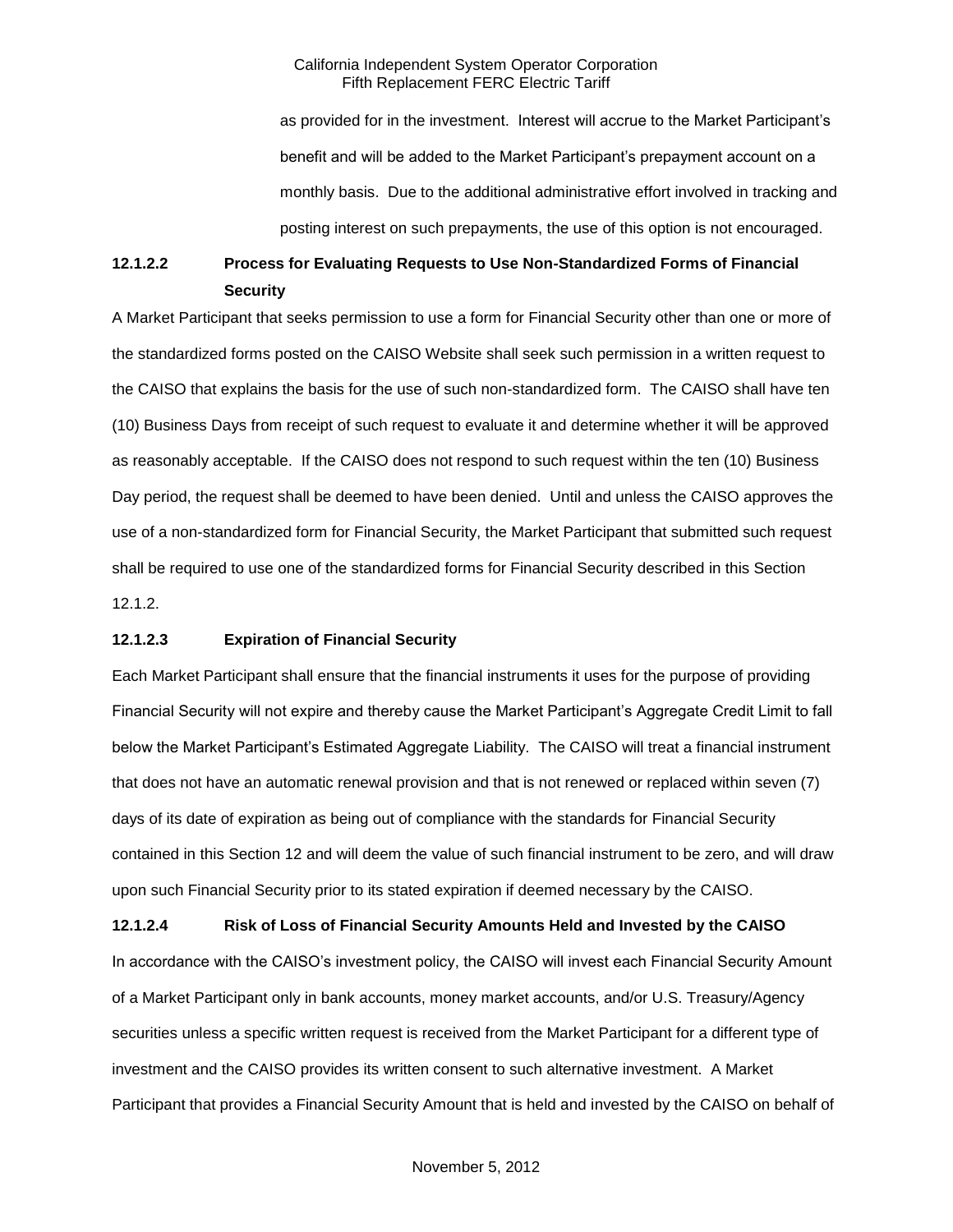as provided for in the investment. Interest will accrue to the Market Participant's benefit and will be added to the Market Participant's prepayment account on a monthly basis. Due to the additional administrative effort involved in tracking and posting interest on such prepayments, the use of this option is not encouraged.

# **12.1.2.2 Process for Evaluating Requests to Use Non-Standardized Forms of Financial Security**

A Market Participant that seeks permission to use a form for Financial Security other than one or more of the standardized forms posted on the CAISO Website shall seek such permission in a written request to the CAISO that explains the basis for the use of such non-standardized form. The CAISO shall have ten (10) Business Days from receipt of such request to evaluate it and determine whether it will be approved as reasonably acceptable. If the CAISO does not respond to such request within the ten (10) Business Day period, the request shall be deemed to have been denied. Until and unless the CAISO approves the use of a non-standardized form for Financial Security, the Market Participant that submitted such request shall be required to use one of the standardized forms for Financial Security described in this Section 12.1.2.

#### **12.1.2.3 Expiration of Financial Security**

Each Market Participant shall ensure that the financial instruments it uses for the purpose of providing Financial Security will not expire and thereby cause the Market Participant's Aggregate Credit Limit to fall below the Market Participant's Estimated Aggregate Liability. The CAISO will treat a financial instrument that does not have an automatic renewal provision and that is not renewed or replaced within seven (7) days of its date of expiration as being out of compliance with the standards for Financial Security contained in this Section 12 and will deem the value of such financial instrument to be zero, and will draw upon such Financial Security prior to its stated expiration if deemed necessary by the CAISO.

**12.1.2.4 Risk of Loss of Financial Security Amounts Held and Invested by the CAISO** In accordance with the CAISO's investment policy, the CAISO will invest each Financial Security Amount of a Market Participant only in bank accounts, money market accounts, and/or U.S. Treasury/Agency securities unless a specific written request is received from the Market Participant for a different type of investment and the CAISO provides its written consent to such alternative investment. A Market Participant that provides a Financial Security Amount that is held and invested by the CAISO on behalf of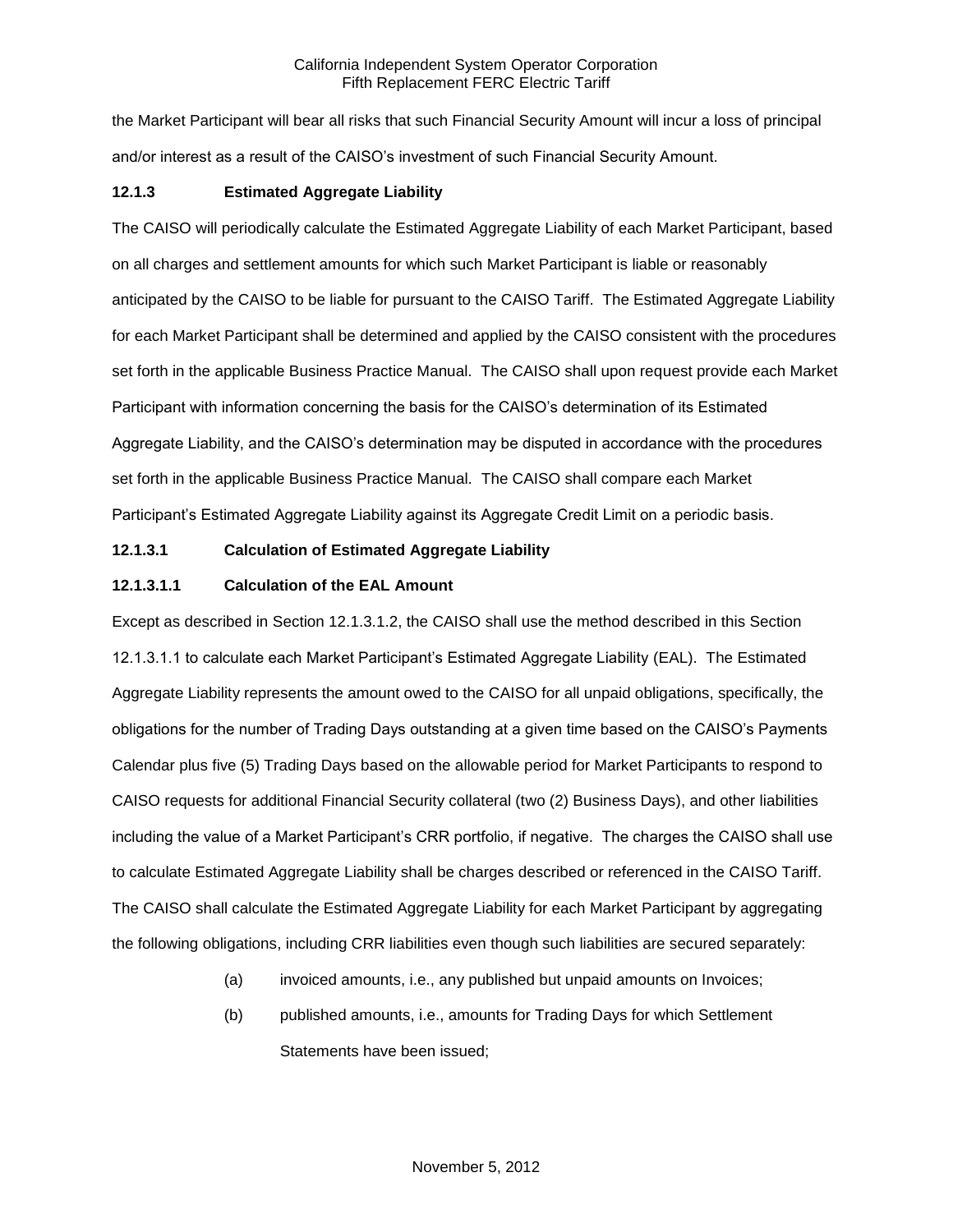the Market Participant will bear all risks that such Financial Security Amount will incur a loss of principal and/or interest as a result of the CAISO's investment of such Financial Security Amount.

### **12.1.3 Estimated Aggregate Liability**

The CAISO will periodically calculate the Estimated Aggregate Liability of each Market Participant, based on all charges and settlement amounts for which such Market Participant is liable or reasonably anticipated by the CAISO to be liable for pursuant to the CAISO Tariff. The Estimated Aggregate Liability for each Market Participant shall be determined and applied by the CAISO consistent with the procedures set forth in the applicable Business Practice Manual. The CAISO shall upon request provide each Market Participant with information concerning the basis for the CAISO's determination of its Estimated Aggregate Liability, and the CAISO's determination may be disputed in accordance with the procedures set forth in the applicable Business Practice Manual. The CAISO shall compare each Market Participant's Estimated Aggregate Liability against its Aggregate Credit Limit on a periodic basis.

#### **12.1.3.1 Calculation of Estimated Aggregate Liability**

#### **12.1.3.1.1 Calculation of the EAL Amount**

Except as described in Section 12.1.3.1.2, the CAISO shall use the method described in this Section 12.1.3.1.1 to calculate each Market Participant's Estimated Aggregate Liability (EAL). The Estimated Aggregate Liability represents the amount owed to the CAISO for all unpaid obligations, specifically, the obligations for the number of Trading Days outstanding at a given time based on the CAISO's Payments Calendar plus five (5) Trading Days based on the allowable period for Market Participants to respond to CAISO requests for additional Financial Security collateral (two (2) Business Days), and other liabilities including the value of a Market Participant's CRR portfolio, if negative. The charges the CAISO shall use to calculate Estimated Aggregate Liability shall be charges described or referenced in the CAISO Tariff. The CAISO shall calculate the Estimated Aggregate Liability for each Market Participant by aggregating the following obligations, including CRR liabilities even though such liabilities are secured separately:

- (a) invoiced amounts, i.e., any published but unpaid amounts on Invoices;
- (b) published amounts, i.e., amounts for Trading Days for which Settlement Statements have been issued;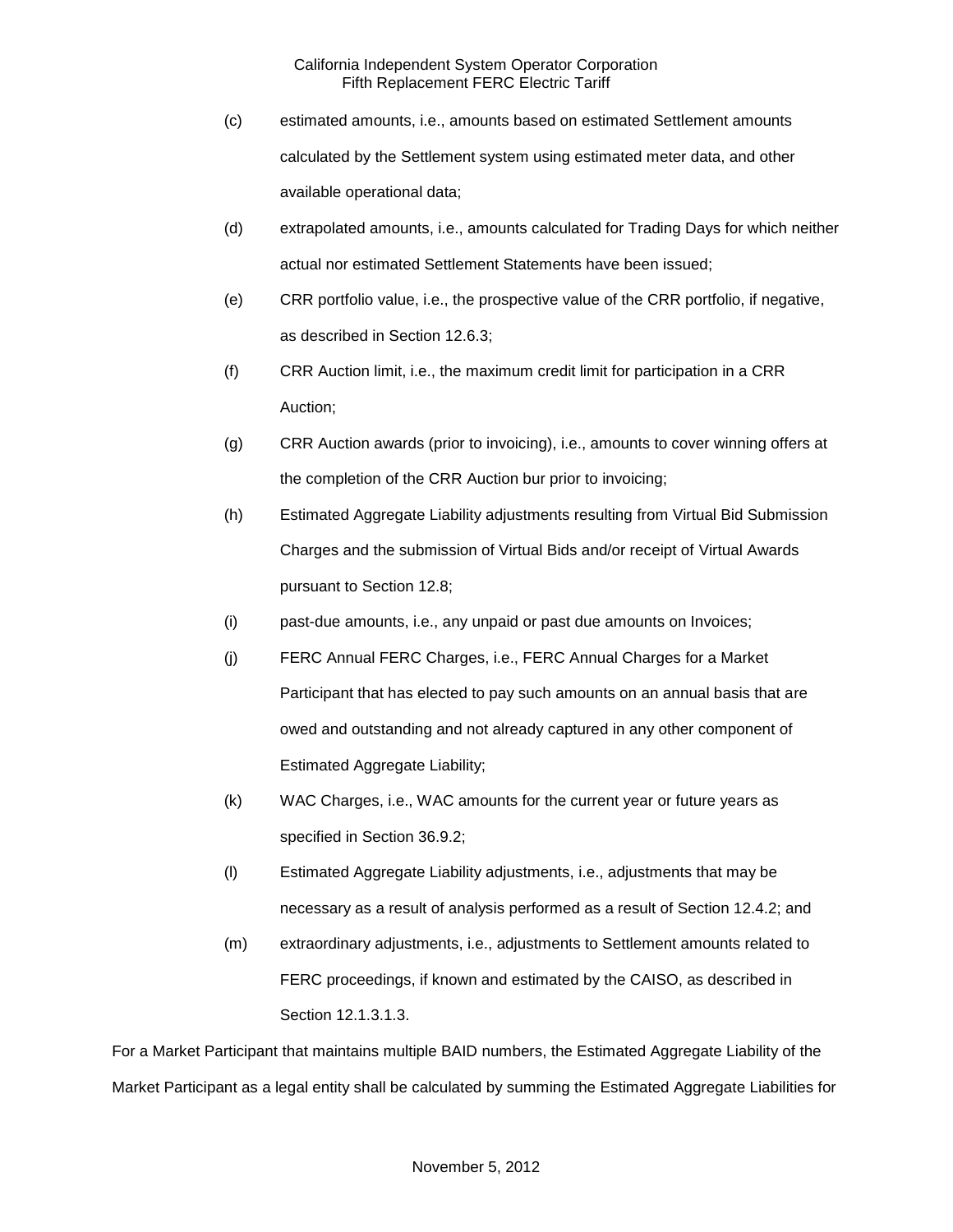- (c) estimated amounts, i.e., amounts based on estimated Settlement amounts calculated by the Settlement system using estimated meter data, and other available operational data;
- (d) extrapolated amounts, i.e., amounts calculated for Trading Days for which neither actual nor estimated Settlement Statements have been issued;
- (e) CRR portfolio value, i.e., the prospective value of the CRR portfolio, if negative, as described in Section 12.6.3;
- (f) CRR Auction limit, i.e., the maximum credit limit for participation in a CRR Auction;
- (g) CRR Auction awards (prior to invoicing), i.e., amounts to cover winning offers at the completion of the CRR Auction bur prior to invoicing;
- (h) Estimated Aggregate Liability adjustments resulting from Virtual Bid Submission Charges and the submission of Virtual Bids and/or receipt of Virtual Awards pursuant to Section 12.8;
- (i) past-due amounts, i.e., any unpaid or past due amounts on Invoices;
- (j) FERC Annual FERC Charges, i.e., FERC Annual Charges for a Market Participant that has elected to pay such amounts on an annual basis that are owed and outstanding and not already captured in any other component of Estimated Aggregate Liability;
- (k) WAC Charges, i.e., WAC amounts for the current year or future years as specified in Section 36.9.2;
- (l) Estimated Aggregate Liability adjustments, i.e., adjustments that may be necessary as a result of analysis performed as a result of Section 12.4.2; and
- (m) extraordinary adjustments, i.e., adjustments to Settlement amounts related to FERC proceedings, if known and estimated by the CAISO, as described in Section 12.1.3.1.3.

For a Market Participant that maintains multiple BAID numbers, the Estimated Aggregate Liability of the Market Participant as a legal entity shall be calculated by summing the Estimated Aggregate Liabilities for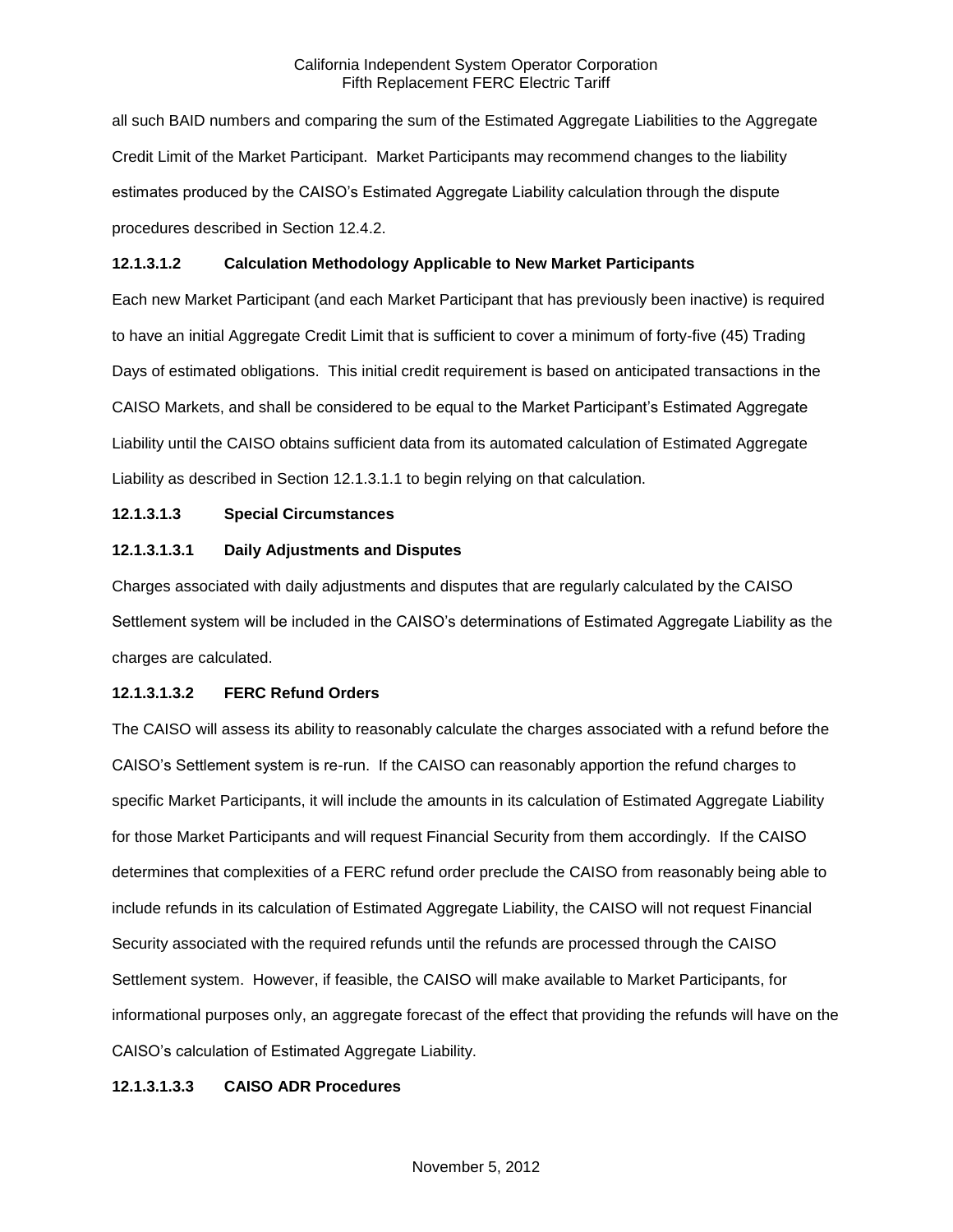all such BAID numbers and comparing the sum of the Estimated Aggregate Liabilities to the Aggregate Credit Limit of the Market Participant. Market Participants may recommend changes to the liability estimates produced by the CAISO's Estimated Aggregate Liability calculation through the dispute procedures described in Section 12.4.2.

### **12.1.3.1.2 Calculation Methodology Applicable to New Market Participants**

Each new Market Participant (and each Market Participant that has previously been inactive) is required to have an initial Aggregate Credit Limit that is sufficient to cover a minimum of forty-five (45) Trading Days of estimated obligations. This initial credit requirement is based on anticipated transactions in the CAISO Markets, and shall be considered to be equal to the Market Participant's Estimated Aggregate Liability until the CAISO obtains sufficient data from its automated calculation of Estimated Aggregate Liability as described in Section 12.1.3.1.1 to begin relying on that calculation.

## **12.1.3.1.3 Special Circumstances**

## **12.1.3.1.3.1 Daily Adjustments and Disputes**

Charges associated with daily adjustments and disputes that are regularly calculated by the CAISO Settlement system will be included in the CAISO's determinations of Estimated Aggregate Liability as the charges are calculated.

#### **12.1.3.1.3.2 FERC Refund Orders**

The CAISO will assess its ability to reasonably calculate the charges associated with a refund before the CAISO's Settlement system is re-run. If the CAISO can reasonably apportion the refund charges to specific Market Participants, it will include the amounts in its calculation of Estimated Aggregate Liability for those Market Participants and will request Financial Security from them accordingly. If the CAISO determines that complexities of a FERC refund order preclude the CAISO from reasonably being able to include refunds in its calculation of Estimated Aggregate Liability, the CAISO will not request Financial Security associated with the required refunds until the refunds are processed through the CAISO Settlement system. However, if feasible, the CAISO will make available to Market Participants, for informational purposes only, an aggregate forecast of the effect that providing the refunds will have on the CAISO's calculation of Estimated Aggregate Liability.

#### **12.1.3.1.3.3 CAISO ADR Procedures**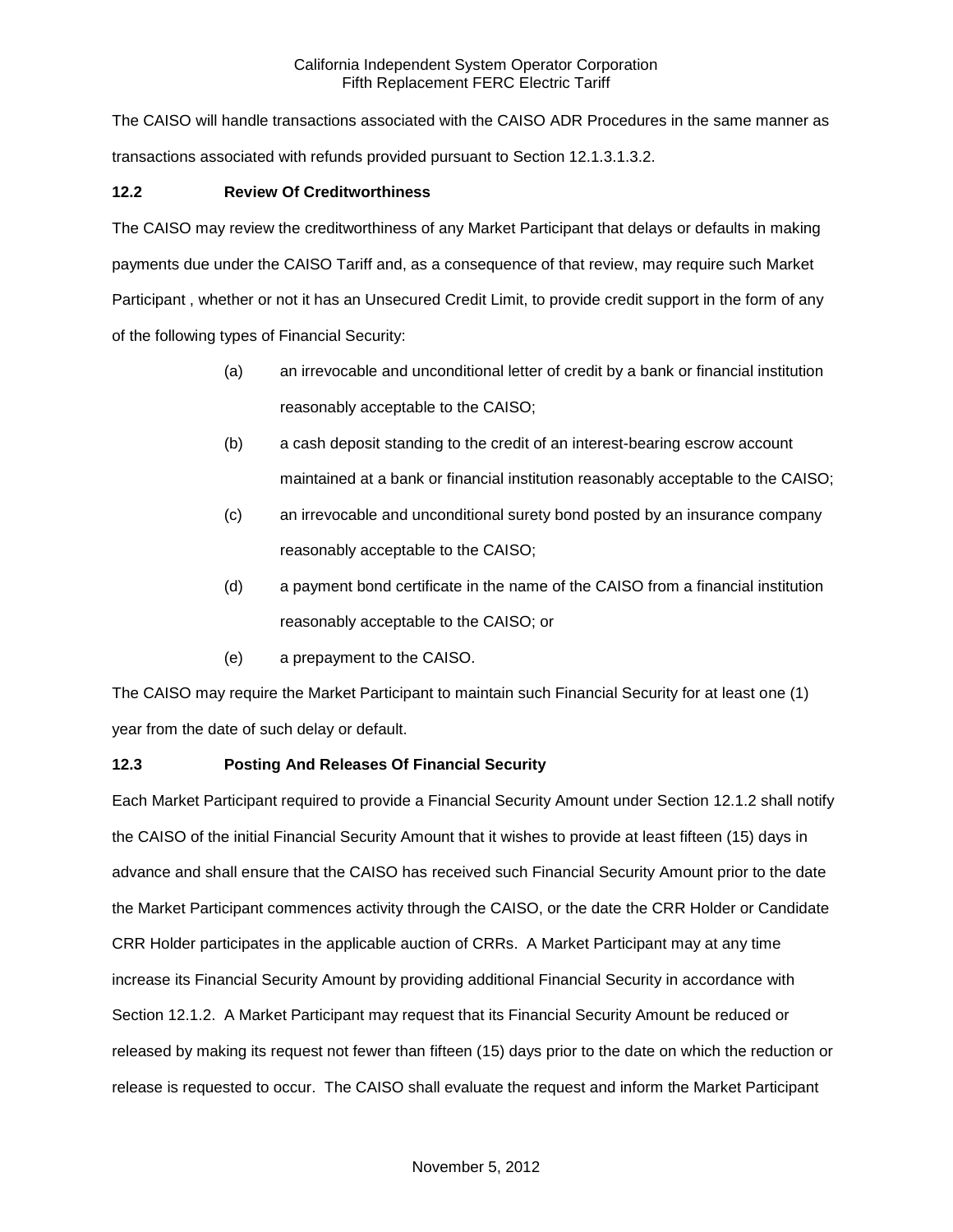The CAISO will handle transactions associated with the CAISO ADR Procedures in the same manner as transactions associated with refunds provided pursuant to Section 12.1.3.1.3.2.

## **12.2 Review Of Creditworthiness**

The CAISO may review the creditworthiness of any Market Participant that delays or defaults in making payments due under the CAISO Tariff and, as a consequence of that review, may require such Market Participant , whether or not it has an Unsecured Credit Limit, to provide credit support in the form of any of the following types of Financial Security:

- (a) an irrevocable and unconditional letter of credit by a bank or financial institution reasonably acceptable to the CAISO;
- (b) a cash deposit standing to the credit of an interest-bearing escrow account maintained at a bank or financial institution reasonably acceptable to the CAISO;
- (c) an irrevocable and unconditional surety bond posted by an insurance company reasonably acceptable to the CAISO;
- (d) a payment bond certificate in the name of the CAISO from a financial institution reasonably acceptable to the CAISO; or
- (e) a prepayment to the CAISO.

The CAISO may require the Market Participant to maintain such Financial Security for at least one (1) year from the date of such delay or default.

## **12.3 Posting And Releases Of Financial Security**

Each Market Participant required to provide a Financial Security Amount under Section 12.1.2 shall notify the CAISO of the initial Financial Security Amount that it wishes to provide at least fifteen (15) days in advance and shall ensure that the CAISO has received such Financial Security Amount prior to the date the Market Participant commences activity through the CAISO, or the date the CRR Holder or Candidate CRR Holder participates in the applicable auction of CRRs. A Market Participant may at any time increase its Financial Security Amount by providing additional Financial Security in accordance with Section 12.1.2. A Market Participant may request that its Financial Security Amount be reduced or released by making its request not fewer than fifteen (15) days prior to the date on which the reduction or release is requested to occur. The CAISO shall evaluate the request and inform the Market Participant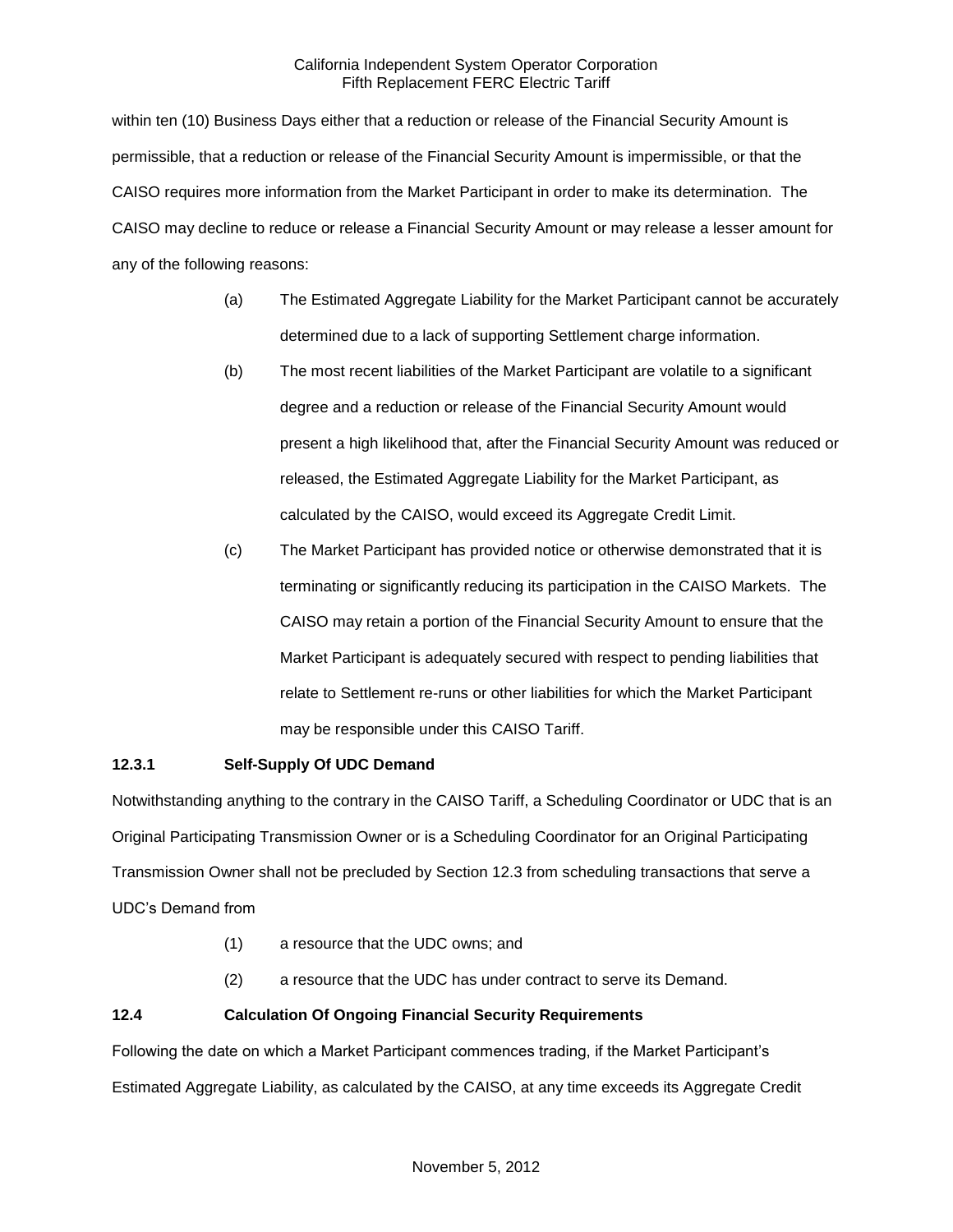within ten (10) Business Days either that a reduction or release of the Financial Security Amount is permissible, that a reduction or release of the Financial Security Amount is impermissible, or that the CAISO requires more information from the Market Participant in order to make its determination. The CAISO may decline to reduce or release a Financial Security Amount or may release a lesser amount for any of the following reasons:

- (a) The Estimated Aggregate Liability for the Market Participant cannot be accurately determined due to a lack of supporting Settlement charge information.
- (b) The most recent liabilities of the Market Participant are volatile to a significant degree and a reduction or release of the Financial Security Amount would present a high likelihood that, after the Financial Security Amount was reduced or released, the Estimated Aggregate Liability for the Market Participant, as calculated by the CAISO, would exceed its Aggregate Credit Limit.
- (c) The Market Participant has provided notice or otherwise demonstrated that it is terminating or significantly reducing its participation in the CAISO Markets. The CAISO may retain a portion of the Financial Security Amount to ensure that the Market Participant is adequately secured with respect to pending liabilities that relate to Settlement re-runs or other liabilities for which the Market Participant may be responsible under this CAISO Tariff.

## **12.3.1 Self-Supply Of UDC Demand**

Notwithstanding anything to the contrary in the CAISO Tariff, a Scheduling Coordinator or UDC that is an Original Participating Transmission Owner or is a Scheduling Coordinator for an Original Participating Transmission Owner shall not be precluded by Section 12.3 from scheduling transactions that serve a UDC's Demand from

- (1) a resource that the UDC owns; and
- (2) a resource that the UDC has under contract to serve its Demand.

## **12.4 Calculation Of Ongoing Financial Security Requirements**

Following the date on which a Market Participant commences trading, if the Market Participant's Estimated Aggregate Liability, as calculated by the CAISO, at any time exceeds its Aggregate Credit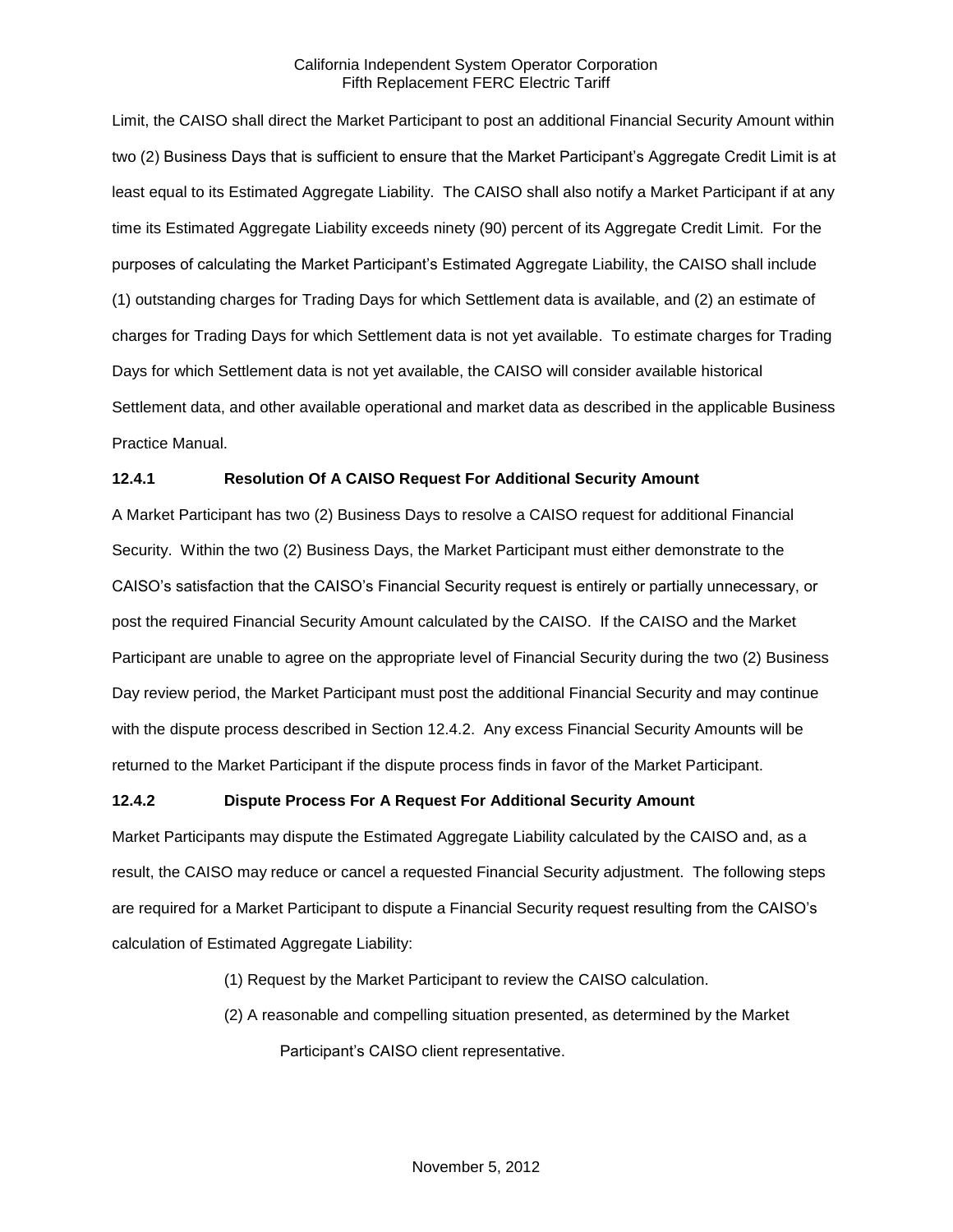Limit, the CAISO shall direct the Market Participant to post an additional Financial Security Amount within two (2) Business Days that is sufficient to ensure that the Market Participant's Aggregate Credit Limit is at least equal to its Estimated Aggregate Liability. The CAISO shall also notify a Market Participant if at any time its Estimated Aggregate Liability exceeds ninety (90) percent of its Aggregate Credit Limit. For the purposes of calculating the Market Participant's Estimated Aggregate Liability, the CAISO shall include (1) outstanding charges for Trading Days for which Settlement data is available, and (2) an estimate of charges for Trading Days for which Settlement data is not yet available. To estimate charges for Trading Days for which Settlement data is not yet available, the CAISO will consider available historical Settlement data, and other available operational and market data as described in the applicable Business Practice Manual.

### **12.4.1 Resolution Of A CAISO Request For Additional Security Amount**

A Market Participant has two (2) Business Days to resolve a CAISO request for additional Financial Security. Within the two (2) Business Days, the Market Participant must either demonstrate to the CAISO's satisfaction that the CAISO's Financial Security request is entirely or partially unnecessary, or post the required Financial Security Amount calculated by the CAISO. If the CAISO and the Market Participant are unable to agree on the appropriate level of Financial Security during the two (2) Business Day review period, the Market Participant must post the additional Financial Security and may continue with the dispute process described in Section 12.4.2. Any excess Financial Security Amounts will be returned to the Market Participant if the dispute process finds in favor of the Market Participant.

#### **12.4.2 Dispute Process For A Request For Additional Security Amount**

Market Participants may dispute the Estimated Aggregate Liability calculated by the CAISO and, as a result, the CAISO may reduce or cancel a requested Financial Security adjustment. The following steps are required for a Market Participant to dispute a Financial Security request resulting from the CAISO's calculation of Estimated Aggregate Liability:

- (1) Request by the Market Participant to review the CAISO calculation.
- (2) A reasonable and compelling situation presented, as determined by the Market Participant's CAISO client representative.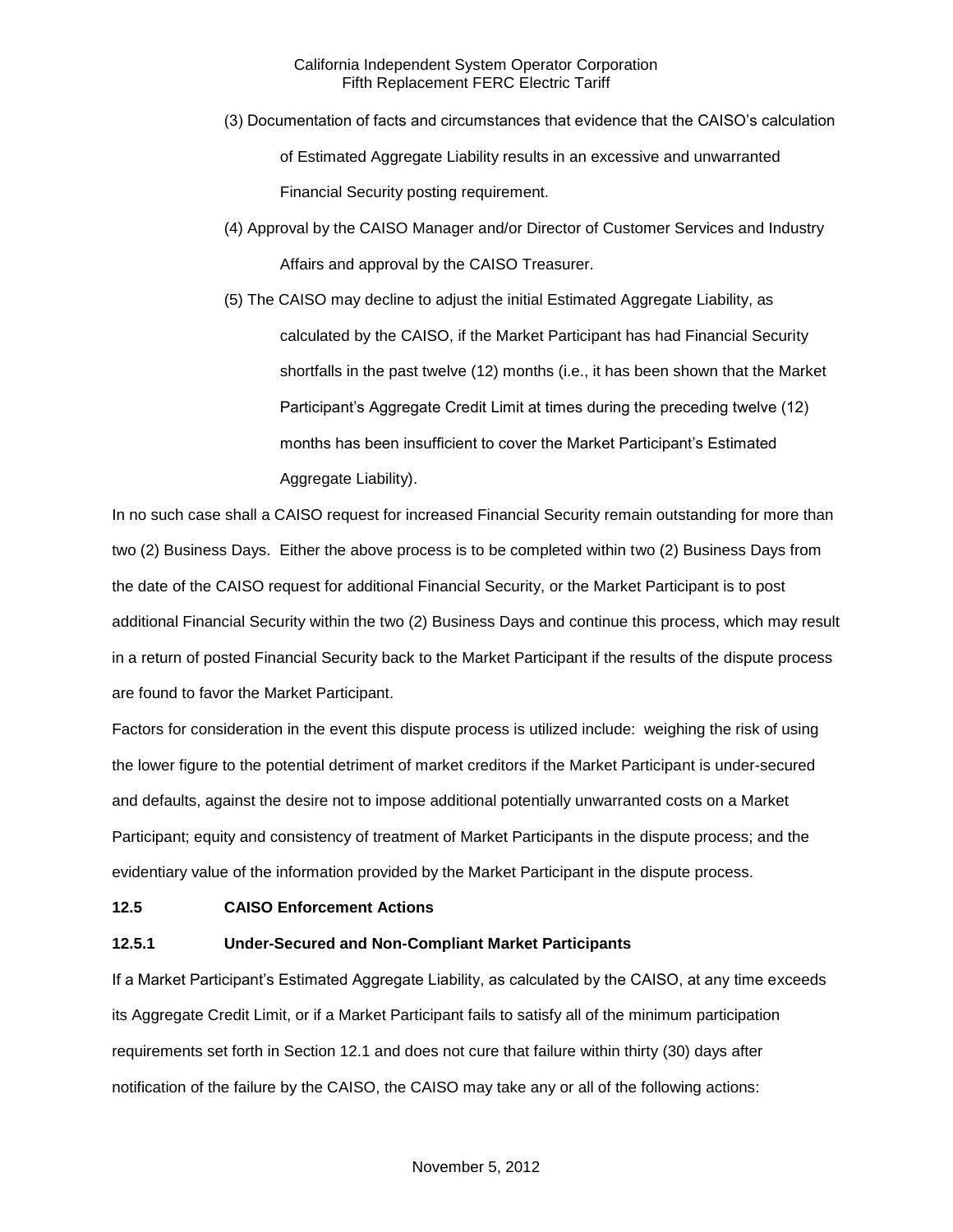- (3) Documentation of facts and circumstances that evidence that the CAISO's calculation of Estimated Aggregate Liability results in an excessive and unwarranted Financial Security posting requirement.
- (4) Approval by the CAISO Manager and/or Director of Customer Services and Industry Affairs and approval by the CAISO Treasurer.
- (5) The CAISO may decline to adjust the initial Estimated Aggregate Liability, as calculated by the CAISO, if the Market Participant has had Financial Security shortfalls in the past twelve (12) months (i.e., it has been shown that the Market Participant's Aggregate Credit Limit at times during the preceding twelve (12) months has been insufficient to cover the Market Participant's Estimated Aggregate Liability).

In no such case shall a CAISO request for increased Financial Security remain outstanding for more than two (2) Business Days. Either the above process is to be completed within two (2) Business Days from the date of the CAISO request for additional Financial Security, or the Market Participant is to post additional Financial Security within the two (2) Business Days and continue this process, which may result in a return of posted Financial Security back to the Market Participant if the results of the dispute process are found to favor the Market Participant.

Factors for consideration in the event this dispute process is utilized include: weighing the risk of using the lower figure to the potential detriment of market creditors if the Market Participant is under-secured and defaults, against the desire not to impose additional potentially unwarranted costs on a Market Participant; equity and consistency of treatment of Market Participants in the dispute process; and the evidentiary value of the information provided by the Market Participant in the dispute process.

#### **12.5 CAISO Enforcement Actions**

## **12.5.1 Under-Secured and Non-Compliant Market Participants**

If a Market Participant's Estimated Aggregate Liability, as calculated by the CAISO, at any time exceeds its Aggregate Credit Limit, or if a Market Participant fails to satisfy all of the minimum participation requirements set forth in Section 12.1 and does not cure that failure within thirty (30) days after notification of the failure by the CAISO, the CAISO may take any or all of the following actions: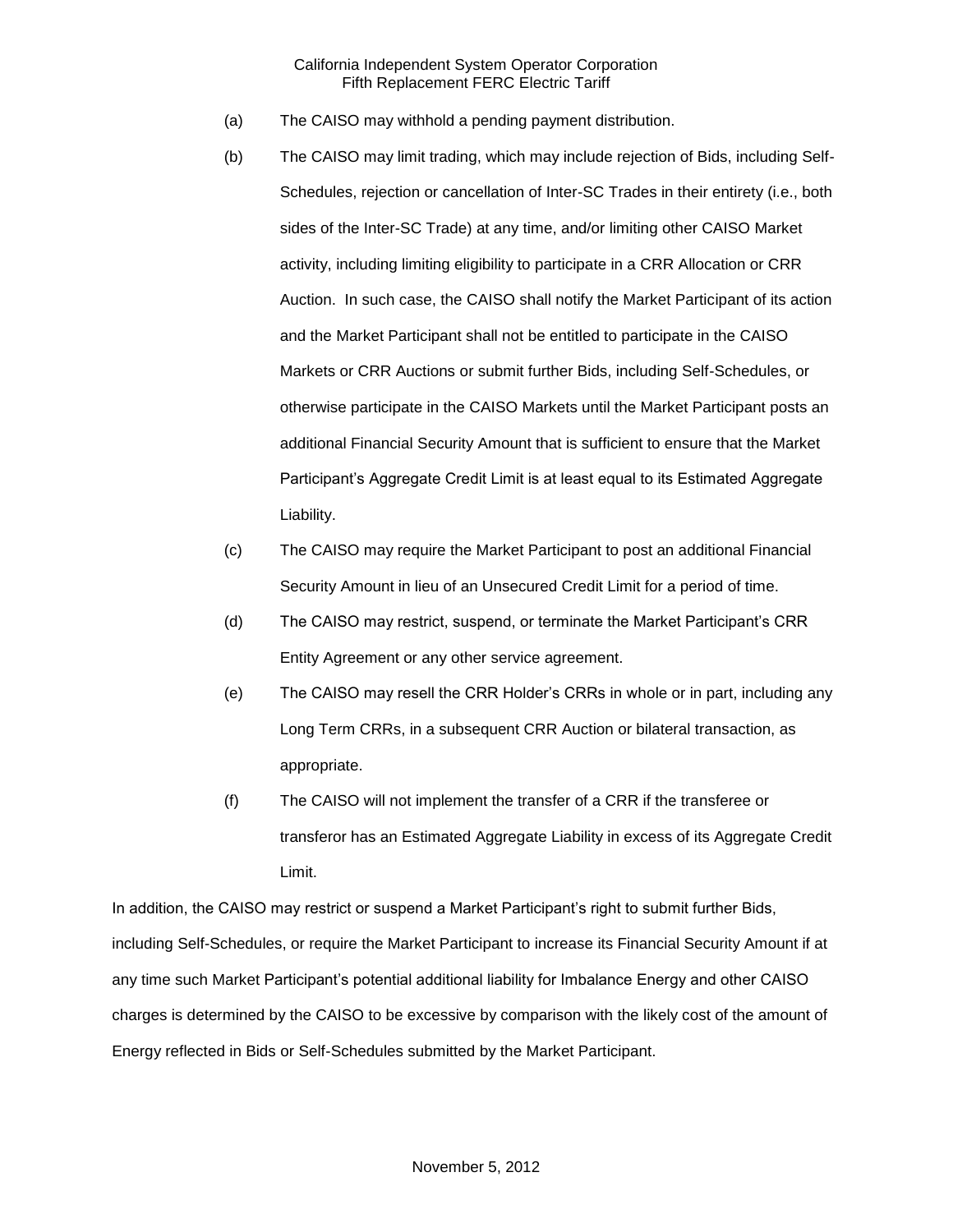- (a) The CAISO may withhold a pending payment distribution.
- (b) The CAISO may limit trading, which may include rejection of Bids, including Self-Schedules, rejection or cancellation of Inter-SC Trades in their entirety (i.e., both sides of the Inter-SC Trade) at any time, and/or limiting other CAISO Market activity, including limiting eligibility to participate in a CRR Allocation or CRR Auction. In such case, the CAISO shall notify the Market Participant of its action and the Market Participant shall not be entitled to participate in the CAISO Markets or CRR Auctions or submit further Bids, including Self-Schedules, or otherwise participate in the CAISO Markets until the Market Participant posts an additional Financial Security Amount that is sufficient to ensure that the Market Participant's Aggregate Credit Limit is at least equal to its Estimated Aggregate Liability.
- (c) The CAISO may require the Market Participant to post an additional Financial Security Amount in lieu of an Unsecured Credit Limit for a period of time.
- (d) The CAISO may restrict, suspend, or terminate the Market Participant's CRR Entity Agreement or any other service agreement.
- (e) The CAISO may resell the CRR Holder's CRRs in whole or in part, including any Long Term CRRs, in a subsequent CRR Auction or bilateral transaction, as appropriate.
- (f) The CAISO will not implement the transfer of a CRR if the transferee or transferor has an Estimated Aggregate Liability in excess of its Aggregate Credit Limit.

In addition, the CAISO may restrict or suspend a Market Participant's right to submit further Bids, including Self-Schedules, or require the Market Participant to increase its Financial Security Amount if at any time such Market Participant's potential additional liability for Imbalance Energy and other CAISO charges is determined by the CAISO to be excessive by comparison with the likely cost of the amount of Energy reflected in Bids or Self-Schedules submitted by the Market Participant.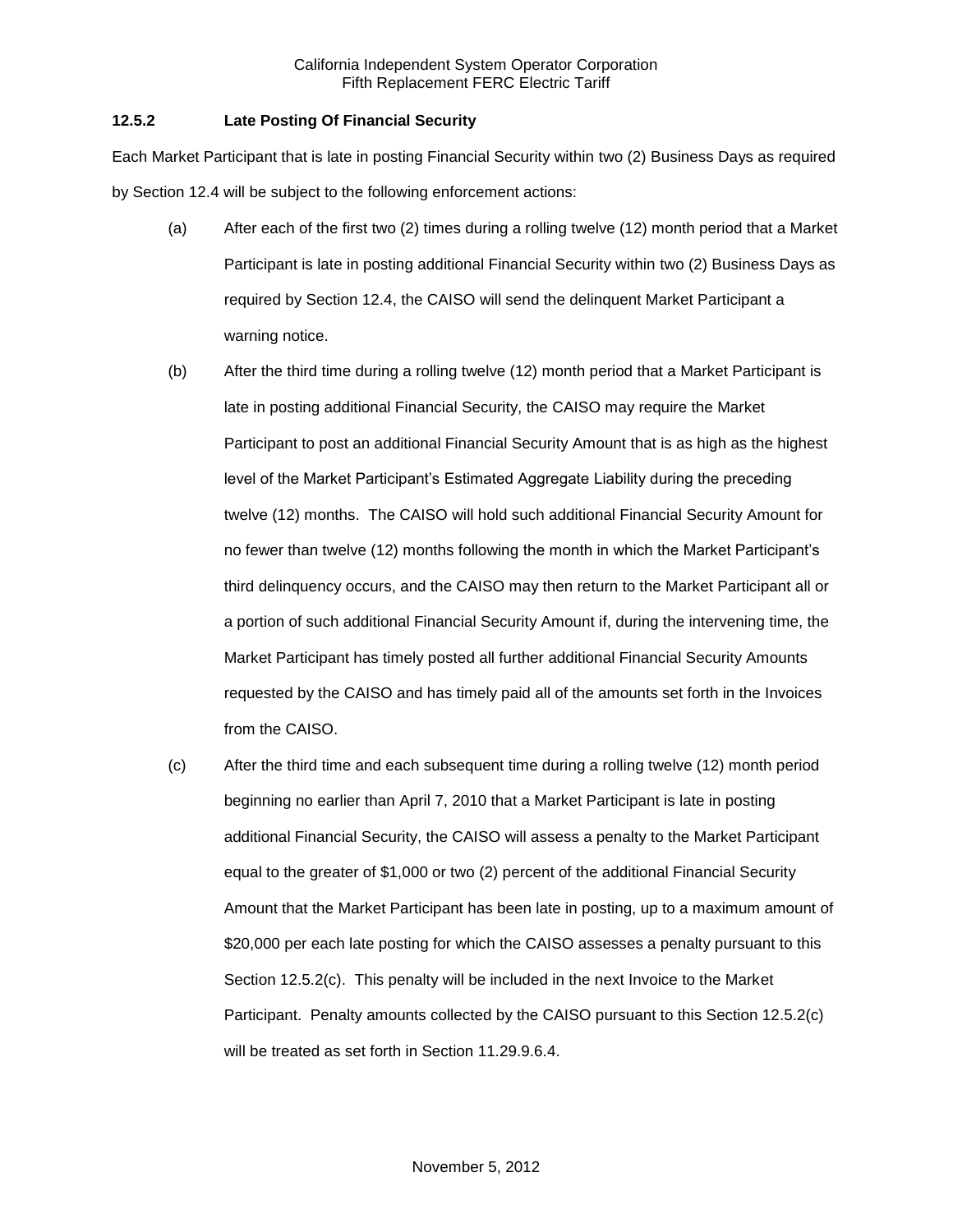## **12.5.2 Late Posting Of Financial Security**

Each Market Participant that is late in posting Financial Security within two (2) Business Days as required by Section 12.4 will be subject to the following enforcement actions:

- (a) After each of the first two (2) times during a rolling twelve (12) month period that a Market Participant is late in posting additional Financial Security within two (2) Business Days as required by Section 12.4, the CAISO will send the delinquent Market Participant a warning notice.
- (b) After the third time during a rolling twelve (12) month period that a Market Participant is late in posting additional Financial Security, the CAISO may require the Market Participant to post an additional Financial Security Amount that is as high as the highest level of the Market Participant's Estimated Aggregate Liability during the preceding twelve (12) months. The CAISO will hold such additional Financial Security Amount for no fewer than twelve (12) months following the month in which the Market Participant's third delinquency occurs, and the CAISO may then return to the Market Participant all or a portion of such additional Financial Security Amount if, during the intervening time, the Market Participant has timely posted all further additional Financial Security Amounts requested by the CAISO and has timely paid all of the amounts set forth in the Invoices from the CAISO.
- (c) After the third time and each subsequent time during a rolling twelve (12) month period beginning no earlier than April 7, 2010 that a Market Participant is late in posting additional Financial Security, the CAISO will assess a penalty to the Market Participant equal to the greater of \$1,000 or two (2) percent of the additional Financial Security Amount that the Market Participant has been late in posting, up to a maximum amount of \$20,000 per each late posting for which the CAISO assesses a penalty pursuant to this Section 12.5.2(c). This penalty will be included in the next Invoice to the Market Participant. Penalty amounts collected by the CAISO pursuant to this Section 12.5.2(c) will be treated as set forth in Section 11.29.9.6.4.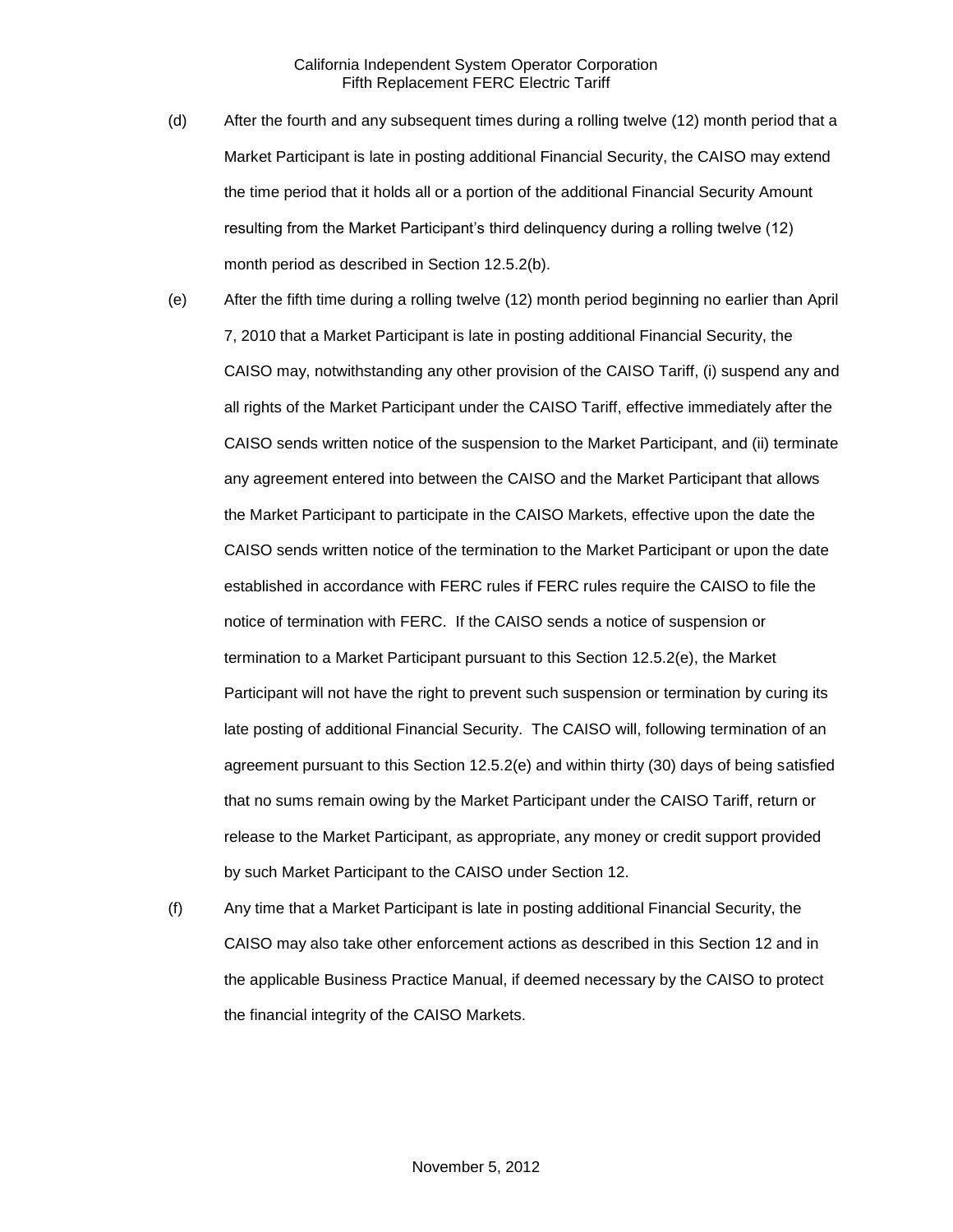- (d) After the fourth and any subsequent times during a rolling twelve (12) month period that a Market Participant is late in posting additional Financial Security, the CAISO may extend the time period that it holds all or a portion of the additional Financial Security Amount resulting from the Market Participant's third delinquency during a rolling twelve (12) month period as described in Section 12.5.2(b).
- (e) After the fifth time during a rolling twelve (12) month period beginning no earlier than April 7, 2010 that a Market Participant is late in posting additional Financial Security, the CAISO may, notwithstanding any other provision of the CAISO Tariff, (i) suspend any and all rights of the Market Participant under the CAISO Tariff, effective immediately after the CAISO sends written notice of the suspension to the Market Participant, and (ii) terminate any agreement entered into between the CAISO and the Market Participant that allows the Market Participant to participate in the CAISO Markets, effective upon the date the CAISO sends written notice of the termination to the Market Participant or upon the date established in accordance with FERC rules if FERC rules require the CAISO to file the notice of termination with FERC. If the CAISO sends a notice of suspension or termination to a Market Participant pursuant to this Section 12.5.2(e), the Market Participant will not have the right to prevent such suspension or termination by curing its late posting of additional Financial Security. The CAISO will, following termination of an agreement pursuant to this Section 12.5.2(e) and within thirty (30) days of being satisfied that no sums remain owing by the Market Participant under the CAISO Tariff, return or release to the Market Participant, as appropriate, any money or credit support provided by such Market Participant to the CAISO under Section 12.
- (f) Any time that a Market Participant is late in posting additional Financial Security, the CAISO may also take other enforcement actions as described in this Section 12 and in the applicable Business Practice Manual, if deemed necessary by the CAISO to protect the financial integrity of the CAISO Markets.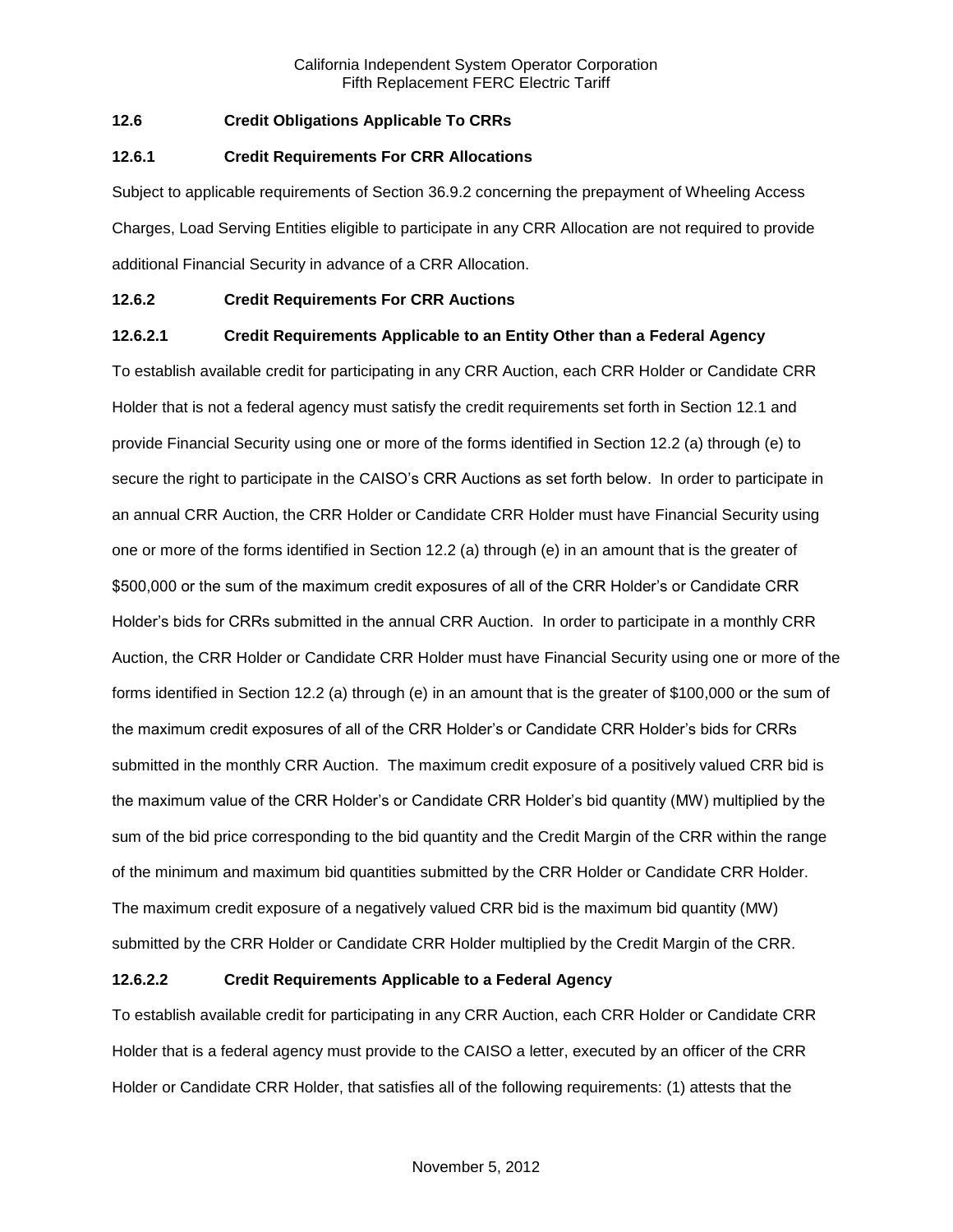## **12.6 Credit Obligations Applicable To CRRs**

#### **12.6.1 Credit Requirements For CRR Allocations**

Subject to applicable requirements of Section 36.9.2 concerning the prepayment of Wheeling Access Charges, Load Serving Entities eligible to participate in any CRR Allocation are not required to provide additional Financial Security in advance of a CRR Allocation.

### **12.6.2 Credit Requirements For CRR Auctions**

### **12.6.2.1 Credit Requirements Applicable to an Entity Other than a Federal Agency**

To establish available credit for participating in any CRR Auction, each CRR Holder or Candidate CRR Holder that is not a federal agency must satisfy the credit requirements set forth in Section 12.1 and provide Financial Security using one or more of the forms identified in Section 12.2 (a) through (e) to secure the right to participate in the CAISO's CRR Auctions as set forth below. In order to participate in an annual CRR Auction, the CRR Holder or Candidate CRR Holder must have Financial Security using one or more of the forms identified in Section 12.2 (a) through (e) in an amount that is the greater of \$500,000 or the sum of the maximum credit exposures of all of the CRR Holder's or Candidate CRR Holder's bids for CRRs submitted in the annual CRR Auction. In order to participate in a monthly CRR Auction, the CRR Holder or Candidate CRR Holder must have Financial Security using one or more of the forms identified in Section 12.2 (a) through (e) in an amount that is the greater of \$100,000 or the sum of the maximum credit exposures of all of the CRR Holder's or Candidate CRR Holder's bids for CRRs submitted in the monthly CRR Auction. The maximum credit exposure of a positively valued CRR bid is the maximum value of the CRR Holder's or Candidate CRR Holder's bid quantity (MW) multiplied by the sum of the bid price corresponding to the bid quantity and the Credit Margin of the CRR within the range of the minimum and maximum bid quantities submitted by the CRR Holder or Candidate CRR Holder. The maximum credit exposure of a negatively valued CRR bid is the maximum bid quantity (MW) submitted by the CRR Holder or Candidate CRR Holder multiplied by the Credit Margin of the CRR.

### **12.6.2.2 Credit Requirements Applicable to a Federal Agency**

To establish available credit for participating in any CRR Auction, each CRR Holder or Candidate CRR Holder that is a federal agency must provide to the CAISO a letter, executed by an officer of the CRR Holder or Candidate CRR Holder, that satisfies all of the following requirements: (1) attests that the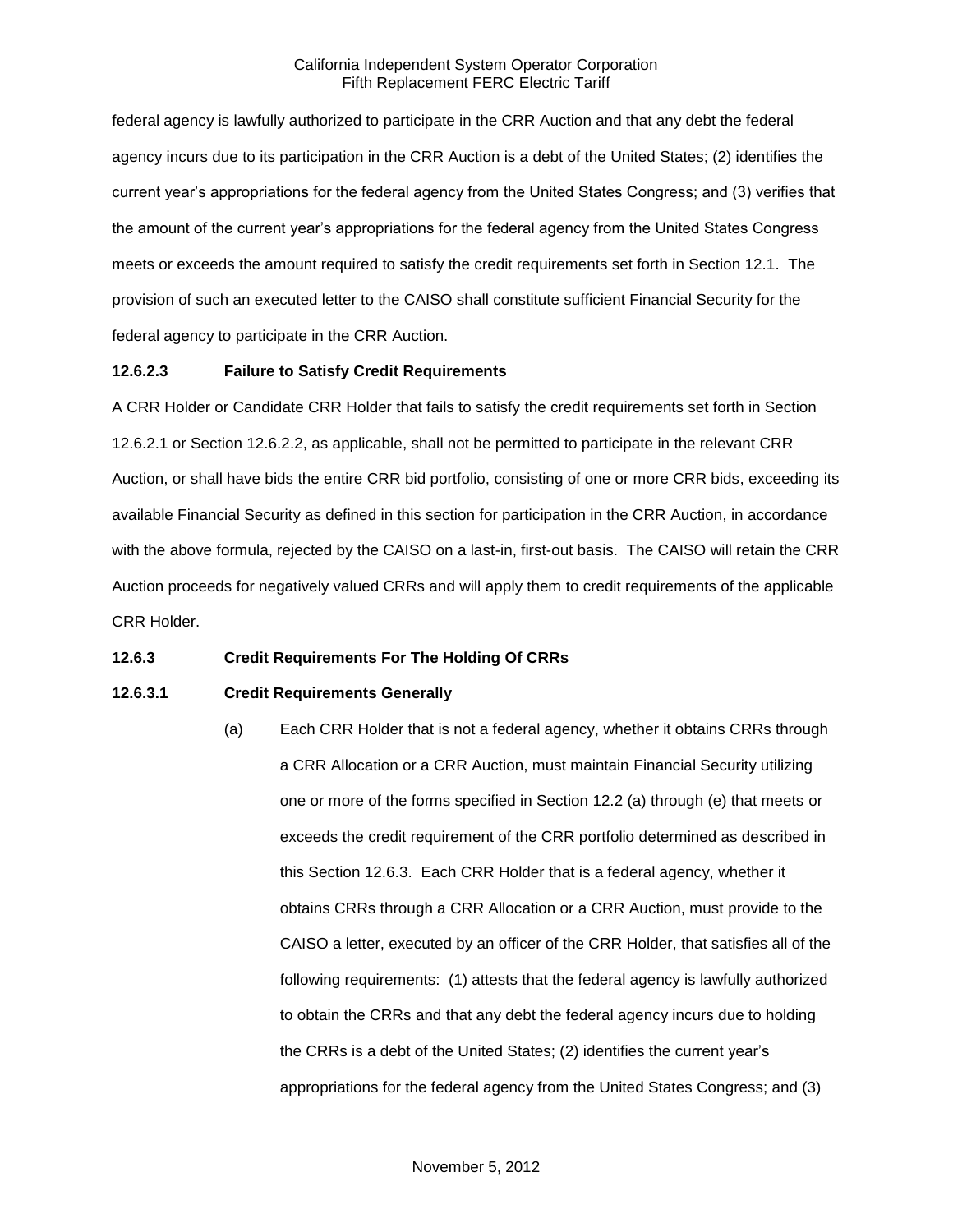federal agency is lawfully authorized to participate in the CRR Auction and that any debt the federal agency incurs due to its participation in the CRR Auction is a debt of the United States; (2) identifies the current year's appropriations for the federal agency from the United States Congress; and (3) verifies that the amount of the current year's appropriations for the federal agency from the United States Congress meets or exceeds the amount required to satisfy the credit requirements set forth in Section 12.1. The provision of such an executed letter to the CAISO shall constitute sufficient Financial Security for the federal agency to participate in the CRR Auction.

### **12.6.2.3 Failure to Satisfy Credit Requirements**

A CRR Holder or Candidate CRR Holder that fails to satisfy the credit requirements set forth in Section 12.6.2.1 or Section 12.6.2.2, as applicable, shall not be permitted to participate in the relevant CRR Auction, or shall have bids the entire CRR bid portfolio, consisting of one or more CRR bids, exceeding its available Financial Security as defined in this section for participation in the CRR Auction, in accordance with the above formula, rejected by the CAISO on a last-in, first-out basis. The CAISO will retain the CRR Auction proceeds for negatively valued CRRs and will apply them to credit requirements of the applicable CRR Holder.

## **12.6.3 Credit Requirements For The Holding Of CRRs**

## **12.6.3.1 Credit Requirements Generally**

(a) Each CRR Holder that is not a federal agency, whether it obtains CRRs through a CRR Allocation or a CRR Auction, must maintain Financial Security utilizing one or more of the forms specified in Section 12.2 (a) through (e) that meets or exceeds the credit requirement of the CRR portfolio determined as described in this Section 12.6.3. Each CRR Holder that is a federal agency, whether it obtains CRRs through a CRR Allocation or a CRR Auction, must provide to the CAISO a letter, executed by an officer of the CRR Holder, that satisfies all of the following requirements: (1) attests that the federal agency is lawfully authorized to obtain the CRRs and that any debt the federal agency incurs due to holding the CRRs is a debt of the United States; (2) identifies the current year's appropriations for the federal agency from the United States Congress; and (3)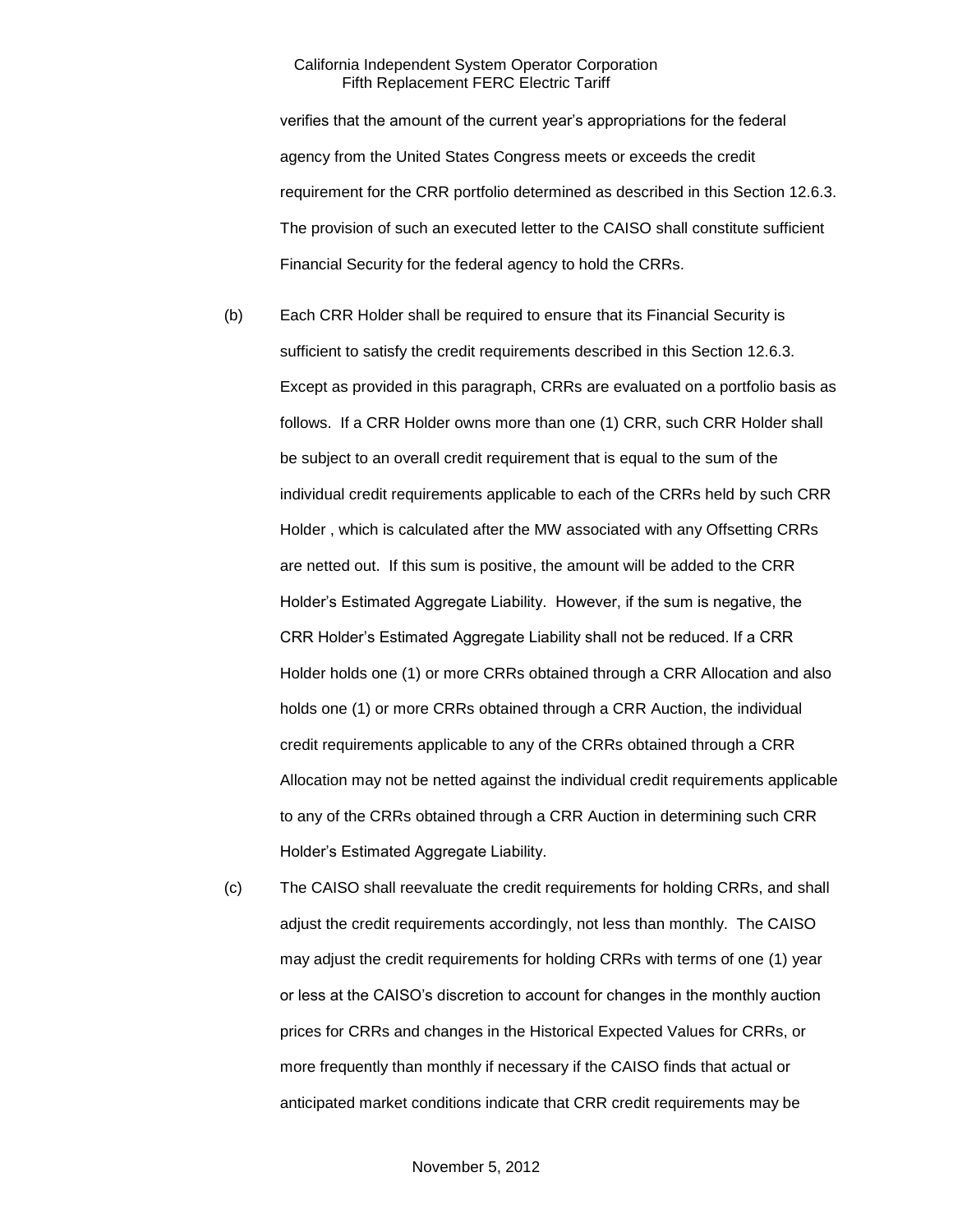verifies that the amount of the current year's appropriations for the federal agency from the United States Congress meets or exceeds the credit requirement for the CRR portfolio determined as described in this Section 12.6.3. The provision of such an executed letter to the CAISO shall constitute sufficient Financial Security for the federal agency to hold the CRRs.

- (b) Each CRR Holder shall be required to ensure that its Financial Security is sufficient to satisfy the credit requirements described in this Section 12.6.3. Except as provided in this paragraph, CRRs are evaluated on a portfolio basis as follows. If a CRR Holder owns more than one (1) CRR, such CRR Holder shall be subject to an overall credit requirement that is equal to the sum of the individual credit requirements applicable to each of the CRRs held by such CRR Holder , which is calculated after the MW associated with any Offsetting CRRs are netted out. If this sum is positive, the amount will be added to the CRR Holder's Estimated Aggregate Liability. However, if the sum is negative, the CRR Holder's Estimated Aggregate Liability shall not be reduced. If a CRR Holder holds one (1) or more CRRs obtained through a CRR Allocation and also holds one (1) or more CRRs obtained through a CRR Auction, the individual credit requirements applicable to any of the CRRs obtained through a CRR Allocation may not be netted against the individual credit requirements applicable to any of the CRRs obtained through a CRR Auction in determining such CRR Holder's Estimated Aggregate Liability.
- (c) The CAISO shall reevaluate the credit requirements for holding CRRs, and shall adjust the credit requirements accordingly, not less than monthly. The CAISO may adjust the credit requirements for holding CRRs with terms of one (1) year or less at the CAISO's discretion to account for changes in the monthly auction prices for CRRs and changes in the Historical Expected Values for CRRs, or more frequently than monthly if necessary if the CAISO finds that actual or anticipated market conditions indicate that CRR credit requirements may be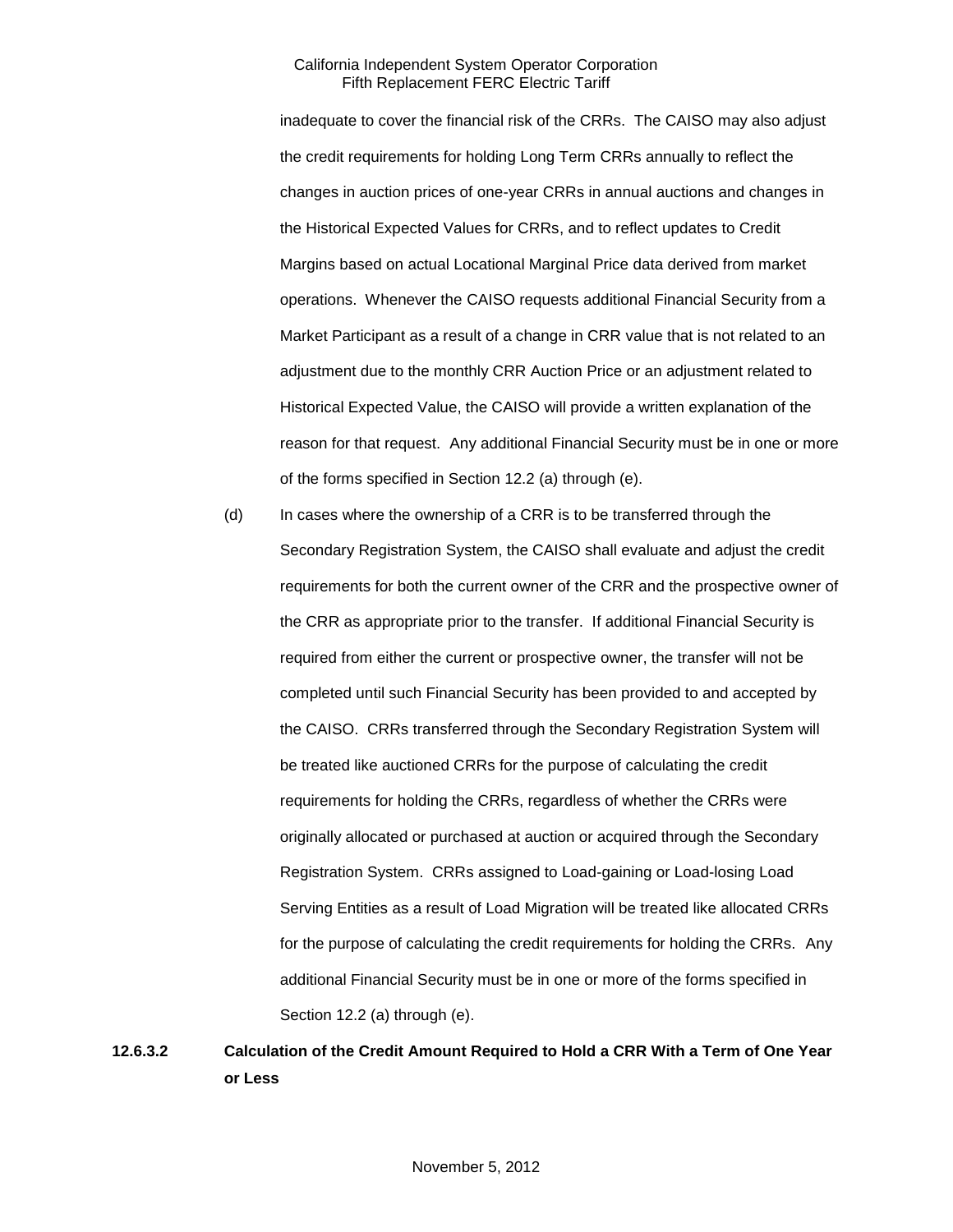inadequate to cover the financial risk of the CRRs. The CAISO may also adjust the credit requirements for holding Long Term CRRs annually to reflect the changes in auction prices of one-year CRRs in annual auctions and changes in the Historical Expected Values for CRRs, and to reflect updates to Credit Margins based on actual Locational Marginal Price data derived from market operations. Whenever the CAISO requests additional Financial Security from a Market Participant as a result of a change in CRR value that is not related to an adjustment due to the monthly CRR Auction Price or an adjustment related to Historical Expected Value, the CAISO will provide a written explanation of the reason for that request. Any additional Financial Security must be in one or more of the forms specified in Section 12.2 (a) through (e).

(d) In cases where the ownership of a CRR is to be transferred through the Secondary Registration System, the CAISO shall evaluate and adjust the credit requirements for both the current owner of the CRR and the prospective owner of the CRR as appropriate prior to the transfer. If additional Financial Security is required from either the current or prospective owner, the transfer will not be completed until such Financial Security has been provided to and accepted by the CAISO. CRRs transferred through the Secondary Registration System will be treated like auctioned CRRs for the purpose of calculating the credit requirements for holding the CRRs, regardless of whether the CRRs were originally allocated or purchased at auction or acquired through the Secondary Registration System. CRRs assigned to Load-gaining or Load-losing Load Serving Entities as a result of Load Migration will be treated like allocated CRRs for the purpose of calculating the credit requirements for holding the CRRs. Any additional Financial Security must be in one or more of the forms specified in Section 12.2 (a) through (e).

**12.6.3.2 Calculation of the Credit Amount Required to Hold a CRR With a Term of One Year or Less**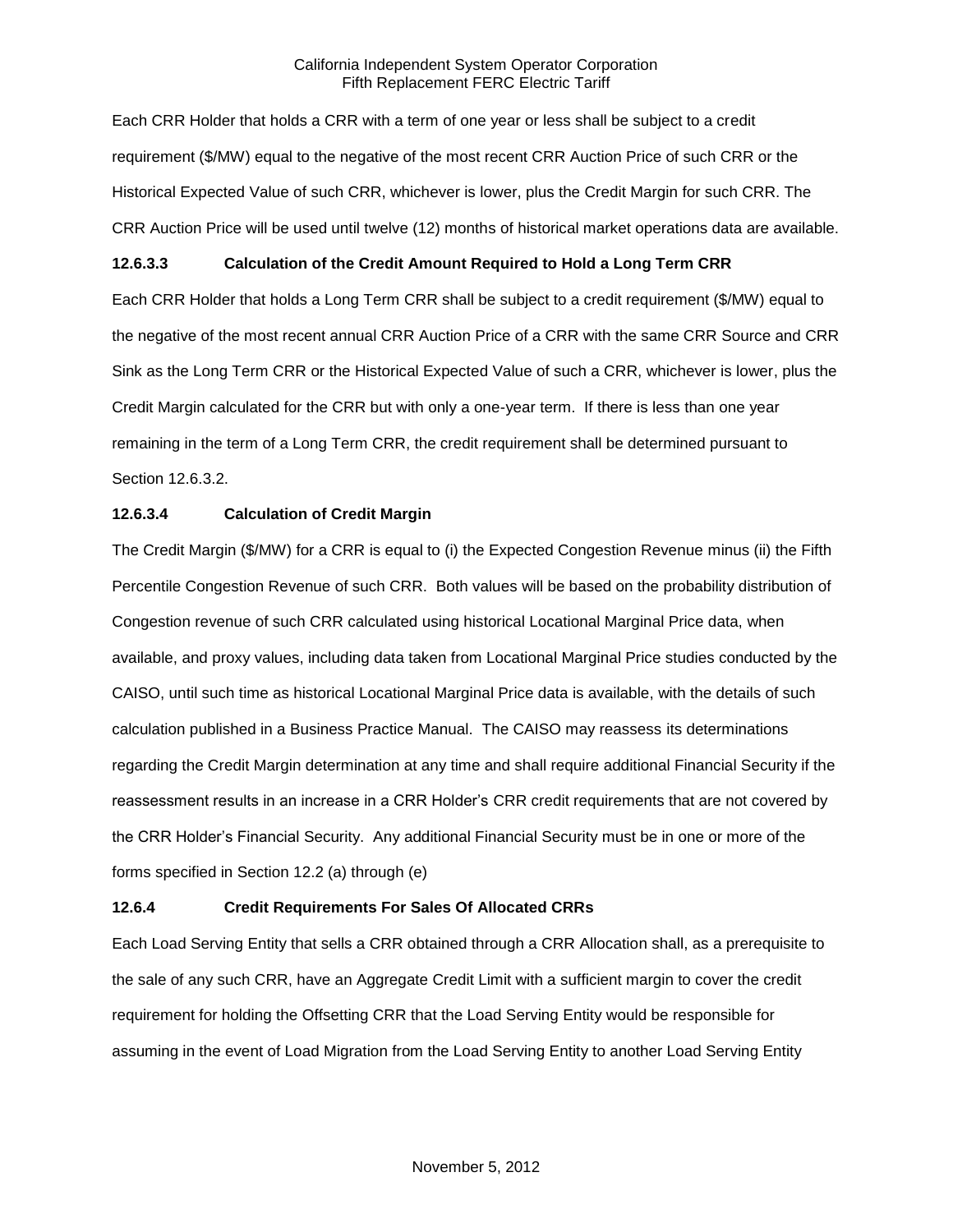Each CRR Holder that holds a CRR with a term of one year or less shall be subject to a credit requirement (\$/MW) equal to the negative of the most recent CRR Auction Price of such CRR or the Historical Expected Value of such CRR, whichever is lower, plus the Credit Margin for such CRR. The CRR Auction Price will be used until twelve (12) months of historical market operations data are available.

#### **12.6.3.3 Calculation of the Credit Amount Required to Hold a Long Term CRR**

Each CRR Holder that holds a Long Term CRR shall be subject to a credit requirement (\$/MW) equal to the negative of the most recent annual CRR Auction Price of a CRR with the same CRR Source and CRR Sink as the Long Term CRR or the Historical Expected Value of such a CRR, whichever is lower, plus the Credit Margin calculated for the CRR but with only a one-year term. If there is less than one year remaining in the term of a Long Term CRR, the credit requirement shall be determined pursuant to Section 12.6.3.2.

#### **12.6.3.4 Calculation of Credit Margin**

The Credit Margin (\$/MW) for a CRR is equal to (i) the Expected Congestion Revenue minus (ii) the Fifth Percentile Congestion Revenue of such CRR. Both values will be based on the probability distribution of Congestion revenue of such CRR calculated using historical Locational Marginal Price data, when available, and proxy values, including data taken from Locational Marginal Price studies conducted by the CAISO, until such time as historical Locational Marginal Price data is available, with the details of such calculation published in a Business Practice Manual. The CAISO may reassess its determinations regarding the Credit Margin determination at any time and shall require additional Financial Security if the reassessment results in an increase in a CRR Holder's CRR credit requirements that are not covered by the CRR Holder's Financial Security. Any additional Financial Security must be in one or more of the forms specified in Section 12.2 (a) through (e)

#### **12.6.4 Credit Requirements For Sales Of Allocated CRRs**

Each Load Serving Entity that sells a CRR obtained through a CRR Allocation shall, as a prerequisite to the sale of any such CRR, have an Aggregate Credit Limit with a sufficient margin to cover the credit requirement for holding the Offsetting CRR that the Load Serving Entity would be responsible for assuming in the event of Load Migration from the Load Serving Entity to another Load Serving Entity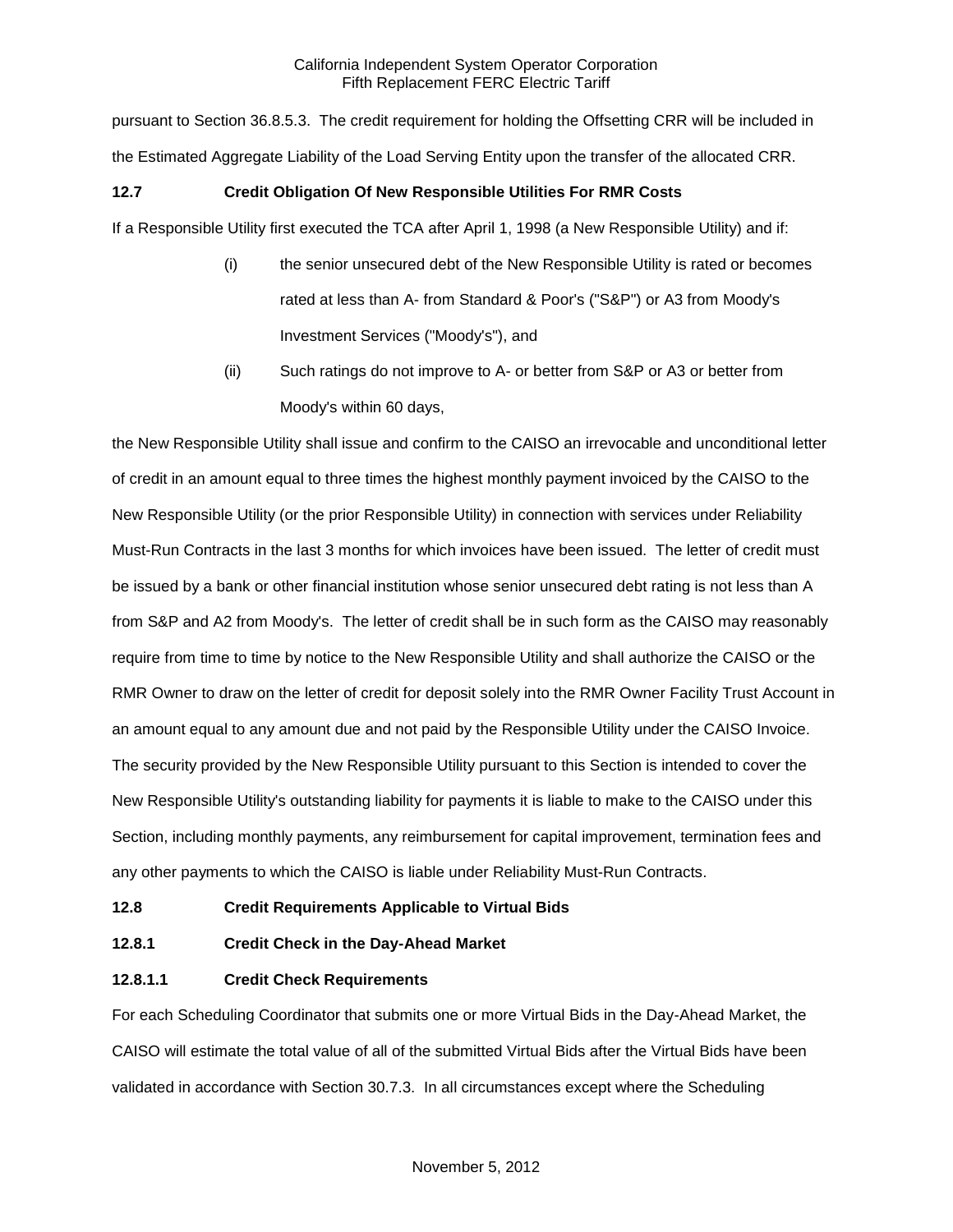pursuant to Section 36.8.5.3. The credit requirement for holding the Offsetting CRR will be included in the Estimated Aggregate Liability of the Load Serving Entity upon the transfer of the allocated CRR.

### **12.7 Credit Obligation Of New Responsible Utilities For RMR Costs**

If a Responsible Utility first executed the TCA after April 1, 1998 (a New Responsible Utility) and if:

- (i) the senior unsecured debt of the New Responsible Utility is rated or becomes rated at less than A- from Standard & Poor's ("S&P") or A3 from Moody's Investment Services ("Moody's"), and
- (ii) Such ratings do not improve to A- or better from S&P or A3 or better from Moody's within 60 days,

the New Responsible Utility shall issue and confirm to the CAISO an irrevocable and unconditional letter of credit in an amount equal to three times the highest monthly payment invoiced by the CAISO to the New Responsible Utility (or the prior Responsible Utility) in connection with services under Reliability Must-Run Contracts in the last 3 months for which invoices have been issued. The letter of credit must be issued by a bank or other financial institution whose senior unsecured debt rating is not less than A from S&P and A2 from Moody's. The letter of credit shall be in such form as the CAISO may reasonably require from time to time by notice to the New Responsible Utility and shall authorize the CAISO or the RMR Owner to draw on the letter of credit for deposit solely into the RMR Owner Facility Trust Account in an amount equal to any amount due and not paid by the Responsible Utility under the CAISO Invoice. The security provided by the New Responsible Utility pursuant to this Section is intended to cover the New Responsible Utility's outstanding liability for payments it is liable to make to the CAISO under this Section, including monthly payments, any reimbursement for capital improvement, termination fees and any other payments to which the CAISO is liable under Reliability Must-Run Contracts.

## **12.8 Credit Requirements Applicable to Virtual Bids**

## **12.8.1 Credit Check in the Day-Ahead Market**

#### **12.8.1.1 Credit Check Requirements**

For each Scheduling Coordinator that submits one or more Virtual Bids in the Day-Ahead Market, the CAISO will estimate the total value of all of the submitted Virtual Bids after the Virtual Bids have been validated in accordance with Section 30.7.3. In all circumstances except where the Scheduling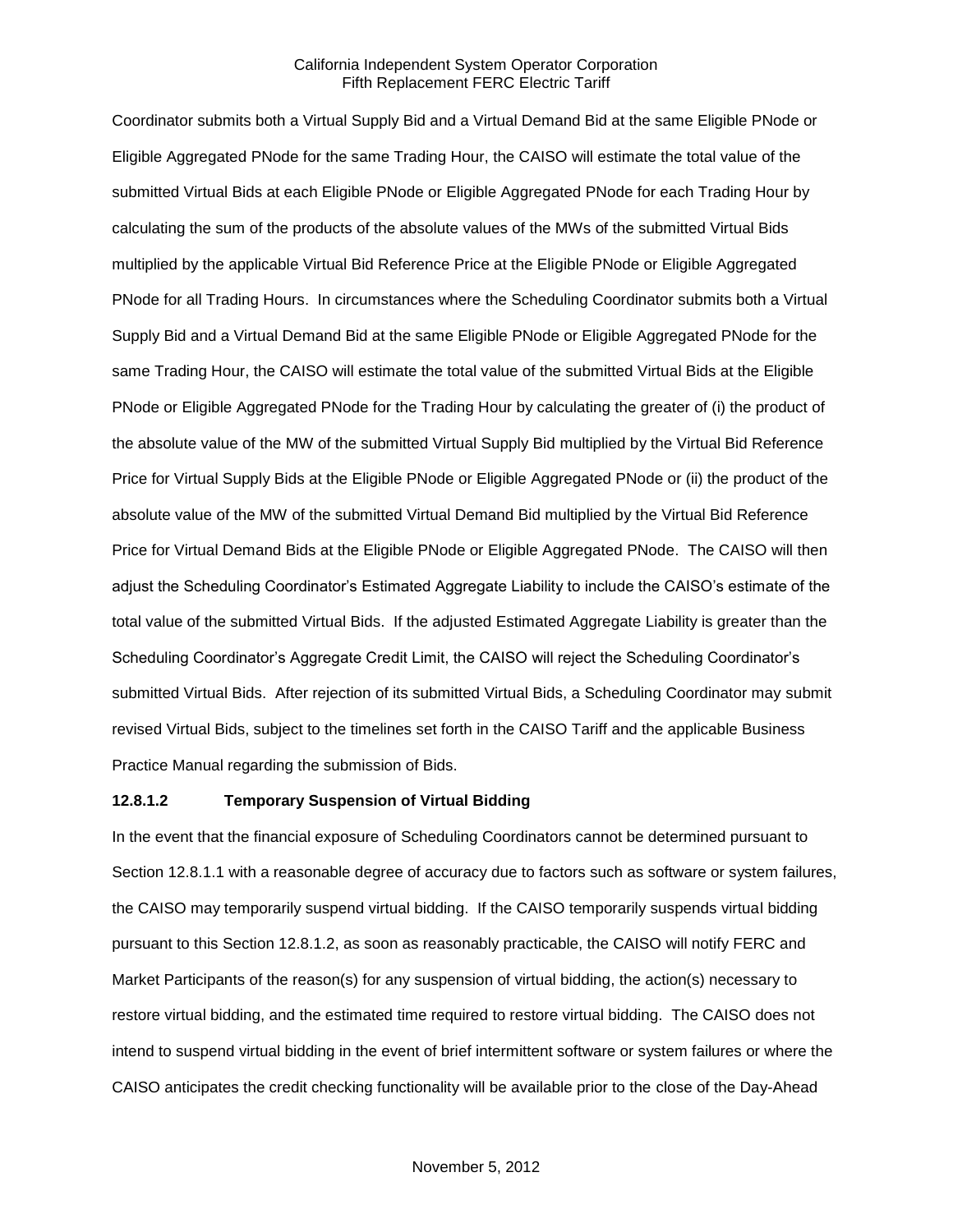Coordinator submits both a Virtual Supply Bid and a Virtual Demand Bid at the same Eligible PNode or Eligible Aggregated PNode for the same Trading Hour, the CAISO will estimate the total value of the submitted Virtual Bids at each Eligible PNode or Eligible Aggregated PNode for each Trading Hour by calculating the sum of the products of the absolute values of the MWs of the submitted Virtual Bids multiplied by the applicable Virtual Bid Reference Price at the Eligible PNode or Eligible Aggregated PNode for all Trading Hours. In circumstances where the Scheduling Coordinator submits both a Virtual Supply Bid and a Virtual Demand Bid at the same Eligible PNode or Eligible Aggregated PNode for the same Trading Hour, the CAISO will estimate the total value of the submitted Virtual Bids at the Eligible PNode or Eligible Aggregated PNode for the Trading Hour by calculating the greater of (i) the product of the absolute value of the MW of the submitted Virtual Supply Bid multiplied by the Virtual Bid Reference Price for Virtual Supply Bids at the Eligible PNode or Eligible Aggregated PNode or (ii) the product of the absolute value of the MW of the submitted Virtual Demand Bid multiplied by the Virtual Bid Reference Price for Virtual Demand Bids at the Eligible PNode or Eligible Aggregated PNode. The CAISO will then adjust the Scheduling Coordinator's Estimated Aggregate Liability to include the CAISO's estimate of the total value of the submitted Virtual Bids. If the adjusted Estimated Aggregate Liability is greater than the Scheduling Coordinator's Aggregate Credit Limit, the CAISO will reject the Scheduling Coordinator's submitted Virtual Bids. After rejection of its submitted Virtual Bids, a Scheduling Coordinator may submit revised Virtual Bids, subject to the timelines set forth in the CAISO Tariff and the applicable Business Practice Manual regarding the submission of Bids.

#### **12.8.1.2 Temporary Suspension of Virtual Bidding**

In the event that the financial exposure of Scheduling Coordinators cannot be determined pursuant to Section 12.8.1.1 with a reasonable degree of accuracy due to factors such as software or system failures, the CAISO may temporarily suspend virtual bidding. If the CAISO temporarily suspends virtual bidding pursuant to this Section 12.8.1.2, as soon as reasonably practicable, the CAISO will notify FERC and Market Participants of the reason(s) for any suspension of virtual bidding, the action(s) necessary to restore virtual bidding, and the estimated time required to restore virtual bidding. The CAISO does not intend to suspend virtual bidding in the event of brief intermittent software or system failures or where the CAISO anticipates the credit checking functionality will be available prior to the close of the Day-Ahead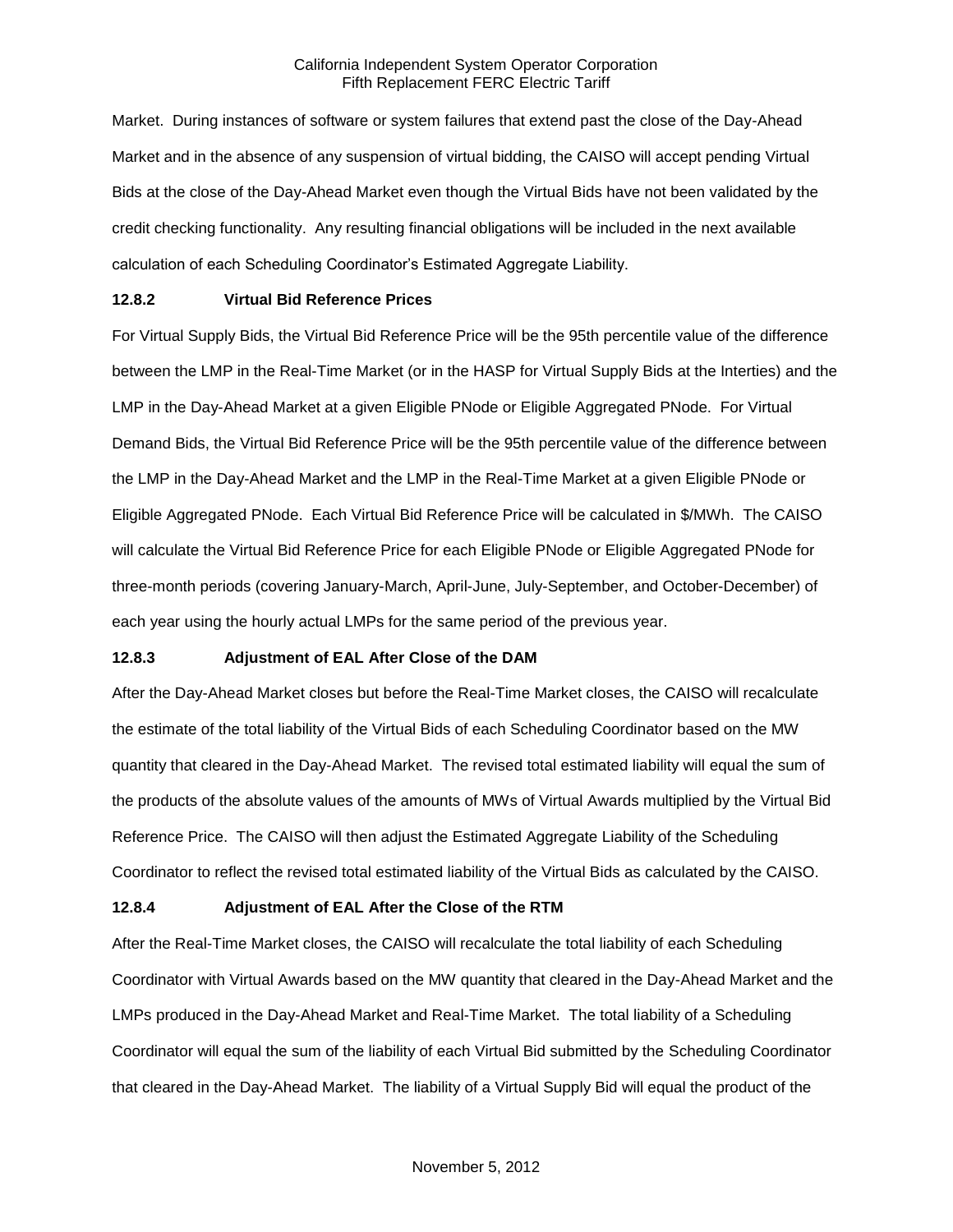Market. During instances of software or system failures that extend past the close of the Day-Ahead Market and in the absence of any suspension of virtual bidding, the CAISO will accept pending Virtual Bids at the close of the Day-Ahead Market even though the Virtual Bids have not been validated by the credit checking functionality. Any resulting financial obligations will be included in the next available calculation of each Scheduling Coordinator's Estimated Aggregate Liability.

### **12.8.2 Virtual Bid Reference Prices**

For Virtual Supply Bids, the Virtual Bid Reference Price will be the 95th percentile value of the difference between the LMP in the Real-Time Market (or in the HASP for Virtual Supply Bids at the Interties) and the LMP in the Day-Ahead Market at a given Eligible PNode or Eligible Aggregated PNode. For Virtual Demand Bids, the Virtual Bid Reference Price will be the 95th percentile value of the difference between the LMP in the Day-Ahead Market and the LMP in the Real-Time Market at a given Eligible PNode or Eligible Aggregated PNode. Each Virtual Bid Reference Price will be calculated in \$/MWh. The CAISO will calculate the Virtual Bid Reference Price for each Eligible PNode or Eligible Aggregated PNode for three-month periods (covering January-March, April-June, July-September, and October-December) of each year using the hourly actual LMPs for the same period of the previous year.

#### **12.8.3 Adjustment of EAL After Close of the DAM**

After the Day-Ahead Market closes but before the Real-Time Market closes, the CAISO will recalculate the estimate of the total liability of the Virtual Bids of each Scheduling Coordinator based on the MW quantity that cleared in the Day-Ahead Market. The revised total estimated liability will equal the sum of the products of the absolute values of the amounts of MWs of Virtual Awards multiplied by the Virtual Bid Reference Price. The CAISO will then adjust the Estimated Aggregate Liability of the Scheduling Coordinator to reflect the revised total estimated liability of the Virtual Bids as calculated by the CAISO.

#### **12.8.4 Adjustment of EAL After the Close of the RTM**

After the Real-Time Market closes, the CAISO will recalculate the total liability of each Scheduling Coordinator with Virtual Awards based on the MW quantity that cleared in the Day-Ahead Market and the LMPs produced in the Day-Ahead Market and Real-Time Market. The total liability of a Scheduling Coordinator will equal the sum of the liability of each Virtual Bid submitted by the Scheduling Coordinator that cleared in the Day-Ahead Market. The liability of a Virtual Supply Bid will equal the product of the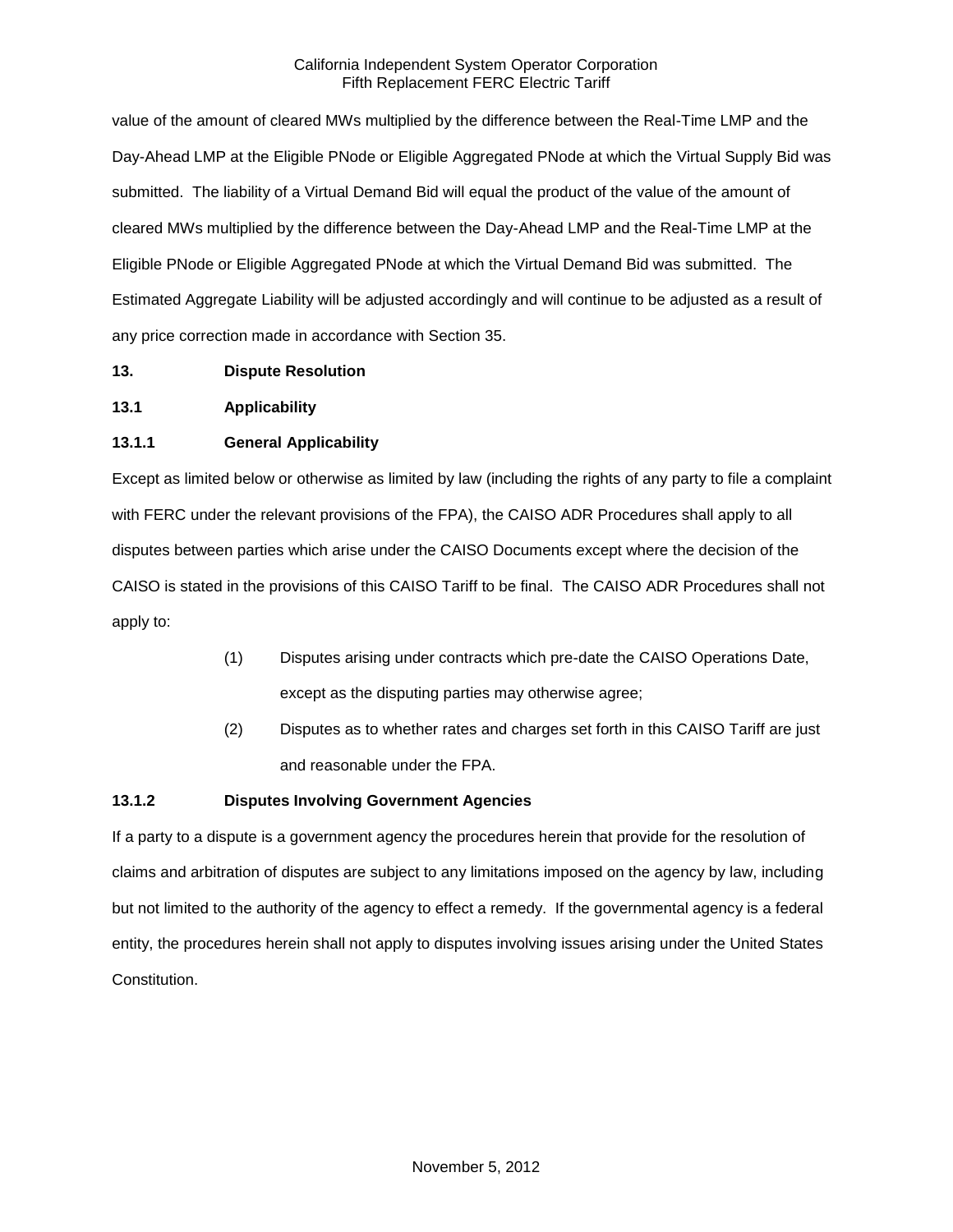value of the amount of cleared MWs multiplied by the difference between the Real-Time LMP and the Day-Ahead LMP at the Eligible PNode or Eligible Aggregated PNode at which the Virtual Supply Bid was submitted. The liability of a Virtual Demand Bid will equal the product of the value of the amount of cleared MWs multiplied by the difference between the Day-Ahead LMP and the Real-Time LMP at the Eligible PNode or Eligible Aggregated PNode at which the Virtual Demand Bid was submitted. The Estimated Aggregate Liability will be adjusted accordingly and will continue to be adjusted as a result of any price correction made in accordance with Section 35.

- **13. Dispute Resolution**
- **13.1 Applicability**

## **13.1.1 General Applicability**

Except as limited below or otherwise as limited by law (including the rights of any party to file a complaint with FERC under the relevant provisions of the FPA), the CAISO ADR Procedures shall apply to all disputes between parties which arise under the CAISO Documents except where the decision of the CAISO is stated in the provisions of this CAISO Tariff to be final. The CAISO ADR Procedures shall not apply to:

- (1) Disputes arising under contracts which pre-date the CAISO Operations Date, except as the disputing parties may otherwise agree;
- (2) Disputes as to whether rates and charges set forth in this CAISO Tariff are just and reasonable under the FPA.

## **13.1.2 Disputes Involving Government Agencies**

If a party to a dispute is a government agency the procedures herein that provide for the resolution of claims and arbitration of disputes are subject to any limitations imposed on the agency by law, including but not limited to the authority of the agency to effect a remedy. If the governmental agency is a federal entity, the procedures herein shall not apply to disputes involving issues arising under the United States Constitution.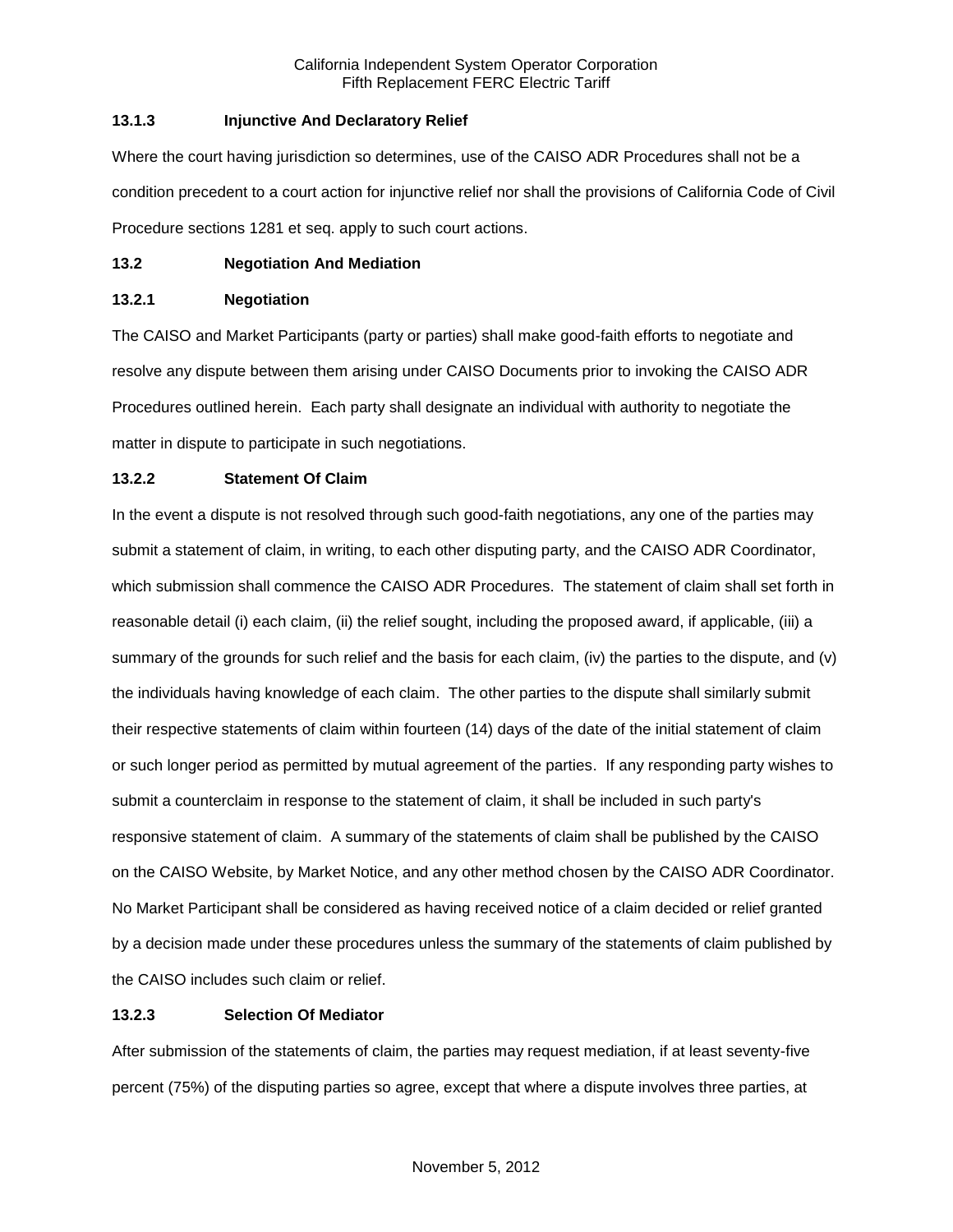## **13.1.3 Injunctive And Declaratory Relief**

Where the court having jurisdiction so determines, use of the CAISO ADR Procedures shall not be a condition precedent to a court action for injunctive relief nor shall the provisions of California Code of Civil Procedure sections 1281 et seq. apply to such court actions.

### **13.2 Negotiation And Mediation**

### **13.2.1 Negotiation**

The CAISO and Market Participants (party or parties) shall make good-faith efforts to negotiate and resolve any dispute between them arising under CAISO Documents prior to invoking the CAISO ADR Procedures outlined herein. Each party shall designate an individual with authority to negotiate the matter in dispute to participate in such negotiations.

## **13.2.2 Statement Of Claim**

In the event a dispute is not resolved through such good-faith negotiations, any one of the parties may submit a statement of claim, in writing, to each other disputing party, and the CAISO ADR Coordinator, which submission shall commence the CAISO ADR Procedures. The statement of claim shall set forth in reasonable detail (i) each claim, (ii) the relief sought, including the proposed award, if applicable, (iii) a summary of the grounds for such relief and the basis for each claim, (iv) the parties to the dispute, and (v) the individuals having knowledge of each claim. The other parties to the dispute shall similarly submit their respective statements of claim within fourteen (14) days of the date of the initial statement of claim or such longer period as permitted by mutual agreement of the parties. If any responding party wishes to submit a counterclaim in response to the statement of claim, it shall be included in such party's responsive statement of claim. A summary of the statements of claim shall be published by the CAISO on the CAISO Website, by Market Notice, and any other method chosen by the CAISO ADR Coordinator. No Market Participant shall be considered as having received notice of a claim decided or relief granted by a decision made under these procedures unless the summary of the statements of claim published by the CAISO includes such claim or relief.

## **13.2.3 Selection Of Mediator**

After submission of the statements of claim, the parties may request mediation, if at least seventy-five percent (75%) of the disputing parties so agree, except that where a dispute involves three parties, at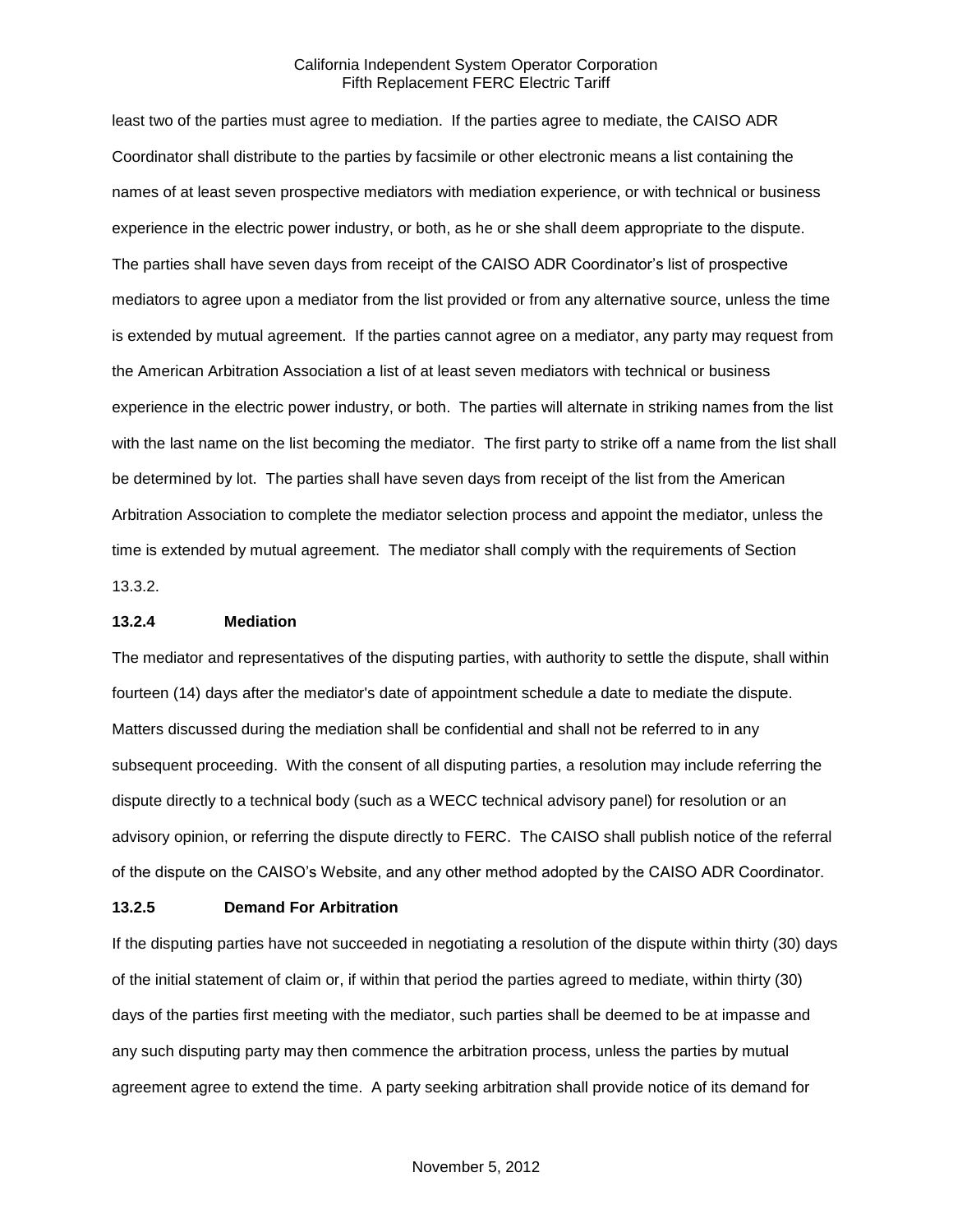least two of the parties must agree to mediation. If the parties agree to mediate, the CAISO ADR Coordinator shall distribute to the parties by facsimile or other electronic means a list containing the names of at least seven prospective mediators with mediation experience, or with technical or business experience in the electric power industry, or both, as he or she shall deem appropriate to the dispute. The parties shall have seven days from receipt of the CAISO ADR Coordinator's list of prospective mediators to agree upon a mediator from the list provided or from any alternative source, unless the time is extended by mutual agreement. If the parties cannot agree on a mediator, any party may request from the American Arbitration Association a list of at least seven mediators with technical or business experience in the electric power industry, or both. The parties will alternate in striking names from the list with the last name on the list becoming the mediator. The first party to strike off a name from the list shall be determined by lot. The parties shall have seven days from receipt of the list from the American Arbitration Association to complete the mediator selection process and appoint the mediator, unless the time is extended by mutual agreement. The mediator shall comply with the requirements of Section 13.3.2.

#### **13.2.4 Mediation**

The mediator and representatives of the disputing parties, with authority to settle the dispute, shall within fourteen (14) days after the mediator's date of appointment schedule a date to mediate the dispute. Matters discussed during the mediation shall be confidential and shall not be referred to in any subsequent proceeding. With the consent of all disputing parties, a resolution may include referring the dispute directly to a technical body (such as a WECC technical advisory panel) for resolution or an advisory opinion, or referring the dispute directly to FERC. The CAISO shall publish notice of the referral of the dispute on the CAISO's Website, and any other method adopted by the CAISO ADR Coordinator.

#### **13.2.5 Demand For Arbitration**

If the disputing parties have not succeeded in negotiating a resolution of the dispute within thirty (30) days of the initial statement of claim or, if within that period the parties agreed to mediate, within thirty (30) days of the parties first meeting with the mediator, such parties shall be deemed to be at impasse and any such disputing party may then commence the arbitration process, unless the parties by mutual agreement agree to extend the time. A party seeking arbitration shall provide notice of its demand for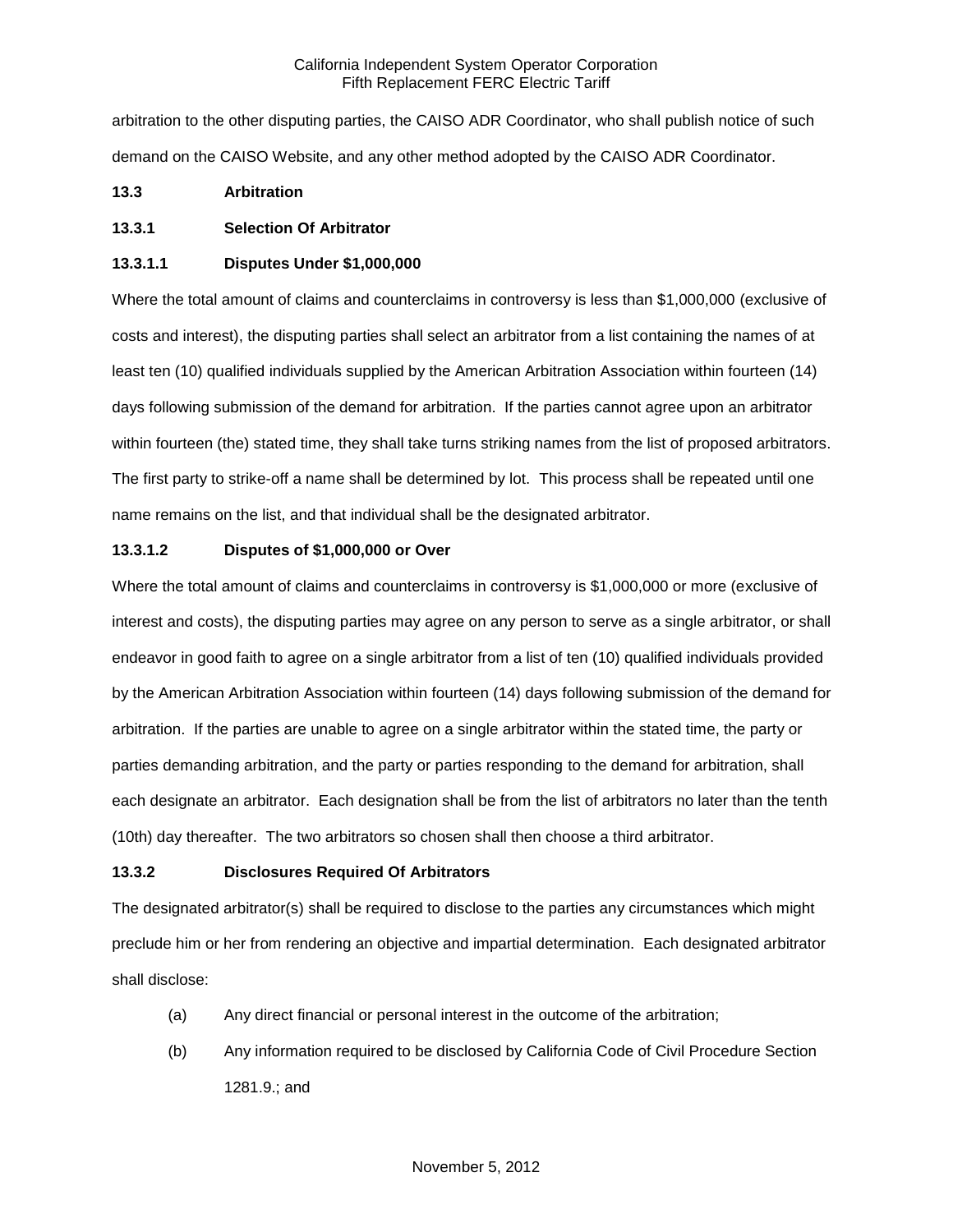arbitration to the other disputing parties, the CAISO ADR Coordinator, who shall publish notice of such demand on the CAISO Website, and any other method adopted by the CAISO ADR Coordinator.

# **13.3 Arbitration**

# **13.3.1 Selection Of Arbitrator**

## **13.3.1.1 Disputes Under \$1,000,000**

Where the total amount of claims and counterclaims in controversy is less than \$1,000,000 (exclusive of costs and interest), the disputing parties shall select an arbitrator from a list containing the names of at least ten (10) qualified individuals supplied by the American Arbitration Association within fourteen (14) days following submission of the demand for arbitration. If the parties cannot agree upon an arbitrator within fourteen (the) stated time, they shall take turns striking names from the list of proposed arbitrators. The first party to strike-off a name shall be determined by lot. This process shall be repeated until one name remains on the list, and that individual shall be the designated arbitrator.

# **13.3.1.2 Disputes of \$1,000,000 or Over**

Where the total amount of claims and counterclaims in controversy is \$1,000,000 or more (exclusive of interest and costs), the disputing parties may agree on any person to serve as a single arbitrator, or shall endeavor in good faith to agree on a single arbitrator from a list of ten (10) qualified individuals provided by the American Arbitration Association within fourteen (14) days following submission of the demand for arbitration. If the parties are unable to agree on a single arbitrator within the stated time, the party or parties demanding arbitration, and the party or parties responding to the demand for arbitration, shall each designate an arbitrator. Each designation shall be from the list of arbitrators no later than the tenth (10th) day thereafter. The two arbitrators so chosen shall then choose a third arbitrator.

## **13.3.2 Disclosures Required Of Arbitrators**

The designated arbitrator(s) shall be required to disclose to the parties any circumstances which might preclude him or her from rendering an objective and impartial determination. Each designated arbitrator shall disclose:

- (a) Any direct financial or personal interest in the outcome of the arbitration;
- (b) Any information required to be disclosed by California Code of Civil Procedure Section 1281.9.; and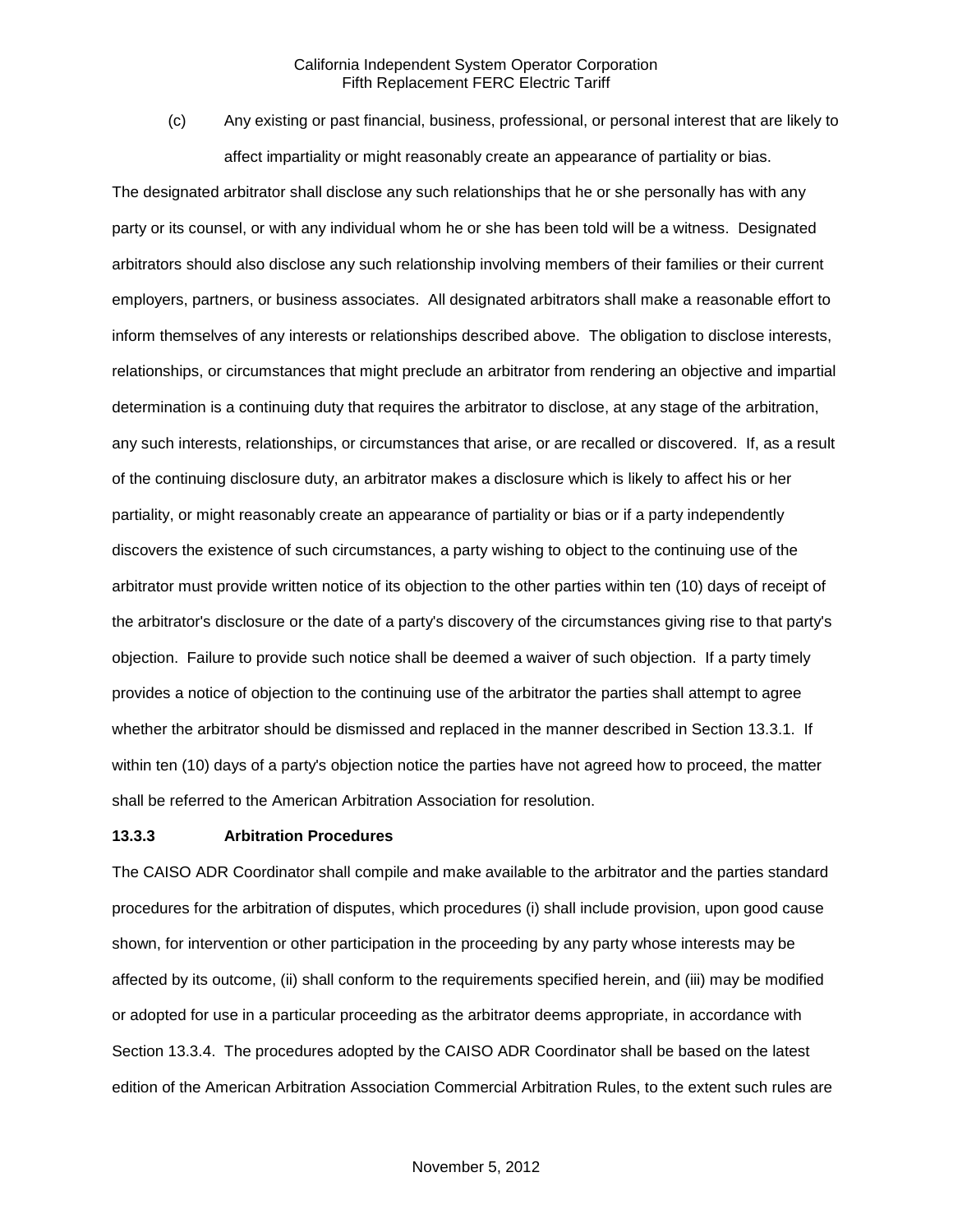(c) Any existing or past financial, business, professional, or personal interest that are likely to affect impartiality or might reasonably create an appearance of partiality or bias.

The designated arbitrator shall disclose any such relationships that he or she personally has with any party or its counsel, or with any individual whom he or she has been told will be a witness. Designated arbitrators should also disclose any such relationship involving members of their families or their current employers, partners, or business associates. All designated arbitrators shall make a reasonable effort to inform themselves of any interests or relationships described above. The obligation to disclose interests, relationships, or circumstances that might preclude an arbitrator from rendering an objective and impartial determination is a continuing duty that requires the arbitrator to disclose, at any stage of the arbitration, any such interests, relationships, or circumstances that arise, or are recalled or discovered. If, as a result of the continuing disclosure duty, an arbitrator makes a disclosure which is likely to affect his or her partiality, or might reasonably create an appearance of partiality or bias or if a party independently discovers the existence of such circumstances, a party wishing to object to the continuing use of the arbitrator must provide written notice of its objection to the other parties within ten (10) days of receipt of the arbitrator's disclosure or the date of a party's discovery of the circumstances giving rise to that party's objection. Failure to provide such notice shall be deemed a waiver of such objection. If a party timely provides a notice of objection to the continuing use of the arbitrator the parties shall attempt to agree whether the arbitrator should be dismissed and replaced in the manner described in Section 13.3.1. If within ten (10) days of a party's objection notice the parties have not agreed how to proceed, the matter shall be referred to the American Arbitration Association for resolution.

## **13.3.3 Arbitration Procedures**

The CAISO ADR Coordinator shall compile and make available to the arbitrator and the parties standard procedures for the arbitration of disputes, which procedures (i) shall include provision, upon good cause shown, for intervention or other participation in the proceeding by any party whose interests may be affected by its outcome, (ii) shall conform to the requirements specified herein, and (iii) may be modified or adopted for use in a particular proceeding as the arbitrator deems appropriate, in accordance with Section 13.3.4. The procedures adopted by the CAISO ADR Coordinator shall be based on the latest edition of the American Arbitration Association Commercial Arbitration Rules, to the extent such rules are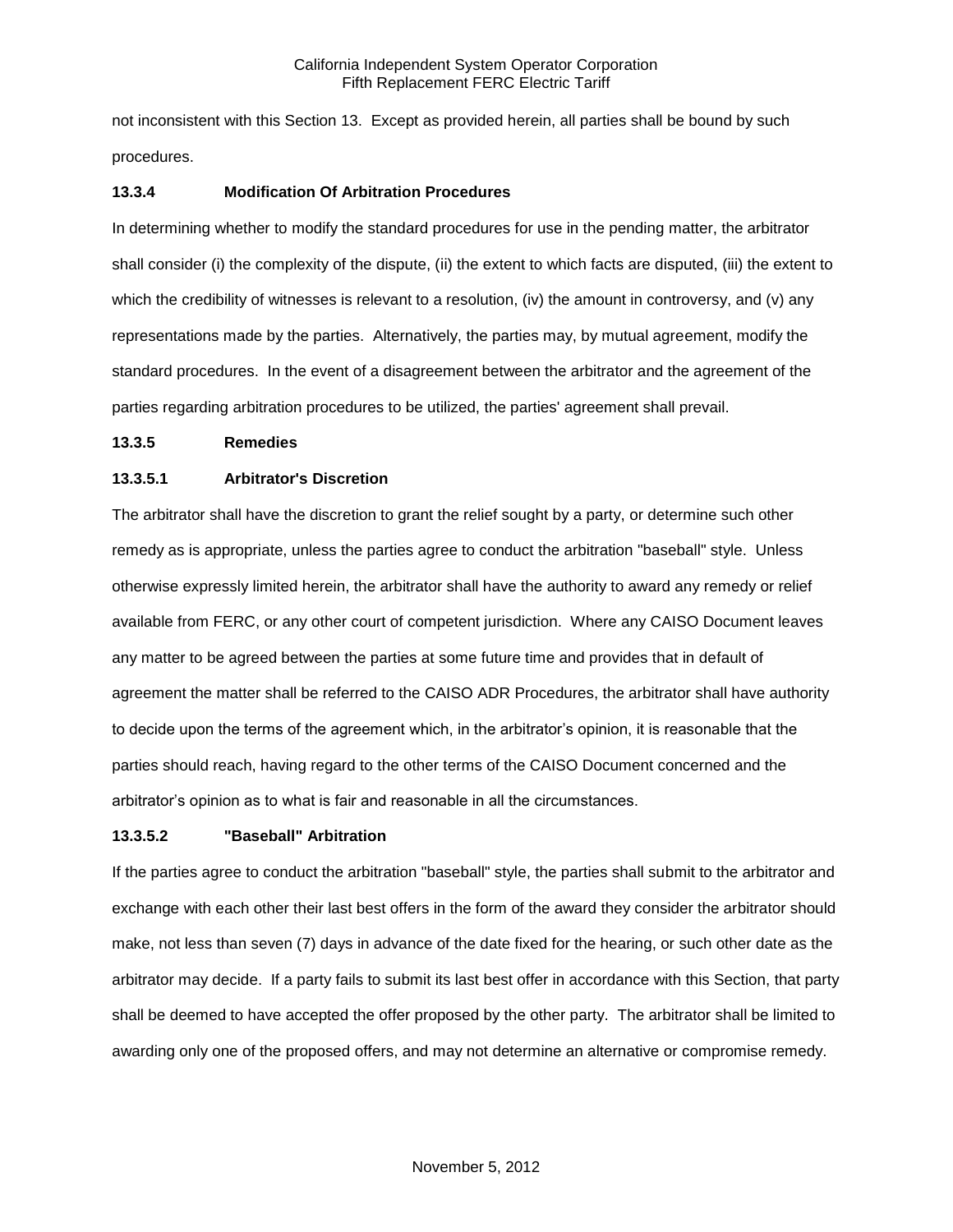not inconsistent with this Section 13. Except as provided herein, all parties shall be bound by such procedures.

## **13.3.4 Modification Of Arbitration Procedures**

In determining whether to modify the standard procedures for use in the pending matter, the arbitrator shall consider (i) the complexity of the dispute, (ii) the extent to which facts are disputed, (iii) the extent to which the credibility of witnesses is relevant to a resolution, (iv) the amount in controversy, and (v) any representations made by the parties. Alternatively, the parties may, by mutual agreement, modify the standard procedures. In the event of a disagreement between the arbitrator and the agreement of the parties regarding arbitration procedures to be utilized, the parties' agreement shall prevail.

## **13.3.5 Remedies**

# **13.3.5.1 Arbitrator's Discretion**

The arbitrator shall have the discretion to grant the relief sought by a party, or determine such other remedy as is appropriate, unless the parties agree to conduct the arbitration "baseball" style. Unless otherwise expressly limited herein, the arbitrator shall have the authority to award any remedy or relief available from FERC, or any other court of competent jurisdiction. Where any CAISO Document leaves any matter to be agreed between the parties at some future time and provides that in default of agreement the matter shall be referred to the CAISO ADR Procedures, the arbitrator shall have authority to decide upon the terms of the agreement which, in the arbitrator's opinion, it is reasonable that the parties should reach, having regard to the other terms of the CAISO Document concerned and the arbitrator's opinion as to what is fair and reasonable in all the circumstances.

## **13.3.5.2 "Baseball" Arbitration**

If the parties agree to conduct the arbitration "baseball" style, the parties shall submit to the arbitrator and exchange with each other their last best offers in the form of the award they consider the arbitrator should make, not less than seven (7) days in advance of the date fixed for the hearing, or such other date as the arbitrator may decide. If a party fails to submit its last best offer in accordance with this Section, that party shall be deemed to have accepted the offer proposed by the other party. The arbitrator shall be limited to awarding only one of the proposed offers, and may not determine an alternative or compromise remedy.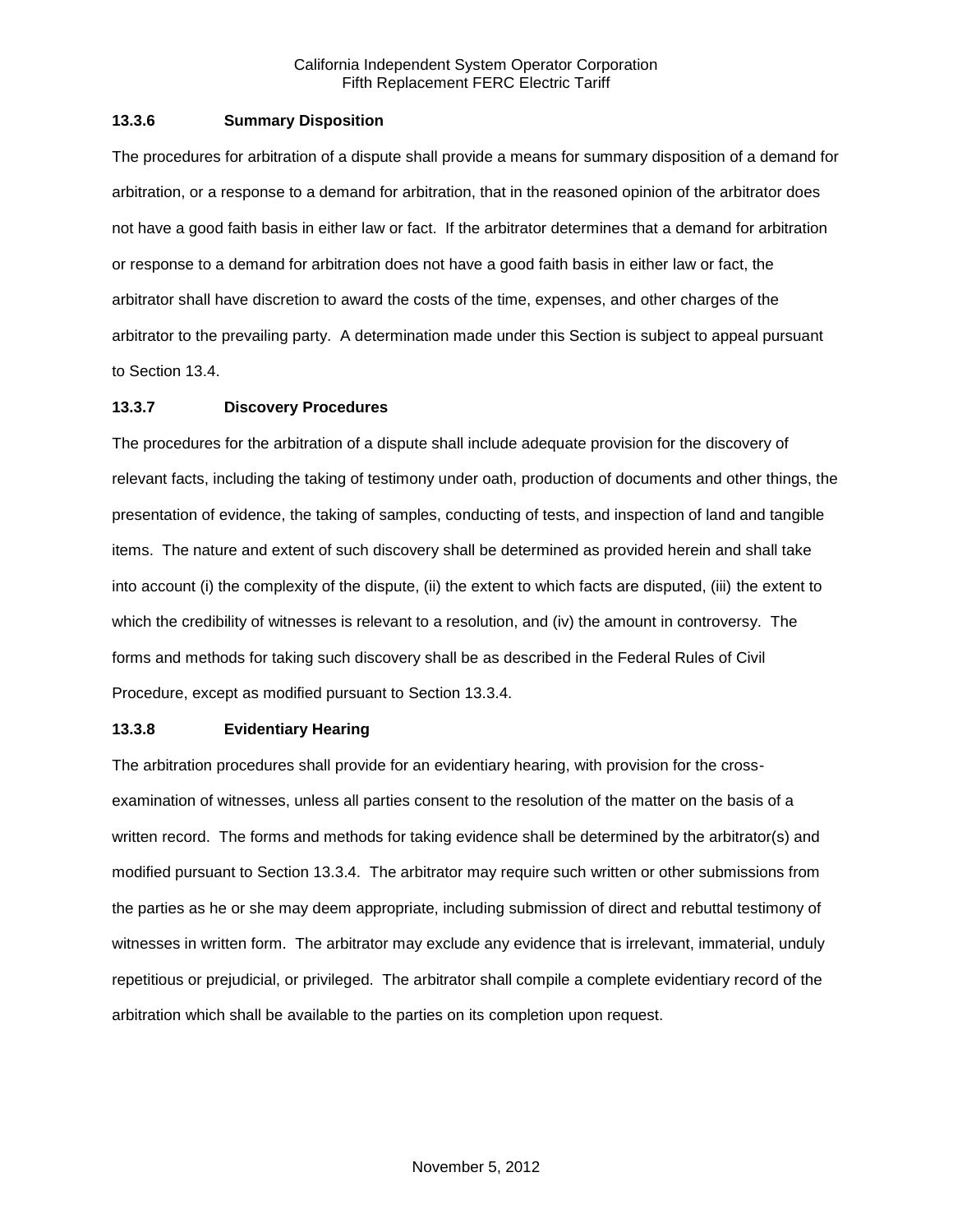## **13.3.6 Summary Disposition**

The procedures for arbitration of a dispute shall provide a means for summary disposition of a demand for arbitration, or a response to a demand for arbitration, that in the reasoned opinion of the arbitrator does not have a good faith basis in either law or fact. If the arbitrator determines that a demand for arbitration or response to a demand for arbitration does not have a good faith basis in either law or fact, the arbitrator shall have discretion to award the costs of the time, expenses, and other charges of the arbitrator to the prevailing party. A determination made under this Section is subject to appeal pursuant to Section 13.4.

## **13.3.7 Discovery Procedures**

The procedures for the arbitration of a dispute shall include adequate provision for the discovery of relevant facts, including the taking of testimony under oath, production of documents and other things, the presentation of evidence, the taking of samples, conducting of tests, and inspection of land and tangible items. The nature and extent of such discovery shall be determined as provided herein and shall take into account (i) the complexity of the dispute, (ii) the extent to which facts are disputed, (iii) the extent to which the credibility of witnesses is relevant to a resolution, and (iv) the amount in controversy. The forms and methods for taking such discovery shall be as described in the Federal Rules of Civil Procedure, except as modified pursuant to Section 13.3.4.

## **13.3.8 Evidentiary Hearing**

The arbitration procedures shall provide for an evidentiary hearing, with provision for the crossexamination of witnesses, unless all parties consent to the resolution of the matter on the basis of a written record. The forms and methods for taking evidence shall be determined by the arbitrator(s) and modified pursuant to Section 13.3.4. The arbitrator may require such written or other submissions from the parties as he or she may deem appropriate, including submission of direct and rebuttal testimony of witnesses in written form. The arbitrator may exclude any evidence that is irrelevant, immaterial, unduly repetitious or prejudicial, or privileged. The arbitrator shall compile a complete evidentiary record of the arbitration which shall be available to the parties on its completion upon request.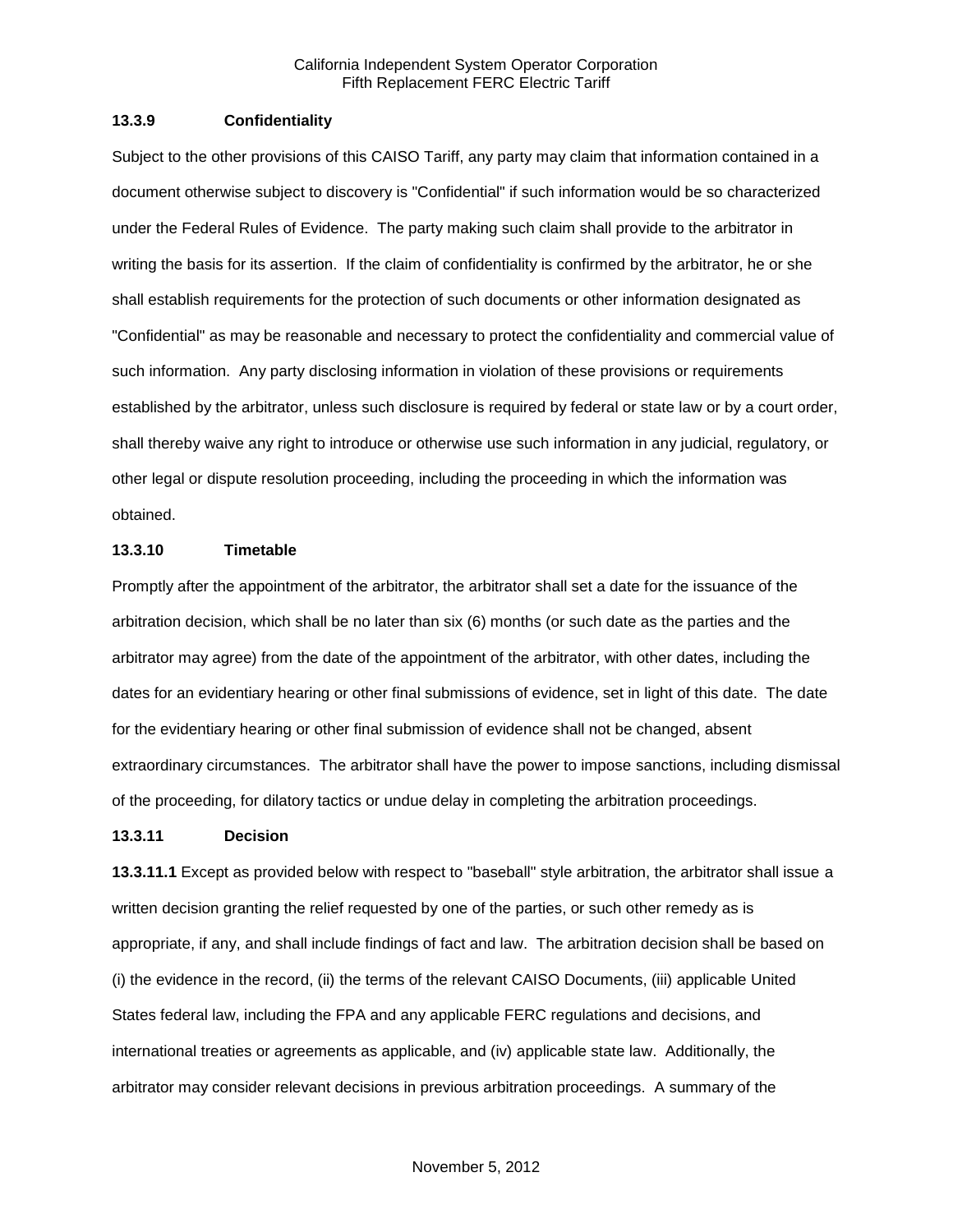#### **13.3.9 Confidentiality**

Subject to the other provisions of this CAISO Tariff, any party may claim that information contained in a document otherwise subject to discovery is "Confidential" if such information would be so characterized under the Federal Rules of Evidence. The party making such claim shall provide to the arbitrator in writing the basis for its assertion. If the claim of confidentiality is confirmed by the arbitrator, he or she shall establish requirements for the protection of such documents or other information designated as "Confidential" as may be reasonable and necessary to protect the confidentiality and commercial value of such information. Any party disclosing information in violation of these provisions or requirements established by the arbitrator, unless such disclosure is required by federal or state law or by a court order, shall thereby waive any right to introduce or otherwise use such information in any judicial, regulatory, or other legal or dispute resolution proceeding, including the proceeding in which the information was obtained.

## **13.3.10 Timetable**

Promptly after the appointment of the arbitrator, the arbitrator shall set a date for the issuance of the arbitration decision, which shall be no later than six (6) months (or such date as the parties and the arbitrator may agree) from the date of the appointment of the arbitrator, with other dates, including the dates for an evidentiary hearing or other final submissions of evidence, set in light of this date. The date for the evidentiary hearing or other final submission of evidence shall not be changed, absent extraordinary circumstances. The arbitrator shall have the power to impose sanctions, including dismissal of the proceeding, for dilatory tactics or undue delay in completing the arbitration proceedings.

#### **13.3.11 Decision**

**13.3.11.1** Except as provided below with respect to "baseball" style arbitration, the arbitrator shall issue a written decision granting the relief requested by one of the parties, or such other remedy as is appropriate, if any, and shall include findings of fact and law. The arbitration decision shall be based on (i) the evidence in the record, (ii) the terms of the relevant CAISO Documents, (iii) applicable United States federal law, including the FPA and any applicable FERC regulations and decisions, and international treaties or agreements as applicable, and (iv) applicable state law. Additionally, the arbitrator may consider relevant decisions in previous arbitration proceedings. A summary of the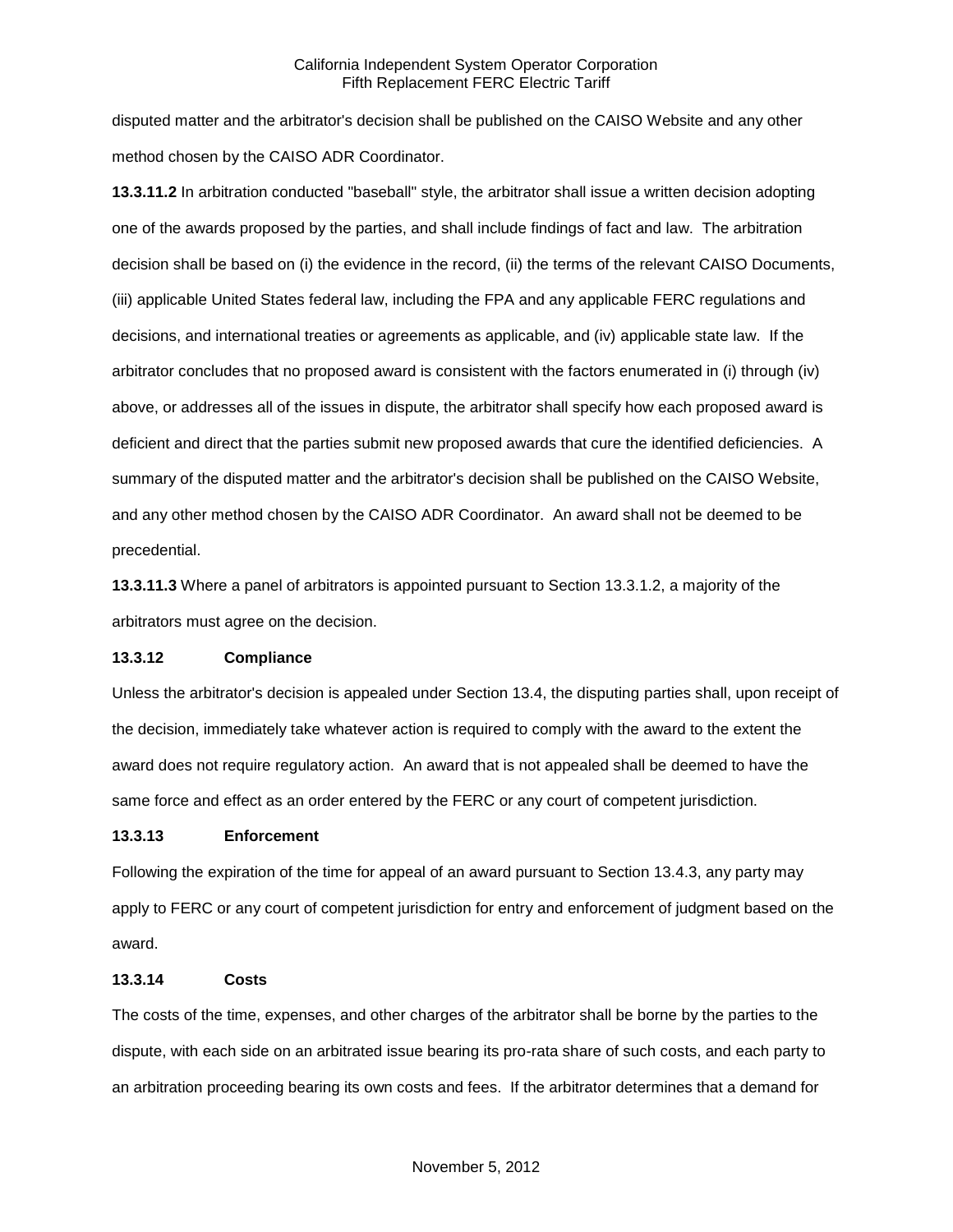disputed matter and the arbitrator's decision shall be published on the CAISO Website and any other method chosen by the CAISO ADR Coordinator.

**13.3.11.2** In arbitration conducted "baseball" style, the arbitrator shall issue a written decision adopting one of the awards proposed by the parties, and shall include findings of fact and law. The arbitration decision shall be based on (i) the evidence in the record, (ii) the terms of the relevant CAISO Documents, (iii) applicable United States federal law, including the FPA and any applicable FERC regulations and decisions, and international treaties or agreements as applicable, and (iv) applicable state law. If the arbitrator concludes that no proposed award is consistent with the factors enumerated in (i) through (iv) above, or addresses all of the issues in dispute, the arbitrator shall specify how each proposed award is deficient and direct that the parties submit new proposed awards that cure the identified deficiencies. A summary of the disputed matter and the arbitrator's decision shall be published on the CAISO Website, and any other method chosen by the CAISO ADR Coordinator. An award shall not be deemed to be precedential.

**13.3.11.3** Where a panel of arbitrators is appointed pursuant to Section 13.3.1.2, a majority of the arbitrators must agree on the decision.

## **13.3.12 Compliance**

Unless the arbitrator's decision is appealed under Section 13.4, the disputing parties shall, upon receipt of the decision, immediately take whatever action is required to comply with the award to the extent the award does not require regulatory action. An award that is not appealed shall be deemed to have the same force and effect as an order entered by the FERC or any court of competent jurisdiction.

## **13.3.13 Enforcement**

Following the expiration of the time for appeal of an award pursuant to Section 13.4.3, any party may apply to FERC or any court of competent jurisdiction for entry and enforcement of judgment based on the award.

## **13.3.14 Costs**

The costs of the time, expenses, and other charges of the arbitrator shall be borne by the parties to the dispute, with each side on an arbitrated issue bearing its pro-rata share of such costs, and each party to an arbitration proceeding bearing its own costs and fees. If the arbitrator determines that a demand for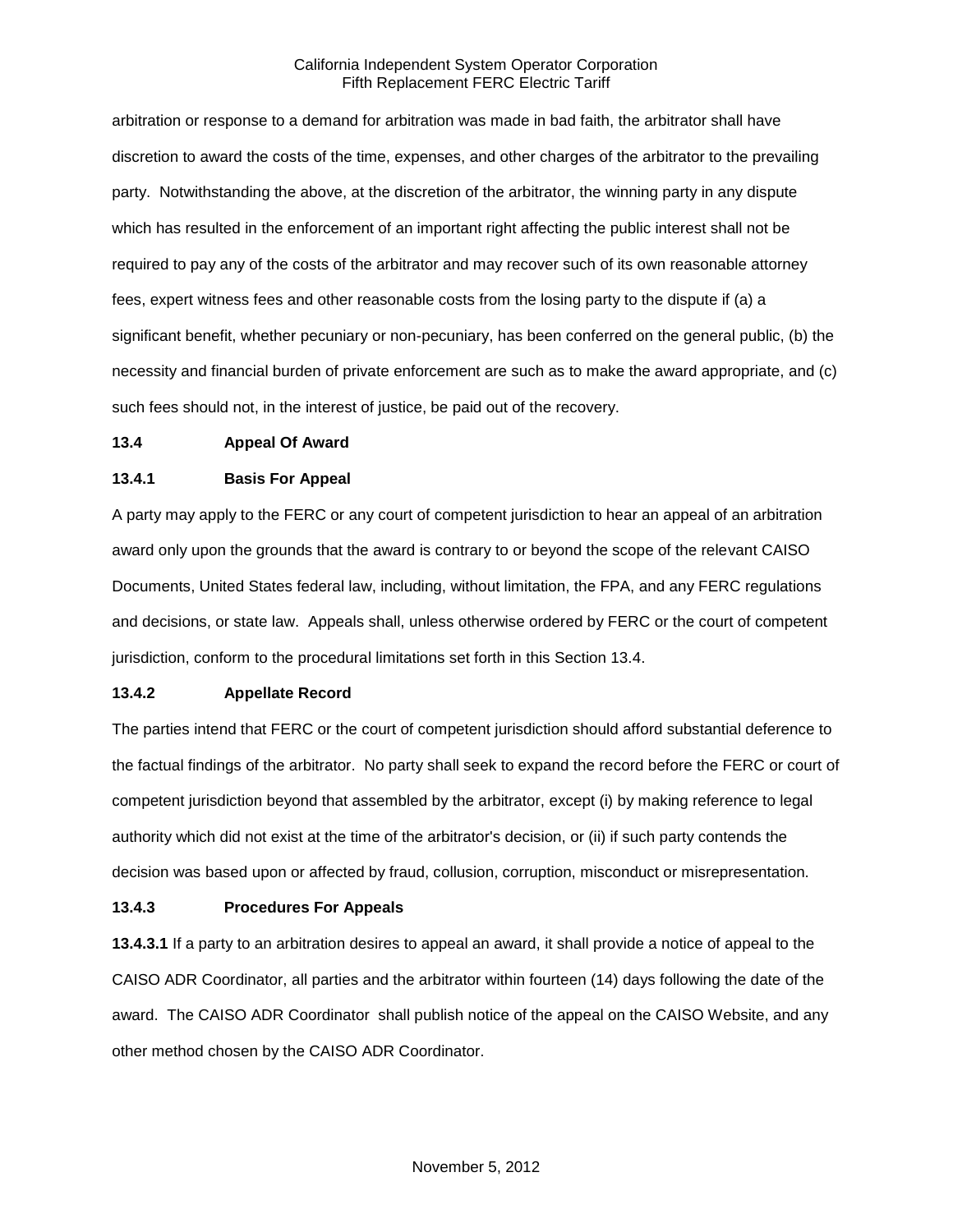arbitration or response to a demand for arbitration was made in bad faith, the arbitrator shall have discretion to award the costs of the time, expenses, and other charges of the arbitrator to the prevailing party. Notwithstanding the above, at the discretion of the arbitrator, the winning party in any dispute which has resulted in the enforcement of an important right affecting the public interest shall not be required to pay any of the costs of the arbitrator and may recover such of its own reasonable attorney fees, expert witness fees and other reasonable costs from the losing party to the dispute if (a) a significant benefit, whether pecuniary or non-pecuniary, has been conferred on the general public, (b) the necessity and financial burden of private enforcement are such as to make the award appropriate, and (c) such fees should not, in the interest of justice, be paid out of the recovery.

#### **13.4 Appeal Of Award**

## **13.4.1 Basis For Appeal**

A party may apply to the FERC or any court of competent jurisdiction to hear an appeal of an arbitration award only upon the grounds that the award is contrary to or beyond the scope of the relevant CAISO Documents, United States federal law, including, without limitation, the FPA, and any FERC regulations and decisions, or state law. Appeals shall, unless otherwise ordered by FERC or the court of competent jurisdiction, conform to the procedural limitations set forth in this Section 13.4.

## **13.4.2 Appellate Record**

The parties intend that FERC or the court of competent jurisdiction should afford substantial deference to the factual findings of the arbitrator. No party shall seek to expand the record before the FERC or court of competent jurisdiction beyond that assembled by the arbitrator, except (i) by making reference to legal authority which did not exist at the time of the arbitrator's decision, or (ii) if such party contends the decision was based upon or affected by fraud, collusion, corruption, misconduct or misrepresentation.

## **13.4.3 Procedures For Appeals**

**13.4.3.1** If a party to an arbitration desires to appeal an award, it shall provide a notice of appeal to the CAISO ADR Coordinator, all parties and the arbitrator within fourteen (14) days following the date of the award. The CAISO ADR Coordinator shall publish notice of the appeal on the CAISO Website, and any other method chosen by the CAISO ADR Coordinator.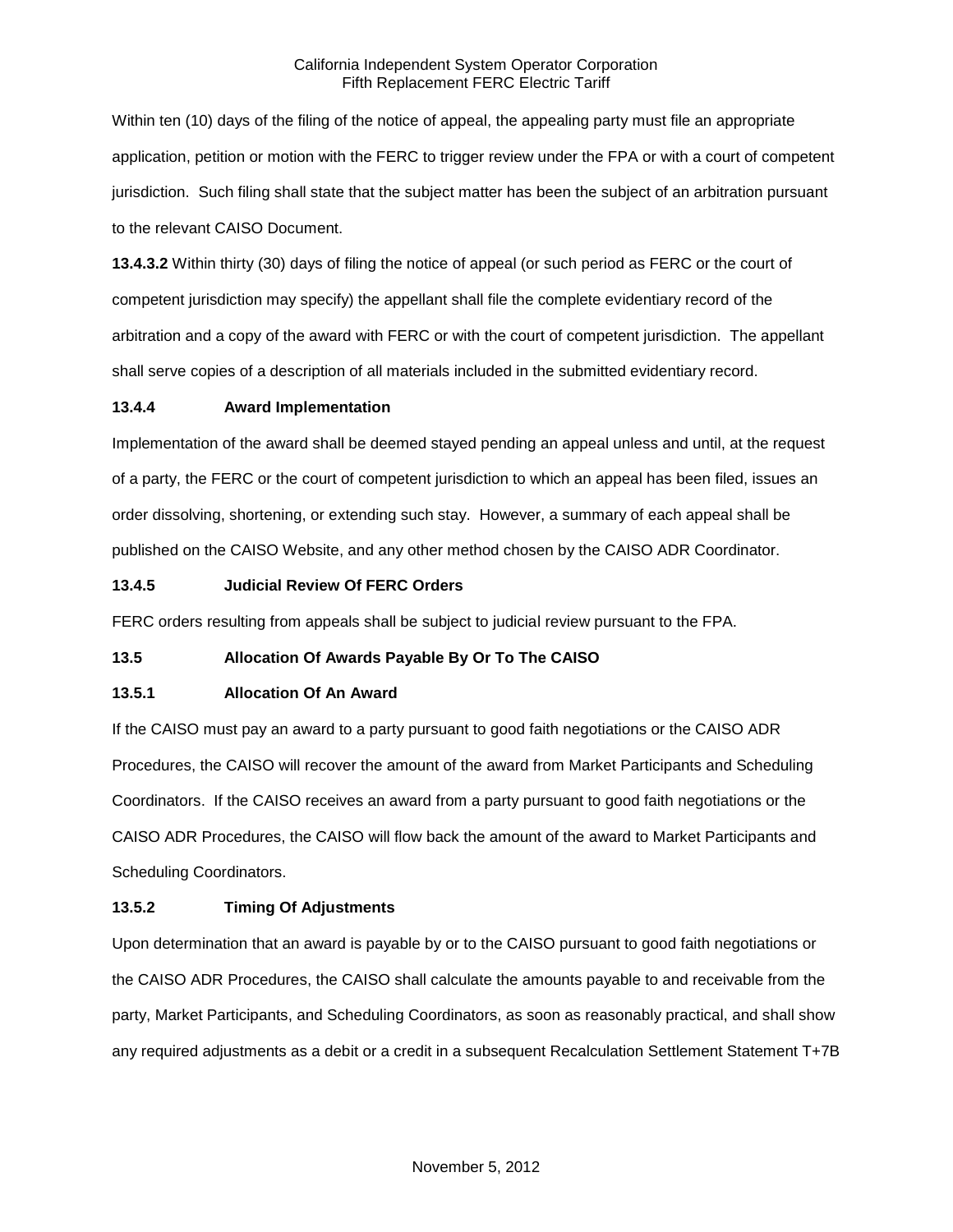Within ten (10) days of the filing of the notice of appeal, the appealing party must file an appropriate application, petition or motion with the FERC to trigger review under the FPA or with a court of competent jurisdiction. Such filing shall state that the subject matter has been the subject of an arbitration pursuant to the relevant CAISO Document.

**13.4.3.2** Within thirty (30) days of filing the notice of appeal (or such period as FERC or the court of competent jurisdiction may specify) the appellant shall file the complete evidentiary record of the arbitration and a copy of the award with FERC or with the court of competent jurisdiction. The appellant shall serve copies of a description of all materials included in the submitted evidentiary record.

## **13.4.4 Award Implementation**

Implementation of the award shall be deemed stayed pending an appeal unless and until, at the request of a party, the FERC or the court of competent jurisdiction to which an appeal has been filed, issues an order dissolving, shortening, or extending such stay. However, a summary of each appeal shall be published on the CAISO Website, and any other method chosen by the CAISO ADR Coordinator.

## **13.4.5 Judicial Review Of FERC Orders**

FERC orders resulting from appeals shall be subject to judicial review pursuant to the FPA.

# **13.5 Allocation Of Awards Payable By Or To The CAISO**

# **13.5.1 Allocation Of An Award**

If the CAISO must pay an award to a party pursuant to good faith negotiations or the CAISO ADR Procedures, the CAISO will recover the amount of the award from Market Participants and Scheduling Coordinators. If the CAISO receives an award from a party pursuant to good faith negotiations or the CAISO ADR Procedures, the CAISO will flow back the amount of the award to Market Participants and Scheduling Coordinators.

# **13.5.2 Timing Of Adjustments**

Upon determination that an award is payable by or to the CAISO pursuant to good faith negotiations or the CAISO ADR Procedures, the CAISO shall calculate the amounts payable to and receivable from the party, Market Participants, and Scheduling Coordinators, as soon as reasonably practical, and shall show any required adjustments as a debit or a credit in a subsequent Recalculation Settlement Statement T+7B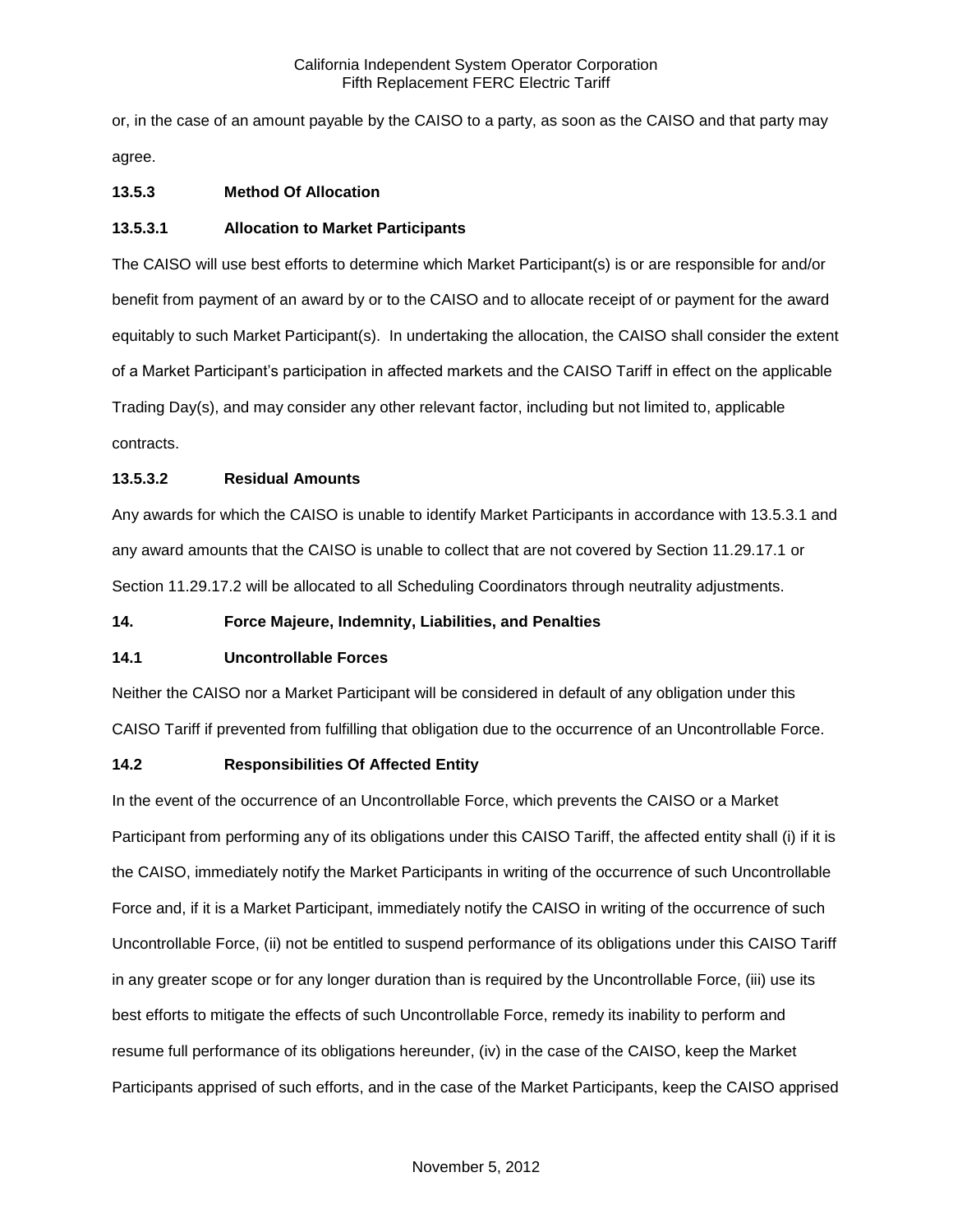or, in the case of an amount payable by the CAISO to a party, as soon as the CAISO and that party may agree.

# **13.5.3 Method Of Allocation**

## **13.5.3.1 Allocation to Market Participants**

The CAISO will use best efforts to determine which Market Participant(s) is or are responsible for and/or benefit from payment of an award by or to the CAISO and to allocate receipt of or payment for the award equitably to such Market Participant(s). In undertaking the allocation, the CAISO shall consider the extent of a Market Participant's participation in affected markets and the CAISO Tariff in effect on the applicable Trading Day(s), and may consider any other relevant factor, including but not limited to, applicable contracts.

# **13.5.3.2 Residual Amounts**

Any awards for which the CAISO is unable to identify Market Participants in accordance with 13.5.3.1 and any award amounts that the CAISO is unable to collect that are not covered by Section 11.29.17.1 or Section 11.29.17.2 will be allocated to all Scheduling Coordinators through neutrality adjustments.

## **14. Force Majeure, Indemnity, Liabilities, and Penalties**

## **14.1 Uncontrollable Forces**

Neither the CAISO nor a Market Participant will be considered in default of any obligation under this CAISO Tariff if prevented from fulfilling that obligation due to the occurrence of an Uncontrollable Force.

## **14.2 Responsibilities Of Affected Entity**

In the event of the occurrence of an Uncontrollable Force, which prevents the CAISO or a Market Participant from performing any of its obligations under this CAISO Tariff, the affected entity shall (i) if it is the CAISO, immediately notify the Market Participants in writing of the occurrence of such Uncontrollable Force and, if it is a Market Participant, immediately notify the CAISO in writing of the occurrence of such Uncontrollable Force, (ii) not be entitled to suspend performance of its obligations under this CAISO Tariff in any greater scope or for any longer duration than is required by the Uncontrollable Force, (iii) use its best efforts to mitigate the effects of such Uncontrollable Force, remedy its inability to perform and resume full performance of its obligations hereunder, (iv) in the case of the CAISO, keep the Market Participants apprised of such efforts, and in the case of the Market Participants, keep the CAISO apprised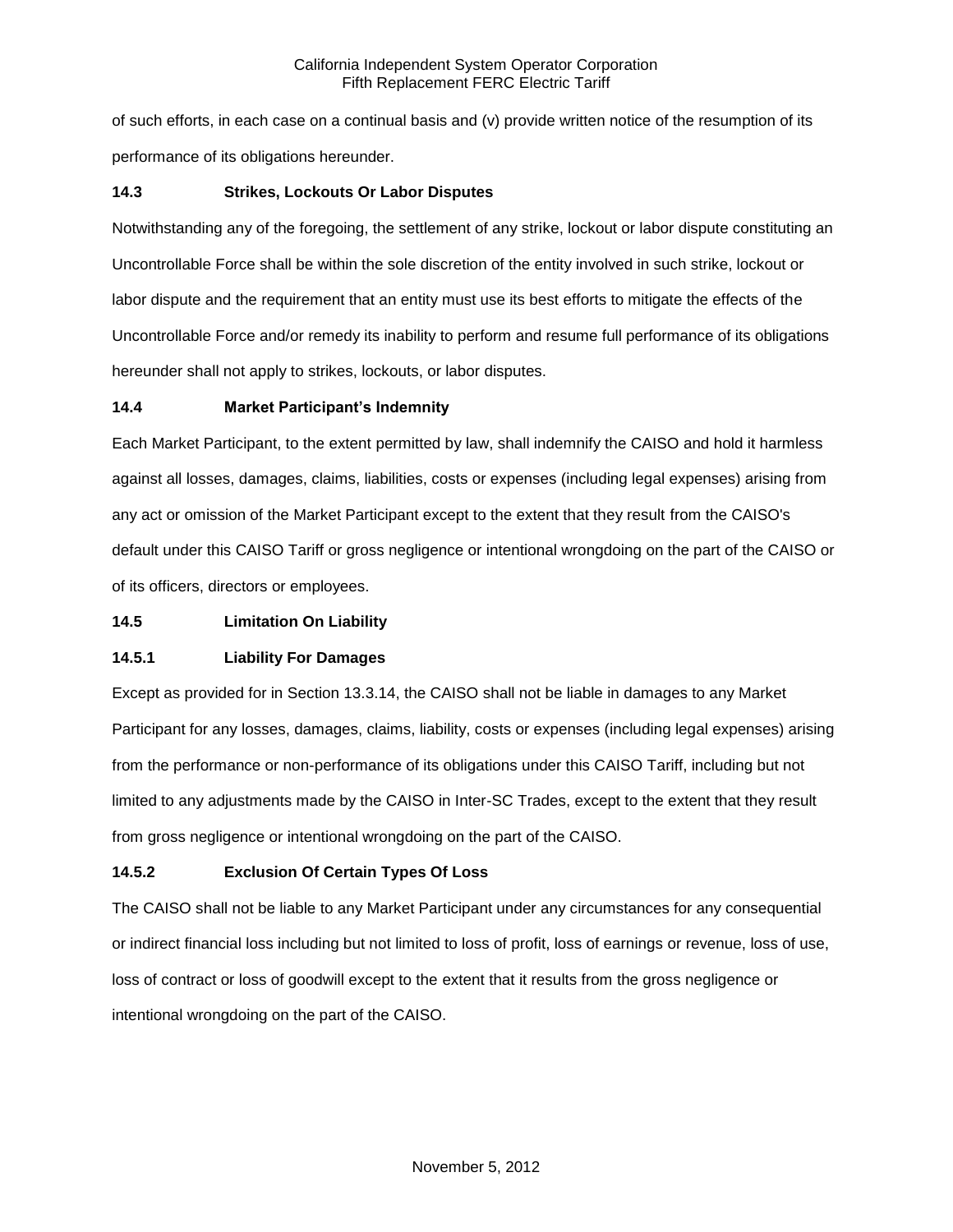of such efforts, in each case on a continual basis and (v) provide written notice of the resumption of its performance of its obligations hereunder.

## **14.3 Strikes, Lockouts Or Labor Disputes**

Notwithstanding any of the foregoing, the settlement of any strike, lockout or labor dispute constituting an Uncontrollable Force shall be within the sole discretion of the entity involved in such strike, lockout or labor dispute and the requirement that an entity must use its best efforts to mitigate the effects of the Uncontrollable Force and/or remedy its inability to perform and resume full performance of its obligations hereunder shall not apply to strikes, lockouts, or labor disputes.

## **14.4 Market Participant's Indemnity**

Each Market Participant, to the extent permitted by law, shall indemnify the CAISO and hold it harmless against all losses, damages, claims, liabilities, costs or expenses (including legal expenses) arising from any act or omission of the Market Participant except to the extent that they result from the CAISO's default under this CAISO Tariff or gross negligence or intentional wrongdoing on the part of the CAISO or of its officers, directors or employees.

## **14.5 Limitation On Liability**

# **14.5.1 Liability For Damages**

Except as provided for in Section 13.3.14, the CAISO shall not be liable in damages to any Market Participant for any losses, damages, claims, liability, costs or expenses (including legal expenses) arising from the performance or non-performance of its obligations under this CAISO Tariff, including but not limited to any adjustments made by the CAISO in Inter-SC Trades, except to the extent that they result from gross negligence or intentional wrongdoing on the part of the CAISO.

# **14.5.2 Exclusion Of Certain Types Of Loss**

The CAISO shall not be liable to any Market Participant under any circumstances for any consequential or indirect financial loss including but not limited to loss of profit, loss of earnings or revenue, loss of use, loss of contract or loss of goodwill except to the extent that it results from the gross negligence or intentional wrongdoing on the part of the CAISO.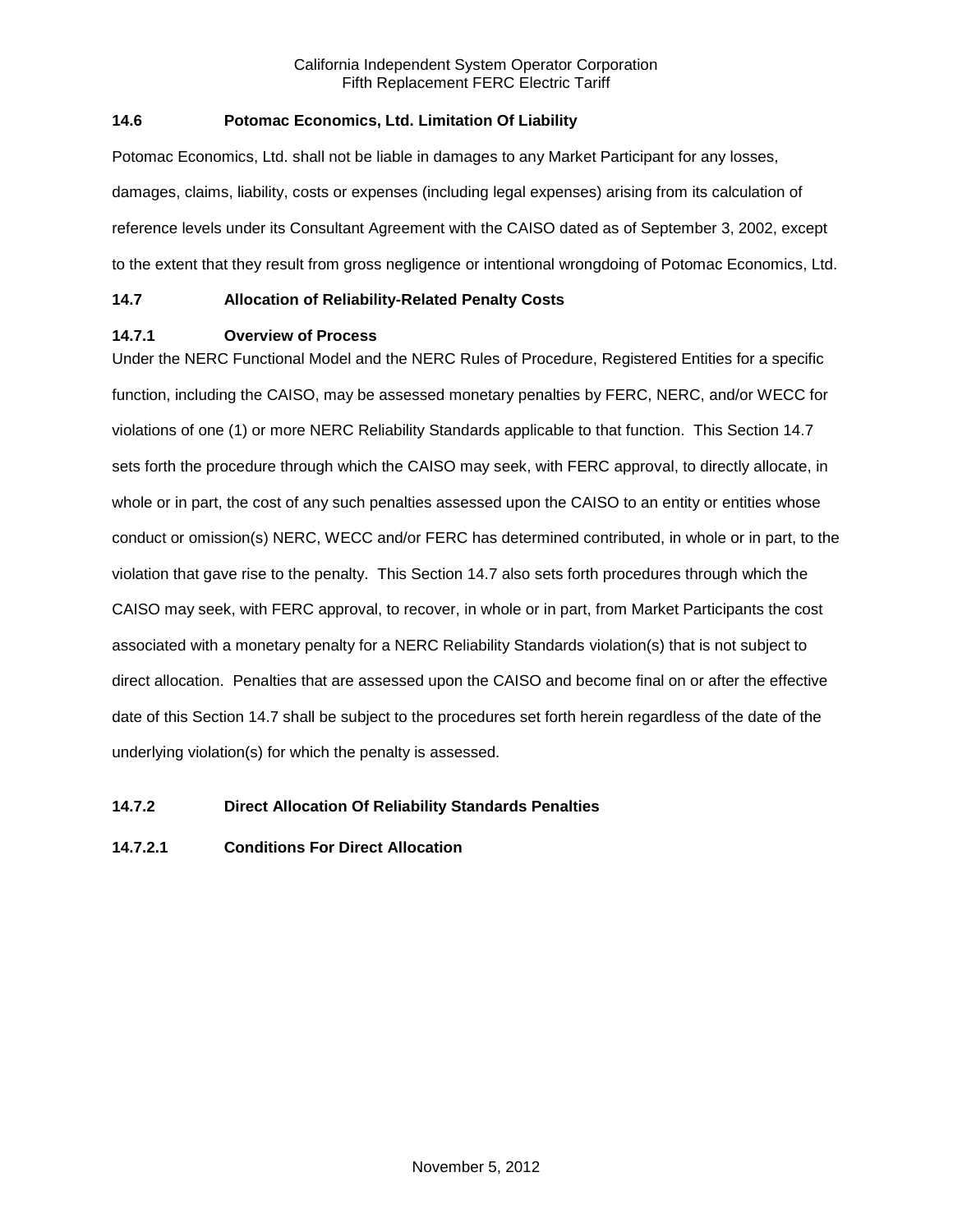# **14.6 Potomac Economics, Ltd. Limitation Of Liability**

Potomac Economics, Ltd. shall not be liable in damages to any Market Participant for any losses, damages, claims, liability, costs or expenses (including legal expenses) arising from its calculation of reference levels under its Consultant Agreement with the CAISO dated as of September 3, 2002, except to the extent that they result from gross negligence or intentional wrongdoing of Potomac Economics, Ltd.

# **14.7 Allocation of Reliability-Related Penalty Costs**

# **14.7.1 Overview of Process**

Under the NERC Functional Model and the NERC Rules of Procedure, Registered Entities for a specific function, including the CAISO, may be assessed monetary penalties by FERC, NERC, and/or WECC for violations of one (1) or more NERC Reliability Standards applicable to that function. This Section 14.7 sets forth the procedure through which the CAISO may seek, with FERC approval, to directly allocate, in whole or in part, the cost of any such penalties assessed upon the CAISO to an entity or entities whose conduct or omission(s) NERC, WECC and/or FERC has determined contributed, in whole or in part, to the violation that gave rise to the penalty. This Section 14.7 also sets forth procedures through which the CAISO may seek, with FERC approval, to recover, in whole or in part, from Market Participants the cost associated with a monetary penalty for a NERC Reliability Standards violation(s) that is not subject to direct allocation. Penalties that are assessed upon the CAISO and become final on or after the effective date of this Section 14.7 shall be subject to the procedures set forth herein regardless of the date of the underlying violation(s) for which the penalty is assessed.

# **14.7.2 Direct Allocation Of Reliability Standards Penalties**

# **14.7.2.1 Conditions For Direct Allocation**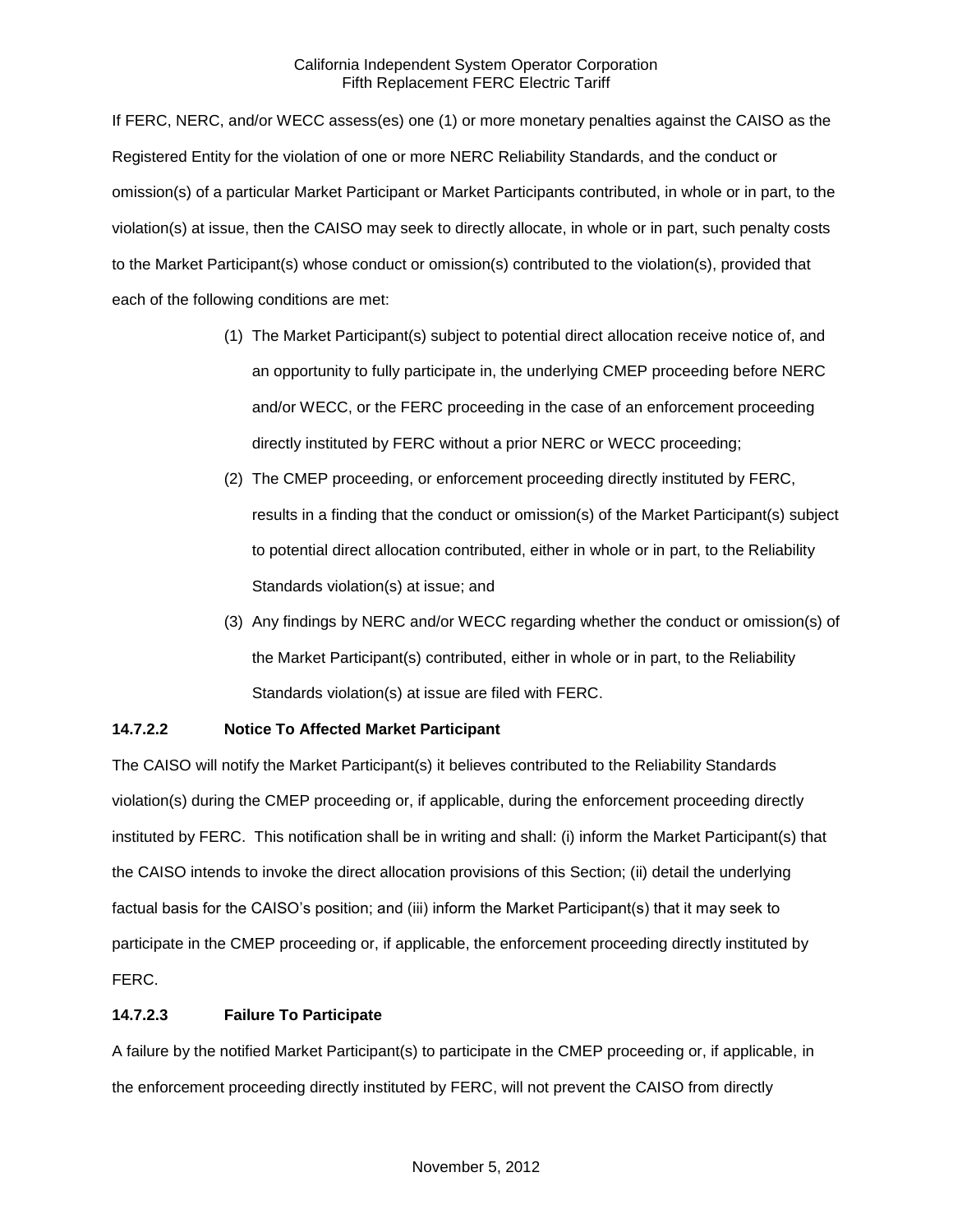If FERC, NERC, and/or WECC assess(es) one (1) or more monetary penalties against the CAISO as the Registered Entity for the violation of one or more NERC Reliability Standards, and the conduct or omission(s) of a particular Market Participant or Market Participants contributed, in whole or in part, to the violation(s) at issue, then the CAISO may seek to directly allocate, in whole or in part, such penalty costs to the Market Participant(s) whose conduct or omission(s) contributed to the violation(s), provided that each of the following conditions are met:

- (1) The Market Participant(s) subject to potential direct allocation receive notice of, and an opportunity to fully participate in, the underlying CMEP proceeding before NERC and/or WECC, or the FERC proceeding in the case of an enforcement proceeding directly instituted by FERC without a prior NERC or WECC proceeding;
- (2) The CMEP proceeding, or enforcement proceeding directly instituted by FERC, results in a finding that the conduct or omission(s) of the Market Participant(s) subject to potential direct allocation contributed, either in whole or in part, to the Reliability Standards violation(s) at issue; and
- (3) Any findings by NERC and/or WECC regarding whether the conduct or omission(s) of the Market Participant(s) contributed, either in whole or in part, to the Reliability Standards violation(s) at issue are filed with FERC.

# **14.7.2.2 Notice To Affected Market Participant**

The CAISO will notify the Market Participant(s) it believes contributed to the Reliability Standards violation(s) during the CMEP proceeding or, if applicable, during the enforcement proceeding directly instituted by FERC. This notification shall be in writing and shall: (i) inform the Market Participant(s) that the CAISO intends to invoke the direct allocation provisions of this Section; (ii) detail the underlying factual basis for the CAISO's position; and (iii) inform the Market Participant(s) that it may seek to participate in the CMEP proceeding or, if applicable, the enforcement proceeding directly instituted by FERC.

# **14.7.2.3 Failure To Participate**

A failure by the notified Market Participant(s) to participate in the CMEP proceeding or, if applicable, in the enforcement proceeding directly instituted by FERC, will not prevent the CAISO from directly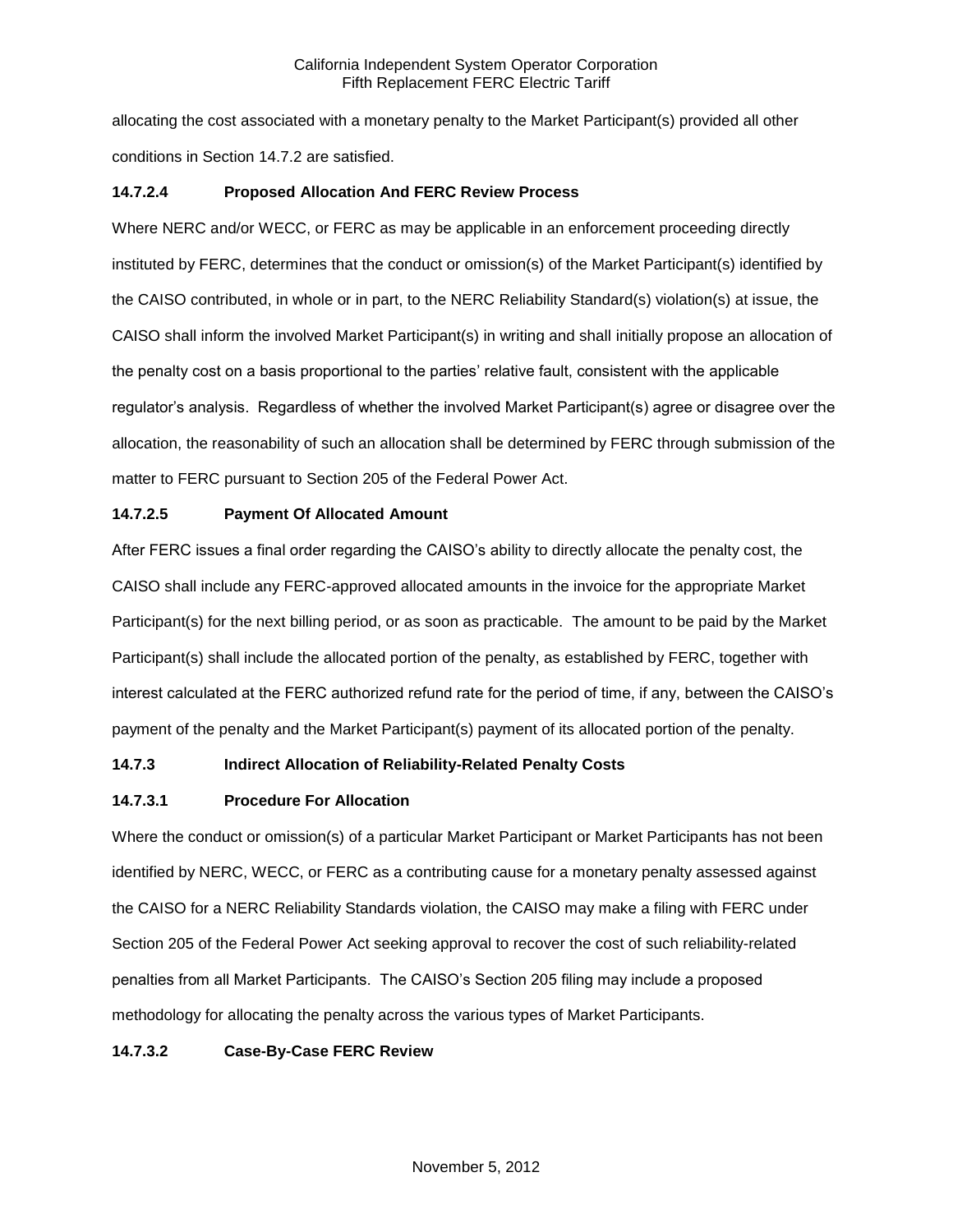allocating the cost associated with a monetary penalty to the Market Participant(s) provided all other conditions in Section 14.7.2 are satisfied.

# **14.7.2.4 Proposed Allocation And FERC Review Process**

Where NERC and/or WECC, or FERC as may be applicable in an enforcement proceeding directly instituted by FERC, determines that the conduct or omission(s) of the Market Participant(s) identified by the CAISO contributed, in whole or in part, to the NERC Reliability Standard(s) violation(s) at issue, the CAISO shall inform the involved Market Participant(s) in writing and shall initially propose an allocation of the penalty cost on a basis proportional to the parties' relative fault, consistent with the applicable regulator's analysis. Regardless of whether the involved Market Participant(s) agree or disagree over the allocation, the reasonability of such an allocation shall be determined by FERC through submission of the matter to FERC pursuant to Section 205 of the Federal Power Act.

# **14.7.2.5 Payment Of Allocated Amount**

After FERC issues a final order regarding the CAISO's ability to directly allocate the penalty cost, the CAISO shall include any FERC-approved allocated amounts in the invoice for the appropriate Market Participant(s) for the next billing period, or as soon as practicable. The amount to be paid by the Market Participant(s) shall include the allocated portion of the penalty, as established by FERC, together with interest calculated at the FERC authorized refund rate for the period of time, if any, between the CAISO's payment of the penalty and the Market Participant(s) payment of its allocated portion of the penalty.

# **14.7.3 Indirect Allocation of Reliability-Related Penalty Costs**

# **14.7.3.1 Procedure For Allocation**

Where the conduct or omission(s) of a particular Market Participant or Market Participants has not been identified by NERC, WECC, or FERC as a contributing cause for a monetary penalty assessed against the CAISO for a NERC Reliability Standards violation, the CAISO may make a filing with FERC under Section 205 of the Federal Power Act seeking approval to recover the cost of such reliability-related penalties from all Market Participants. The CAISO's Section 205 filing may include a proposed methodology for allocating the penalty across the various types of Market Participants.

# **14.7.3.2 Case-By-Case FERC Review**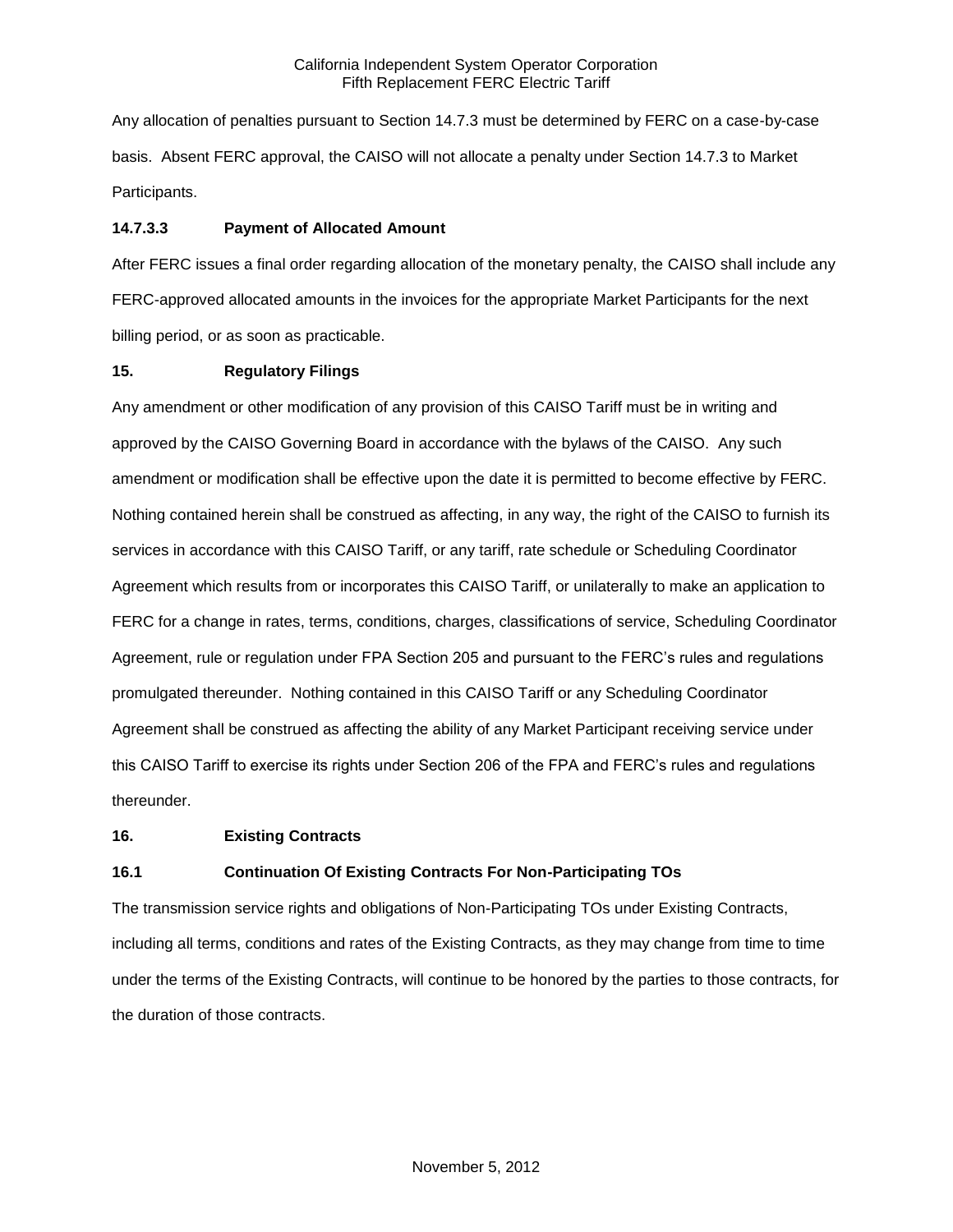Any allocation of penalties pursuant to Section 14.7.3 must be determined by FERC on a case-by-case basis. Absent FERC approval, the CAISO will not allocate a penalty under Section 14.7.3 to Market Participants.

# **14.7.3.3 Payment of Allocated Amount**

After FERC issues a final order regarding allocation of the monetary penalty, the CAISO shall include any FERC-approved allocated amounts in the invoices for the appropriate Market Participants for the next billing period, or as soon as practicable.

# **15. Regulatory Filings**

Any amendment or other modification of any provision of this CAISO Tariff must be in writing and approved by the CAISO Governing Board in accordance with the bylaws of the CAISO. Any such amendment or modification shall be effective upon the date it is permitted to become effective by FERC. Nothing contained herein shall be construed as affecting, in any way, the right of the CAISO to furnish its services in accordance with this CAISO Tariff, or any tariff, rate schedule or Scheduling Coordinator Agreement which results from or incorporates this CAISO Tariff, or unilaterally to make an application to FERC for a change in rates, terms, conditions, charges, classifications of service, Scheduling Coordinator Agreement, rule or regulation under FPA Section 205 and pursuant to the FERC's rules and regulations promulgated thereunder. Nothing contained in this CAISO Tariff or any Scheduling Coordinator Agreement shall be construed as affecting the ability of any Market Participant receiving service under this CAISO Tariff to exercise its rights under Section 206 of the FPA and FERC's rules and regulations thereunder.

## **16. Existing Contracts**

# **16.1 Continuation Of Existing Contracts For Non-Participating TOs**

The transmission service rights and obligations of Non-Participating TOs under Existing Contracts, including all terms, conditions and rates of the Existing Contracts, as they may change from time to time under the terms of the Existing Contracts, will continue to be honored by the parties to those contracts, for the duration of those contracts.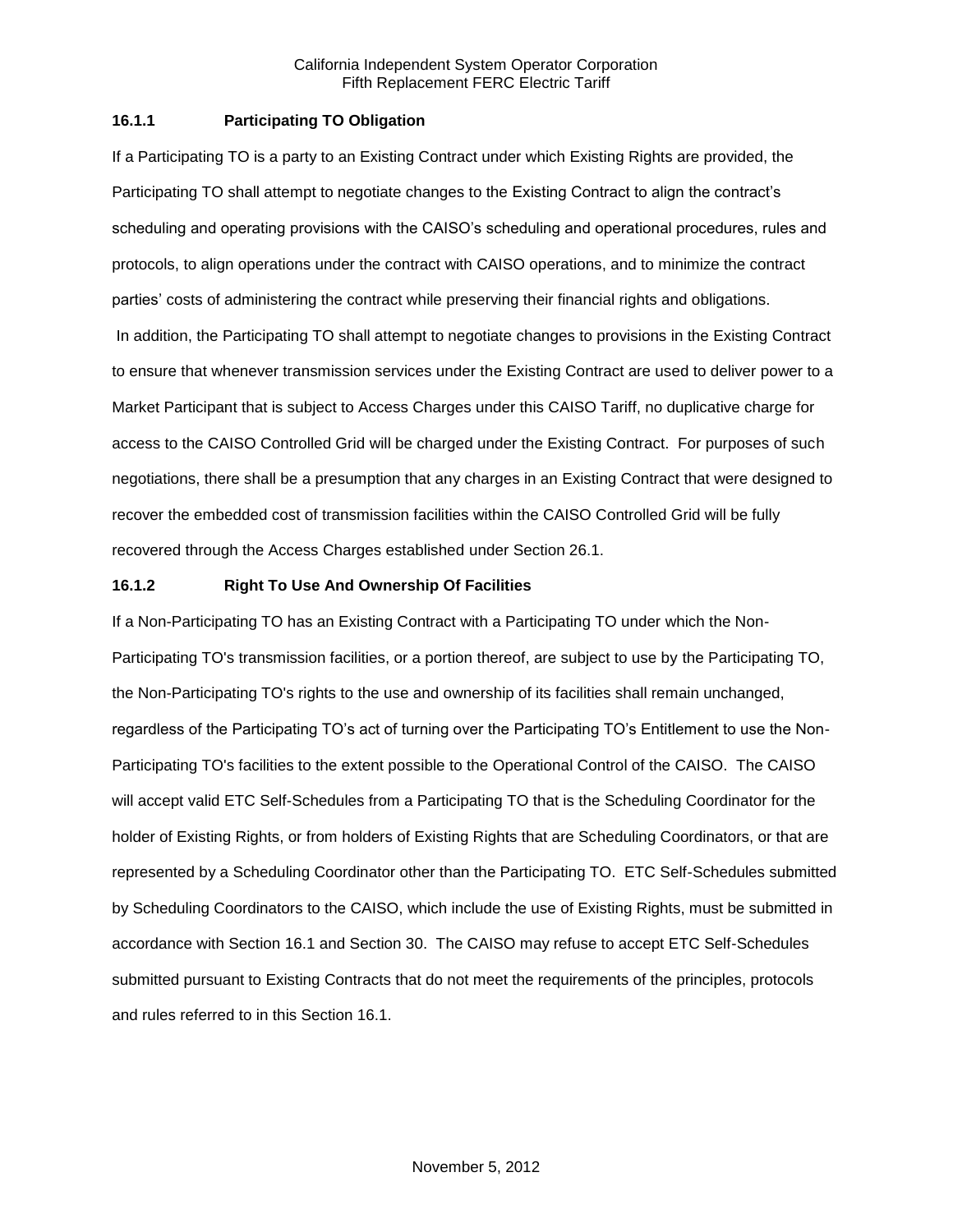## **16.1.1 Participating TO Obligation**

If a Participating TO is a party to an Existing Contract under which Existing Rights are provided, the Participating TO shall attempt to negotiate changes to the Existing Contract to align the contract's scheduling and operating provisions with the CAISO's scheduling and operational procedures, rules and protocols, to align operations under the contract with CAISO operations, and to minimize the contract parties' costs of administering the contract while preserving their financial rights and obligations. In addition, the Participating TO shall attempt to negotiate changes to provisions in the Existing Contract to ensure that whenever transmission services under the Existing Contract are used to deliver power to a Market Participant that is subject to Access Charges under this CAISO Tariff, no duplicative charge for access to the CAISO Controlled Grid will be charged under the Existing Contract. For purposes of such negotiations, there shall be a presumption that any charges in an Existing Contract that were designed to recover the embedded cost of transmission facilities within the CAISO Controlled Grid will be fully recovered through the Access Charges established under Section 26.1.

## **16.1.2 Right To Use And Ownership Of Facilities**

If a Non-Participating TO has an Existing Contract with a Participating TO under which the Non-Participating TO's transmission facilities, or a portion thereof, are subject to use by the Participating TO, the Non-Participating TO's rights to the use and ownership of its facilities shall remain unchanged, regardless of the Participating TO's act of turning over the Participating TO's Entitlement to use the Non-Participating TO's facilities to the extent possible to the Operational Control of the CAISO. The CAISO will accept valid ETC Self-Schedules from a Participating TO that is the Scheduling Coordinator for the holder of Existing Rights, or from holders of Existing Rights that are Scheduling Coordinators, or that are represented by a Scheduling Coordinator other than the Participating TO. ETC Self-Schedules submitted by Scheduling Coordinators to the CAISO, which include the use of Existing Rights, must be submitted in accordance with Section 16.1 and Section 30. The CAISO may refuse to accept ETC Self-Schedules submitted pursuant to Existing Contracts that do not meet the requirements of the principles, protocols and rules referred to in this Section 16.1.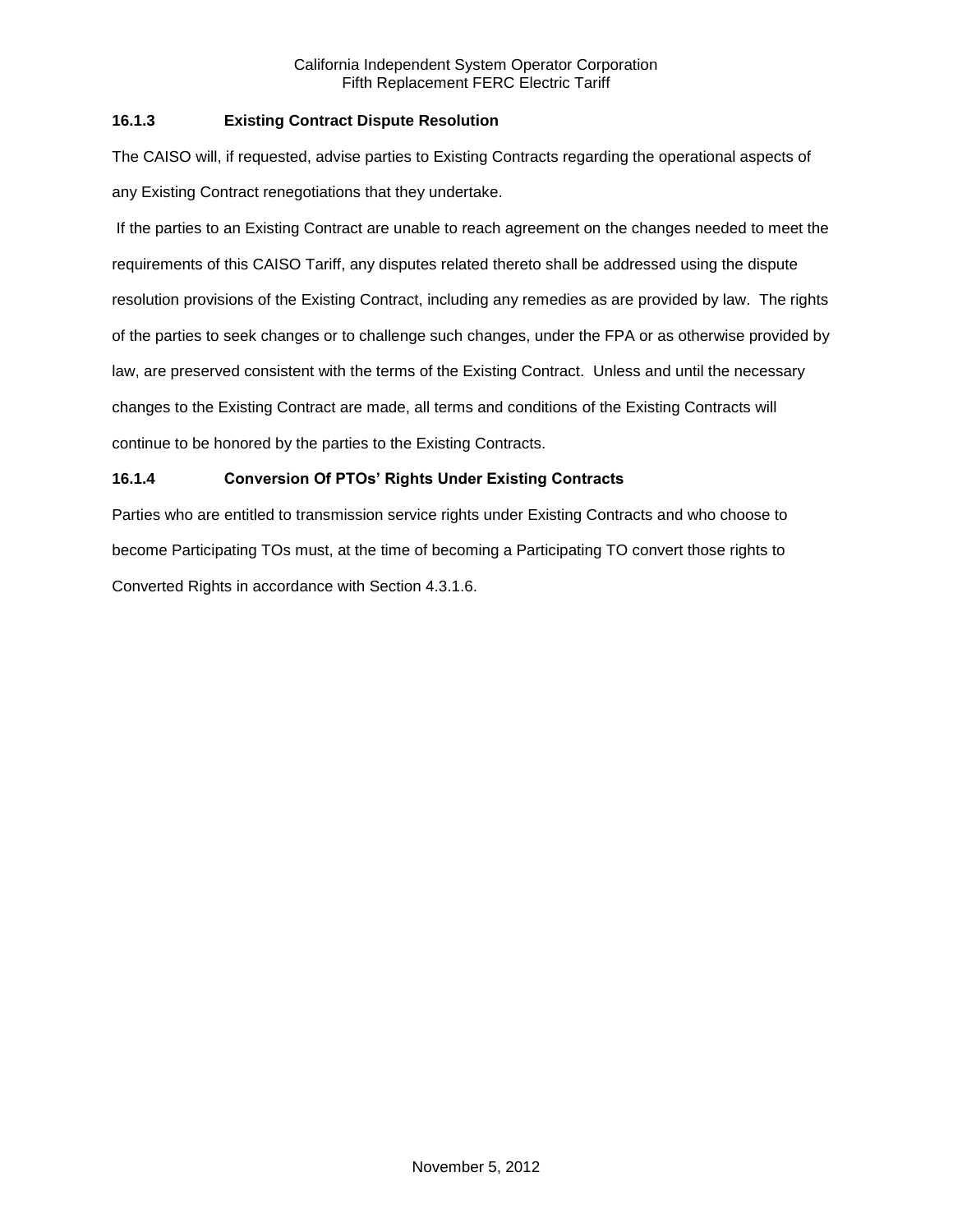# **16.1.3 Existing Contract Dispute Resolution**

The CAISO will, if requested, advise parties to Existing Contracts regarding the operational aspects of any Existing Contract renegotiations that they undertake.

If the parties to an Existing Contract are unable to reach agreement on the changes needed to meet the requirements of this CAISO Tariff, any disputes related thereto shall be addressed using the dispute resolution provisions of the Existing Contract, including any remedies as are provided by law. The rights of the parties to seek changes or to challenge such changes, under the FPA or as otherwise provided by law, are preserved consistent with the terms of the Existing Contract. Unless and until the necessary changes to the Existing Contract are made, all terms and conditions of the Existing Contracts will continue to be honored by the parties to the Existing Contracts.

# **16.1.4 Conversion Of PTOs' Rights Under Existing Contracts**

Parties who are entitled to transmission service rights under Existing Contracts and who choose to become Participating TOs must, at the time of becoming a Participating TO convert those rights to Converted Rights in accordance with Section 4.3.1.6.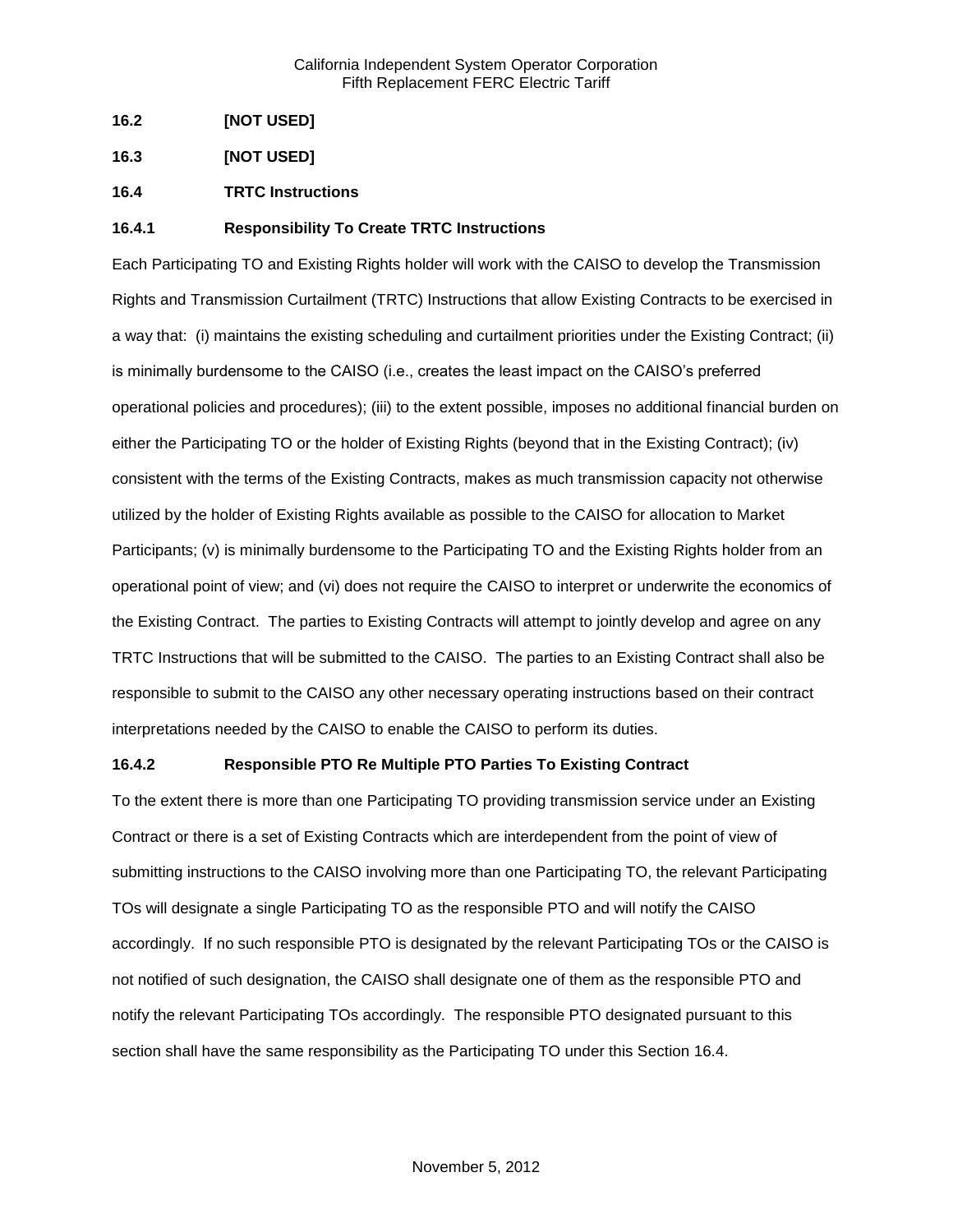- **16.2 [NOT USED]**
- **16.3 [NOT USED]**
- **16.4 TRTC Instructions**

## **16.4.1 Responsibility To Create TRTC Instructions**

Each Participating TO and Existing Rights holder will work with the CAISO to develop the Transmission Rights and Transmission Curtailment (TRTC) Instructions that allow Existing Contracts to be exercised in a way that: (i) maintains the existing scheduling and curtailment priorities under the Existing Contract; (ii) is minimally burdensome to the CAISO (i.e., creates the least impact on the CAISO's preferred operational policies and procedures); (iii) to the extent possible, imposes no additional financial burden on either the Participating TO or the holder of Existing Rights (beyond that in the Existing Contract); (iv) consistent with the terms of the Existing Contracts, makes as much transmission capacity not otherwise utilized by the holder of Existing Rights available as possible to the CAISO for allocation to Market Participants; (v) is minimally burdensome to the Participating TO and the Existing Rights holder from an operational point of view; and (vi) does not require the CAISO to interpret or underwrite the economics of the Existing Contract. The parties to Existing Contracts will attempt to jointly develop and agree on any TRTC Instructions that will be submitted to the CAISO. The parties to an Existing Contract shall also be responsible to submit to the CAISO any other necessary operating instructions based on their contract interpretations needed by the CAISO to enable the CAISO to perform its duties.

## **16.4.2 Responsible PTO Re Multiple PTO Parties To Existing Contract**

To the extent there is more than one Participating TO providing transmission service under an Existing Contract or there is a set of Existing Contracts which are interdependent from the point of view of submitting instructions to the CAISO involving more than one Participating TO, the relevant Participating TOs will designate a single Participating TO as the responsible PTO and will notify the CAISO accordingly. If no such responsible PTO is designated by the relevant Participating TOs or the CAISO is not notified of such designation, the CAISO shall designate one of them as the responsible PTO and notify the relevant Participating TOs accordingly. The responsible PTO designated pursuant to this section shall have the same responsibility as the Participating TO under this Section 16.4.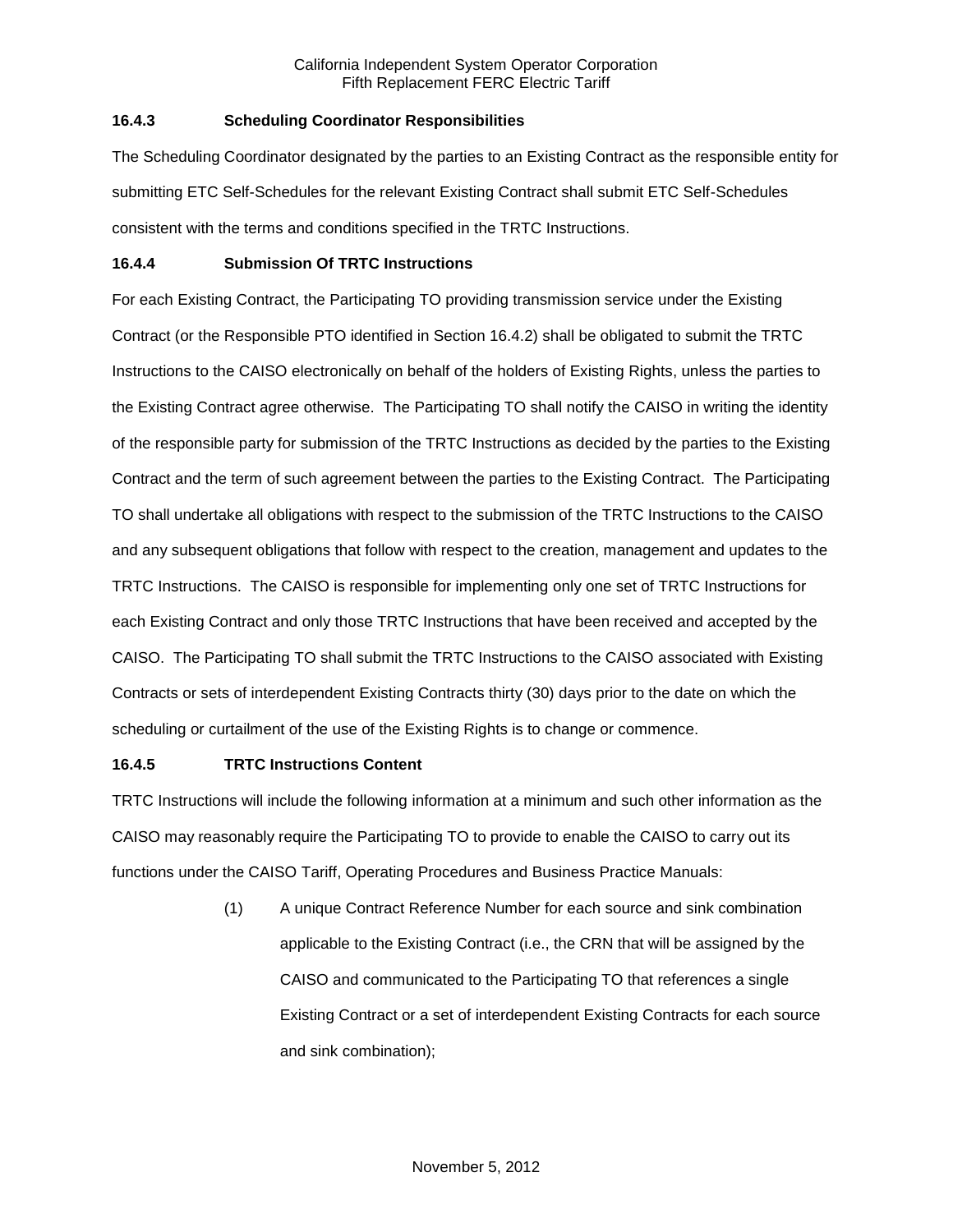# **16.4.3 Scheduling Coordinator Responsibilities**

The Scheduling Coordinator designated by the parties to an Existing Contract as the responsible entity for submitting ETC Self-Schedules for the relevant Existing Contract shall submit ETC Self-Schedules consistent with the terms and conditions specified in the TRTC Instructions.

## **16.4.4 Submission Of TRTC Instructions**

For each Existing Contract, the Participating TO providing transmission service under the Existing Contract (or the Responsible PTO identified in Section 16.4.2) shall be obligated to submit the TRTC Instructions to the CAISO electronically on behalf of the holders of Existing Rights, unless the parties to the Existing Contract agree otherwise. The Participating TO shall notify the CAISO in writing the identity of the responsible party for submission of the TRTC Instructions as decided by the parties to the Existing Contract and the term of such agreement between the parties to the Existing Contract. The Participating TO shall undertake all obligations with respect to the submission of the TRTC Instructions to the CAISO and any subsequent obligations that follow with respect to the creation, management and updates to the TRTC Instructions. The CAISO is responsible for implementing only one set of TRTC Instructions for each Existing Contract and only those TRTC Instructions that have been received and accepted by the CAISO. The Participating TO shall submit the TRTC Instructions to the CAISO associated with Existing Contracts or sets of interdependent Existing Contracts thirty (30) days prior to the date on which the scheduling or curtailment of the use of the Existing Rights is to change or commence.

# **16.4.5 TRTC Instructions Content**

TRTC Instructions will include the following information at a minimum and such other information as the CAISO may reasonably require the Participating TO to provide to enable the CAISO to carry out its functions under the CAISO Tariff, Operating Procedures and Business Practice Manuals:

> (1) A unique Contract Reference Number for each source and sink combination applicable to the Existing Contract (i.e., the CRN that will be assigned by the CAISO and communicated to the Participating TO that references a single Existing Contract or a set of interdependent Existing Contracts for each source and sink combination);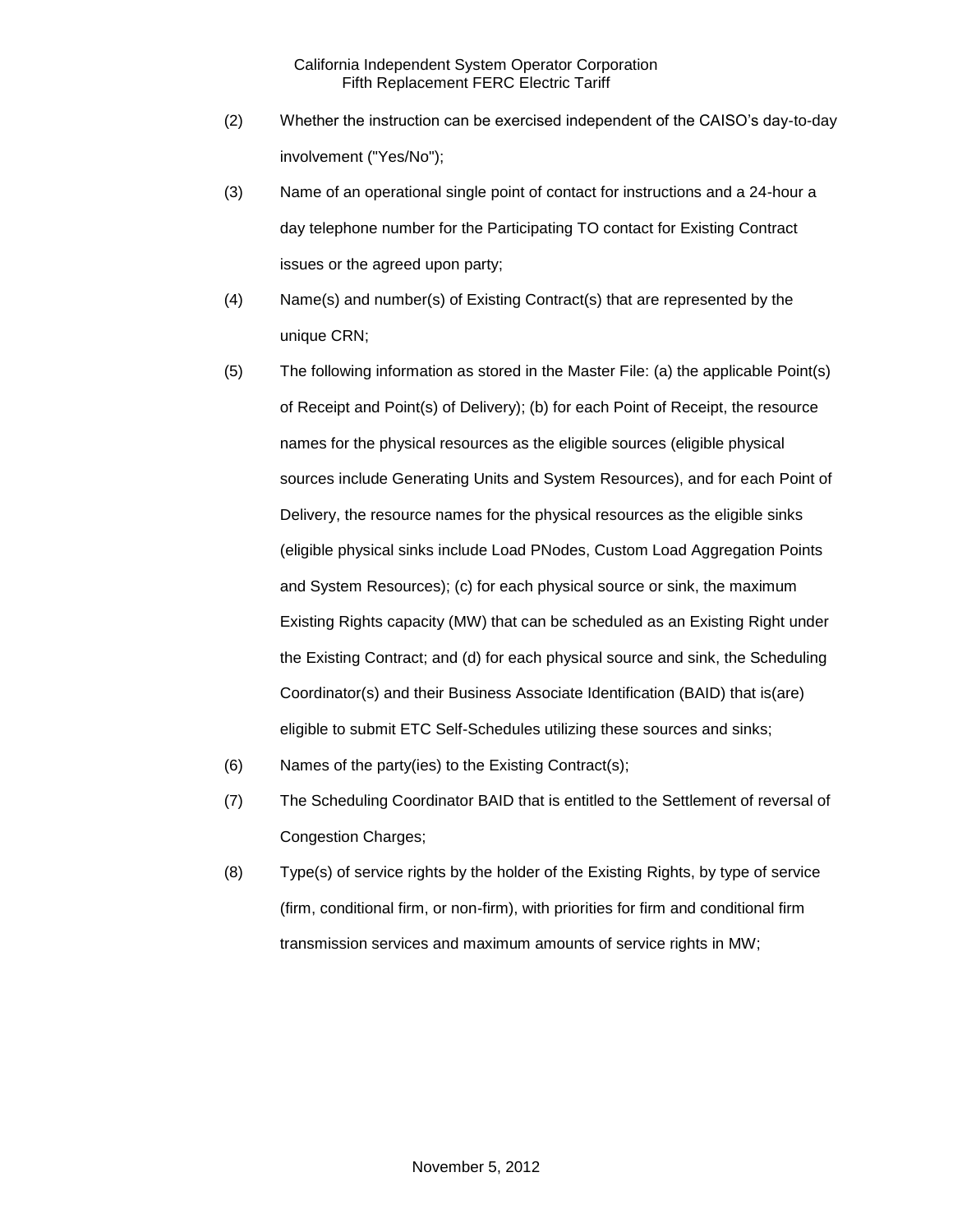- (2) Whether the instruction can be exercised independent of the CAISO's day-to-day involvement ("Yes/No");
- (3) Name of an operational single point of contact for instructions and a 24-hour a day telephone number for the Participating TO contact for Existing Contract issues or the agreed upon party;
- (4) Name(s) and number(s) of Existing Contract(s) that are represented by the unique CRN;
- (5) The following information as stored in the Master File: (a) the applicable Point(s) of Receipt and Point(s) of Delivery); (b) for each Point of Receipt, the resource names for the physical resources as the eligible sources (eligible physical sources include Generating Units and System Resources), and for each Point of Delivery, the resource names for the physical resources as the eligible sinks (eligible physical sinks include Load PNodes, Custom Load Aggregation Points and System Resources); (c) for each physical source or sink, the maximum Existing Rights capacity (MW) that can be scheduled as an Existing Right under the Existing Contract; and (d) for each physical source and sink, the Scheduling Coordinator(s) and their Business Associate Identification (BAID) that is(are) eligible to submit ETC Self-Schedules utilizing these sources and sinks;
- (6) Names of the party(ies) to the Existing Contract(s);
- (7) The Scheduling Coordinator BAID that is entitled to the Settlement of reversal of Congestion Charges;
- (8) Type(s) of service rights by the holder of the Existing Rights, by type of service (firm, conditional firm, or non-firm), with priorities for firm and conditional firm transmission services and maximum amounts of service rights in MW;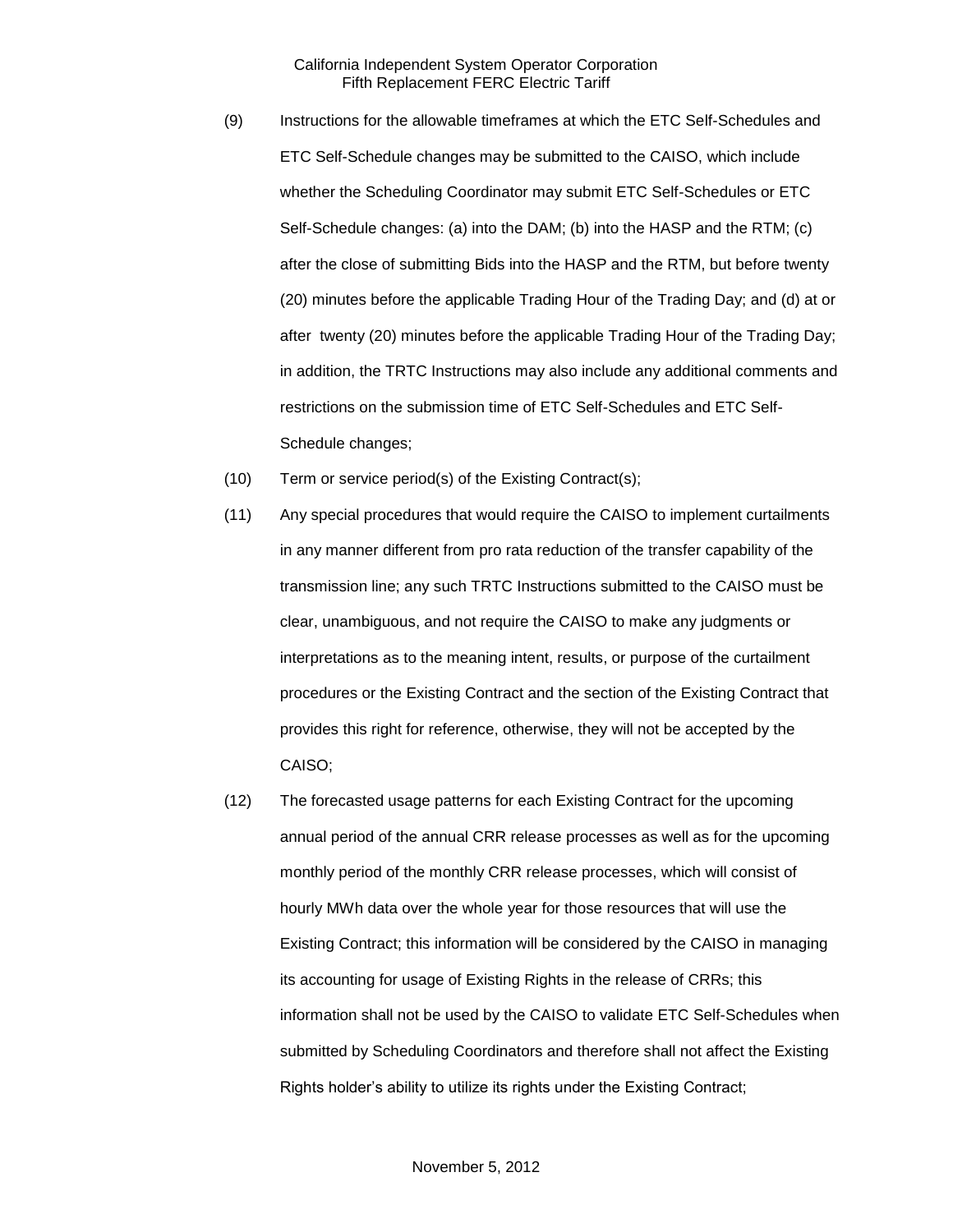- (9) Instructions for the allowable timeframes at which the ETC Self-Schedules and ETC Self-Schedule changes may be submitted to the CAISO, which include whether the Scheduling Coordinator may submit ETC Self-Schedules or ETC Self-Schedule changes: (a) into the DAM; (b) into the HASP and the RTM; (c) after the close of submitting Bids into the HASP and the RTM, but before twenty (20) minutes before the applicable Trading Hour of the Trading Day; and (d) at or after twenty (20) minutes before the applicable Trading Hour of the Trading Day; in addition, the TRTC Instructions may also include any additional comments and restrictions on the submission time of ETC Self-Schedules and ETC Self-Schedule changes;
- (10) Term or service period(s) of the Existing Contract(s);
- (11) Any special procedures that would require the CAISO to implement curtailments in any manner different from pro rata reduction of the transfer capability of the transmission line; any such TRTC Instructions submitted to the CAISO must be clear, unambiguous, and not require the CAISO to make any judgments or interpretations as to the meaning intent, results, or purpose of the curtailment procedures or the Existing Contract and the section of the Existing Contract that provides this right for reference, otherwise, they will not be accepted by the CAISO;
- (12) The forecasted usage patterns for each Existing Contract for the upcoming annual period of the annual CRR release processes as well as for the upcoming monthly period of the monthly CRR release processes, which will consist of hourly MWh data over the whole year for those resources that will use the Existing Contract; this information will be considered by the CAISO in managing its accounting for usage of Existing Rights in the release of CRRs; this information shall not be used by the CAISO to validate ETC Self-Schedules when submitted by Scheduling Coordinators and therefore shall not affect the Existing Rights holder's ability to utilize its rights under the Existing Contract;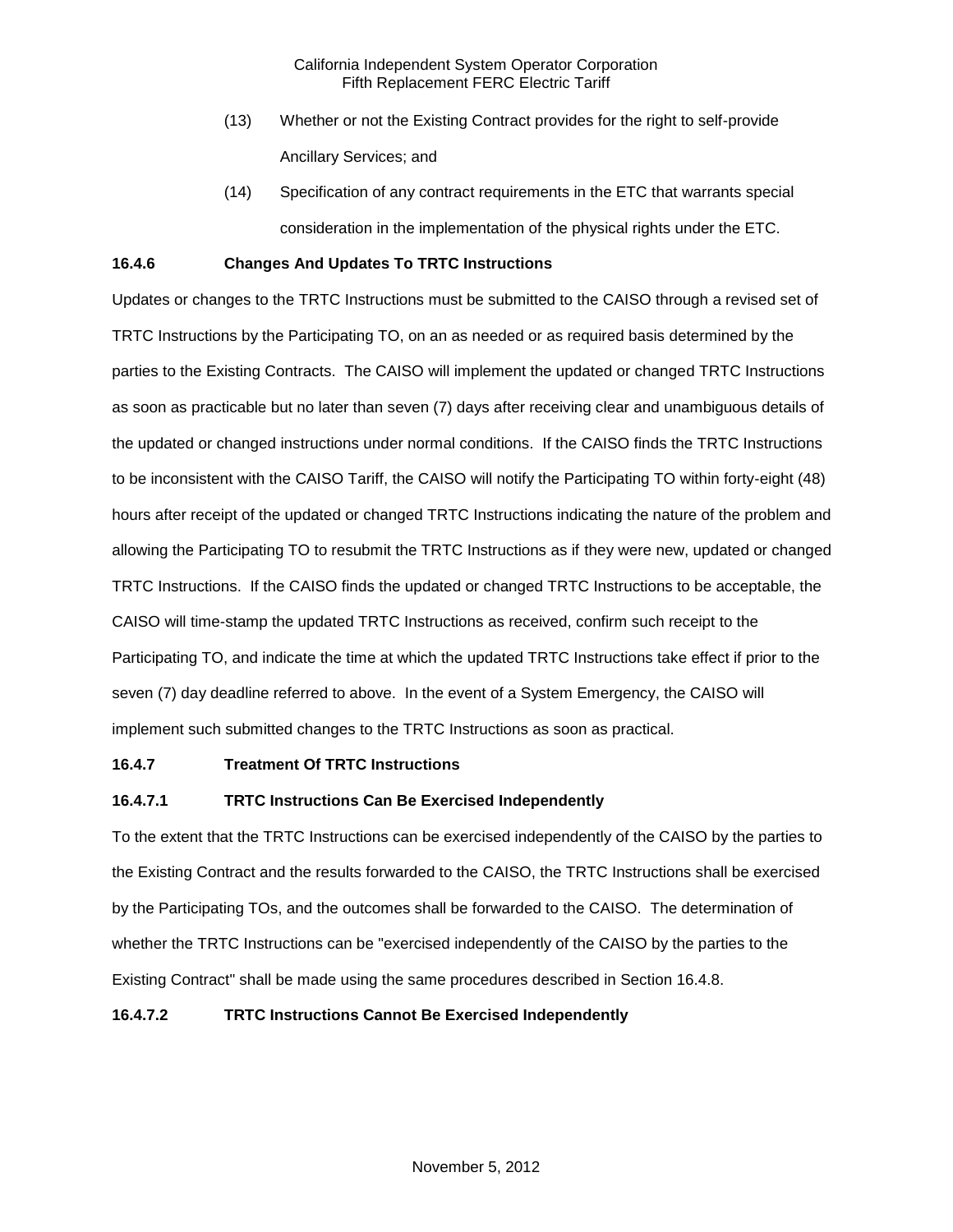- (13) Whether or not the Existing Contract provides for the right to self-provide Ancillary Services; and
- (14) Specification of any contract requirements in the ETC that warrants special consideration in the implementation of the physical rights under the ETC.

## **16.4.6 Changes And Updates To TRTC Instructions**

Updates or changes to the TRTC Instructions must be submitted to the CAISO through a revised set of TRTC Instructions by the Participating TO, on an as needed or as required basis determined by the parties to the Existing Contracts. The CAISO will implement the updated or changed TRTC Instructions as soon as practicable but no later than seven (7) days after receiving clear and unambiguous details of the updated or changed instructions under normal conditions. If the CAISO finds the TRTC Instructions to be inconsistent with the CAISO Tariff, the CAISO will notify the Participating TO within forty-eight (48) hours after receipt of the updated or changed TRTC Instructions indicating the nature of the problem and allowing the Participating TO to resubmit the TRTC Instructions as if they were new, updated or changed TRTC Instructions. If the CAISO finds the updated or changed TRTC Instructions to be acceptable, the CAISO will time-stamp the updated TRTC Instructions as received, confirm such receipt to the Participating TO, and indicate the time at which the updated TRTC Instructions take effect if prior to the seven (7) day deadline referred to above. In the event of a System Emergency, the CAISO will implement such submitted changes to the TRTC Instructions as soon as practical.

## **16.4.7 Treatment Of TRTC Instructions**

# **16.4.7.1 TRTC Instructions Can Be Exercised Independently**

To the extent that the TRTC Instructions can be exercised independently of the CAISO by the parties to the Existing Contract and the results forwarded to the CAISO, the TRTC Instructions shall be exercised by the Participating TOs, and the outcomes shall be forwarded to the CAISO. The determination of whether the TRTC Instructions can be "exercised independently of the CAISO by the parties to the Existing Contract" shall be made using the same procedures described in Section 16.4.8.

## **16.4.7.2 TRTC Instructions Cannot Be Exercised Independently**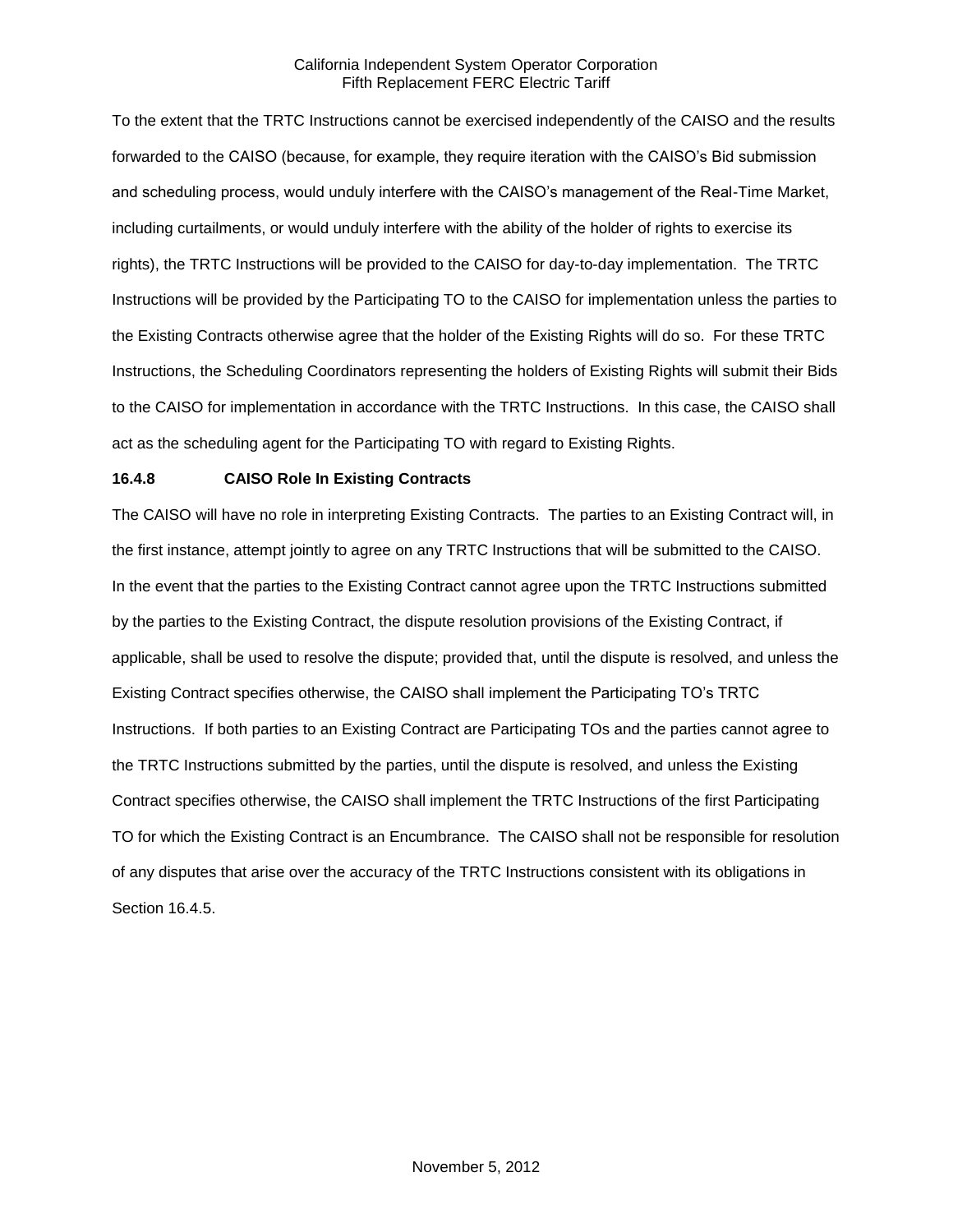To the extent that the TRTC Instructions cannot be exercised independently of the CAISO and the results forwarded to the CAISO (because, for example, they require iteration with the CAISO's Bid submission and scheduling process, would unduly interfere with the CAISO's management of the Real-Time Market, including curtailments, or would unduly interfere with the ability of the holder of rights to exercise its rights), the TRTC Instructions will be provided to the CAISO for day-to-day implementation. The TRTC Instructions will be provided by the Participating TO to the CAISO for implementation unless the parties to the Existing Contracts otherwise agree that the holder of the Existing Rights will do so. For these TRTC Instructions, the Scheduling Coordinators representing the holders of Existing Rights will submit their Bids to the CAISO for implementation in accordance with the TRTC Instructions. In this case, the CAISO shall act as the scheduling agent for the Participating TO with regard to Existing Rights.

## **16.4.8 CAISO Role In Existing Contracts**

The CAISO will have no role in interpreting Existing Contracts. The parties to an Existing Contract will, in the first instance, attempt jointly to agree on any TRTC Instructions that will be submitted to the CAISO. In the event that the parties to the Existing Contract cannot agree upon the TRTC Instructions submitted by the parties to the Existing Contract, the dispute resolution provisions of the Existing Contract, if applicable, shall be used to resolve the dispute; provided that, until the dispute is resolved, and unless the Existing Contract specifies otherwise, the CAISO shall implement the Participating TO's TRTC Instructions. If both parties to an Existing Contract are Participating TOs and the parties cannot agree to the TRTC Instructions submitted by the parties, until the dispute is resolved, and unless the Existing Contract specifies otherwise, the CAISO shall implement the TRTC Instructions of the first Participating TO for which the Existing Contract is an Encumbrance. The CAISO shall not be responsible for resolution of any disputes that arise over the accuracy of the TRTC Instructions consistent with its obligations in Section 16.4.5.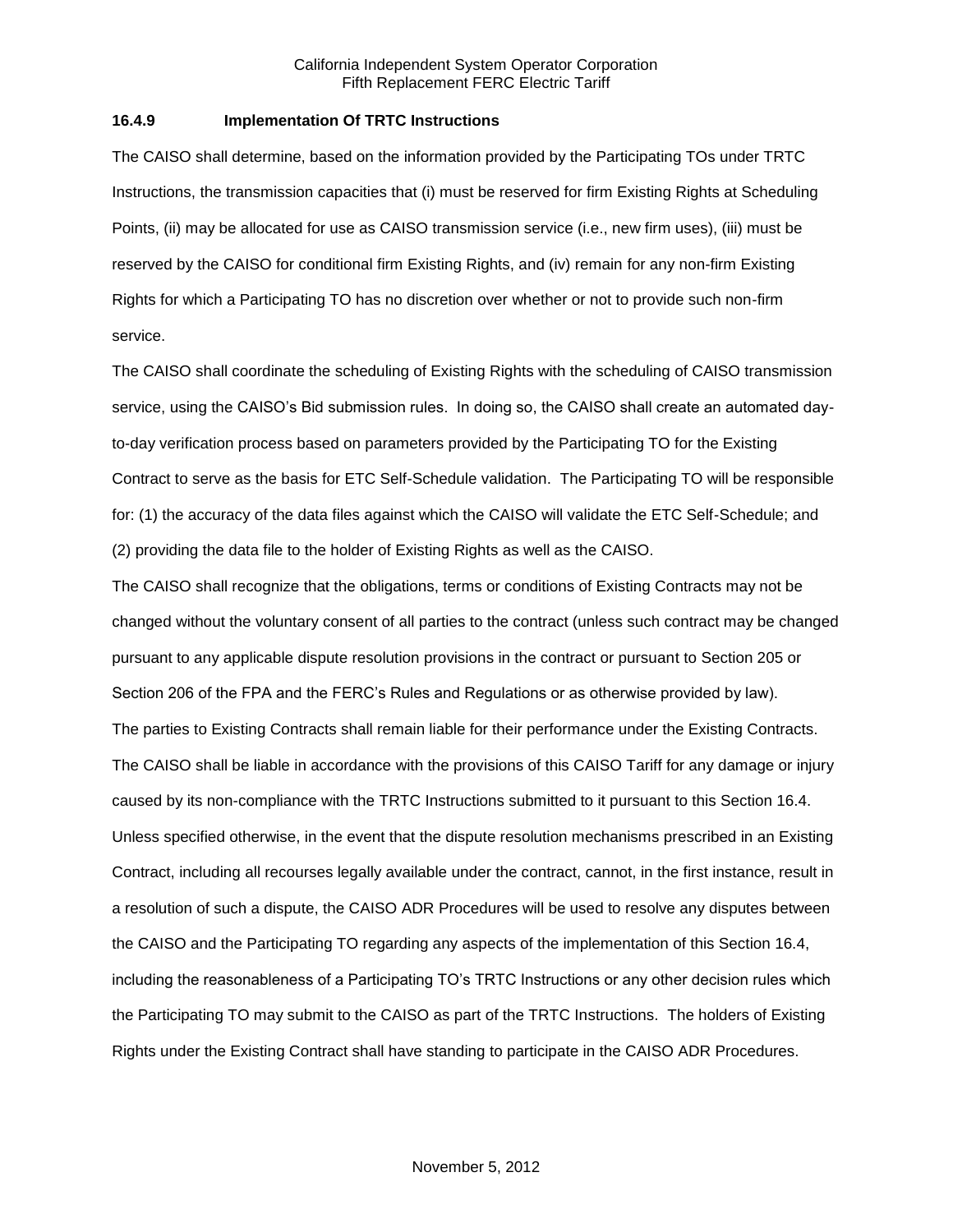#### **16.4.9 Implementation Of TRTC Instructions**

The CAISO shall determine, based on the information provided by the Participating TOs under TRTC Instructions, the transmission capacities that (i) must be reserved for firm Existing Rights at Scheduling Points, (ii) may be allocated for use as CAISO transmission service (i.e., new firm uses), (iii) must be reserved by the CAISO for conditional firm Existing Rights, and (iv) remain for any non-firm Existing Rights for which a Participating TO has no discretion over whether or not to provide such non-firm service.

The CAISO shall coordinate the scheduling of Existing Rights with the scheduling of CAISO transmission service, using the CAISO's Bid submission rules. In doing so, the CAISO shall create an automated dayto-day verification process based on parameters provided by the Participating TO for the Existing Contract to serve as the basis for ETC Self-Schedule validation. The Participating TO will be responsible for: (1) the accuracy of the data files against which the CAISO will validate the ETC Self-Schedule; and (2) providing the data file to the holder of Existing Rights as well as the CAISO.

The CAISO shall recognize that the obligations, terms or conditions of Existing Contracts may not be changed without the voluntary consent of all parties to the contract (unless such contract may be changed pursuant to any applicable dispute resolution provisions in the contract or pursuant to Section 205 or Section 206 of the FPA and the FERC's Rules and Regulations or as otherwise provided by law). The parties to Existing Contracts shall remain liable for their performance under the Existing Contracts. The CAISO shall be liable in accordance with the provisions of this CAISO Tariff for any damage or injury caused by its non-compliance with the TRTC Instructions submitted to it pursuant to this Section 16.4. Unless specified otherwise, in the event that the dispute resolution mechanisms prescribed in an Existing Contract, including all recourses legally available under the contract, cannot, in the first instance, result in a resolution of such a dispute, the CAISO ADR Procedures will be used to resolve any disputes between the CAISO and the Participating TO regarding any aspects of the implementation of this Section 16.4, including the reasonableness of a Participating TO's TRTC Instructions or any other decision rules which the Participating TO may submit to the CAISO as part of the TRTC Instructions. The holders of Existing Rights under the Existing Contract shall have standing to participate in the CAISO ADR Procedures.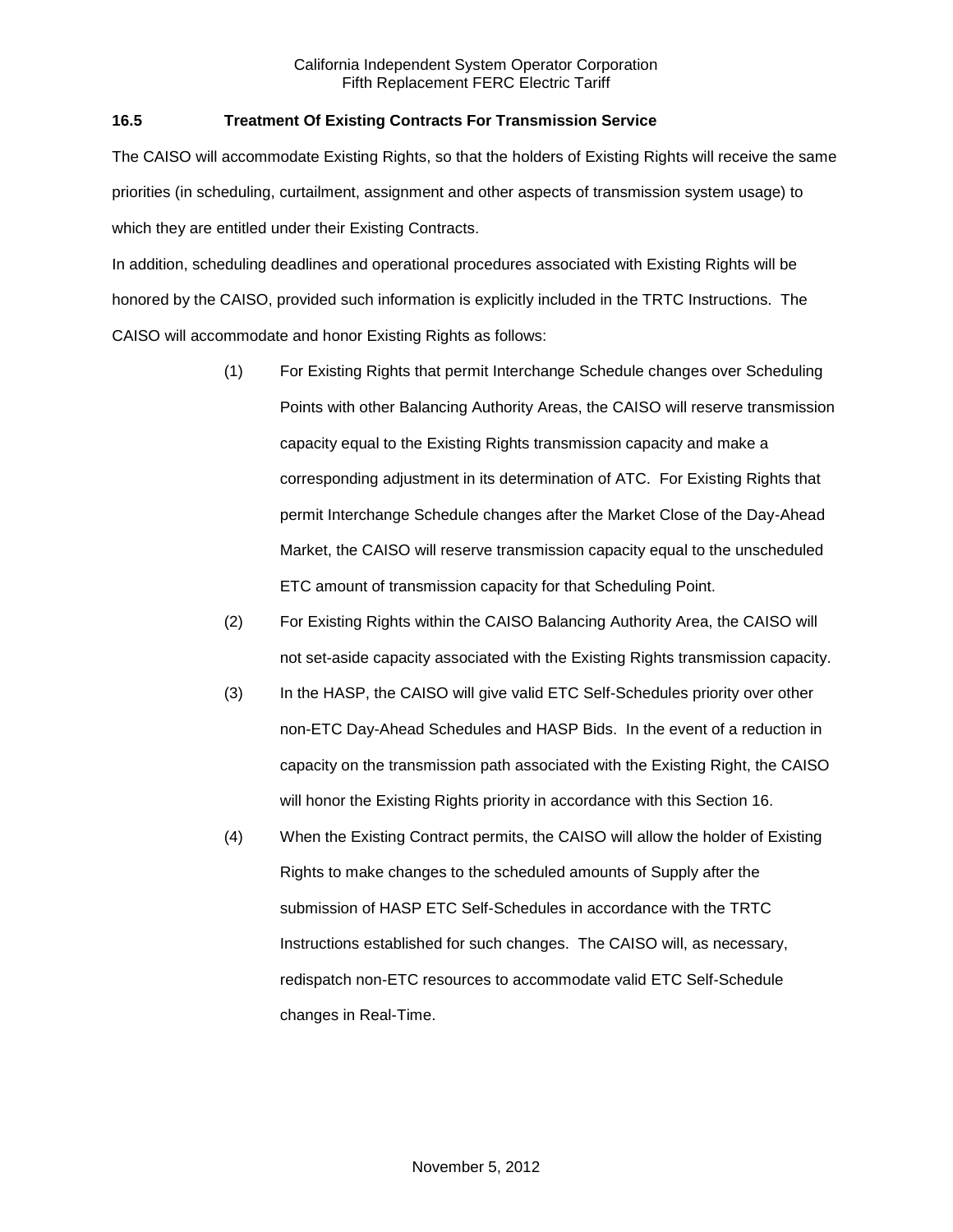# **16.5 Treatment Of Existing Contracts For Transmission Service**

The CAISO will accommodate Existing Rights, so that the holders of Existing Rights will receive the same priorities (in scheduling, curtailment, assignment and other aspects of transmission system usage) to which they are entitled under their Existing Contracts.

In addition, scheduling deadlines and operational procedures associated with Existing Rights will be honored by the CAISO, provided such information is explicitly included in the TRTC Instructions. The CAISO will accommodate and honor Existing Rights as follows:

- (1) For Existing Rights that permit Interchange Schedule changes over Scheduling Points with other Balancing Authority Areas, the CAISO will reserve transmission capacity equal to the Existing Rights transmission capacity and make a corresponding adjustment in its determination of ATC. For Existing Rights that permit Interchange Schedule changes after the Market Close of the Day-Ahead Market, the CAISO will reserve transmission capacity equal to the unscheduled ETC amount of transmission capacity for that Scheduling Point.
- (2) For Existing Rights within the CAISO Balancing Authority Area, the CAISO will not set-aside capacity associated with the Existing Rights transmission capacity.
- (3) In the HASP, the CAISO will give valid ETC Self-Schedules priority over other non-ETC Day-Ahead Schedules and HASP Bids. In the event of a reduction in capacity on the transmission path associated with the Existing Right, the CAISO will honor the Existing Rights priority in accordance with this Section 16.
- (4) When the Existing Contract permits, the CAISO will allow the holder of Existing Rights to make changes to the scheduled amounts of Supply after the submission of HASP ETC Self-Schedules in accordance with the TRTC Instructions established for such changes. The CAISO will, as necessary, redispatch non-ETC resources to accommodate valid ETC Self-Schedule changes in Real-Time.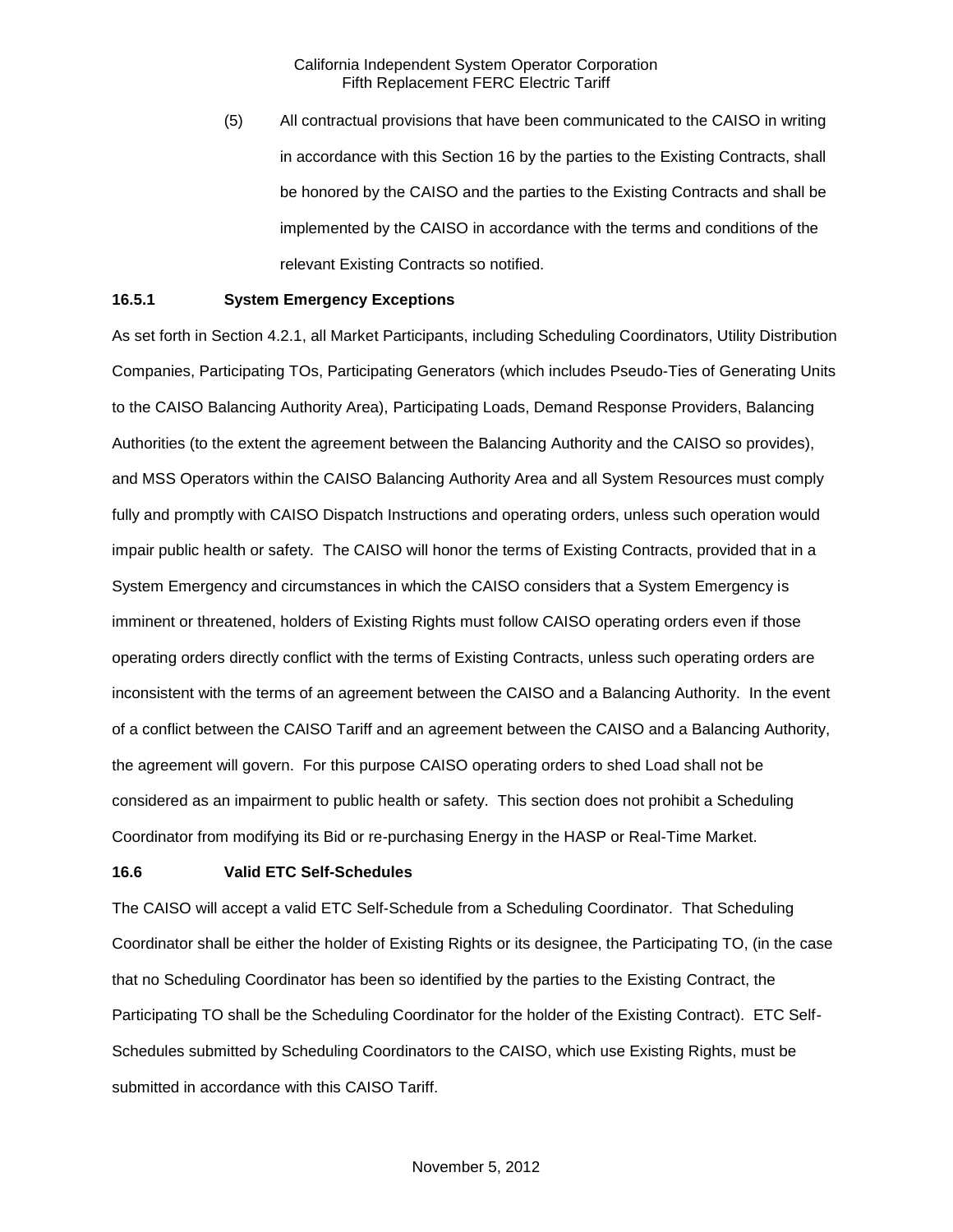(5) All contractual provisions that have been communicated to the CAISO in writing in accordance with this Section 16 by the parties to the Existing Contracts, shall be honored by the CAISO and the parties to the Existing Contracts and shall be implemented by the CAISO in accordance with the terms and conditions of the relevant Existing Contracts so notified.

## **16.5.1 System Emergency Exceptions**

As set forth in Section 4.2.1, all Market Participants, including Scheduling Coordinators, Utility Distribution Companies, Participating TOs, Participating Generators (which includes Pseudo-Ties of Generating Units to the CAISO Balancing Authority Area), Participating Loads, Demand Response Providers, Balancing Authorities (to the extent the agreement between the Balancing Authority and the CAISO so provides), and MSS Operators within the CAISO Balancing Authority Area and all System Resources must comply fully and promptly with CAISO Dispatch Instructions and operating orders, unless such operation would impair public health or safety. The CAISO will honor the terms of Existing Contracts, provided that in a System Emergency and circumstances in which the CAISO considers that a System Emergency is imminent or threatened, holders of Existing Rights must follow CAISO operating orders even if those operating orders directly conflict with the terms of Existing Contracts, unless such operating orders are inconsistent with the terms of an agreement between the CAISO and a Balancing Authority. In the event of a conflict between the CAISO Tariff and an agreement between the CAISO and a Balancing Authority, the agreement will govern. For this purpose CAISO operating orders to shed Load shall not be considered as an impairment to public health or safety. This section does not prohibit a Scheduling Coordinator from modifying its Bid or re-purchasing Energy in the HASP or Real-Time Market.

#### **16.6 Valid ETC Self-Schedules**

The CAISO will accept a valid ETC Self-Schedule from a Scheduling Coordinator. That Scheduling Coordinator shall be either the holder of Existing Rights or its designee, the Participating TO, (in the case that no Scheduling Coordinator has been so identified by the parties to the Existing Contract, the Participating TO shall be the Scheduling Coordinator for the holder of the Existing Contract). ETC Self-Schedules submitted by Scheduling Coordinators to the CAISO, which use Existing Rights, must be submitted in accordance with this CAISO Tariff.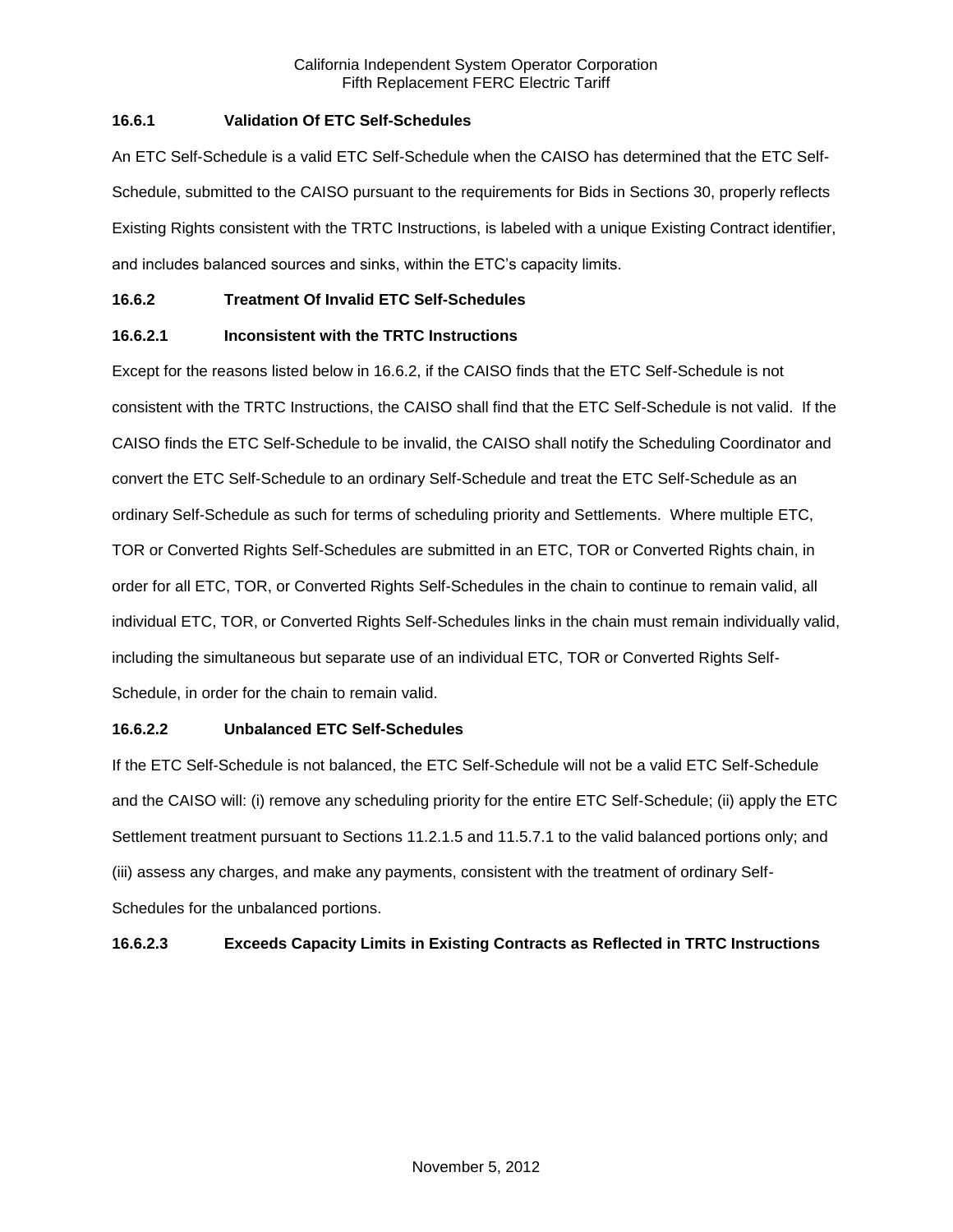# **16.6.1 Validation Of ETC Self-Schedules**

An ETC Self-Schedule is a valid ETC Self-Schedule when the CAISO has determined that the ETC Self-Schedule, submitted to the CAISO pursuant to the requirements for Bids in Sections 30, properly reflects Existing Rights consistent with the TRTC Instructions, is labeled with a unique Existing Contract identifier, and includes balanced sources and sinks, within the ETC's capacity limits.

# **16.6.2 Treatment Of Invalid ETC Self-Schedules**

# **16.6.2.1 Inconsistent with the TRTC Instructions**

Except for the reasons listed below in 16.6.2, if the CAISO finds that the ETC Self-Schedule is not consistent with the TRTC Instructions, the CAISO shall find that the ETC Self-Schedule is not valid. If the CAISO finds the ETC Self-Schedule to be invalid, the CAISO shall notify the Scheduling Coordinator and convert the ETC Self-Schedule to an ordinary Self-Schedule and treat the ETC Self-Schedule as an ordinary Self-Schedule as such for terms of scheduling priority and Settlements. Where multiple ETC, TOR or Converted Rights Self-Schedules are submitted in an ETC, TOR or Converted Rights chain, in order for all ETC, TOR, or Converted Rights Self-Schedules in the chain to continue to remain valid, all individual ETC, TOR, or Converted Rights Self-Schedules links in the chain must remain individually valid, including the simultaneous but separate use of an individual ETC, TOR or Converted Rights Self-Schedule, in order for the chain to remain valid.

## **16.6.2.2 Unbalanced ETC Self-Schedules**

If the ETC Self-Schedule is not balanced, the ETC Self-Schedule will not be a valid ETC Self-Schedule and the CAISO will: (i) remove any scheduling priority for the entire ETC Self-Schedule; (ii) apply the ETC Settlement treatment pursuant to Sections 11.2.1.5 and 11.5.7.1 to the valid balanced portions only; and (iii) assess any charges, and make any payments, consistent with the treatment of ordinary Self-Schedules for the unbalanced portions.

# **16.6.2.3 Exceeds Capacity Limits in Existing Contracts as Reflected in TRTC Instructions**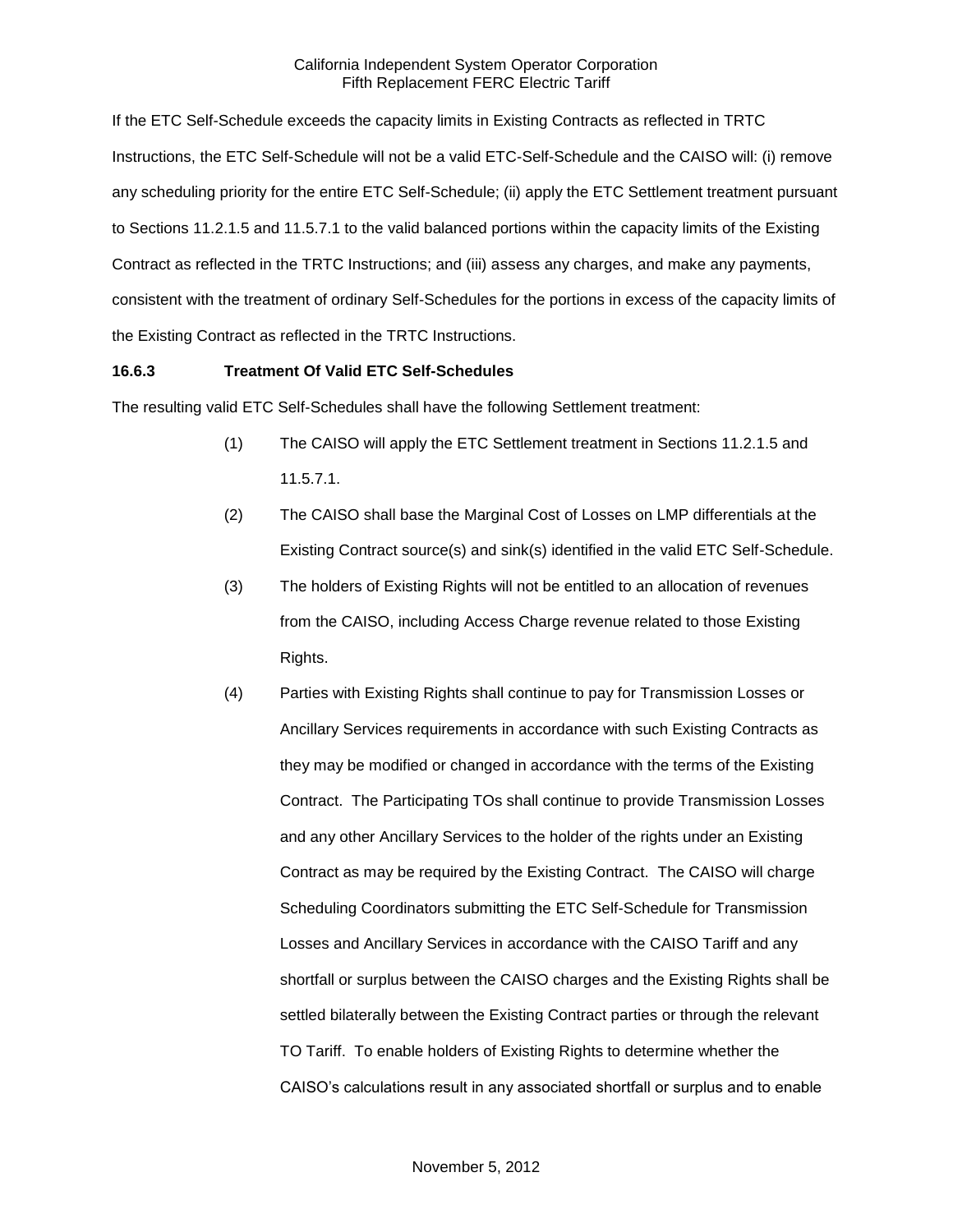If the ETC Self-Schedule exceeds the capacity limits in Existing Contracts as reflected in TRTC Instructions, the ETC Self-Schedule will not be a valid ETC-Self-Schedule and the CAISO will: (i) remove any scheduling priority for the entire ETC Self-Schedule; (ii) apply the ETC Settlement treatment pursuant to Sections 11.2.1.5 and 11.5.7.1 to the valid balanced portions within the capacity limits of the Existing Contract as reflected in the TRTC Instructions; and (iii) assess any charges, and make any payments, consistent with the treatment of ordinary Self-Schedules for the portions in excess of the capacity limits of the Existing Contract as reflected in the TRTC Instructions.

## **16.6.3 Treatment Of Valid ETC Self-Schedules**

The resulting valid ETC Self-Schedules shall have the following Settlement treatment:

- (1) The CAISO will apply the ETC Settlement treatment in Sections 11.2.1.5 and 11.5.7.1.
- (2) The CAISO shall base the Marginal Cost of Losses on LMP differentials at the Existing Contract source(s) and sink(s) identified in the valid ETC Self-Schedule.
- (3) The holders of Existing Rights will not be entitled to an allocation of revenues from the CAISO, including Access Charge revenue related to those Existing Rights.
- (4) Parties with Existing Rights shall continue to pay for Transmission Losses or Ancillary Services requirements in accordance with such Existing Contracts as they may be modified or changed in accordance with the terms of the Existing Contract. The Participating TOs shall continue to provide Transmission Losses and any other Ancillary Services to the holder of the rights under an Existing Contract as may be required by the Existing Contract. The CAISO will charge Scheduling Coordinators submitting the ETC Self-Schedule for Transmission Losses and Ancillary Services in accordance with the CAISO Tariff and any shortfall or surplus between the CAISO charges and the Existing Rights shall be settled bilaterally between the Existing Contract parties or through the relevant TO Tariff. To enable holders of Existing Rights to determine whether the CAISO's calculations result in any associated shortfall or surplus and to enable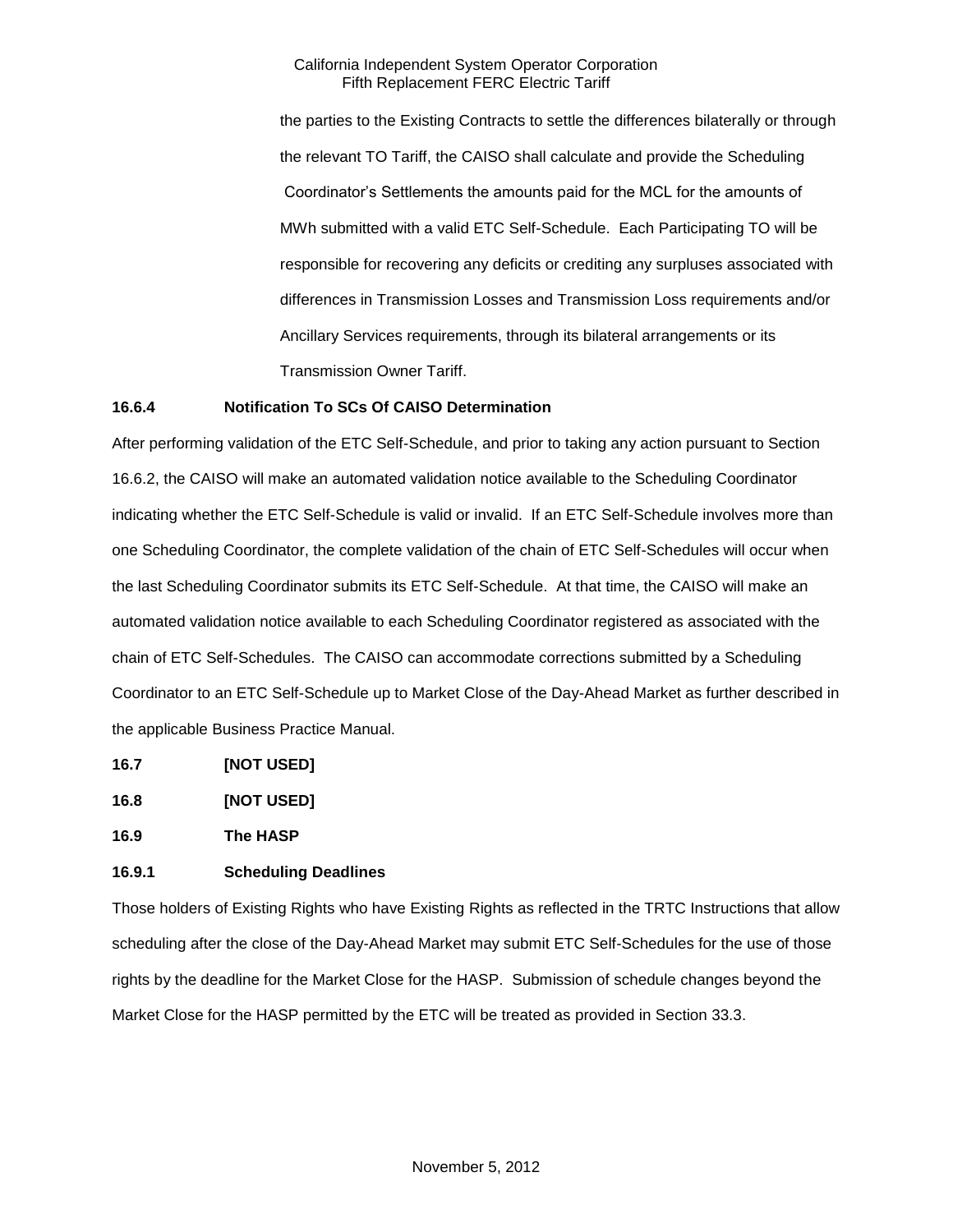the parties to the Existing Contracts to settle the differences bilaterally or through the relevant TO Tariff, the CAISO shall calculate and provide the Scheduling Coordinator's Settlements the amounts paid for the MCL for the amounts of MWh submitted with a valid ETC Self-Schedule. Each Participating TO will be responsible for recovering any deficits or crediting any surpluses associated with differences in Transmission Losses and Transmission Loss requirements and/or Ancillary Services requirements, through its bilateral arrangements or its Transmission Owner Tariff.

## **16.6.4 Notification To SCs Of CAISO Determination**

After performing validation of the ETC Self-Schedule, and prior to taking any action pursuant to Section 16.6.2, the CAISO will make an automated validation notice available to the Scheduling Coordinator indicating whether the ETC Self-Schedule is valid or invalid. If an ETC Self-Schedule involves more than one Scheduling Coordinator, the complete validation of the chain of ETC Self-Schedules will occur when the last Scheduling Coordinator submits its ETC Self-Schedule. At that time, the CAISO will make an automated validation notice available to each Scheduling Coordinator registered as associated with the chain of ETC Self-Schedules. The CAISO can accommodate corrections submitted by a Scheduling Coordinator to an ETC Self-Schedule up to Market Close of the Day-Ahead Market as further described in the applicable Business Practice Manual.

- **16.7 [NOT USED]**
- **16.8 [NOT USED]**

**16.9 The HASP**

# **16.9.1 Scheduling Deadlines**

Those holders of Existing Rights who have Existing Rights as reflected in the TRTC Instructions that allow scheduling after the close of the Day-Ahead Market may submit ETC Self-Schedules for the use of those rights by the deadline for the Market Close for the HASP. Submission of schedule changes beyond the Market Close for the HASP permitted by the ETC will be treated as provided in Section 33.3.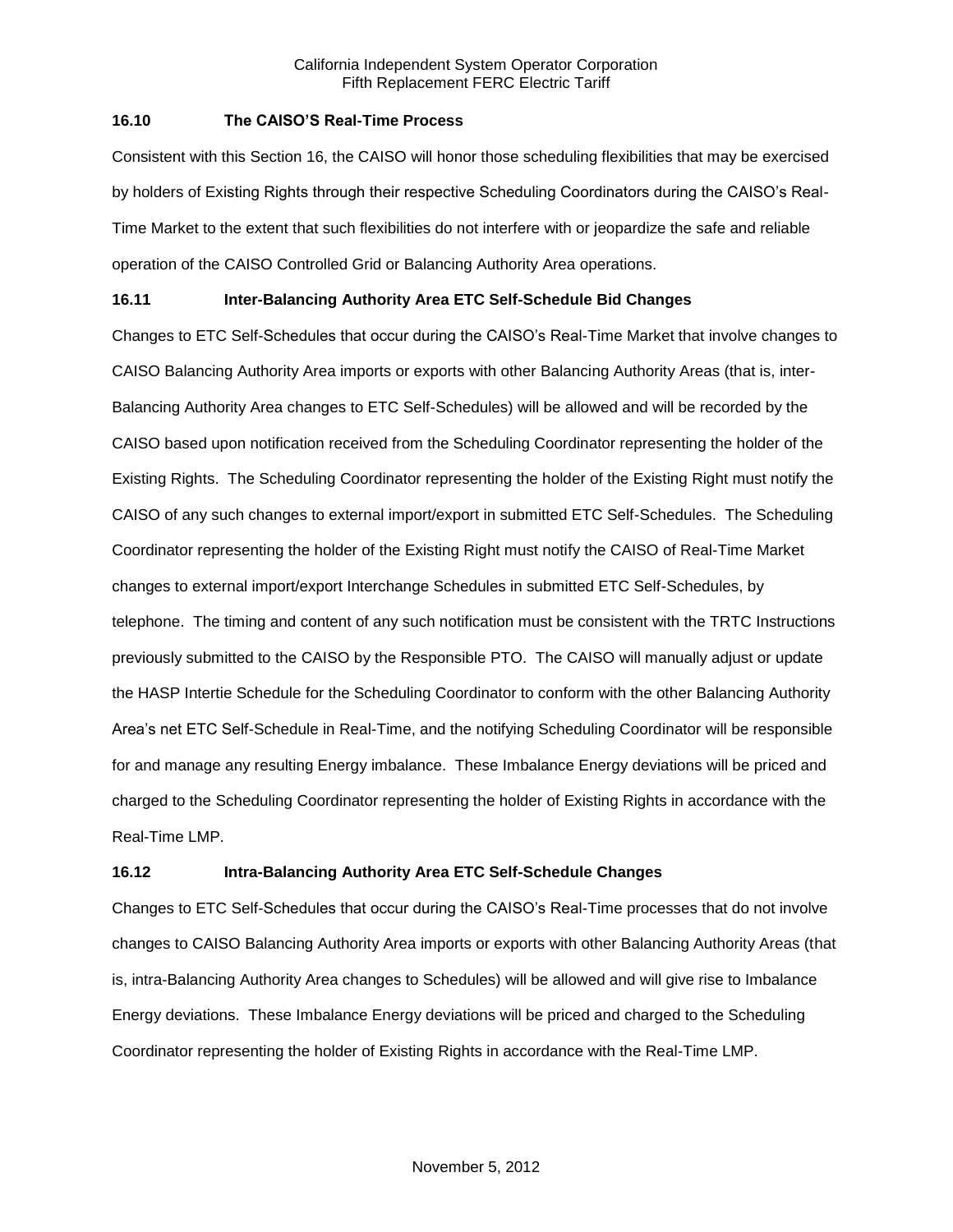## **16.10 The CAISO'S Real-Time Process**

Consistent with this Section 16, the CAISO will honor those scheduling flexibilities that may be exercised by holders of Existing Rights through their respective Scheduling Coordinators during the CAISO's Real-Time Market to the extent that such flexibilities do not interfere with or jeopardize the safe and reliable operation of the CAISO Controlled Grid or Balancing Authority Area operations.

# **16.11 Inter-Balancing Authority Area ETC Self-Schedule Bid Changes**

Changes to ETC Self-Schedules that occur during the CAISO's Real-Time Market that involve changes to CAISO Balancing Authority Area imports or exports with other Balancing Authority Areas (that is, inter-Balancing Authority Area changes to ETC Self-Schedules) will be allowed and will be recorded by the CAISO based upon notification received from the Scheduling Coordinator representing the holder of the Existing Rights. The Scheduling Coordinator representing the holder of the Existing Right must notify the CAISO of any such changes to external import/export in submitted ETC Self-Schedules. The Scheduling Coordinator representing the holder of the Existing Right must notify the CAISO of Real-Time Market changes to external import/export Interchange Schedules in submitted ETC Self-Schedules, by telephone. The timing and content of any such notification must be consistent with the TRTC Instructions previously submitted to the CAISO by the Responsible PTO. The CAISO will manually adjust or update the HASP Intertie Schedule for the Scheduling Coordinator to conform with the other Balancing Authority Area's net ETC Self-Schedule in Real-Time, and the notifying Scheduling Coordinator will be responsible for and manage any resulting Energy imbalance. These Imbalance Energy deviations will be priced and charged to the Scheduling Coordinator representing the holder of Existing Rights in accordance with the Real-Time LMP.

# **16.12 Intra-Balancing Authority Area ETC Self-Schedule Changes**

Changes to ETC Self-Schedules that occur during the CAISO's Real-Time processes that do not involve changes to CAISO Balancing Authority Area imports or exports with other Balancing Authority Areas (that is, intra-Balancing Authority Area changes to Schedules) will be allowed and will give rise to Imbalance Energy deviations. These Imbalance Energy deviations will be priced and charged to the Scheduling Coordinator representing the holder of Existing Rights in accordance with the Real-Time LMP.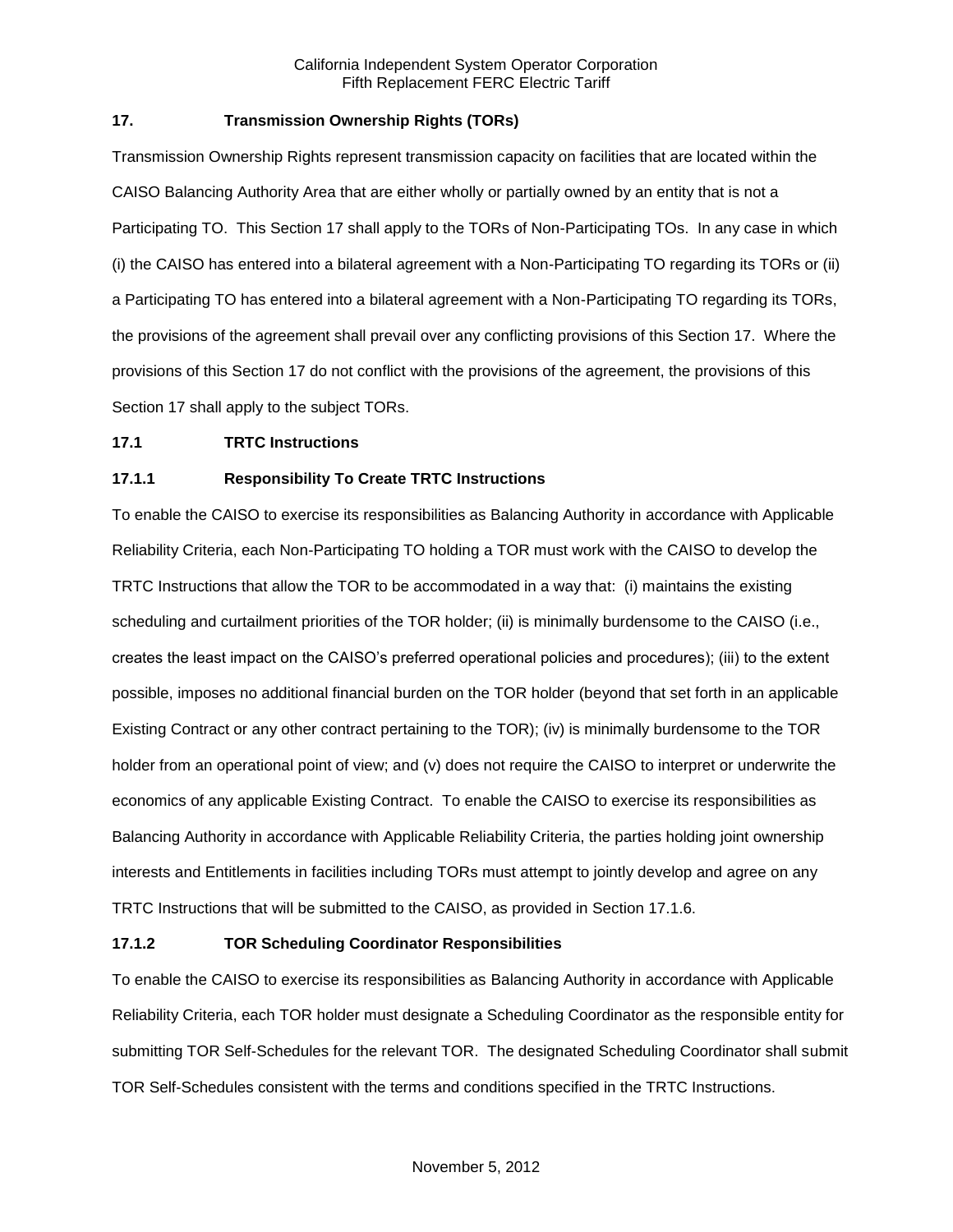# **17. Transmission Ownership Rights (TORs)**

Transmission Ownership Rights represent transmission capacity on facilities that are located within the CAISO Balancing Authority Area that are either wholly or partially owned by an entity that is not a Participating TO. This Section 17 shall apply to the TORs of Non-Participating TOs. In any case in which (i) the CAISO has entered into a bilateral agreement with a Non-Participating TO regarding its TORs or (ii) a Participating TO has entered into a bilateral agreement with a Non-Participating TO regarding its TORs, the provisions of the agreement shall prevail over any conflicting provisions of this Section 17. Where the provisions of this Section 17 do not conflict with the provisions of the agreement, the provisions of this Section 17 shall apply to the subject TORs.

## **17.1 TRTC Instructions**

## **17.1.1 Responsibility To Create TRTC Instructions**

To enable the CAISO to exercise its responsibilities as Balancing Authority in accordance with Applicable Reliability Criteria, each Non-Participating TO holding a TOR must work with the CAISO to develop the TRTC Instructions that allow the TOR to be accommodated in a way that: (i) maintains the existing scheduling and curtailment priorities of the TOR holder; (ii) is minimally burdensome to the CAISO (i.e., creates the least impact on the CAISO's preferred operational policies and procedures); (iii) to the extent possible, imposes no additional financial burden on the TOR holder (beyond that set forth in an applicable Existing Contract or any other contract pertaining to the TOR); (iv) is minimally burdensome to the TOR holder from an operational point of view; and (v) does not require the CAISO to interpret or underwrite the economics of any applicable Existing Contract. To enable the CAISO to exercise its responsibilities as Balancing Authority in accordance with Applicable Reliability Criteria, the parties holding joint ownership interests and Entitlements in facilities including TORs must attempt to jointly develop and agree on any TRTC Instructions that will be submitted to the CAISO, as provided in Section 17.1.6.

## **17.1.2 TOR Scheduling Coordinator Responsibilities**

To enable the CAISO to exercise its responsibilities as Balancing Authority in accordance with Applicable Reliability Criteria, each TOR holder must designate a Scheduling Coordinator as the responsible entity for submitting TOR Self-Schedules for the relevant TOR. The designated Scheduling Coordinator shall submit TOR Self-Schedules consistent with the terms and conditions specified in the TRTC Instructions.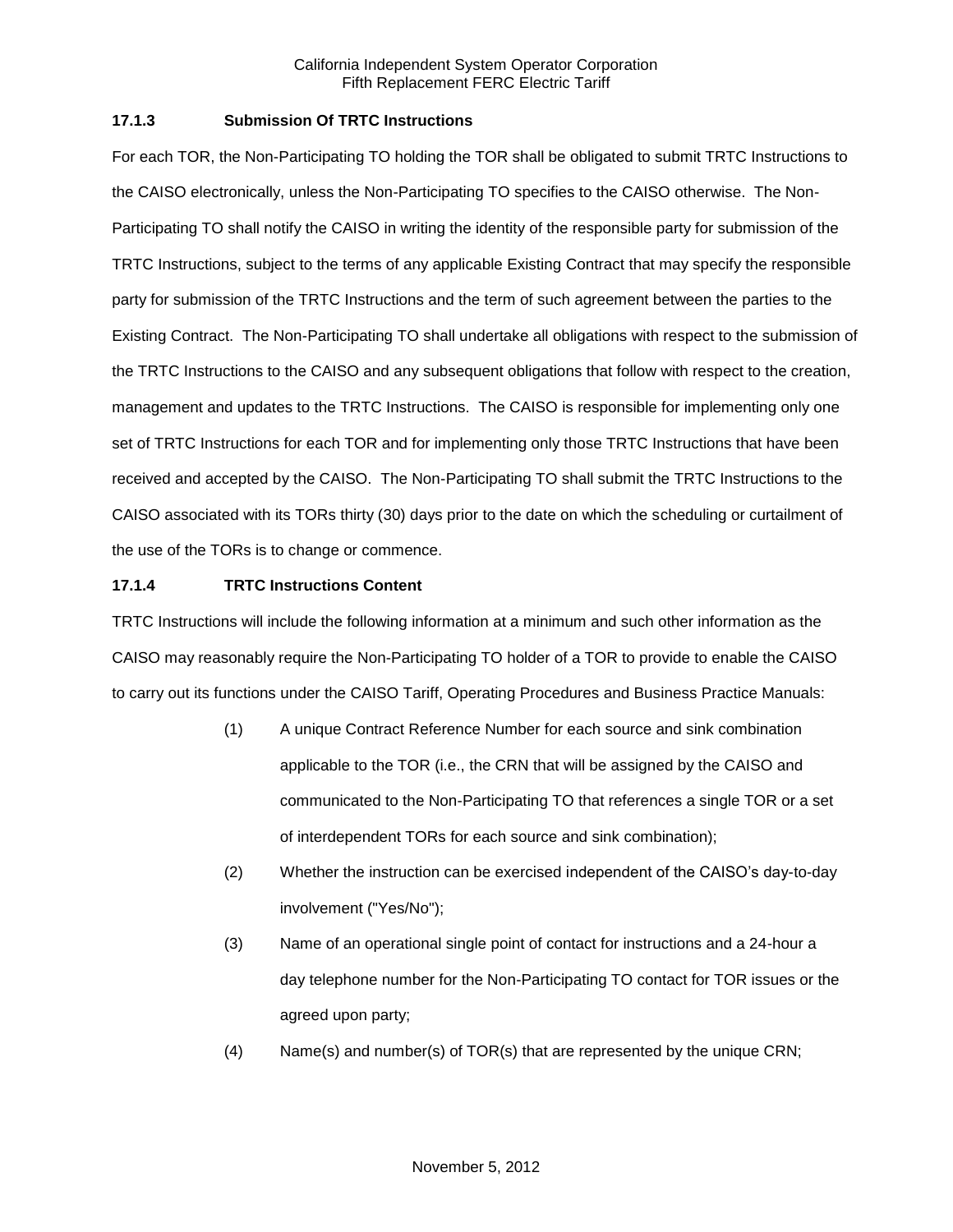# **17.1.3 Submission Of TRTC Instructions**

For each TOR, the Non-Participating TO holding the TOR shall be obligated to submit TRTC Instructions to the CAISO electronically, unless the Non-Participating TO specifies to the CAISO otherwise. The Non-Participating TO shall notify the CAISO in writing the identity of the responsible party for submission of the TRTC Instructions, subject to the terms of any applicable Existing Contract that may specify the responsible party for submission of the TRTC Instructions and the term of such agreement between the parties to the Existing Contract. The Non-Participating TO shall undertake all obligations with respect to the submission of the TRTC Instructions to the CAISO and any subsequent obligations that follow with respect to the creation, management and updates to the TRTC Instructions. The CAISO is responsible for implementing only one set of TRTC Instructions for each TOR and for implementing only those TRTC Instructions that have been received and accepted by the CAISO. The Non-Participating TO shall submit the TRTC Instructions to the CAISO associated with its TORs thirty (30) days prior to the date on which the scheduling or curtailment of the use of the TORs is to change or commence.

## **17.1.4 TRTC Instructions Content**

TRTC Instructions will include the following information at a minimum and such other information as the CAISO may reasonably require the Non-Participating TO holder of a TOR to provide to enable the CAISO to carry out its functions under the CAISO Tariff, Operating Procedures and Business Practice Manuals:

- (1) A unique Contract Reference Number for each source and sink combination applicable to the TOR (i.e., the CRN that will be assigned by the CAISO and communicated to the Non-Participating TO that references a single TOR or a set of interdependent TORs for each source and sink combination);
- (2) Whether the instruction can be exercised independent of the CAISO's day-to-day involvement ("Yes/No");
- (3) Name of an operational single point of contact for instructions and a 24-hour a day telephone number for the Non-Participating TO contact for TOR issues or the agreed upon party;
- (4) Name(s) and number(s) of TOR(s) that are represented by the unique CRN;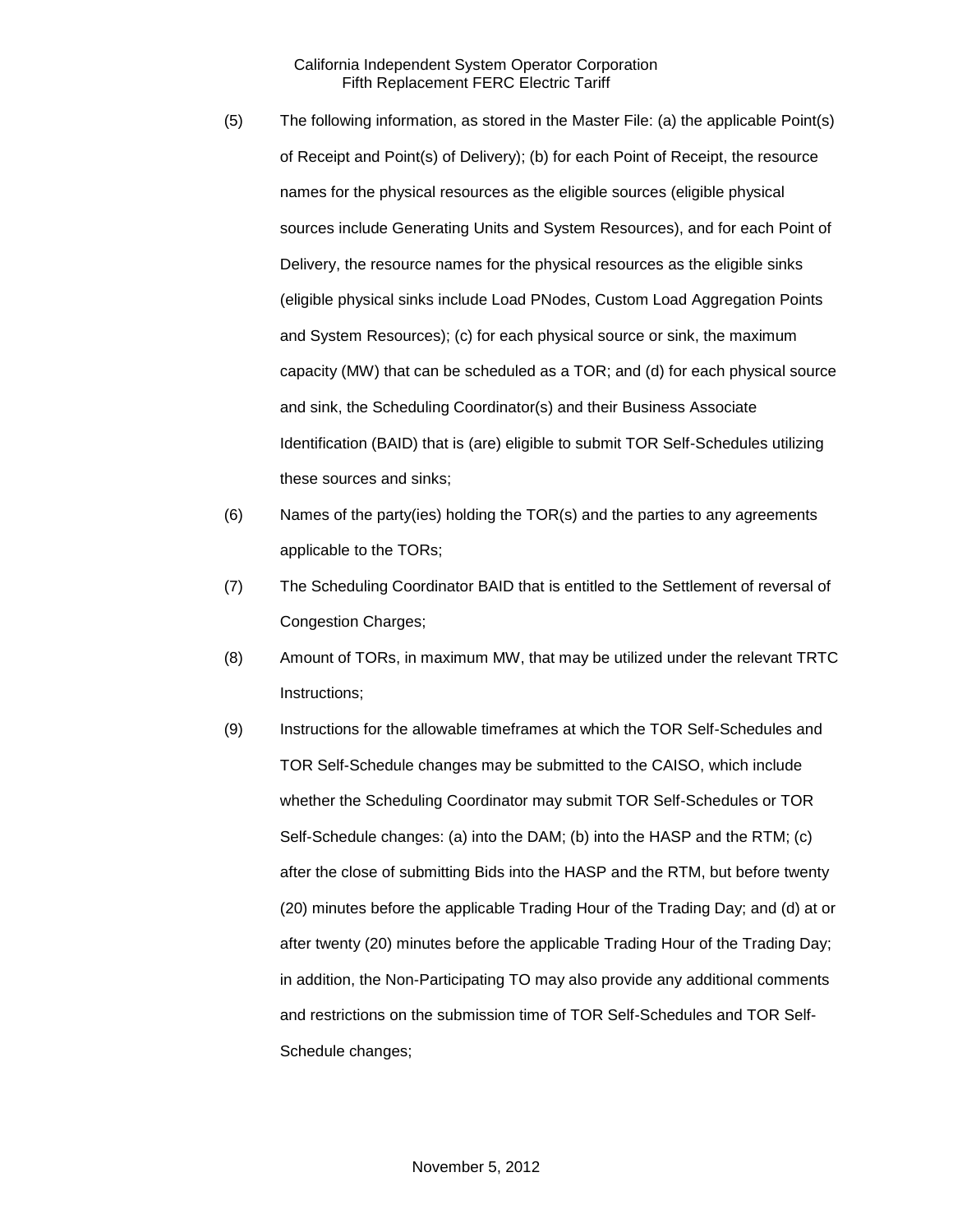- (5) The following information, as stored in the Master File: (a) the applicable Point(s) of Receipt and Point(s) of Delivery); (b) for each Point of Receipt, the resource names for the physical resources as the eligible sources (eligible physical sources include Generating Units and System Resources), and for each Point of Delivery, the resource names for the physical resources as the eligible sinks (eligible physical sinks include Load PNodes, Custom Load Aggregation Points and System Resources); (c) for each physical source or sink, the maximum capacity (MW) that can be scheduled as a TOR; and (d) for each physical source and sink, the Scheduling Coordinator(s) and their Business Associate Identification (BAID) that is (are) eligible to submit TOR Self-Schedules utilizing these sources and sinks;
- (6) Names of the party(ies) holding the TOR(s) and the parties to any agreements applicable to the TORs;
- (7) The Scheduling Coordinator BAID that is entitled to the Settlement of reversal of Congestion Charges;
- (8) Amount of TORs, in maximum MW, that may be utilized under the relevant TRTC Instructions;
- (9) Instructions for the allowable timeframes at which the TOR Self-Schedules and TOR Self-Schedule changes may be submitted to the CAISO, which include whether the Scheduling Coordinator may submit TOR Self-Schedules or TOR Self-Schedule changes: (a) into the DAM; (b) into the HASP and the RTM; (c) after the close of submitting Bids into the HASP and the RTM, but before twenty (20) minutes before the applicable Trading Hour of the Trading Day; and (d) at or after twenty (20) minutes before the applicable Trading Hour of the Trading Day; in addition, the Non-Participating TO may also provide any additional comments and restrictions on the submission time of TOR Self-Schedules and TOR Self-Schedule changes;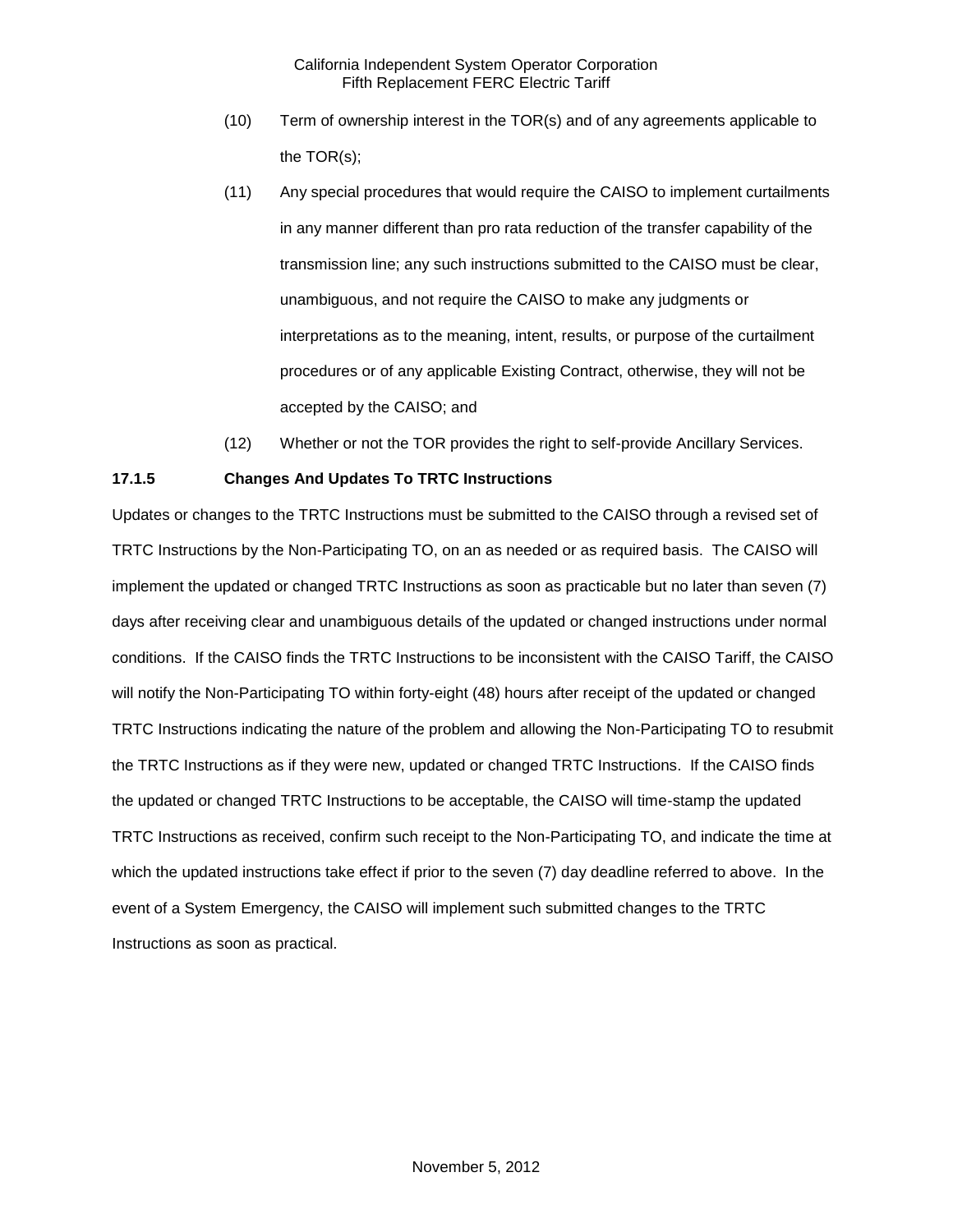- (10) Term of ownership interest in the TOR(s) and of any agreements applicable to the TOR(s);
- (11) Any special procedures that would require the CAISO to implement curtailments in any manner different than pro rata reduction of the transfer capability of the transmission line; any such instructions submitted to the CAISO must be clear, unambiguous, and not require the CAISO to make any judgments or interpretations as to the meaning, intent, results, or purpose of the curtailment procedures or of any applicable Existing Contract, otherwise, they will not be accepted by the CAISO; and
- (12) Whether or not the TOR provides the right to self-provide Ancillary Services.

# **17.1.5 Changes And Updates To TRTC Instructions**

Updates or changes to the TRTC Instructions must be submitted to the CAISO through a revised set of TRTC Instructions by the Non-Participating TO, on an as needed or as required basis. The CAISO will implement the updated or changed TRTC Instructions as soon as practicable but no later than seven (7) days after receiving clear and unambiguous details of the updated or changed instructions under normal conditions. If the CAISO finds the TRTC Instructions to be inconsistent with the CAISO Tariff, the CAISO will notify the Non-Participating TO within forty-eight (48) hours after receipt of the updated or changed TRTC Instructions indicating the nature of the problem and allowing the Non-Participating TO to resubmit the TRTC Instructions as if they were new, updated or changed TRTC Instructions. If the CAISO finds the updated or changed TRTC Instructions to be acceptable, the CAISO will time-stamp the updated TRTC Instructions as received, confirm such receipt to the Non-Participating TO, and indicate the time at which the updated instructions take effect if prior to the seven (7) day deadline referred to above. In the event of a System Emergency, the CAISO will implement such submitted changes to the TRTC Instructions as soon as practical.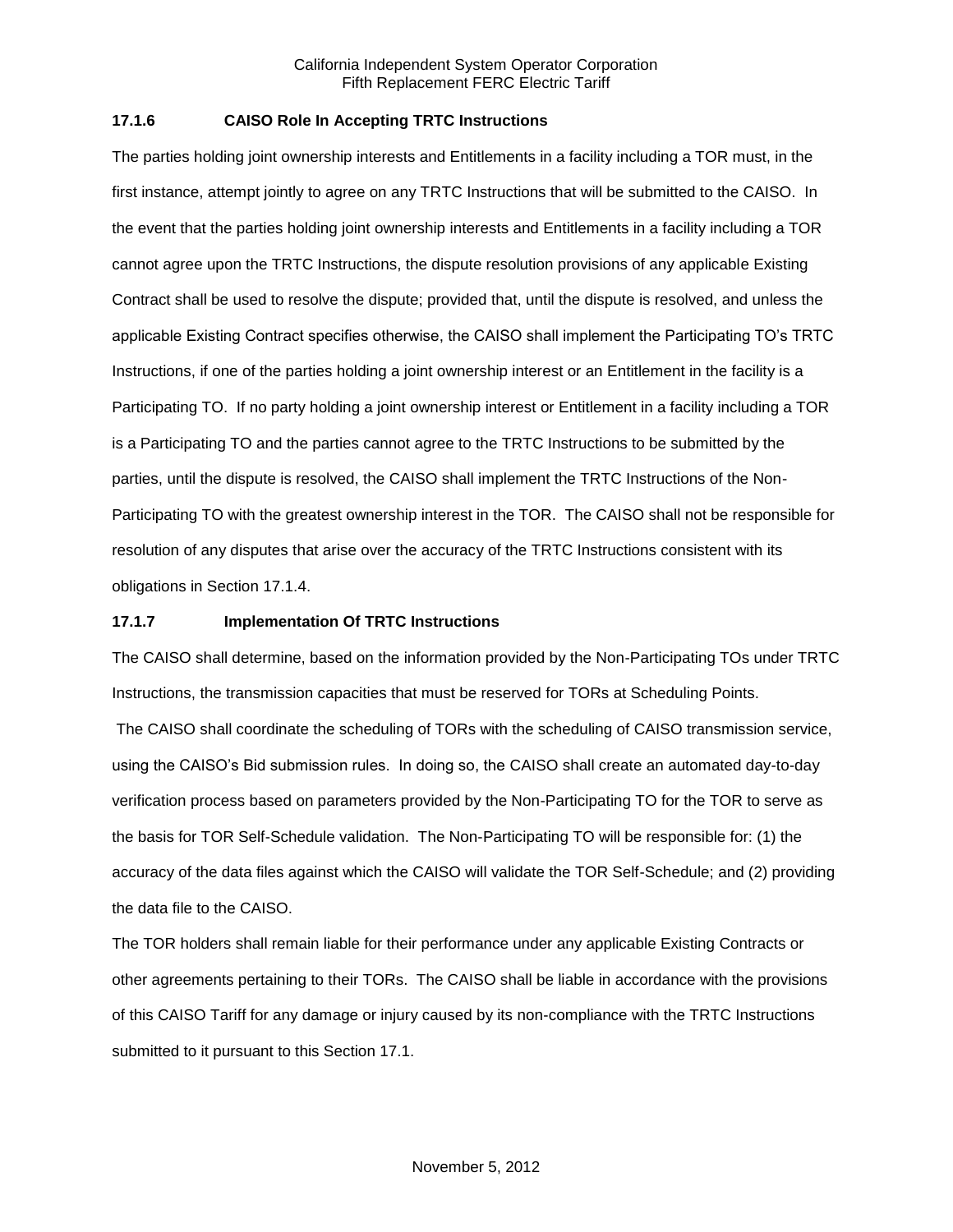## **17.1.6 CAISO Role In Accepting TRTC Instructions**

The parties holding joint ownership interests and Entitlements in a facility including a TOR must, in the first instance, attempt jointly to agree on any TRTC Instructions that will be submitted to the CAISO. In the event that the parties holding joint ownership interests and Entitlements in a facility including a TOR cannot agree upon the TRTC Instructions, the dispute resolution provisions of any applicable Existing Contract shall be used to resolve the dispute; provided that, until the dispute is resolved, and unless the applicable Existing Contract specifies otherwise, the CAISO shall implement the Participating TO's TRTC Instructions, if one of the parties holding a joint ownership interest or an Entitlement in the facility is a Participating TO. If no party holding a joint ownership interest or Entitlement in a facility including a TOR is a Participating TO and the parties cannot agree to the TRTC Instructions to be submitted by the parties, until the dispute is resolved, the CAISO shall implement the TRTC Instructions of the Non-Participating TO with the greatest ownership interest in the TOR. The CAISO shall not be responsible for resolution of any disputes that arise over the accuracy of the TRTC Instructions consistent with its obligations in Section 17.1.4.

## **17.1.7 Implementation Of TRTC Instructions**

The CAISO shall determine, based on the information provided by the Non-Participating TOs under TRTC Instructions, the transmission capacities that must be reserved for TORs at Scheduling Points.

The CAISO shall coordinate the scheduling of TORs with the scheduling of CAISO transmission service, using the CAISO's Bid submission rules. In doing so, the CAISO shall create an automated day-to-day verification process based on parameters provided by the Non-Participating TO for the TOR to serve as the basis for TOR Self-Schedule validation. The Non-Participating TO will be responsible for: (1) the accuracy of the data files against which the CAISO will validate the TOR Self-Schedule; and (2) providing the data file to the CAISO.

The TOR holders shall remain liable for their performance under any applicable Existing Contracts or other agreements pertaining to their TORs. The CAISO shall be liable in accordance with the provisions of this CAISO Tariff for any damage or injury caused by its non-compliance with the TRTC Instructions submitted to it pursuant to this Section 17.1.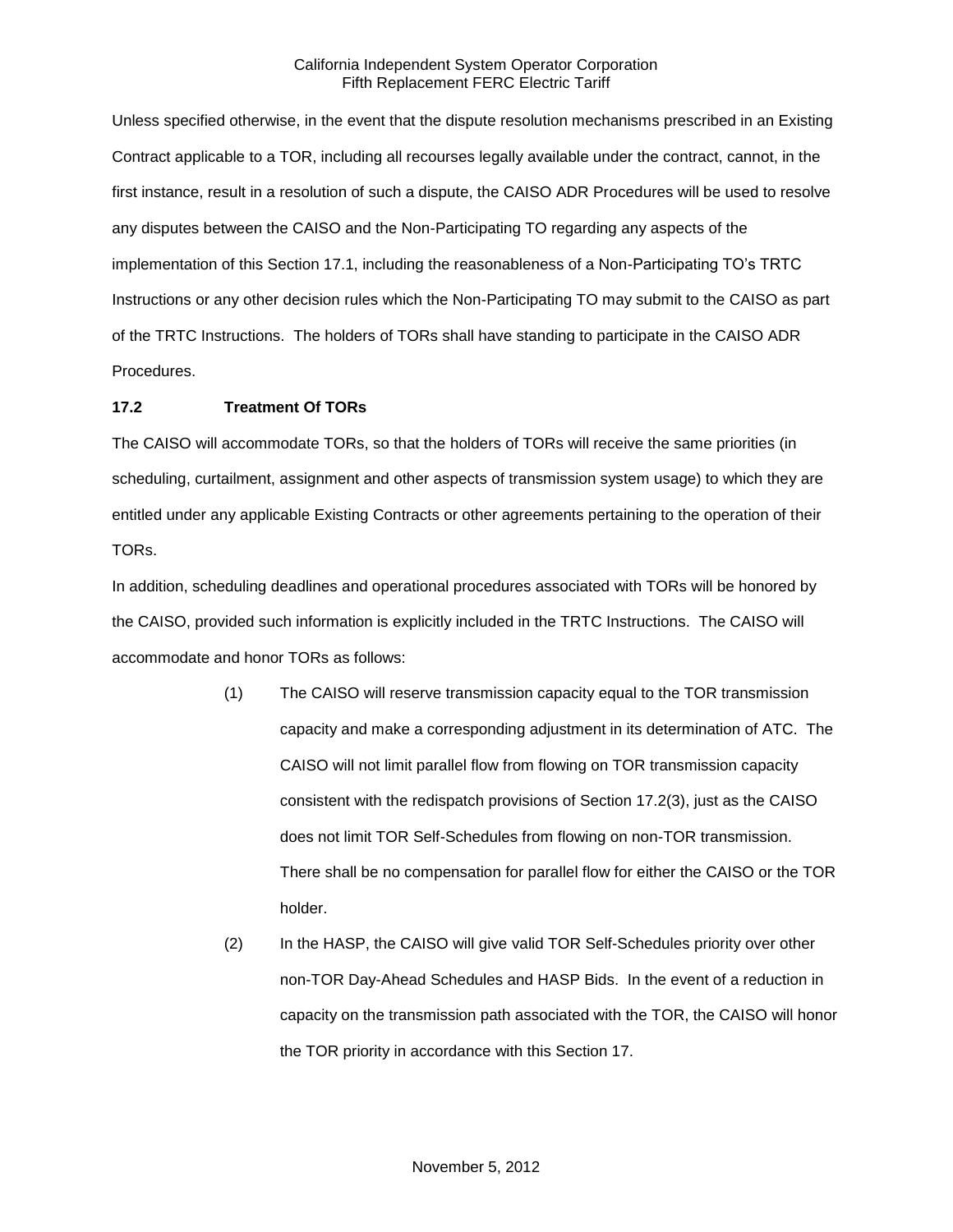Unless specified otherwise, in the event that the dispute resolution mechanisms prescribed in an Existing Contract applicable to a TOR, including all recourses legally available under the contract, cannot, in the first instance, result in a resolution of such a dispute, the CAISO ADR Procedures will be used to resolve any disputes between the CAISO and the Non-Participating TO regarding any aspects of the implementation of this Section 17.1, including the reasonableness of a Non-Participating TO's TRTC Instructions or any other decision rules which the Non-Participating TO may submit to the CAISO as part of the TRTC Instructions. The holders of TORs shall have standing to participate in the CAISO ADR Procedures.

## **17.2 Treatment Of TORs**

The CAISO will accommodate TORs, so that the holders of TORs will receive the same priorities (in scheduling, curtailment, assignment and other aspects of transmission system usage) to which they are entitled under any applicable Existing Contracts or other agreements pertaining to the operation of their TORs.

In addition, scheduling deadlines and operational procedures associated with TORs will be honored by the CAISO, provided such information is explicitly included in the TRTC Instructions. The CAISO will accommodate and honor TORs as follows:

- (1) The CAISO will reserve transmission capacity equal to the TOR transmission capacity and make a corresponding adjustment in its determination of ATC. The CAISO will not limit parallel flow from flowing on TOR transmission capacity consistent with the redispatch provisions of Section 17.2(3), just as the CAISO does not limit TOR Self-Schedules from flowing on non-TOR transmission. There shall be no compensation for parallel flow for either the CAISO or the TOR holder.
- (2) In the HASP, the CAISO will give valid TOR Self-Schedules priority over other non-TOR Day-Ahead Schedules and HASP Bids. In the event of a reduction in capacity on the transmission path associated with the TOR, the CAISO will honor the TOR priority in accordance with this Section 17.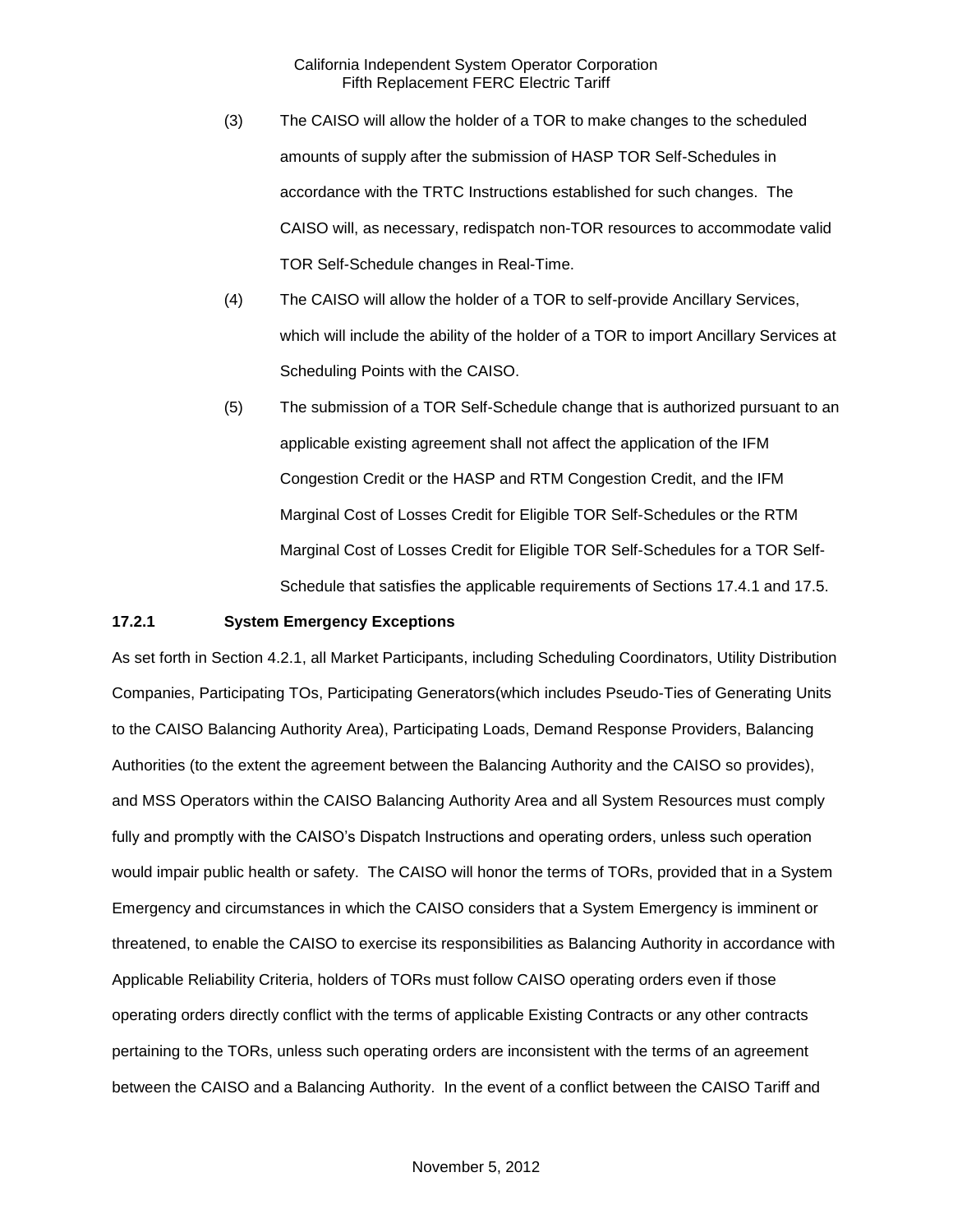- (3) The CAISO will allow the holder of a TOR to make changes to the scheduled amounts of supply after the submission of HASP TOR Self-Schedules in accordance with the TRTC Instructions established for such changes. The CAISO will, as necessary, redispatch non-TOR resources to accommodate valid TOR Self-Schedule changes in Real-Time.
- (4) The CAISO will allow the holder of a TOR to self-provide Ancillary Services, which will include the ability of the holder of a TOR to import Ancillary Services at Scheduling Points with the CAISO.
- (5) The submission of a TOR Self-Schedule change that is authorized pursuant to an applicable existing agreement shall not affect the application of the IFM Congestion Credit or the HASP and RTM Congestion Credit, and the IFM Marginal Cost of Losses Credit for Eligible TOR Self-Schedules or the RTM Marginal Cost of Losses Credit for Eligible TOR Self-Schedules for a TOR Self-Schedule that satisfies the applicable requirements of Sections 17.4.1 and 17.5.

#### **17.2.1 System Emergency Exceptions**

As set forth in Section 4.2.1, all Market Participants, including Scheduling Coordinators, Utility Distribution Companies, Participating TOs, Participating Generators(which includes Pseudo-Ties of Generating Units to the CAISO Balancing Authority Area), Participating Loads, Demand Response Providers, Balancing Authorities (to the extent the agreement between the Balancing Authority and the CAISO so provides), and MSS Operators within the CAISO Balancing Authority Area and all System Resources must comply fully and promptly with the CAISO's Dispatch Instructions and operating orders, unless such operation would impair public health or safety. The CAISO will honor the terms of TORs, provided that in a System Emergency and circumstances in which the CAISO considers that a System Emergency is imminent or threatened, to enable the CAISO to exercise its responsibilities as Balancing Authority in accordance with Applicable Reliability Criteria, holders of TORs must follow CAISO operating orders even if those operating orders directly conflict with the terms of applicable Existing Contracts or any other contracts pertaining to the TORs, unless such operating orders are inconsistent with the terms of an agreement between the CAISO and a Balancing Authority. In the event of a conflict between the CAISO Tariff and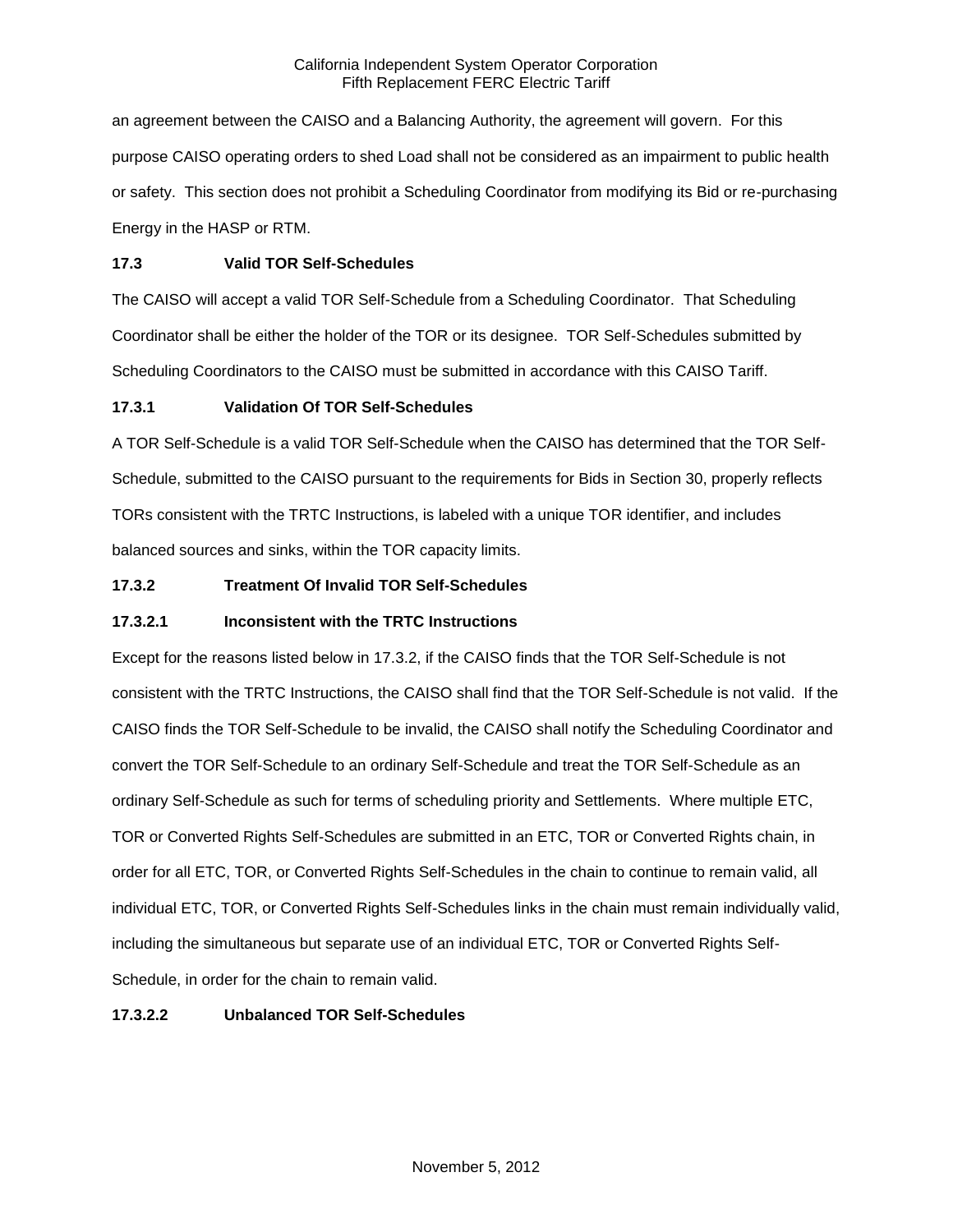an agreement between the CAISO and a Balancing Authority, the agreement will govern. For this purpose CAISO operating orders to shed Load shall not be considered as an impairment to public health or safety. This section does not prohibit a Scheduling Coordinator from modifying its Bid or re-purchasing Energy in the HASP or RTM.

# **17.3 Valid TOR Self-Schedules**

The CAISO will accept a valid TOR Self-Schedule from a Scheduling Coordinator. That Scheduling Coordinator shall be either the holder of the TOR or its designee. TOR Self-Schedules submitted by Scheduling Coordinators to the CAISO must be submitted in accordance with this CAISO Tariff.

# **17.3.1 Validation Of TOR Self-Schedules**

A TOR Self-Schedule is a valid TOR Self-Schedule when the CAISO has determined that the TOR Self-Schedule, submitted to the CAISO pursuant to the requirements for Bids in Section 30, properly reflects TORs consistent with the TRTC Instructions, is labeled with a unique TOR identifier, and includes balanced sources and sinks, within the TOR capacity limits.

# **17.3.2 Treatment Of Invalid TOR Self-Schedules**

# **17.3.2.1 Inconsistent with the TRTC Instructions**

Except for the reasons listed below in 17.3.2, if the CAISO finds that the TOR Self-Schedule is not consistent with the TRTC Instructions, the CAISO shall find that the TOR Self-Schedule is not valid. If the CAISO finds the TOR Self-Schedule to be invalid, the CAISO shall notify the Scheduling Coordinator and convert the TOR Self-Schedule to an ordinary Self-Schedule and treat the TOR Self-Schedule as an ordinary Self-Schedule as such for terms of scheduling priority and Settlements. Where multiple ETC, TOR or Converted Rights Self-Schedules are submitted in an ETC, TOR or Converted Rights chain, in order for all ETC, TOR, or Converted Rights Self-Schedules in the chain to continue to remain valid, all individual ETC, TOR, or Converted Rights Self-Schedules links in the chain must remain individually valid, including the simultaneous but separate use of an individual ETC, TOR or Converted Rights Self-Schedule, in order for the chain to remain valid.

# **17.3.2.2 Unbalanced TOR Self-Schedules**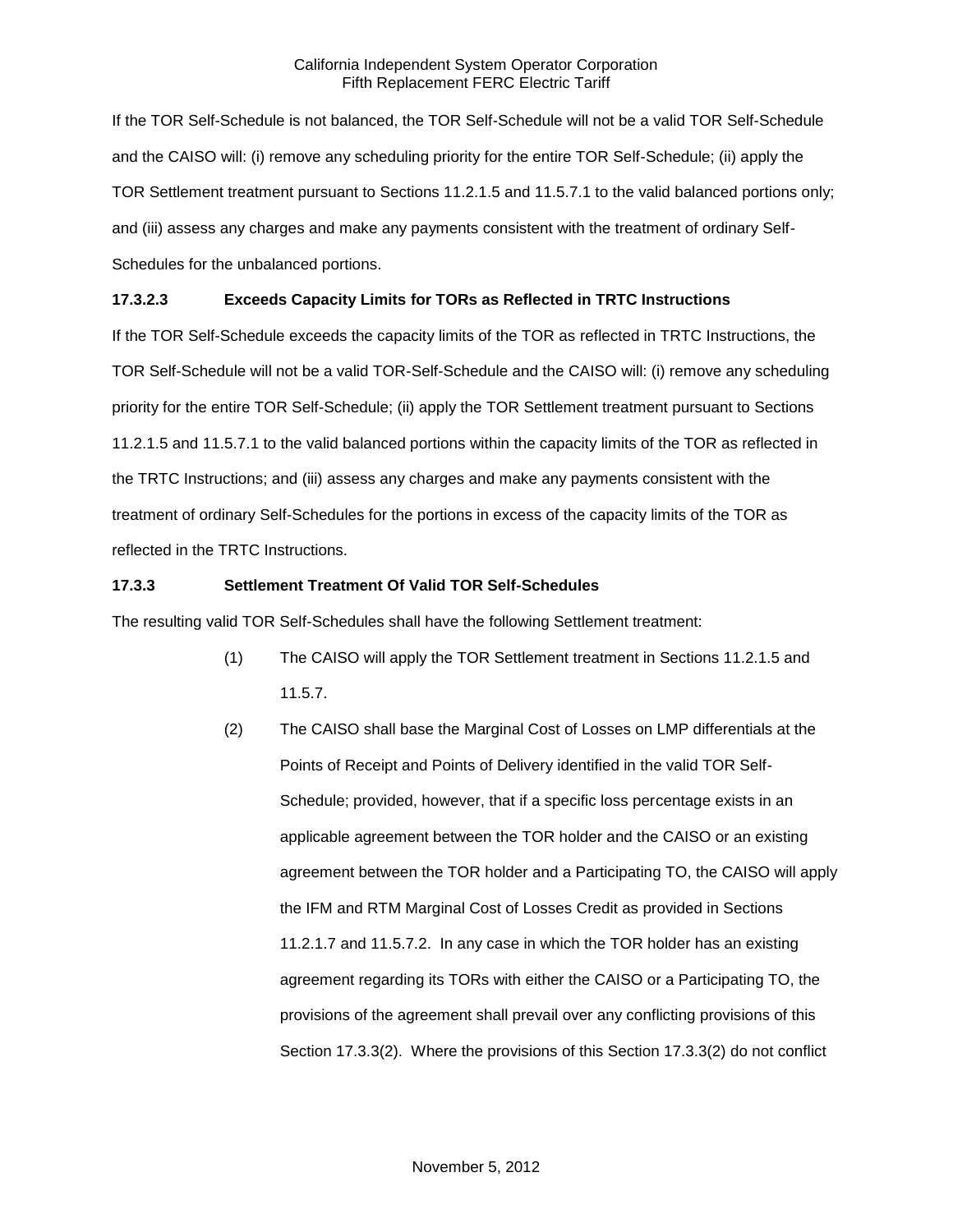If the TOR Self-Schedule is not balanced, the TOR Self-Schedule will not be a valid TOR Self-Schedule and the CAISO will: (i) remove any scheduling priority for the entire TOR Self-Schedule; (ii) apply the TOR Settlement treatment pursuant to Sections 11.2.1.5 and 11.5.7.1 to the valid balanced portions only; and (iii) assess any charges and make any payments consistent with the treatment of ordinary Self-Schedules for the unbalanced portions.

# **17.3.2.3 Exceeds Capacity Limits for TORs as Reflected in TRTC Instructions**

If the TOR Self-Schedule exceeds the capacity limits of the TOR as reflected in TRTC Instructions, the TOR Self-Schedule will not be a valid TOR-Self-Schedule and the CAISO will: (i) remove any scheduling priority for the entire TOR Self-Schedule; (ii) apply the TOR Settlement treatment pursuant to Sections 11.2.1.5 and 11.5.7.1 to the valid balanced portions within the capacity limits of the TOR as reflected in the TRTC Instructions; and (iii) assess any charges and make any payments consistent with the treatment of ordinary Self-Schedules for the portions in excess of the capacity limits of the TOR as reflected in the TRTC Instructions.

# **17.3.3 Settlement Treatment Of Valid TOR Self-Schedules**

The resulting valid TOR Self-Schedules shall have the following Settlement treatment:

- (1) The CAISO will apply the TOR Settlement treatment in Sections 11.2.1.5 and 11.5.7.
- (2) The CAISO shall base the Marginal Cost of Losses on LMP differentials at the Points of Receipt and Points of Delivery identified in the valid TOR Self-Schedule; provided, however, that if a specific loss percentage exists in an applicable agreement between the TOR holder and the CAISO or an existing agreement between the TOR holder and a Participating TO, the CAISO will apply the IFM and RTM Marginal Cost of Losses Credit as provided in Sections 11.2.1.7 and 11.5.7.2. In any case in which the TOR holder has an existing agreement regarding its TORs with either the CAISO or a Participating TO, the provisions of the agreement shall prevail over any conflicting provisions of this Section 17.3.3(2). Where the provisions of this Section 17.3.3(2) do not conflict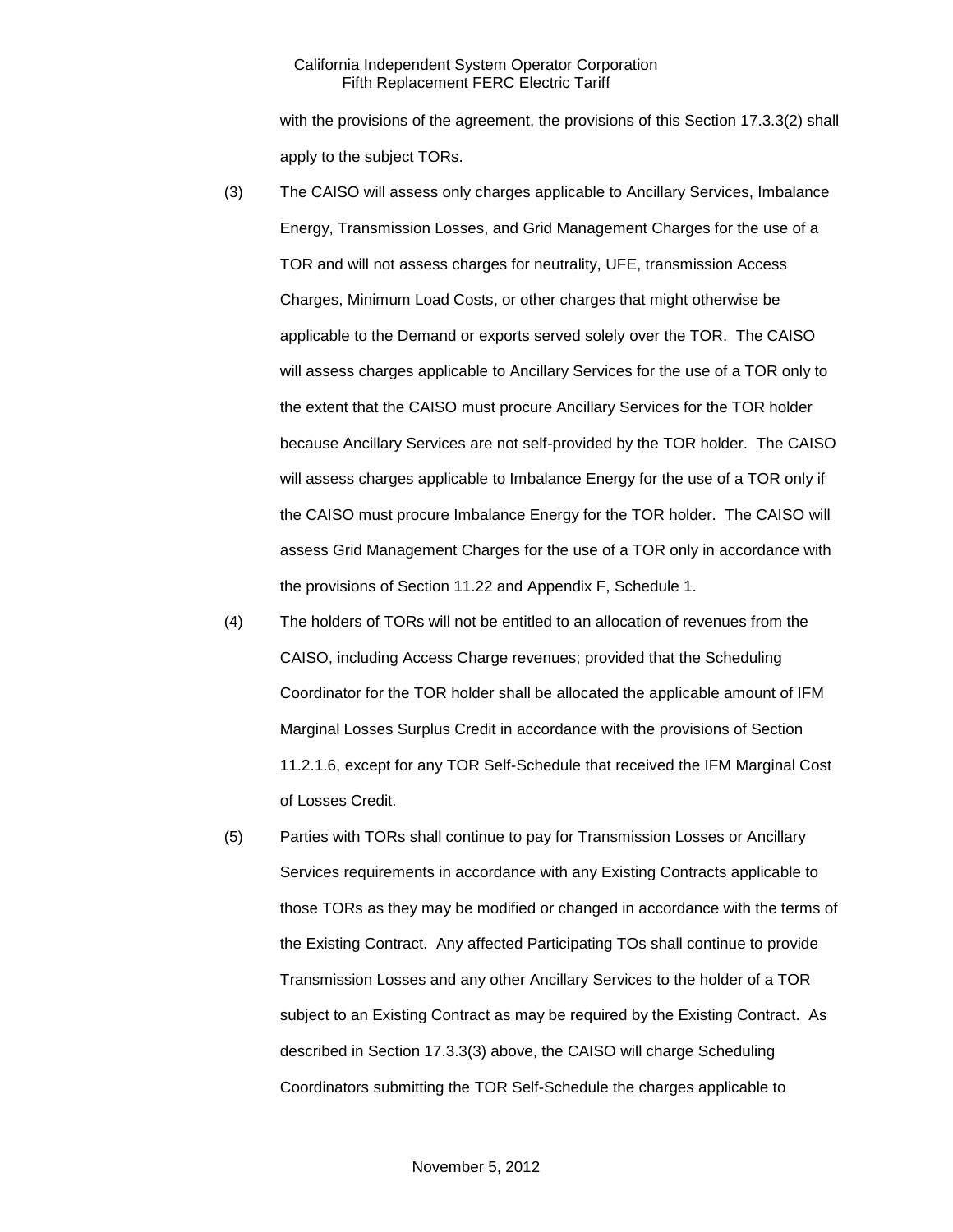with the provisions of the agreement, the provisions of this Section 17.3.3(2) shall apply to the subject TORs.

- (3) The CAISO will assess only charges applicable to Ancillary Services, Imbalance Energy, Transmission Losses, and Grid Management Charges for the use of a TOR and will not assess charges for neutrality, UFE, transmission Access Charges, Minimum Load Costs, or other charges that might otherwise be applicable to the Demand or exports served solely over the TOR. The CAISO will assess charges applicable to Ancillary Services for the use of a TOR only to the extent that the CAISO must procure Ancillary Services for the TOR holder because Ancillary Services are not self-provided by the TOR holder. The CAISO will assess charges applicable to Imbalance Energy for the use of a TOR only if the CAISO must procure Imbalance Energy for the TOR holder. The CAISO will assess Grid Management Charges for the use of a TOR only in accordance with the provisions of Section 11.22 and Appendix F, Schedule 1.
- (4) The holders of TORs will not be entitled to an allocation of revenues from the CAISO, including Access Charge revenues; provided that the Scheduling Coordinator for the TOR holder shall be allocated the applicable amount of IFM Marginal Losses Surplus Credit in accordance with the provisions of Section 11.2.1.6, except for any TOR Self-Schedule that received the IFM Marginal Cost of Losses Credit.
- (5) Parties with TORs shall continue to pay for Transmission Losses or Ancillary Services requirements in accordance with any Existing Contracts applicable to those TORs as they may be modified or changed in accordance with the terms of the Existing Contract. Any affected Participating TOs shall continue to provide Transmission Losses and any other Ancillary Services to the holder of a TOR subject to an Existing Contract as may be required by the Existing Contract. As described in Section 17.3.3(3) above, the CAISO will charge Scheduling Coordinators submitting the TOR Self-Schedule the charges applicable to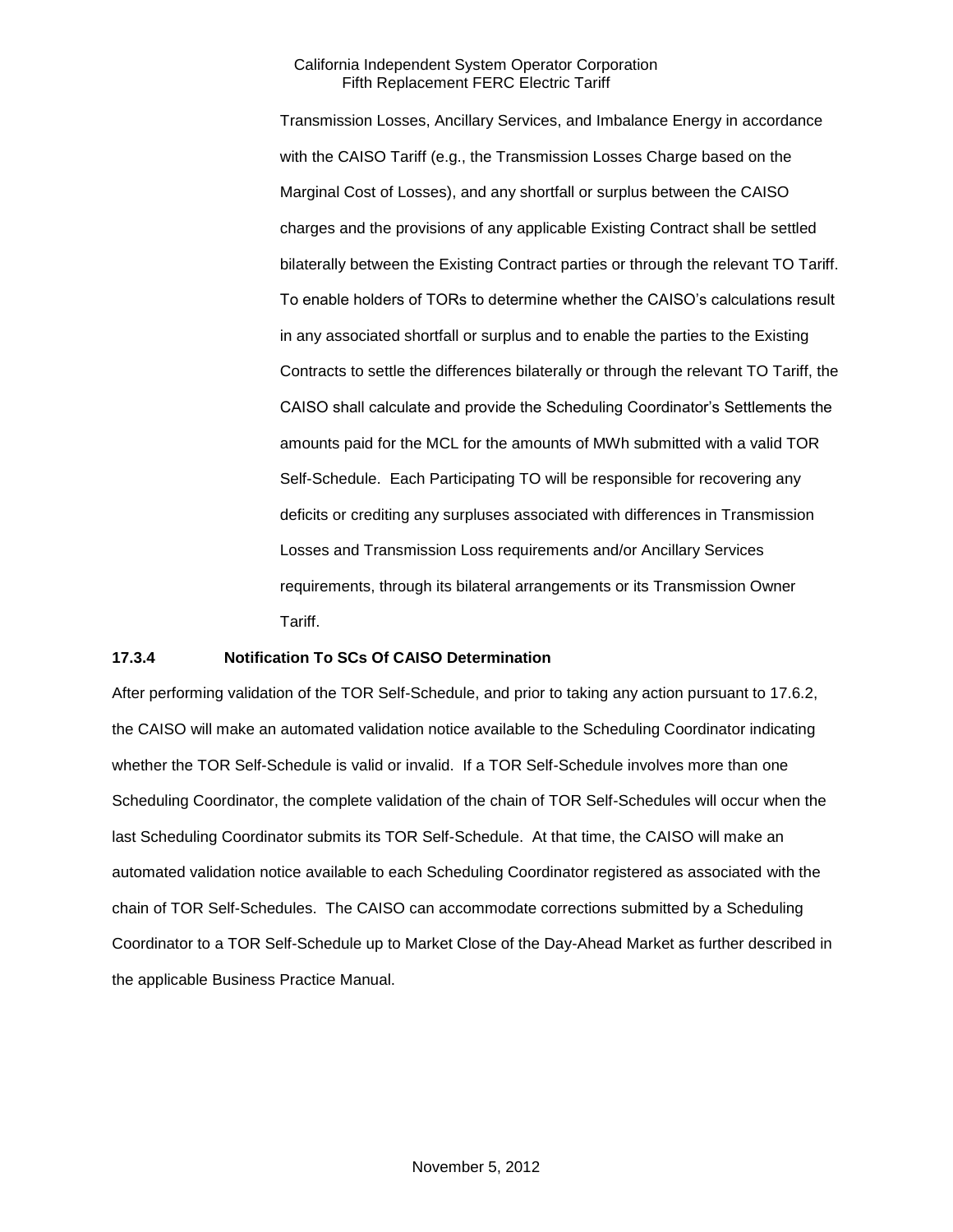Transmission Losses, Ancillary Services, and Imbalance Energy in accordance with the CAISO Tariff (e.g., the Transmission Losses Charge based on the Marginal Cost of Losses), and any shortfall or surplus between the CAISO charges and the provisions of any applicable Existing Contract shall be settled bilaterally between the Existing Contract parties or through the relevant TO Tariff. To enable holders of TORs to determine whether the CAISO's calculations result in any associated shortfall or surplus and to enable the parties to the Existing Contracts to settle the differences bilaterally or through the relevant TO Tariff, the CAISO shall calculate and provide the Scheduling Coordinator's Settlements the amounts paid for the MCL for the amounts of MWh submitted with a valid TOR Self-Schedule. Each Participating TO will be responsible for recovering any deficits or crediting any surpluses associated with differences in Transmission Losses and Transmission Loss requirements and/or Ancillary Services requirements, through its bilateral arrangements or its Transmission Owner Tariff.

### **17.3.4 Notification To SCs Of CAISO Determination**

After performing validation of the TOR Self-Schedule, and prior to taking any action pursuant to 17.6.2, the CAISO will make an automated validation notice available to the Scheduling Coordinator indicating whether the TOR Self-Schedule is valid or invalid. If a TOR Self-Schedule involves more than one Scheduling Coordinator, the complete validation of the chain of TOR Self-Schedules will occur when the last Scheduling Coordinator submits its TOR Self-Schedule. At that time, the CAISO will make an automated validation notice available to each Scheduling Coordinator registered as associated with the chain of TOR Self-Schedules. The CAISO can accommodate corrections submitted by a Scheduling Coordinator to a TOR Self-Schedule up to Market Close of the Day-Ahead Market as further described in the applicable Business Practice Manual.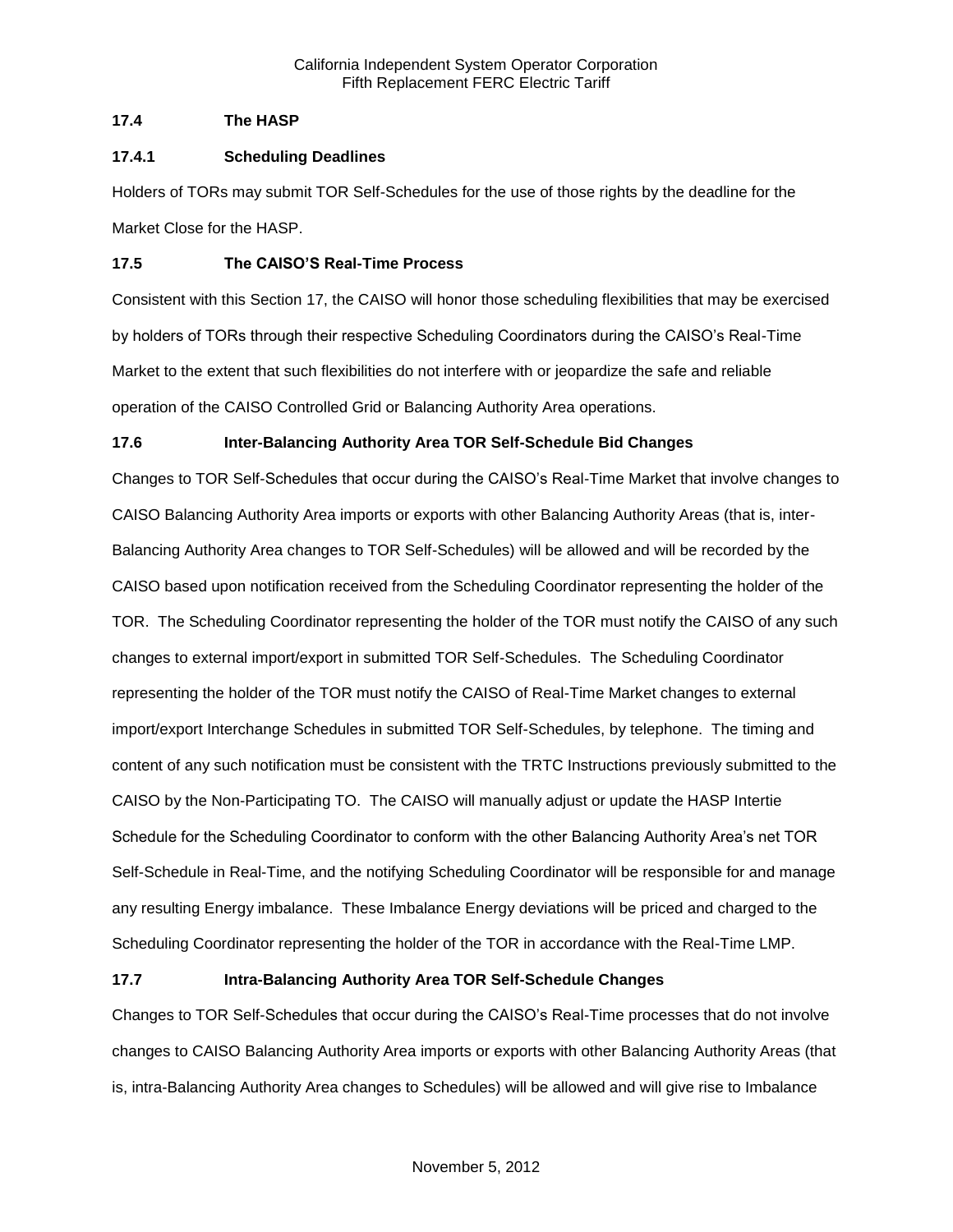# **17.4 The HASP**

# **17.4.1 Scheduling Deadlines**

Holders of TORs may submit TOR Self-Schedules for the use of those rights by the deadline for the Market Close for the HASP.

# **17.5 The CAISO'S Real-Time Process**

Consistent with this Section 17, the CAISO will honor those scheduling flexibilities that may be exercised by holders of TORs through their respective Scheduling Coordinators during the CAISO's Real-Time Market to the extent that such flexibilities do not interfere with or jeopardize the safe and reliable operation of the CAISO Controlled Grid or Balancing Authority Area operations.

# **17.6 Inter-Balancing Authority Area TOR Self-Schedule Bid Changes**

Changes to TOR Self-Schedules that occur during the CAISO's Real-Time Market that involve changes to CAISO Balancing Authority Area imports or exports with other Balancing Authority Areas (that is, inter-Balancing Authority Area changes to TOR Self-Schedules) will be allowed and will be recorded by the CAISO based upon notification received from the Scheduling Coordinator representing the holder of the TOR. The Scheduling Coordinator representing the holder of the TOR must notify the CAISO of any such changes to external import/export in submitted TOR Self-Schedules. The Scheduling Coordinator representing the holder of the TOR must notify the CAISO of Real-Time Market changes to external import/export Interchange Schedules in submitted TOR Self-Schedules, by telephone. The timing and content of any such notification must be consistent with the TRTC Instructions previously submitted to the CAISO by the Non-Participating TO. The CAISO will manually adjust or update the HASP Intertie Schedule for the Scheduling Coordinator to conform with the other Balancing Authority Area's net TOR Self-Schedule in Real-Time, and the notifying Scheduling Coordinator will be responsible for and manage any resulting Energy imbalance. These Imbalance Energy deviations will be priced and charged to the Scheduling Coordinator representing the holder of the TOR in accordance with the Real-Time LMP.

# **17.7 Intra-Balancing Authority Area TOR Self-Schedule Changes**

Changes to TOR Self-Schedules that occur during the CAISO's Real-Time processes that do not involve changes to CAISO Balancing Authority Area imports or exports with other Balancing Authority Areas (that is, intra-Balancing Authority Area changes to Schedules) will be allowed and will give rise to Imbalance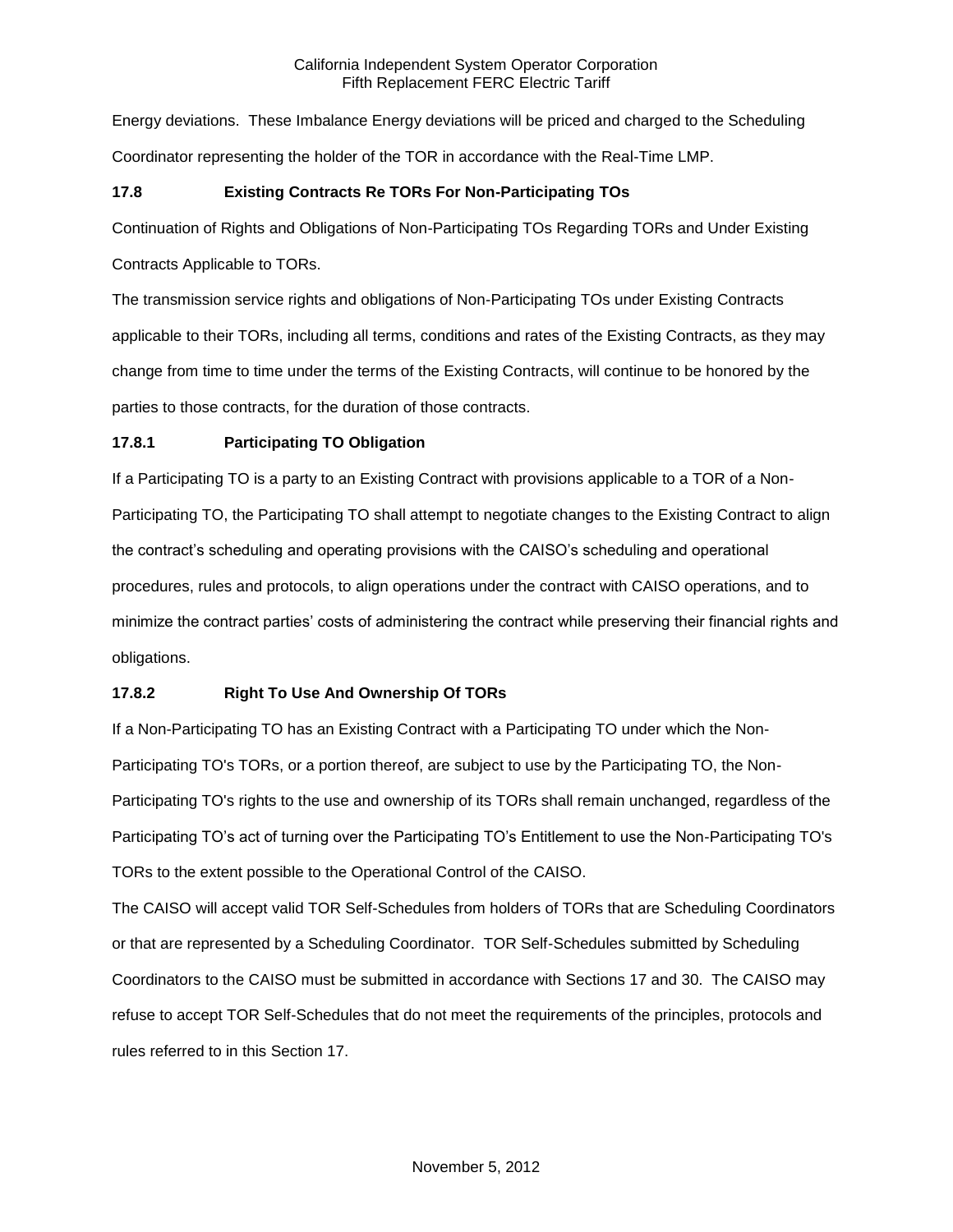Energy deviations. These Imbalance Energy deviations will be priced and charged to the Scheduling Coordinator representing the holder of the TOR in accordance with the Real-Time LMP.

# **17.8 Existing Contracts Re TORs For Non-Participating TOs**

Continuation of Rights and Obligations of Non-Participating TOs Regarding TORs and Under Existing

Contracts Applicable to TORs.

The transmission service rights and obligations of Non-Participating TOs under Existing Contracts applicable to their TORs, including all terms, conditions and rates of the Existing Contracts, as they may change from time to time under the terms of the Existing Contracts, will continue to be honored by the parties to those contracts, for the duration of those contracts.

# **17.8.1 Participating TO Obligation**

If a Participating TO is a party to an Existing Contract with provisions applicable to a TOR of a Non-Participating TO, the Participating TO shall attempt to negotiate changes to the Existing Contract to align the contract's scheduling and operating provisions with the CAISO's scheduling and operational procedures, rules and protocols, to align operations under the contract with CAISO operations, and to minimize the contract parties' costs of administering the contract while preserving their financial rights and obligations.

# **17.8.2 Right To Use And Ownership Of TORs**

If a Non-Participating TO has an Existing Contract with a Participating TO under which the Non-Participating TO's TORs, or a portion thereof, are subject to use by the Participating TO, the Non-Participating TO's rights to the use and ownership of its TORs shall remain unchanged, regardless of the Participating TO's act of turning over the Participating TO's Entitlement to use the Non-Participating TO's TORs to the extent possible to the Operational Control of the CAISO.

The CAISO will accept valid TOR Self-Schedules from holders of TORs that are Scheduling Coordinators or that are represented by a Scheduling Coordinator. TOR Self-Schedules submitted by Scheduling Coordinators to the CAISO must be submitted in accordance with Sections 17 and 30. The CAISO may refuse to accept TOR Self-Schedules that do not meet the requirements of the principles, protocols and rules referred to in this Section 17.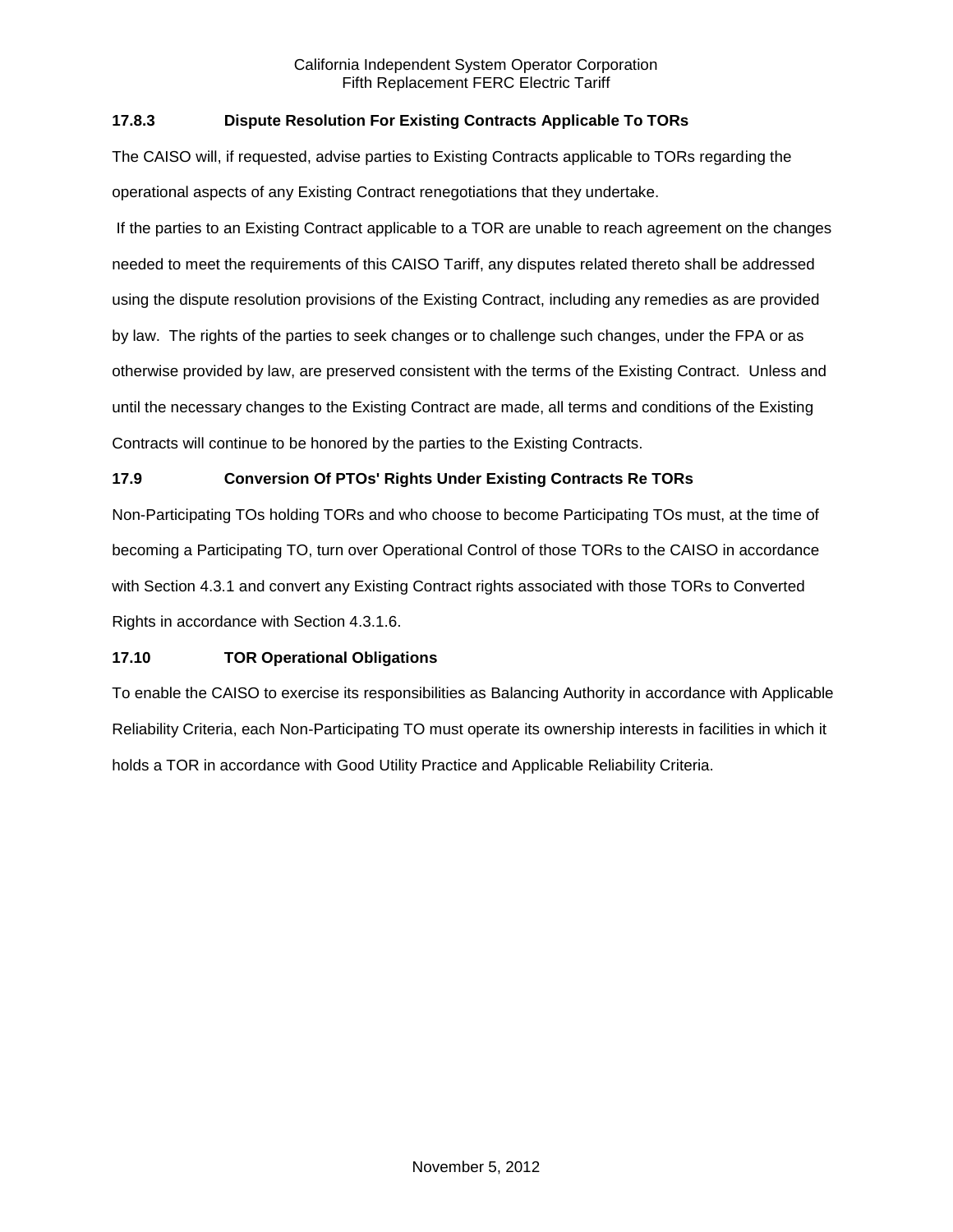# **17.8.3 Dispute Resolution For Existing Contracts Applicable To TORs**

The CAISO will, if requested, advise parties to Existing Contracts applicable to TORs regarding the operational aspects of any Existing Contract renegotiations that they undertake.

If the parties to an Existing Contract applicable to a TOR are unable to reach agreement on the changes needed to meet the requirements of this CAISO Tariff, any disputes related thereto shall be addressed using the dispute resolution provisions of the Existing Contract, including any remedies as are provided by law. The rights of the parties to seek changes or to challenge such changes, under the FPA or as otherwise provided by law, are preserved consistent with the terms of the Existing Contract. Unless and until the necessary changes to the Existing Contract are made, all terms and conditions of the Existing Contracts will continue to be honored by the parties to the Existing Contracts.

# **17.9 Conversion Of PTOs' Rights Under Existing Contracts Re TORs**

Non-Participating TOs holding TORs and who choose to become Participating TOs must, at the time of becoming a Participating TO, turn over Operational Control of those TORs to the CAISO in accordance with Section 4.3.1 and convert any Existing Contract rights associated with those TORs to Converted Rights in accordance with Section 4.3.1.6.

### **17.10 TOR Operational Obligations**

To enable the CAISO to exercise its responsibilities as Balancing Authority in accordance with Applicable Reliability Criteria, each Non-Participating TO must operate its ownership interests in facilities in which it holds a TOR in accordance with Good Utility Practice and Applicable Reliability Criteria.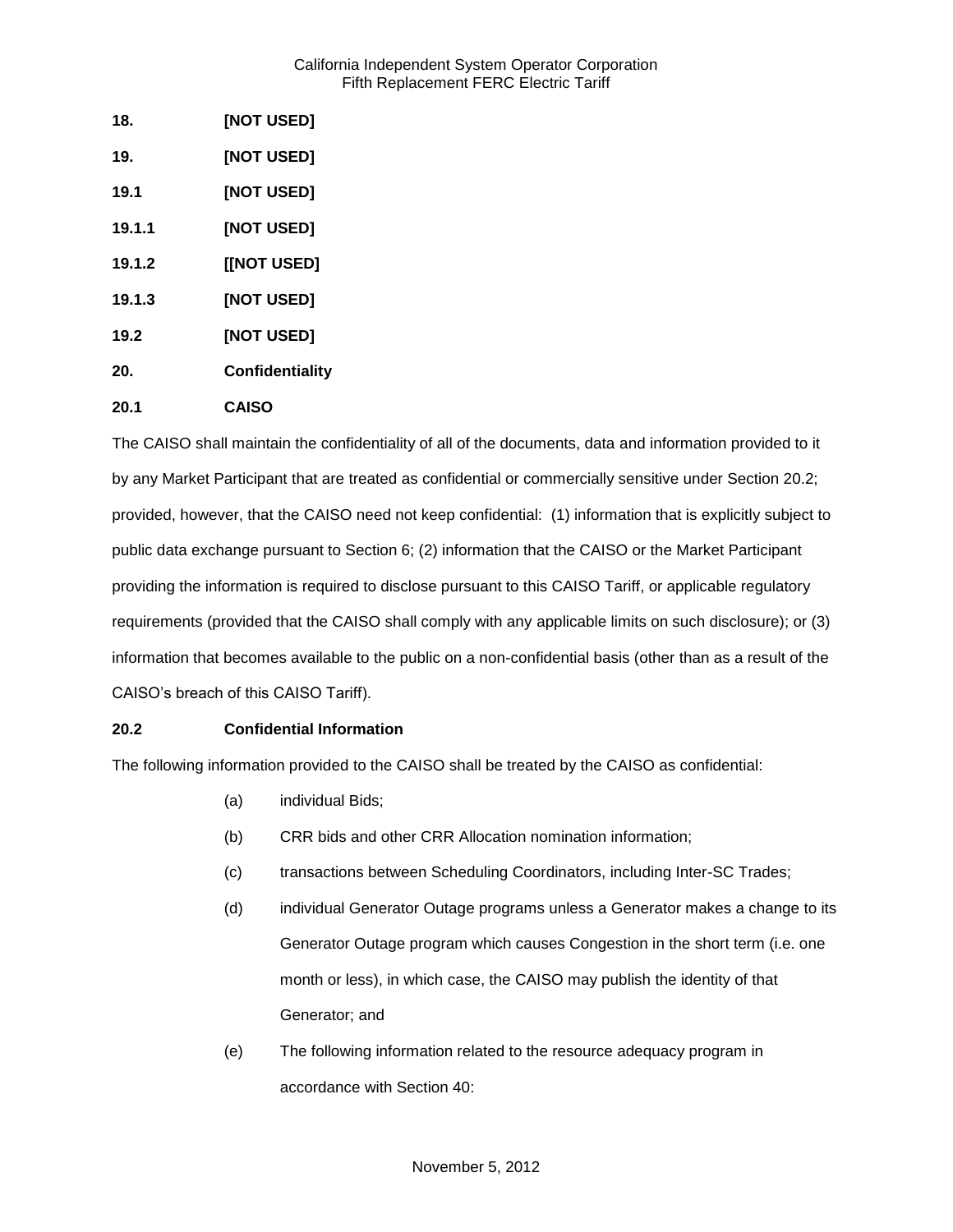| 18.    | [NOT USED]      |
|--------|-----------------|
| 19.    | [NOT USED]      |
| 19.1   | [NOT USED]      |
| 19.1.1 | [NOT USED]      |
| 19.1.2 | [[NOT USED]     |
| 19.1.3 | [NOT USED]      |
| 19.2   | [NOT USED]      |
| 20.    | Confidentiality |
| 20.1   | <b>CAISO</b>    |

The CAISO shall maintain the confidentiality of all of the documents, data and information provided to it by any Market Participant that are treated as confidential or commercially sensitive under Section 20.2; provided, however, that the CAISO need not keep confidential: (1) information that is explicitly subject to public data exchange pursuant to Section 6; (2) information that the CAISO or the Market Participant providing the information is required to disclose pursuant to this CAISO Tariff, or applicable regulatory requirements (provided that the CAISO shall comply with any applicable limits on such disclosure); or (3) information that becomes available to the public on a non-confidential basis (other than as a result of the CAISO's breach of this CAISO Tariff).

# **20.2 Confidential Information**

The following information provided to the CAISO shall be treated by the CAISO as confidential:

- (a) individual Bids;
- (b) CRR bids and other CRR Allocation nomination information;
- (c) transactions between Scheduling Coordinators, including Inter-SC Trades;
- (d) individual Generator Outage programs unless a Generator makes a change to its Generator Outage program which causes Congestion in the short term (i.e. one month or less), in which case, the CAISO may publish the identity of that Generator; and
- (e) The following information related to the resource adequacy program in accordance with Section 40: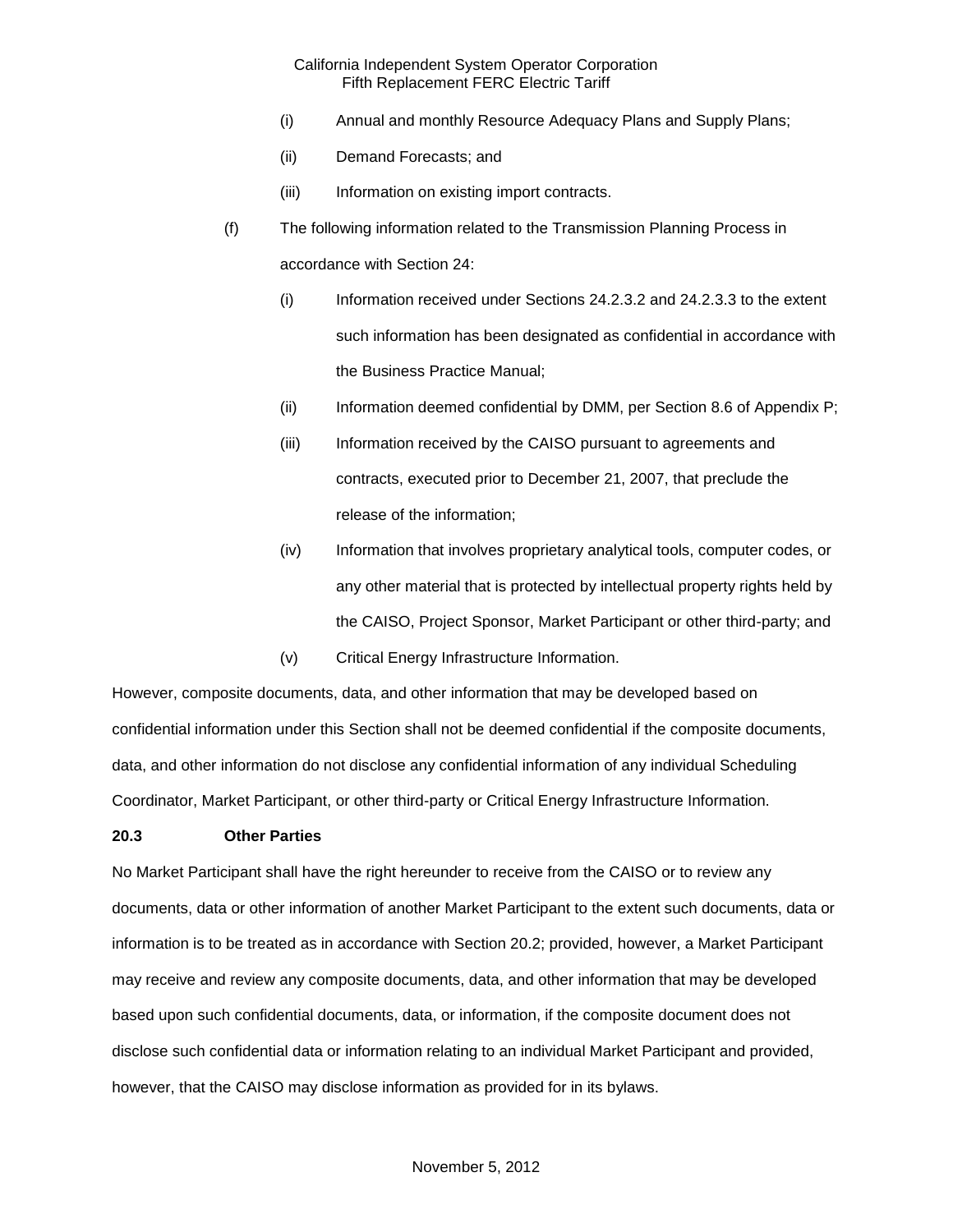- (i) Annual and monthly Resource Adequacy Plans and Supply Plans;
- (ii) Demand Forecasts; and
- (iii) Information on existing import contracts.
- (f) The following information related to the Transmission Planning Process in accordance with Section 24:
	- (i) Information received under Sections 24.2.3.2 and 24.2.3.3 to the extent such information has been designated as confidential in accordance with the Business Practice Manual;
	- (ii) Information deemed confidential by DMM, per Section 8.6 of Appendix P;
	- (iii) Information received by the CAISO pursuant to agreements and contracts, executed prior to December 21, 2007, that preclude the release of the information;
	- (iv) Information that involves proprietary analytical tools, computer codes, or any other material that is protected by intellectual property rights held by the CAISO, Project Sponsor, Market Participant or other third-party; and
	- (v) Critical Energy Infrastructure Information.

However, composite documents, data, and other information that may be developed based on confidential information under this Section shall not be deemed confidential if the composite documents, data, and other information do not disclose any confidential information of any individual Scheduling Coordinator, Market Participant, or other third-party or Critical Energy Infrastructure Information.

### **20.3 Other Parties**

No Market Participant shall have the right hereunder to receive from the CAISO or to review any documents, data or other information of another Market Participant to the extent such documents, data or information is to be treated as in accordance with Section 20.2; provided, however, a Market Participant may receive and review any composite documents, data, and other information that may be developed based upon such confidential documents, data, or information, if the composite document does not disclose such confidential data or information relating to an individual Market Participant and provided, however, that the CAISO may disclose information as provided for in its bylaws.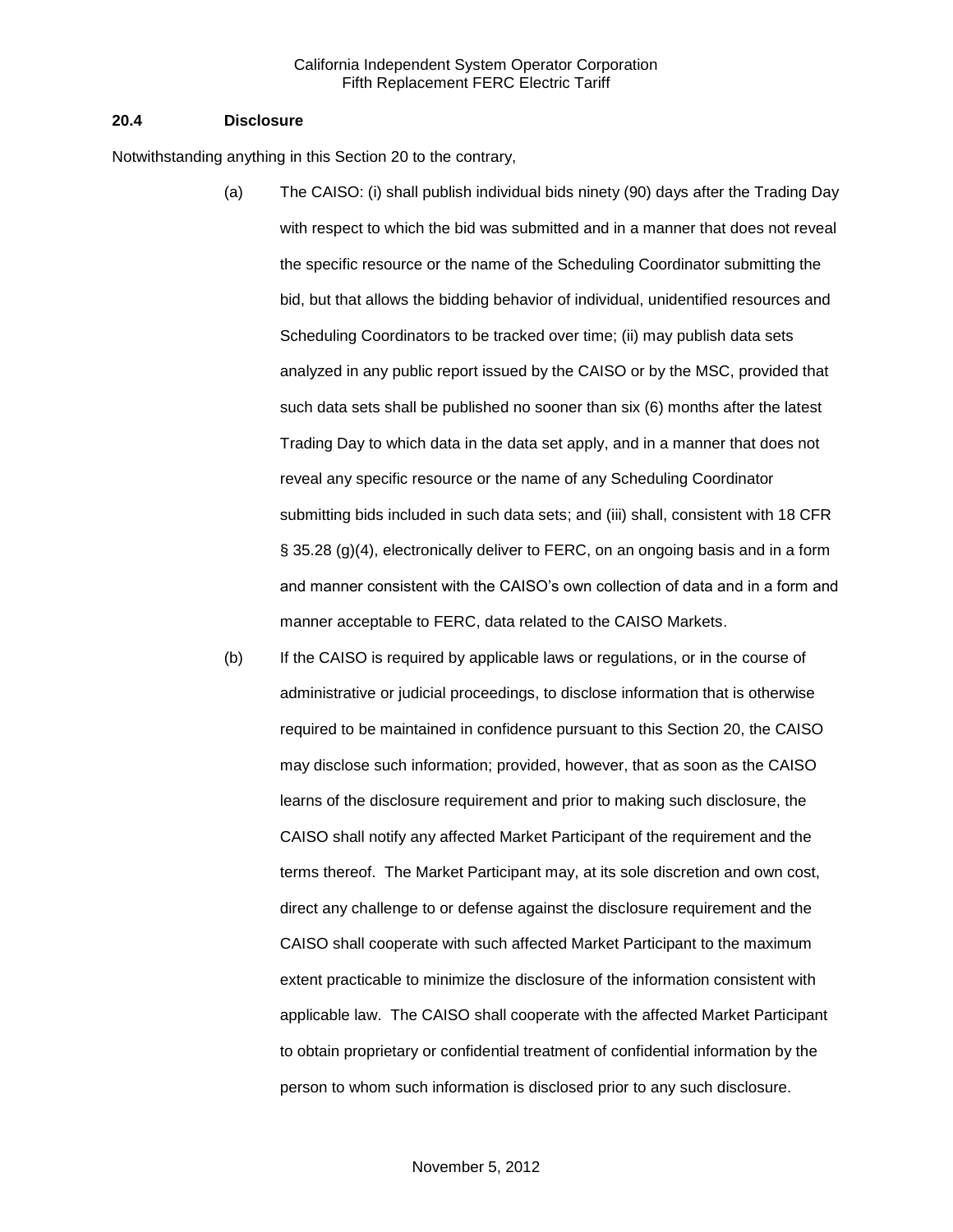#### **20.4 Disclosure**

Notwithstanding anything in this Section 20 to the contrary,

- (a) The CAISO: (i) shall publish individual bids ninety (90) days after the Trading Day with respect to which the bid was submitted and in a manner that does not reveal the specific resource or the name of the Scheduling Coordinator submitting the bid, but that allows the bidding behavior of individual, unidentified resources and Scheduling Coordinators to be tracked over time; (ii) may publish data sets analyzed in any public report issued by the CAISO or by the MSC, provided that such data sets shall be published no sooner than six (6) months after the latest Trading Day to which data in the data set apply, and in a manner that does not reveal any specific resource or the name of any Scheduling Coordinator submitting bids included in such data sets; and (iii) shall, consistent with 18 CFR § 35.28 (g)(4), electronically deliver to FERC, on an ongoing basis and in a form and manner consistent with the CAISO's own collection of data and in a form and manner acceptable to FERC, data related to the CAISO Markets.
- (b) If the CAISO is required by applicable laws or regulations, or in the course of administrative or judicial proceedings, to disclose information that is otherwise required to be maintained in confidence pursuant to this Section 20, the CAISO may disclose such information; provided, however, that as soon as the CAISO learns of the disclosure requirement and prior to making such disclosure, the CAISO shall notify any affected Market Participant of the requirement and the terms thereof. The Market Participant may, at its sole discretion and own cost, direct any challenge to or defense against the disclosure requirement and the CAISO shall cooperate with such affected Market Participant to the maximum extent practicable to minimize the disclosure of the information consistent with applicable law. The CAISO shall cooperate with the affected Market Participant to obtain proprietary or confidential treatment of confidential information by the person to whom such information is disclosed prior to any such disclosure.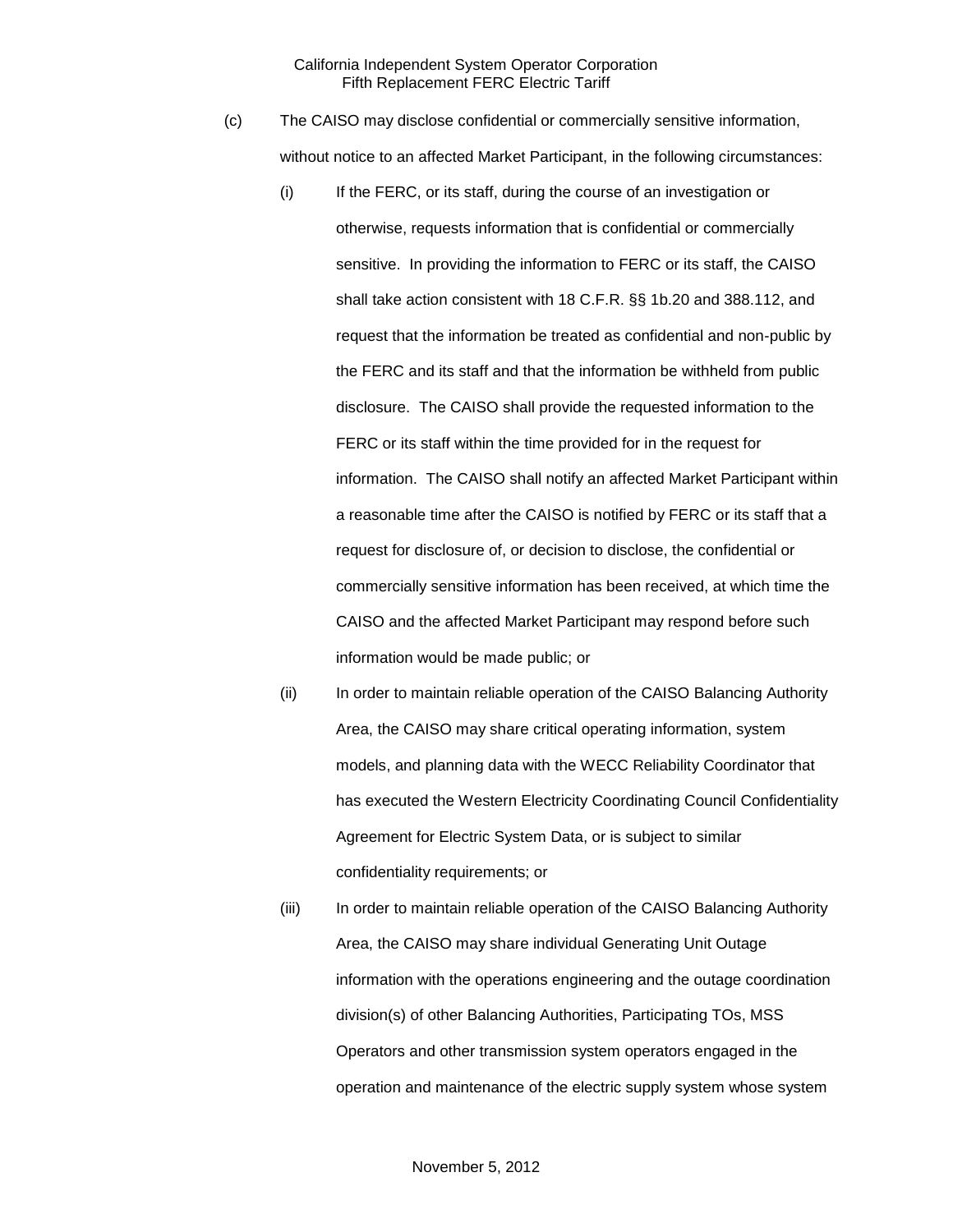- (c) The CAISO may disclose confidential or commercially sensitive information, without notice to an affected Market Participant, in the following circumstances:
	- (i) If the FERC, or its staff, during the course of an investigation or otherwise, requests information that is confidential or commercially sensitive. In providing the information to FERC or its staff, the CAISO shall take action consistent with 18 C.F.R. §§ 1b.20 and 388.112, and request that the information be treated as confidential and non-public by the FERC and its staff and that the information be withheld from public disclosure. The CAISO shall provide the requested information to the FERC or its staff within the time provided for in the request for information. The CAISO shall notify an affected Market Participant within a reasonable time after the CAISO is notified by FERC or its staff that a request for disclosure of, or decision to disclose, the confidential or commercially sensitive information has been received, at which time the CAISO and the affected Market Participant may respond before such information would be made public; or
	- (ii) In order to maintain reliable operation of the CAISO Balancing Authority Area, the CAISO may share critical operating information, system models, and planning data with the WECC Reliability Coordinator that has executed the Western Electricity Coordinating Council Confidentiality Agreement for Electric System Data, or is subject to similar confidentiality requirements; or
	- (iii) In order to maintain reliable operation of the CAISO Balancing Authority Area, the CAISO may share individual Generating Unit Outage information with the operations engineering and the outage coordination division(s) of other Balancing Authorities, Participating TOs, MSS Operators and other transmission system operators engaged in the operation and maintenance of the electric supply system whose system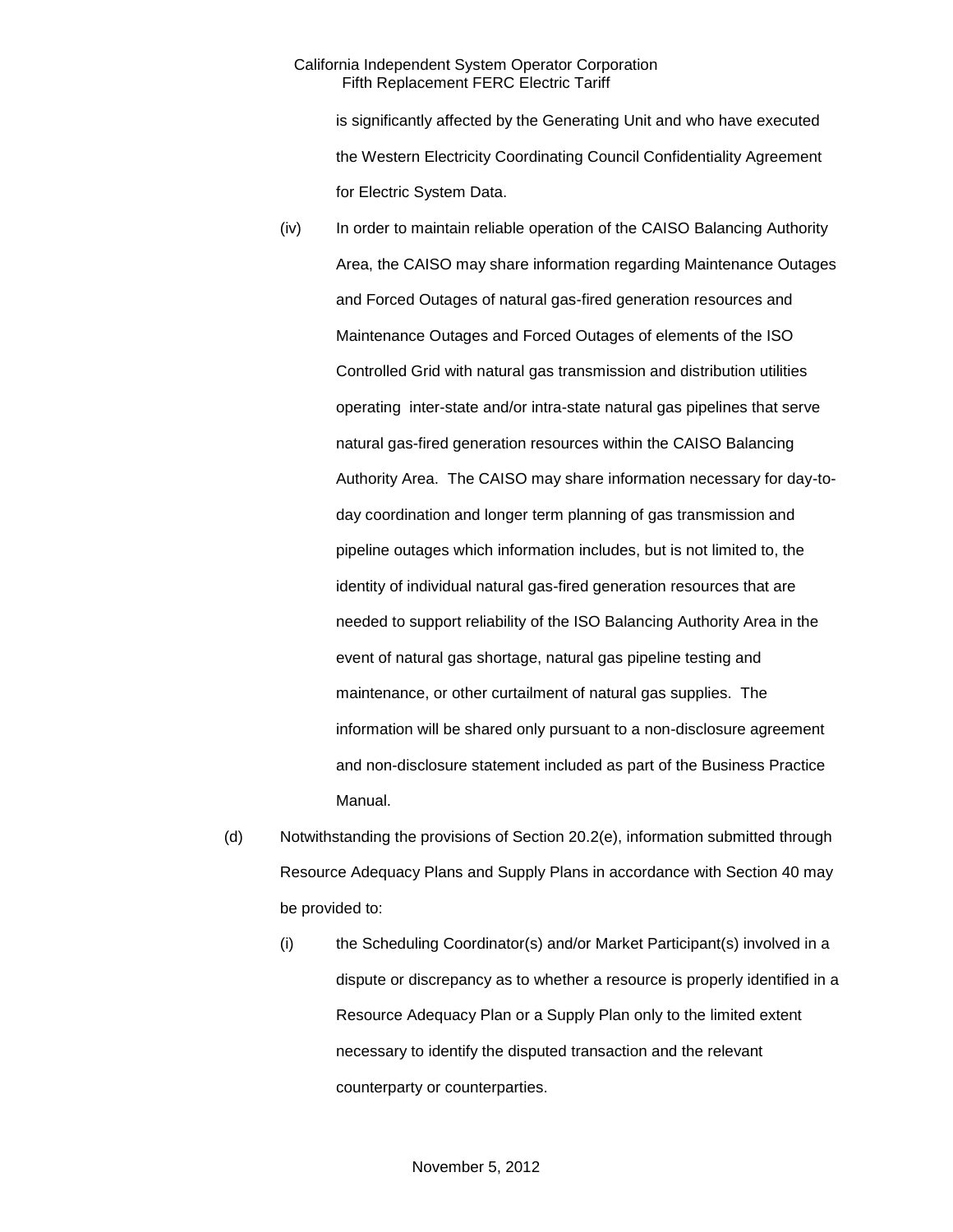is significantly affected by the Generating Unit and who have executed the Western Electricity Coordinating Council Confidentiality Agreement for Electric System Data.

- (iv) In order to maintain reliable operation of the CAISO Balancing Authority Area, the CAISO may share information regarding Maintenance Outages and Forced Outages of natural gas-fired generation resources and Maintenance Outages and Forced Outages of elements of the ISO Controlled Grid with natural gas transmission and distribution utilities operating inter-state and/or intra-state natural gas pipelines that serve natural gas-fired generation resources within the CAISO Balancing Authority Area. The CAISO may share information necessary for day-today coordination and longer term planning of gas transmission and pipeline outages which information includes, but is not limited to, the identity of individual natural gas-fired generation resources that are needed to support reliability of the ISO Balancing Authority Area in the event of natural gas shortage, natural gas pipeline testing and maintenance, or other curtailment of natural gas supplies. The information will be shared only pursuant to a non-disclosure agreement and non-disclosure statement included as part of the Business Practice Manual.
- (d) Notwithstanding the provisions of Section 20.2(e), information submitted through Resource Adequacy Plans and Supply Plans in accordance with Section 40 may be provided to:
	- (i) the Scheduling Coordinator(s) and/or Market Participant(s) involved in a dispute or discrepancy as to whether a resource is properly identified in a Resource Adequacy Plan or a Supply Plan only to the limited extent necessary to identify the disputed transaction and the relevant counterparty or counterparties.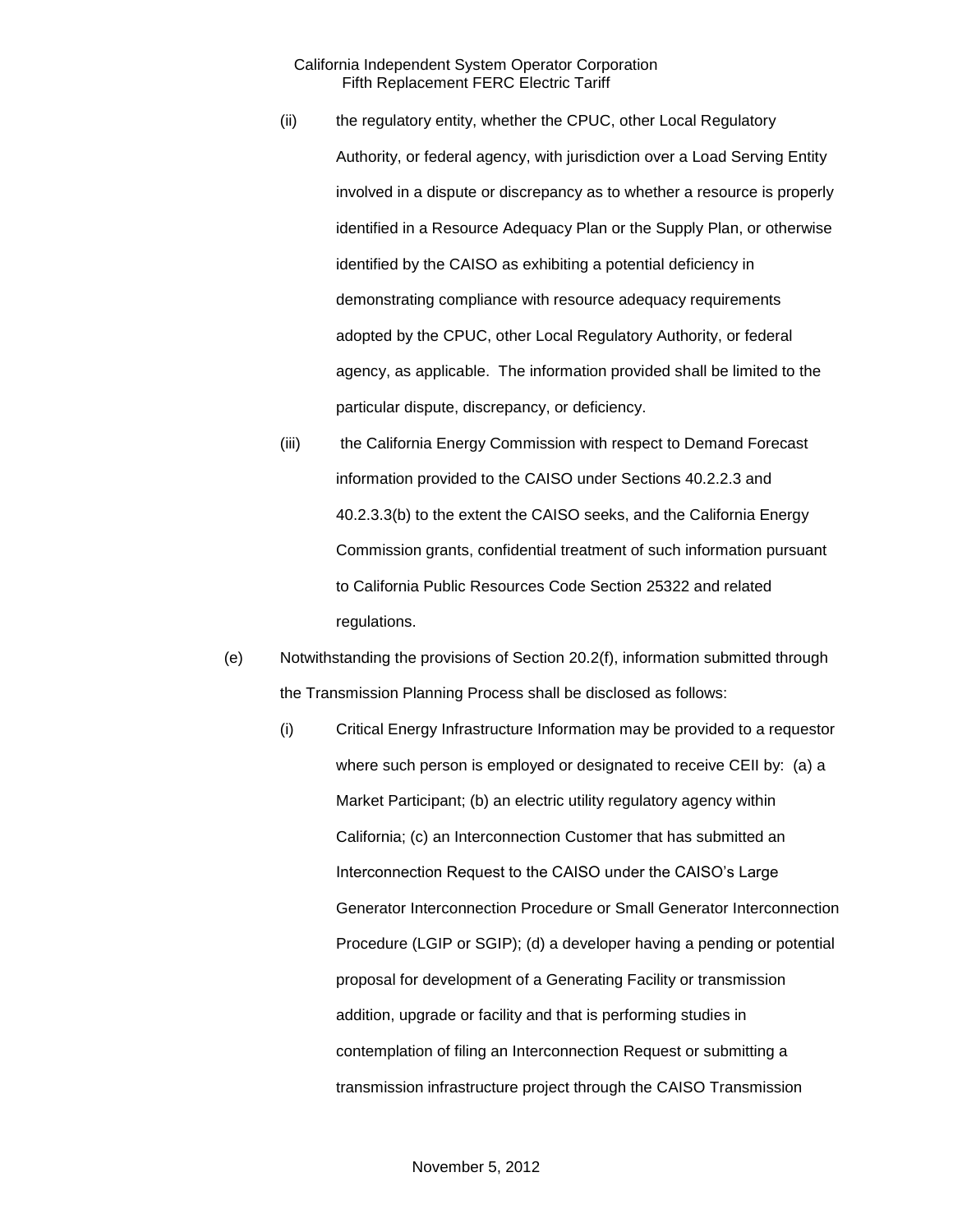- (ii) the regulatory entity, whether the CPUC, other Local Regulatory Authority, or federal agency, with jurisdiction over a Load Serving Entity involved in a dispute or discrepancy as to whether a resource is properly identified in a Resource Adequacy Plan or the Supply Plan, or otherwise identified by the CAISO as exhibiting a potential deficiency in demonstrating compliance with resource adequacy requirements adopted by the CPUC, other Local Regulatory Authority, or federal agency, as applicable. The information provided shall be limited to the particular dispute, discrepancy, or deficiency.
- (iii) the California Energy Commission with respect to Demand Forecast information provided to the CAISO under Sections 40.2.2.3 and 40.2.3.3(b) to the extent the CAISO seeks, and the California Energy Commission grants, confidential treatment of such information pursuant to California Public Resources Code Section 25322 and related regulations.
- (e) Notwithstanding the provisions of Section 20.2(f), information submitted through the Transmission Planning Process shall be disclosed as follows:
	- (i) Critical Energy Infrastructure Information may be provided to a requestor where such person is employed or designated to receive CEII by: (a) a Market Participant; (b) an electric utility regulatory agency within California; (c) an Interconnection Customer that has submitted an Interconnection Request to the CAISO under the CAISO's Large Generator Interconnection Procedure or Small Generator Interconnection Procedure (LGIP or SGIP); (d) a developer having a pending or potential proposal for development of a Generating Facility or transmission addition, upgrade or facility and that is performing studies in contemplation of filing an Interconnection Request or submitting a transmission infrastructure project through the CAISO Transmission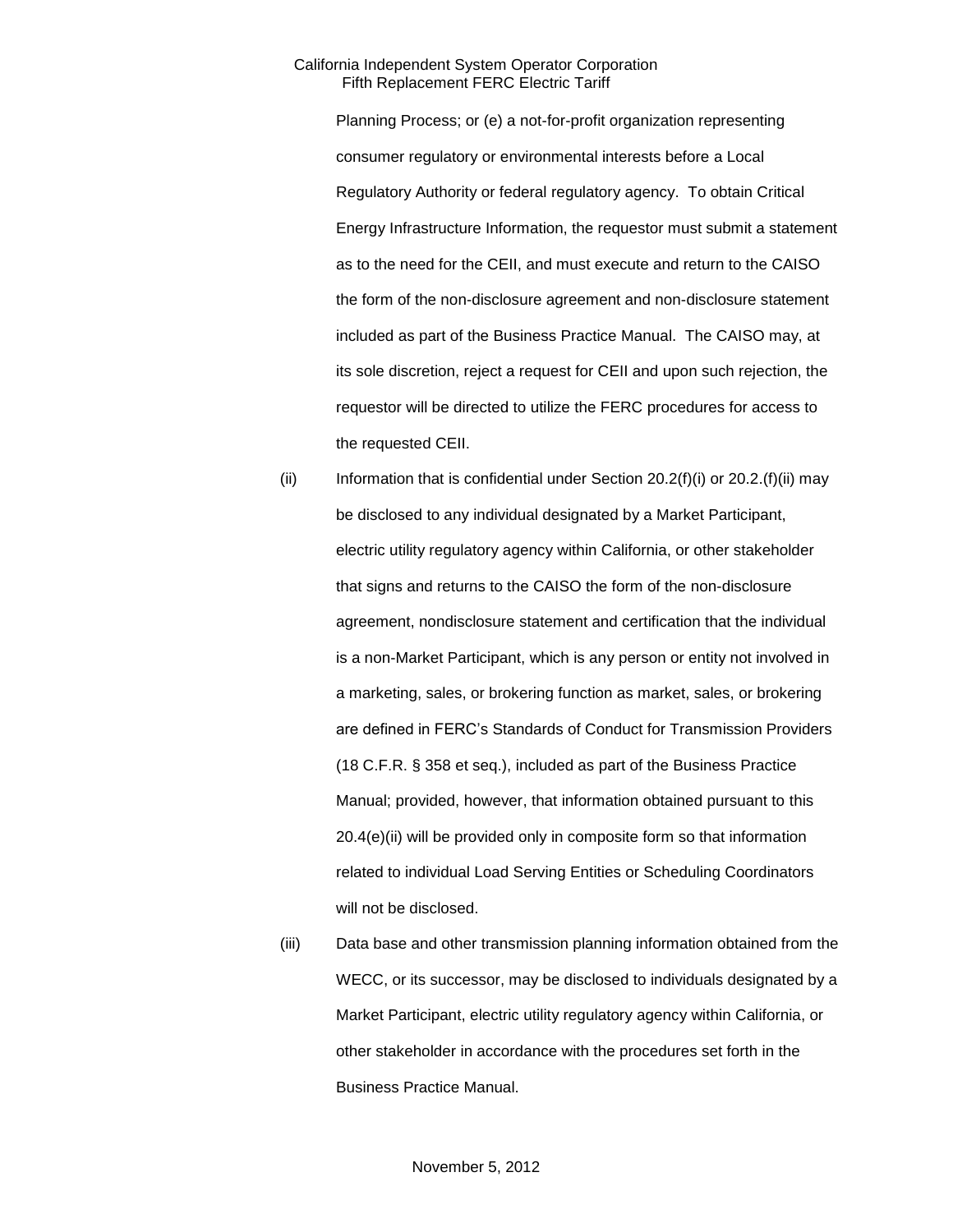Planning Process; or (e) a not-for-profit organization representing consumer regulatory or environmental interests before a Local Regulatory Authority or federal regulatory agency. To obtain Critical Energy Infrastructure Information, the requestor must submit a statement as to the need for the CEII, and must execute and return to the CAISO the form of the non-disclosure agreement and non-disclosure statement included as part of the Business Practice Manual. The CAISO may, at its sole discretion, reject a request for CEII and upon such rejection, the requestor will be directed to utilize the FERC procedures for access to the requested CEII.

- (ii) Information that is confidential under Section  $20.2(f)(i)$  or  $20.2(f)(ii)$  may be disclosed to any individual designated by a Market Participant, electric utility regulatory agency within California, or other stakeholder that signs and returns to the CAISO the form of the non-disclosure agreement, nondisclosure statement and certification that the individual is a non-Market Participant, which is any person or entity not involved in a marketing, sales, or brokering function as market, sales, or brokering are defined in FERC's Standards of Conduct for Transmission Providers (18 C.F.R. § 358 et seq.), included as part of the Business Practice Manual; provided, however, that information obtained pursuant to this 20.4(e)(ii) will be provided only in composite form so that information related to individual Load Serving Entities or Scheduling Coordinators will not be disclosed.
- (iii) Data base and other transmission planning information obtained from the WECC, or its successor, may be disclosed to individuals designated by a Market Participant, electric utility regulatory agency within California, or other stakeholder in accordance with the procedures set forth in the Business Practice Manual.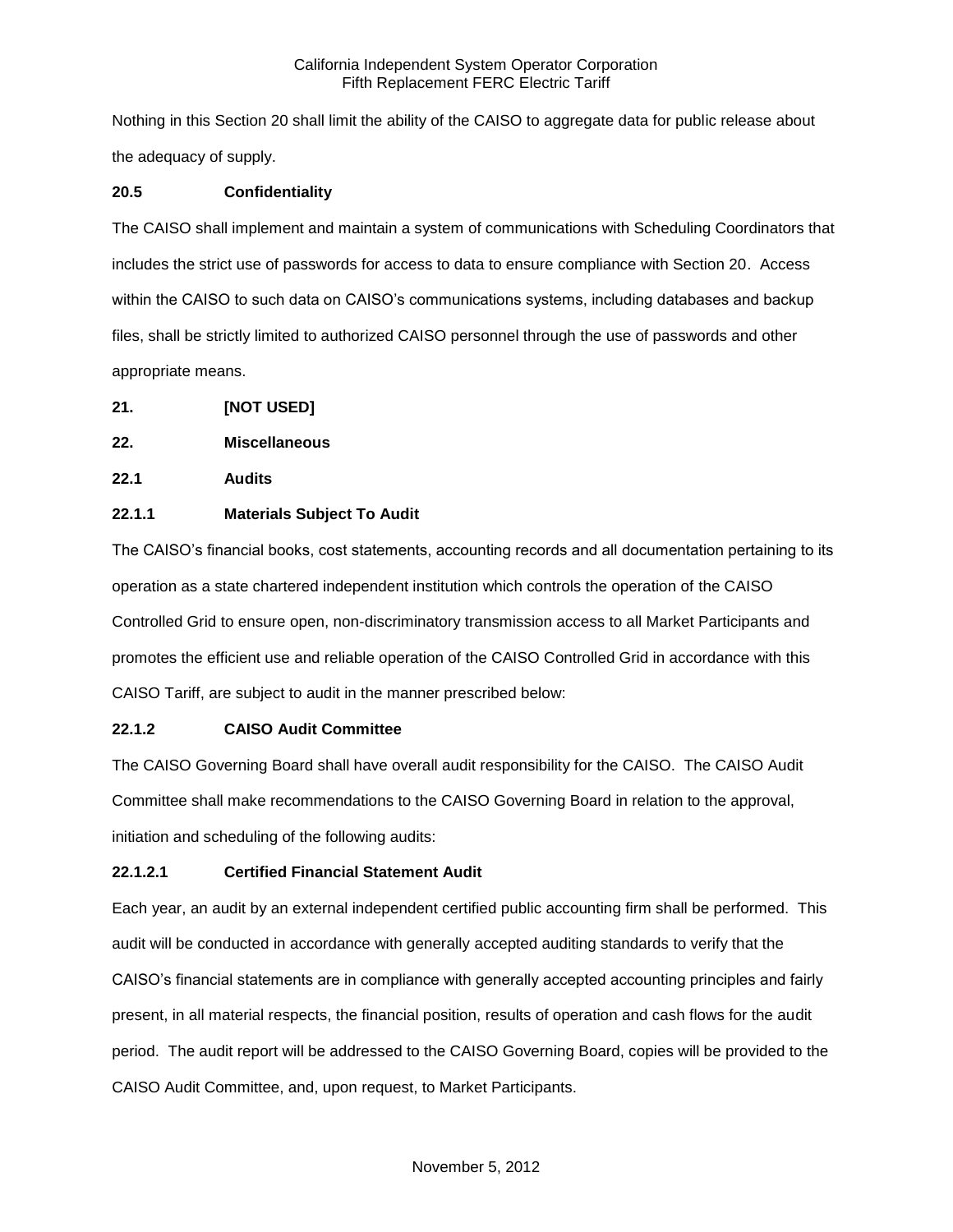Nothing in this Section 20 shall limit the ability of the CAISO to aggregate data for public release about the adequacy of supply.

# **20.5 Confidentiality**

The CAISO shall implement and maintain a system of communications with Scheduling Coordinators that includes the strict use of passwords for access to data to ensure compliance with Section 20. Access within the CAISO to such data on CAISO's communications systems, including databases and backup files, shall be strictly limited to authorized CAISO personnel through the use of passwords and other appropriate means.

- **21. [NOT USED]**
- **22. Miscellaneous**
- **22.1 Audits**

# **22.1.1 Materials Subject To Audit**

The CAISO's financial books, cost statements, accounting records and all documentation pertaining to its operation as a state chartered independent institution which controls the operation of the CAISO Controlled Grid to ensure open, non-discriminatory transmission access to all Market Participants and promotes the efficient use and reliable operation of the CAISO Controlled Grid in accordance with this CAISO Tariff, are subject to audit in the manner prescribed below:

# **22.1.2 CAISO Audit Committee**

The CAISO Governing Board shall have overall audit responsibility for the CAISO. The CAISO Audit Committee shall make recommendations to the CAISO Governing Board in relation to the approval, initiation and scheduling of the following audits:

# **22.1.2.1 Certified Financial Statement Audit**

Each year, an audit by an external independent certified public accounting firm shall be performed. This audit will be conducted in accordance with generally accepted auditing standards to verify that the CAISO's financial statements are in compliance with generally accepted accounting principles and fairly present, in all material respects, the financial position, results of operation and cash flows for the audit period. The audit report will be addressed to the CAISO Governing Board, copies will be provided to the CAISO Audit Committee, and, upon request, to Market Participants.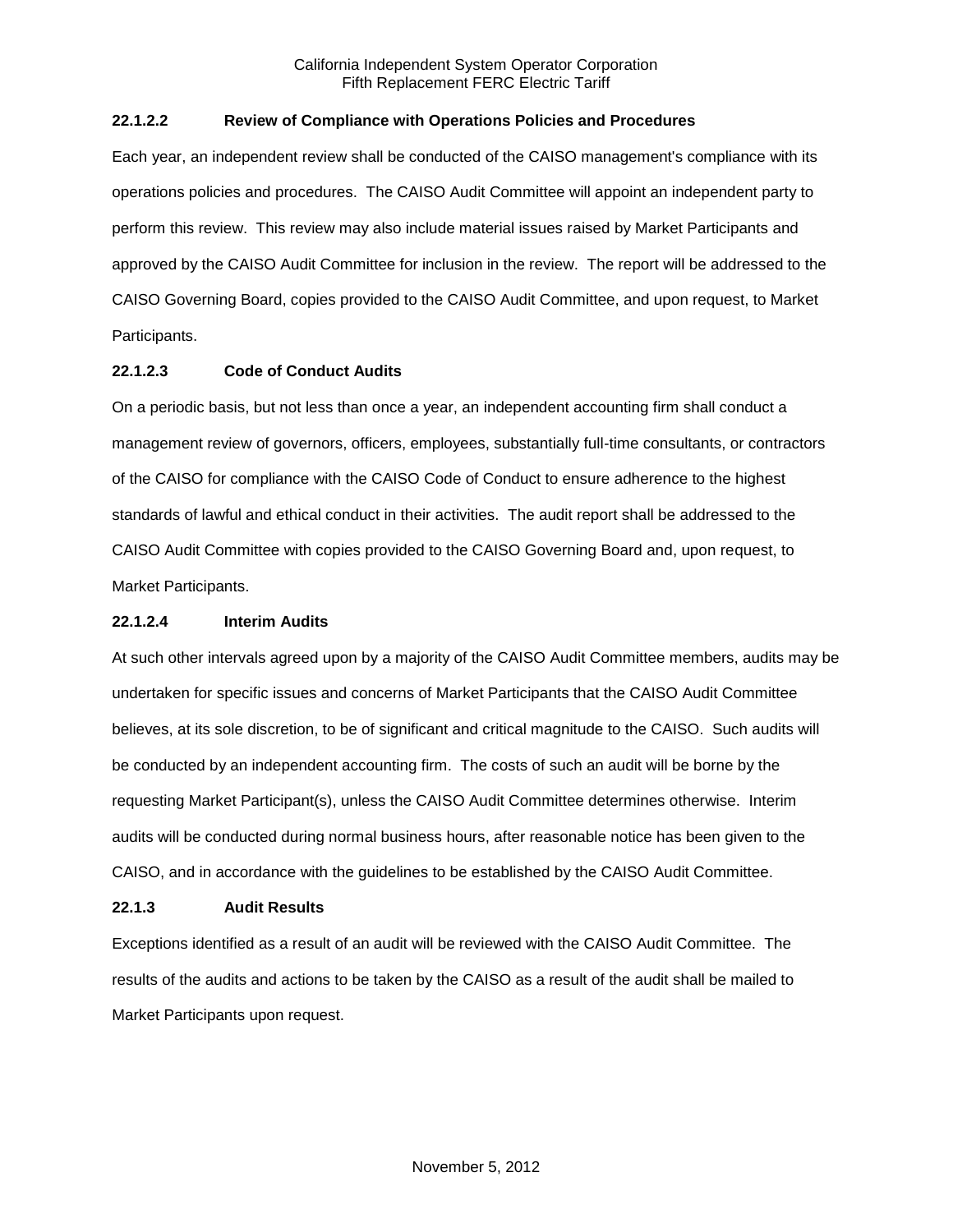# **22.1.2.2 Review of Compliance with Operations Policies and Procedures**

Each year, an independent review shall be conducted of the CAISO management's compliance with its operations policies and procedures. The CAISO Audit Committee will appoint an independent party to perform this review. This review may also include material issues raised by Market Participants and approved by the CAISO Audit Committee for inclusion in the review. The report will be addressed to the CAISO Governing Board, copies provided to the CAISO Audit Committee, and upon request, to Market Participants.

# **22.1.2.3 Code of Conduct Audits**

On a periodic basis, but not less than once a year, an independent accounting firm shall conduct a management review of governors, officers, employees, substantially full-time consultants, or contractors of the CAISO for compliance with the CAISO Code of Conduct to ensure adherence to the highest standards of lawful and ethical conduct in their activities. The audit report shall be addressed to the CAISO Audit Committee with copies provided to the CAISO Governing Board and, upon request, to Market Participants.

### **22.1.2.4 Interim Audits**

At such other intervals agreed upon by a majority of the CAISO Audit Committee members, audits may be undertaken for specific issues and concerns of Market Participants that the CAISO Audit Committee believes, at its sole discretion, to be of significant and critical magnitude to the CAISO. Such audits will be conducted by an independent accounting firm. The costs of such an audit will be borne by the requesting Market Participant(s), unless the CAISO Audit Committee determines otherwise. Interim audits will be conducted during normal business hours, after reasonable notice has been given to the CAISO, and in accordance with the guidelines to be established by the CAISO Audit Committee.

### **22.1.3 Audit Results**

Exceptions identified as a result of an audit will be reviewed with the CAISO Audit Committee. The results of the audits and actions to be taken by the CAISO as a result of the audit shall be mailed to Market Participants upon request.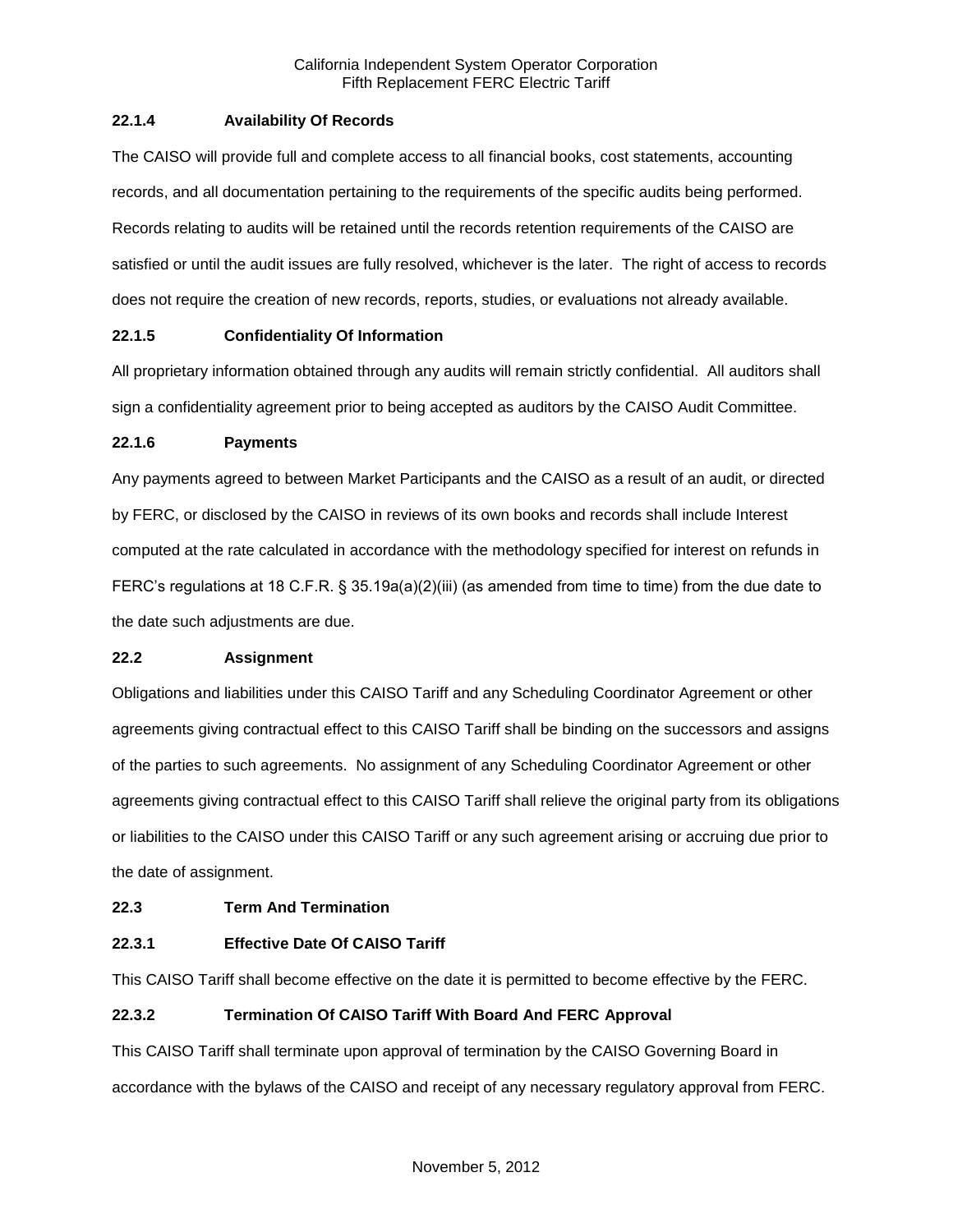# **22.1.4 Availability Of Records**

The CAISO will provide full and complete access to all financial books, cost statements, accounting records, and all documentation pertaining to the requirements of the specific audits being performed. Records relating to audits will be retained until the records retention requirements of the CAISO are satisfied or until the audit issues are fully resolved, whichever is the later. The right of access to records does not require the creation of new records, reports, studies, or evaluations not already available.

# **22.1.5 Confidentiality Of Information**

All proprietary information obtained through any audits will remain strictly confidential. All auditors shall sign a confidentiality agreement prior to being accepted as auditors by the CAISO Audit Committee.

### **22.1.6 Payments**

Any payments agreed to between Market Participants and the CAISO as a result of an audit, or directed by FERC, or disclosed by the CAISO in reviews of its own books and records shall include Interest computed at the rate calculated in accordance with the methodology specified for interest on refunds in FERC's regulations at 18 C.F.R. § 35.19a(a)(2)(iii) (as amended from time to time) from the due date to the date such adjustments are due.

### **22.2 Assignment**

Obligations and liabilities under this CAISO Tariff and any Scheduling Coordinator Agreement or other agreements giving contractual effect to this CAISO Tariff shall be binding on the successors and assigns of the parties to such agreements. No assignment of any Scheduling Coordinator Agreement or other agreements giving contractual effect to this CAISO Tariff shall relieve the original party from its obligations or liabilities to the CAISO under this CAISO Tariff or any such agreement arising or accruing due prior to the date of assignment.

### **22.3 Term And Termination**

### **22.3.1 Effective Date Of CAISO Tariff**

This CAISO Tariff shall become effective on the date it is permitted to become effective by the FERC.

### **22.3.2 Termination Of CAISO Tariff With Board And FERC Approval**

This CAISO Tariff shall terminate upon approval of termination by the CAISO Governing Board in accordance with the bylaws of the CAISO and receipt of any necessary regulatory approval from FERC.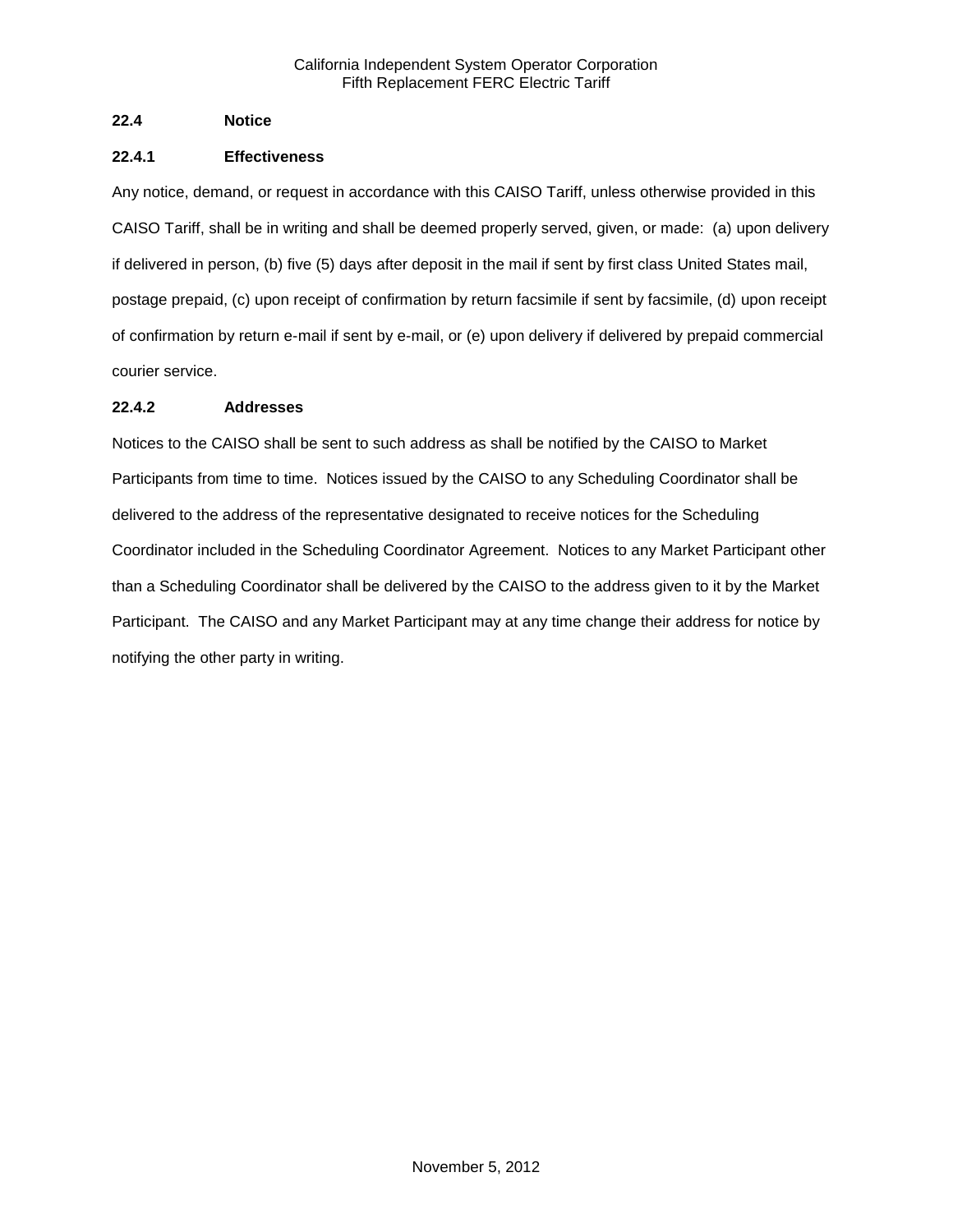# **22.4 Notice**

# **22.4.1 Effectiveness**

Any notice, demand, or request in accordance with this CAISO Tariff, unless otherwise provided in this CAISO Tariff, shall be in writing and shall be deemed properly served, given, or made: (a) upon delivery if delivered in person, (b) five (5) days after deposit in the mail if sent by first class United States mail, postage prepaid, (c) upon receipt of confirmation by return facsimile if sent by facsimile, (d) upon receipt of confirmation by return e-mail if sent by e-mail, or (e) upon delivery if delivered by prepaid commercial courier service.

# **22.4.2 Addresses**

Notices to the CAISO shall be sent to such address as shall be notified by the CAISO to Market Participants from time to time. Notices issued by the CAISO to any Scheduling Coordinator shall be delivered to the address of the representative designated to receive notices for the Scheduling Coordinator included in the Scheduling Coordinator Agreement. Notices to any Market Participant other than a Scheduling Coordinator shall be delivered by the CAISO to the address given to it by the Market Participant. The CAISO and any Market Participant may at any time change their address for notice by notifying the other party in writing.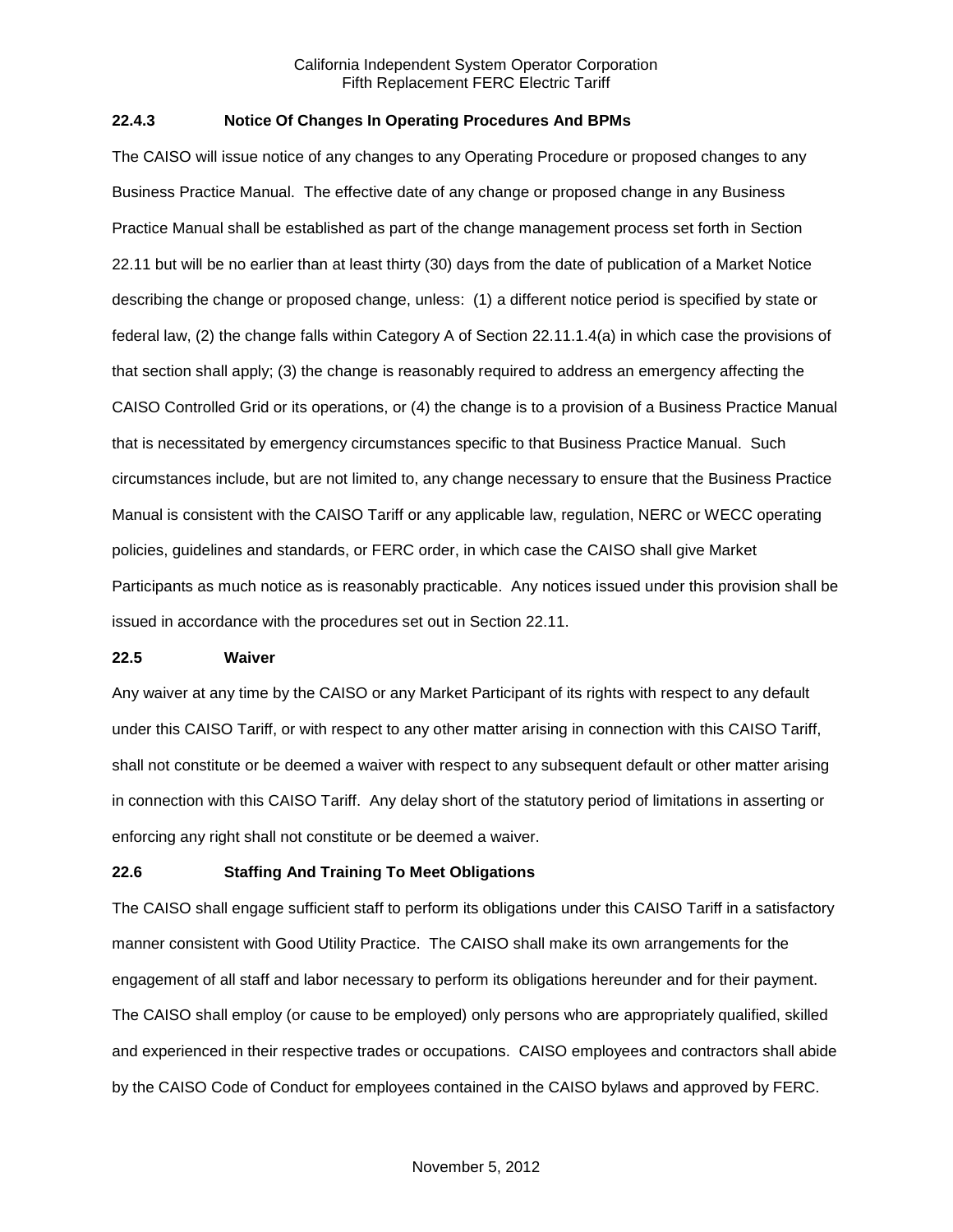### **22.4.3 Notice Of Changes In Operating Procedures And BPMs**

The CAISO will issue notice of any changes to any Operating Procedure or proposed changes to any Business Practice Manual. The effective date of any change or proposed change in any Business Practice Manual shall be established as part of the change management process set forth in Section 22.11 but will be no earlier than at least thirty (30) days from the date of publication of a Market Notice describing the change or proposed change, unless: (1) a different notice period is specified by state or federal law, (2) the change falls within Category A of Section 22.11.1.4(a) in which case the provisions of that section shall apply; (3) the change is reasonably required to address an emergency affecting the CAISO Controlled Grid or its operations, or (4) the change is to a provision of a Business Practice Manual that is necessitated by emergency circumstances specific to that Business Practice Manual. Such circumstances include, but are not limited to, any change necessary to ensure that the Business Practice Manual is consistent with the CAISO Tariff or any applicable law, regulation, NERC or WECC operating policies, guidelines and standards, or FERC order, in which case the CAISO shall give Market Participants as much notice as is reasonably practicable. Any notices issued under this provision shall be issued in accordance with the procedures set out in Section 22.11.

#### **22.5 Waiver**

Any waiver at any time by the CAISO or any Market Participant of its rights with respect to any default under this CAISO Tariff, or with respect to any other matter arising in connection with this CAISO Tariff, shall not constitute or be deemed a waiver with respect to any subsequent default or other matter arising in connection with this CAISO Tariff. Any delay short of the statutory period of limitations in asserting or enforcing any right shall not constitute or be deemed a waiver.

### **22.6 Staffing And Training To Meet Obligations**

The CAISO shall engage sufficient staff to perform its obligations under this CAISO Tariff in a satisfactory manner consistent with Good Utility Practice. The CAISO shall make its own arrangements for the engagement of all staff and labor necessary to perform its obligations hereunder and for their payment. The CAISO shall employ (or cause to be employed) only persons who are appropriately qualified, skilled and experienced in their respective trades or occupations. CAISO employees and contractors shall abide by the CAISO Code of Conduct for employees contained in the CAISO bylaws and approved by FERC.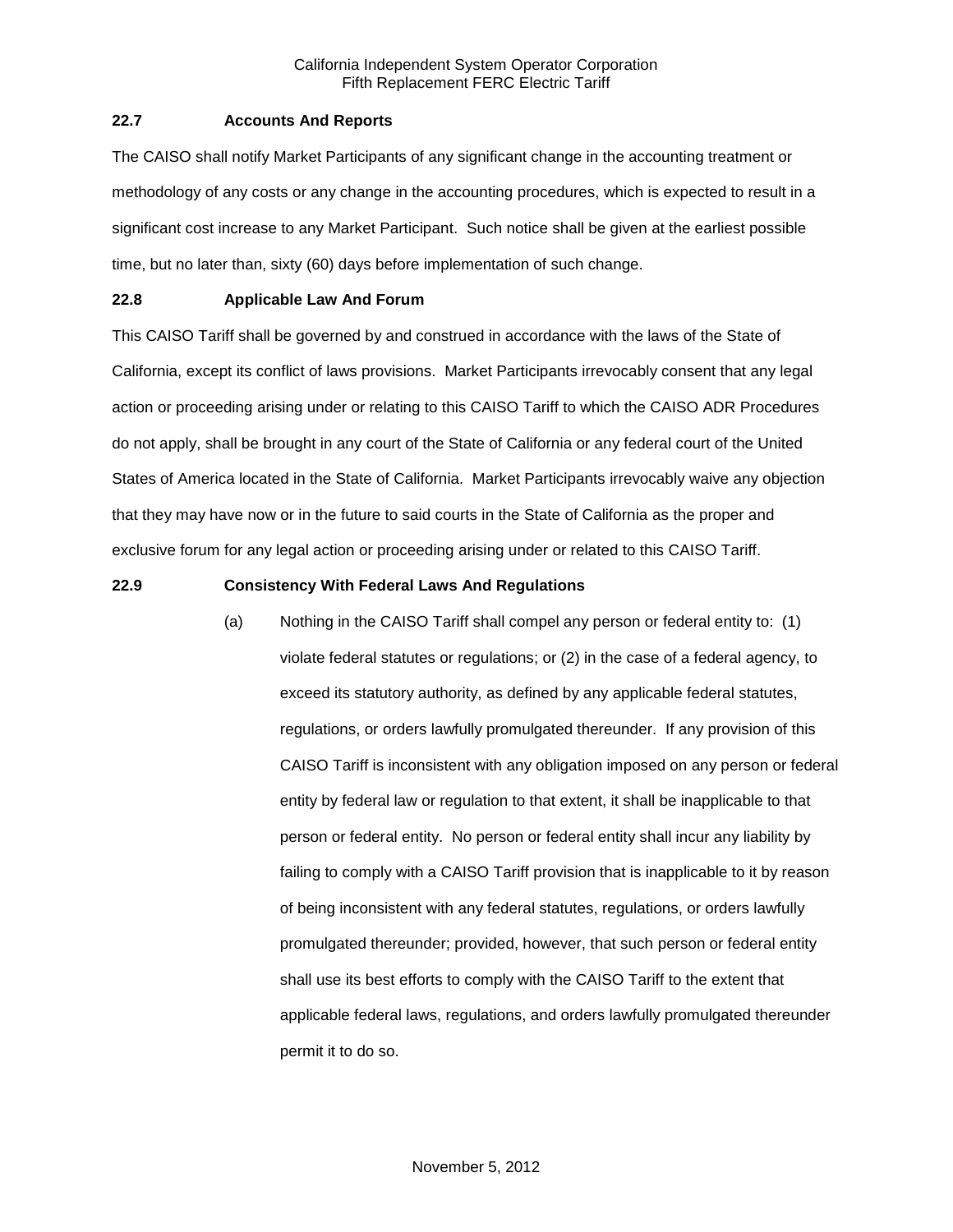# **22.7 Accounts And Reports**

The CAISO shall notify Market Participants of any significant change in the accounting treatment or methodology of any costs or any change in the accounting procedures, which is expected to result in a significant cost increase to any Market Participant. Such notice shall be given at the earliest possible time, but no later than, sixty (60) days before implementation of such change.

# **22.8 Applicable Law And Forum**

This CAISO Tariff shall be governed by and construed in accordance with the laws of the State of California, except its conflict of laws provisions. Market Participants irrevocably consent that any legal action or proceeding arising under or relating to this CAISO Tariff to which the CAISO ADR Procedures do not apply, shall be brought in any court of the State of California or any federal court of the United States of America located in the State of California. Market Participants irrevocably waive any objection that they may have now or in the future to said courts in the State of California as the proper and exclusive forum for any legal action or proceeding arising under or related to this CAISO Tariff.

# **22.9 Consistency With Federal Laws And Regulations**

(a) Nothing in the CAISO Tariff shall compel any person or federal entity to: (1) violate federal statutes or regulations; or (2) in the case of a federal agency, to exceed its statutory authority, as defined by any applicable federal statutes, regulations, or orders lawfully promulgated thereunder. If any provision of this CAISO Tariff is inconsistent with any obligation imposed on any person or federal entity by federal law or regulation to that extent, it shall be inapplicable to that person or federal entity. No person or federal entity shall incur any liability by failing to comply with a CAISO Tariff provision that is inapplicable to it by reason of being inconsistent with any federal statutes, regulations, or orders lawfully promulgated thereunder; provided, however, that such person or federal entity shall use its best efforts to comply with the CAISO Tariff to the extent that applicable federal laws, regulations, and orders lawfully promulgated thereunder permit it to do so.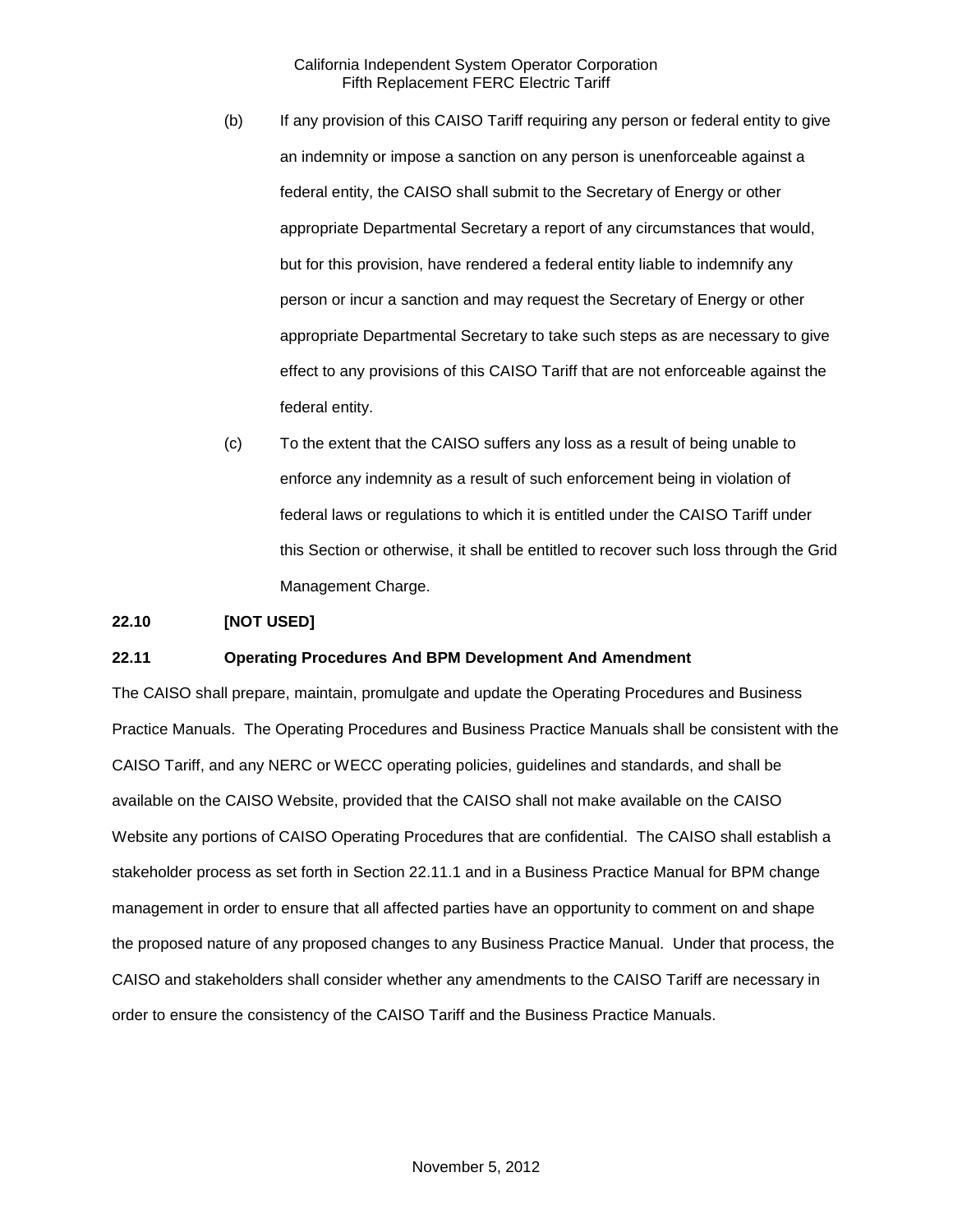- (b) If any provision of this CAISO Tariff requiring any person or federal entity to give an indemnity or impose a sanction on any person is unenforceable against a federal entity, the CAISO shall submit to the Secretary of Energy or other appropriate Departmental Secretary a report of any circumstances that would, but for this provision, have rendered a federal entity liable to indemnify any person or incur a sanction and may request the Secretary of Energy or other appropriate Departmental Secretary to take such steps as are necessary to give effect to any provisions of this CAISO Tariff that are not enforceable against the federal entity.
- (c) To the extent that the CAISO suffers any loss as a result of being unable to enforce any indemnity as a result of such enforcement being in violation of federal laws or regulations to which it is entitled under the CAISO Tariff under this Section or otherwise, it shall be entitled to recover such loss through the Grid Management Charge.

# **22.10 [NOT USED]**

#### **22.11 Operating Procedures And BPM Development And Amendment**

The CAISO shall prepare, maintain, promulgate and update the Operating Procedures and Business Practice Manuals. The Operating Procedures and Business Practice Manuals shall be consistent with the CAISO Tariff, and any NERC or WECC operating policies, guidelines and standards, and shall be available on the CAISO Website, provided that the CAISO shall not make available on the CAISO Website any portions of CAISO Operating Procedures that are confidential. The CAISO shall establish a stakeholder process as set forth in Section 22.11.1 and in a Business Practice Manual for BPM change management in order to ensure that all affected parties have an opportunity to comment on and shape the proposed nature of any proposed changes to any Business Practice Manual. Under that process, the CAISO and stakeholders shall consider whether any amendments to the CAISO Tariff are necessary in order to ensure the consistency of the CAISO Tariff and the Business Practice Manuals.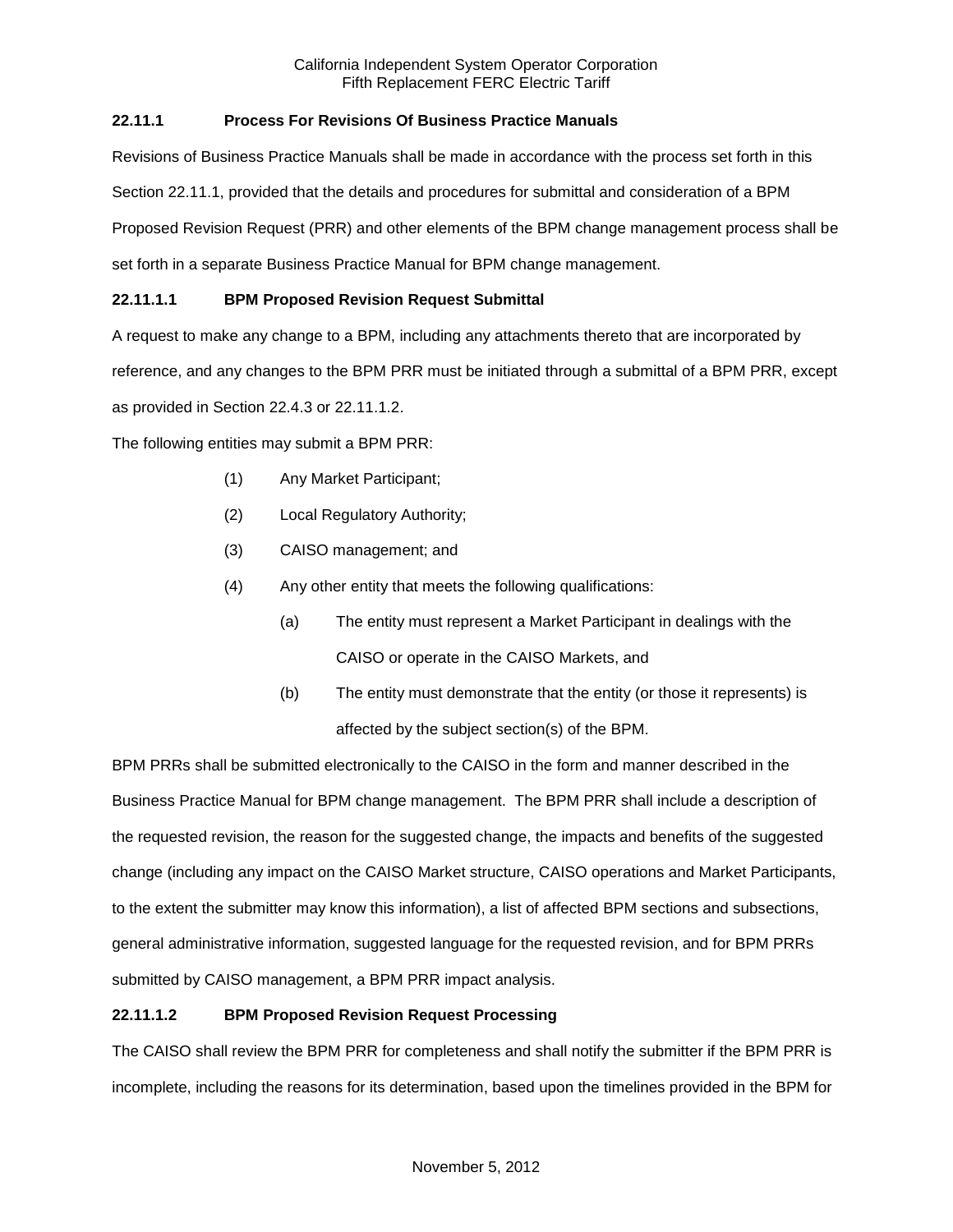# **22.11.1 Process For Revisions Of Business Practice Manuals**

Revisions of Business Practice Manuals shall be made in accordance with the process set forth in this Section 22.11.1, provided that the details and procedures for submittal and consideration of a BPM Proposed Revision Request (PRR) and other elements of the BPM change management process shall be set forth in a separate Business Practice Manual for BPM change management.

# **22.11.1.1 BPM Proposed Revision Request Submittal**

A request to make any change to a BPM, including any attachments thereto that are incorporated by

reference, and any changes to the BPM PRR must be initiated through a submittal of a BPM PRR, except

as provided in Section 22.4.3 or 22.11.1.2.

The following entities may submit a BPM PRR:

- (1) Any Market Participant;
- (2) Local Regulatory Authority;
- (3) CAISO management; and
- (4) Any other entity that meets the following qualifications:
	- (a) The entity must represent a Market Participant in dealings with the CAISO or operate in the CAISO Markets, and
	- (b) The entity must demonstrate that the entity (or those it represents) is affected by the subject section(s) of the BPM.

BPM PRRs shall be submitted electronically to the CAISO in the form and manner described in the Business Practice Manual for BPM change management. The BPM PRR shall include a description of the requested revision, the reason for the suggested change, the impacts and benefits of the suggested change (including any impact on the CAISO Market structure, CAISO operations and Market Participants, to the extent the submitter may know this information), a list of affected BPM sections and subsections, general administrative information, suggested language for the requested revision, and for BPM PRRs submitted by CAISO management, a BPM PRR impact analysis.

# **22.11.1.2 BPM Proposed Revision Request Processing**

The CAISO shall review the BPM PRR for completeness and shall notify the submitter if the BPM PRR is incomplete, including the reasons for its determination, based upon the timelines provided in the BPM for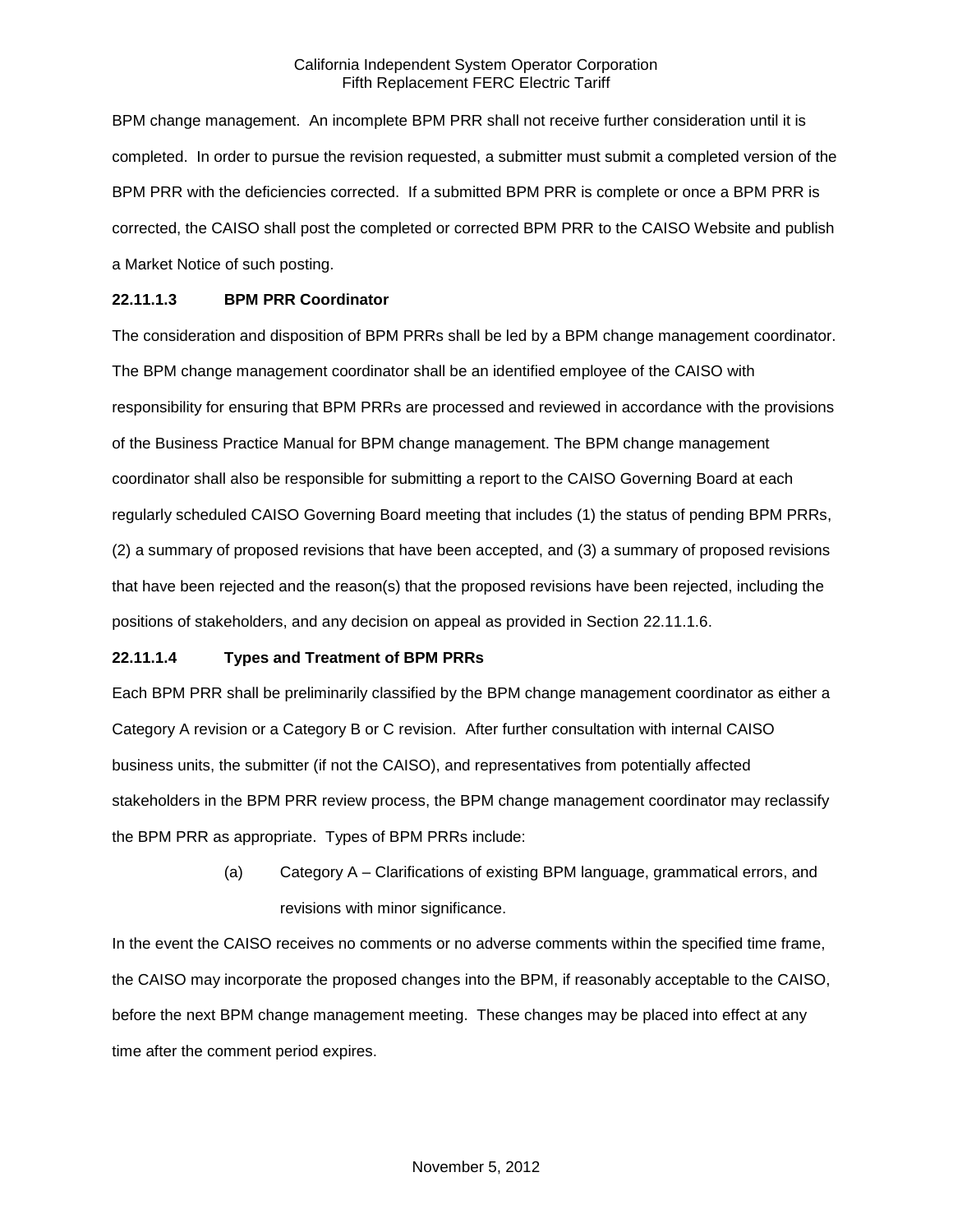BPM change management. An incomplete BPM PRR shall not receive further consideration until it is completed. In order to pursue the revision requested, a submitter must submit a completed version of the BPM PRR with the deficiencies corrected. If a submitted BPM PRR is complete or once a BPM PRR is corrected, the CAISO shall post the completed or corrected BPM PRR to the CAISO Website and publish a Market Notice of such posting.

### **22.11.1.3 BPM PRR Coordinator**

The consideration and disposition of BPM PRRs shall be led by a BPM change management coordinator. The BPM change management coordinator shall be an identified employee of the CAISO with responsibility for ensuring that BPM PRRs are processed and reviewed in accordance with the provisions of the Business Practice Manual for BPM change management. The BPM change management coordinator shall also be responsible for submitting a report to the CAISO Governing Board at each regularly scheduled CAISO Governing Board meeting that includes (1) the status of pending BPM PRRs, (2) a summary of proposed revisions that have been accepted, and (3) a summary of proposed revisions that have been rejected and the reason(s) that the proposed revisions have been rejected, including the positions of stakeholders, and any decision on appeal as provided in Section 22.11.1.6.

### **22.11.1.4 Types and Treatment of BPM PRRs**

Each BPM PRR shall be preliminarily classified by the BPM change management coordinator as either a Category A revision or a Category B or C revision. After further consultation with internal CAISO business units, the submitter (if not the CAISO), and representatives from potentially affected stakeholders in the BPM PRR review process, the BPM change management coordinator may reclassify the BPM PRR as appropriate. Types of BPM PRRs include:

> (a) Category A – Clarifications of existing BPM language, grammatical errors, and revisions with minor significance.

In the event the CAISO receives no comments or no adverse comments within the specified time frame, the CAISO may incorporate the proposed changes into the BPM, if reasonably acceptable to the CAISO, before the next BPM change management meeting. These changes may be placed into effect at any time after the comment period expires.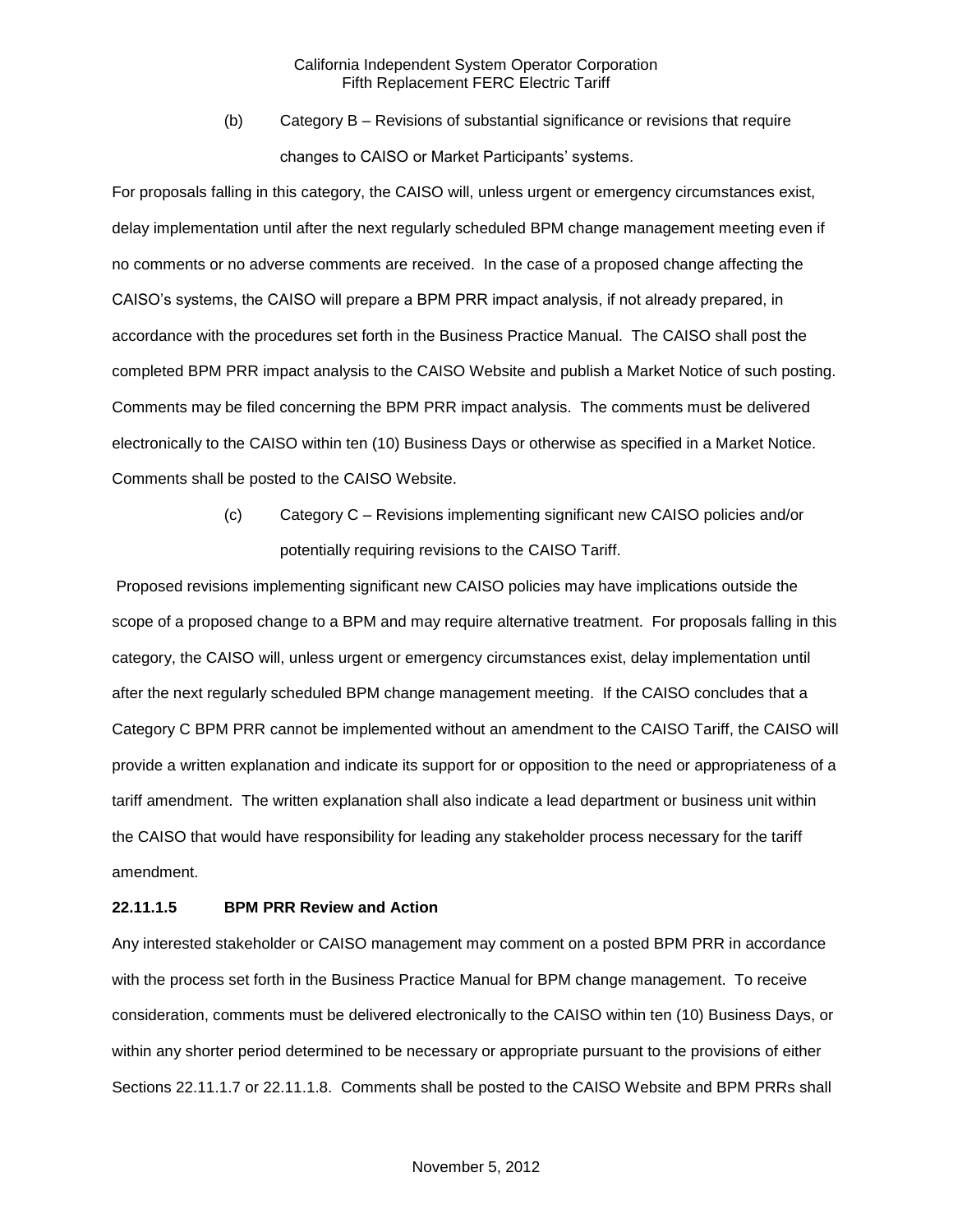(b) Category B – Revisions of substantial significance or revisions that require changes to CAISO or Market Participants' systems.

For proposals falling in this category, the CAISO will, unless urgent or emergency circumstances exist, delay implementation until after the next regularly scheduled BPM change management meeting even if no comments or no adverse comments are received. In the case of a proposed change affecting the CAISO's systems, the CAISO will prepare a BPM PRR impact analysis, if not already prepared, in accordance with the procedures set forth in the Business Practice Manual. The CAISO shall post the completed BPM PRR impact analysis to the CAISO Website and publish a Market Notice of such posting. Comments may be filed concerning the BPM PRR impact analysis. The comments must be delivered electronically to the CAISO within ten (10) Business Days or otherwise as specified in a Market Notice. Comments shall be posted to the CAISO Website.

> (c) Category C – Revisions implementing significant new CAISO policies and/or potentially requiring revisions to the CAISO Tariff.

Proposed revisions implementing significant new CAISO policies may have implications outside the scope of a proposed change to a BPM and may require alternative treatment. For proposals falling in this category, the CAISO will, unless urgent or emergency circumstances exist, delay implementation until after the next regularly scheduled BPM change management meeting. If the CAISO concludes that a Category C BPM PRR cannot be implemented without an amendment to the CAISO Tariff, the CAISO will provide a written explanation and indicate its support for or opposition to the need or appropriateness of a tariff amendment. The written explanation shall also indicate a lead department or business unit within the CAISO that would have responsibility for leading any stakeholder process necessary for the tariff amendment.

### **22.11.1.5 BPM PRR Review and Action**

Any interested stakeholder or CAISO management may comment on a posted BPM PRR in accordance with the process set forth in the Business Practice Manual for BPM change management. To receive consideration, comments must be delivered electronically to the CAISO within ten (10) Business Days, or within any shorter period determined to be necessary or appropriate pursuant to the provisions of either Sections 22.11.1.7 or 22.11.1.8. Comments shall be posted to the CAISO Website and BPM PRRs shall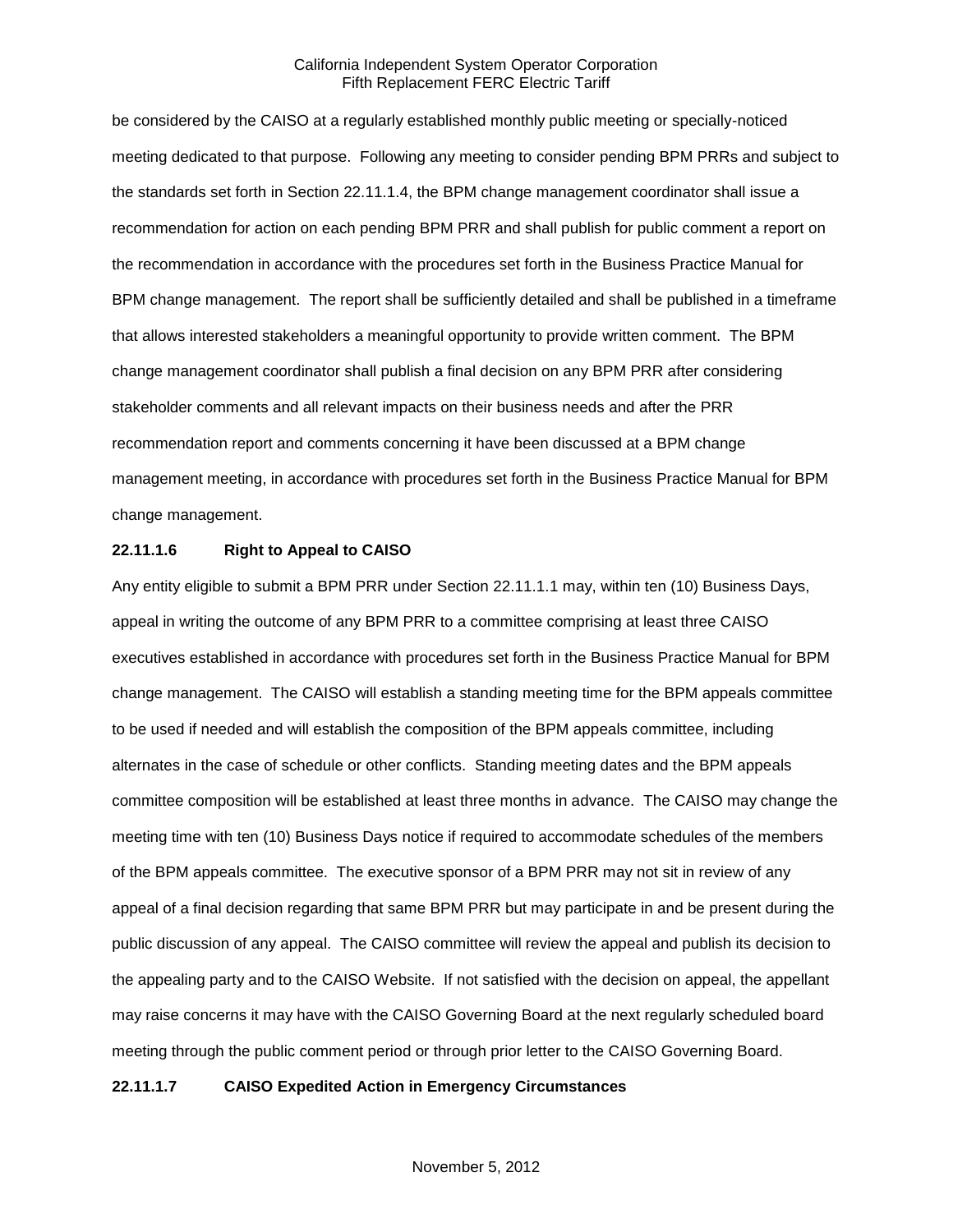be considered by the CAISO at a regularly established monthly public meeting or specially-noticed meeting dedicated to that purpose. Following any meeting to consider pending BPM PRRs and subject to the standards set forth in Section 22.11.1.4, the BPM change management coordinator shall issue a recommendation for action on each pending BPM PRR and shall publish for public comment a report on the recommendation in accordance with the procedures set forth in the Business Practice Manual for BPM change management. The report shall be sufficiently detailed and shall be published in a timeframe that allows interested stakeholders a meaningful opportunity to provide written comment. The BPM change management coordinator shall publish a final decision on any BPM PRR after considering stakeholder comments and all relevant impacts on their business needs and after the PRR recommendation report and comments concerning it have been discussed at a BPM change management meeting, in accordance with procedures set forth in the Business Practice Manual for BPM change management.

### **22.11.1.6 Right to Appeal to CAISO**

Any entity eligible to submit a BPM PRR under Section 22.11.1.1 may, within ten (10) Business Days, appeal in writing the outcome of any BPM PRR to a committee comprising at least three CAISO executives established in accordance with procedures set forth in the Business Practice Manual for BPM change management. The CAISO will establish a standing meeting time for the BPM appeals committee to be used if needed and will establish the composition of the BPM appeals committee, including alternates in the case of schedule or other conflicts. Standing meeting dates and the BPM appeals committee composition will be established at least three months in advance. The CAISO may change the meeting time with ten (10) Business Days notice if required to accommodate schedules of the members of the BPM appeals committee. The executive sponsor of a BPM PRR may not sit in review of any appeal of a final decision regarding that same BPM PRR but may participate in and be present during the public discussion of any appeal. The CAISO committee will review the appeal and publish its decision to the appealing party and to the CAISO Website. If not satisfied with the decision on appeal, the appellant may raise concerns it may have with the CAISO Governing Board at the next regularly scheduled board meeting through the public comment period or through prior letter to the CAISO Governing Board.

### **22.11.1.7 CAISO Expedited Action in Emergency Circumstances**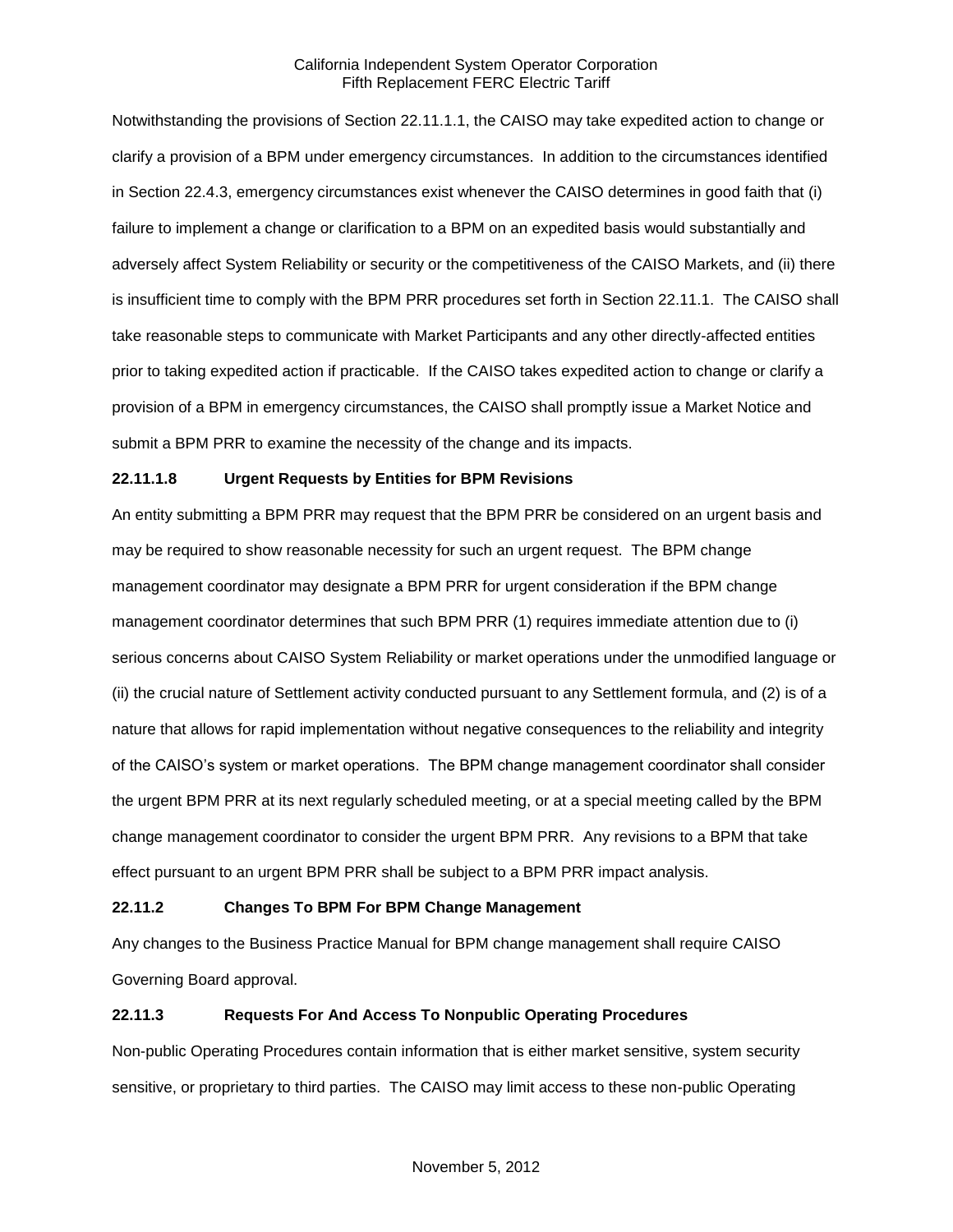Notwithstanding the provisions of Section 22.11.1.1, the CAISO may take expedited action to change or clarify a provision of a BPM under emergency circumstances. In addition to the circumstances identified in Section 22.4.3, emergency circumstances exist whenever the CAISO determines in good faith that (i) failure to implement a change or clarification to a BPM on an expedited basis would substantially and adversely affect System Reliability or security or the competitiveness of the CAISO Markets, and (ii) there is insufficient time to comply with the BPM PRR procedures set forth in Section 22.11.1. The CAISO shall take reasonable steps to communicate with Market Participants and any other directly-affected entities prior to taking expedited action if practicable. If the CAISO takes expedited action to change or clarify a provision of a BPM in emergency circumstances, the CAISO shall promptly issue a Market Notice and submit a BPM PRR to examine the necessity of the change and its impacts.

# **22.11.1.8 Urgent Requests by Entities for BPM Revisions**

An entity submitting a BPM PRR may request that the BPM PRR be considered on an urgent basis and may be required to show reasonable necessity for such an urgent request. The BPM change management coordinator may designate a BPM PRR for urgent consideration if the BPM change management coordinator determines that such BPM PRR (1) requires immediate attention due to (i) serious concerns about CAISO System Reliability or market operations under the unmodified language or (ii) the crucial nature of Settlement activity conducted pursuant to any Settlement formula, and (2) is of a nature that allows for rapid implementation without negative consequences to the reliability and integrity of the CAISO's system or market operations. The BPM change management coordinator shall consider the urgent BPM PRR at its next regularly scheduled meeting, or at a special meeting called by the BPM change management coordinator to consider the urgent BPM PRR. Any revisions to a BPM that take effect pursuant to an urgent BPM PRR shall be subject to a BPM PRR impact analysis.

### **22.11.2 Changes To BPM For BPM Change Management**

Any changes to the Business Practice Manual for BPM change management shall require CAISO Governing Board approval.

# **22.11.3 Requests For And Access To Nonpublic Operating Procedures**

Non-public Operating Procedures contain information that is either market sensitive, system security sensitive, or proprietary to third parties. The CAISO may limit access to these non-public Operating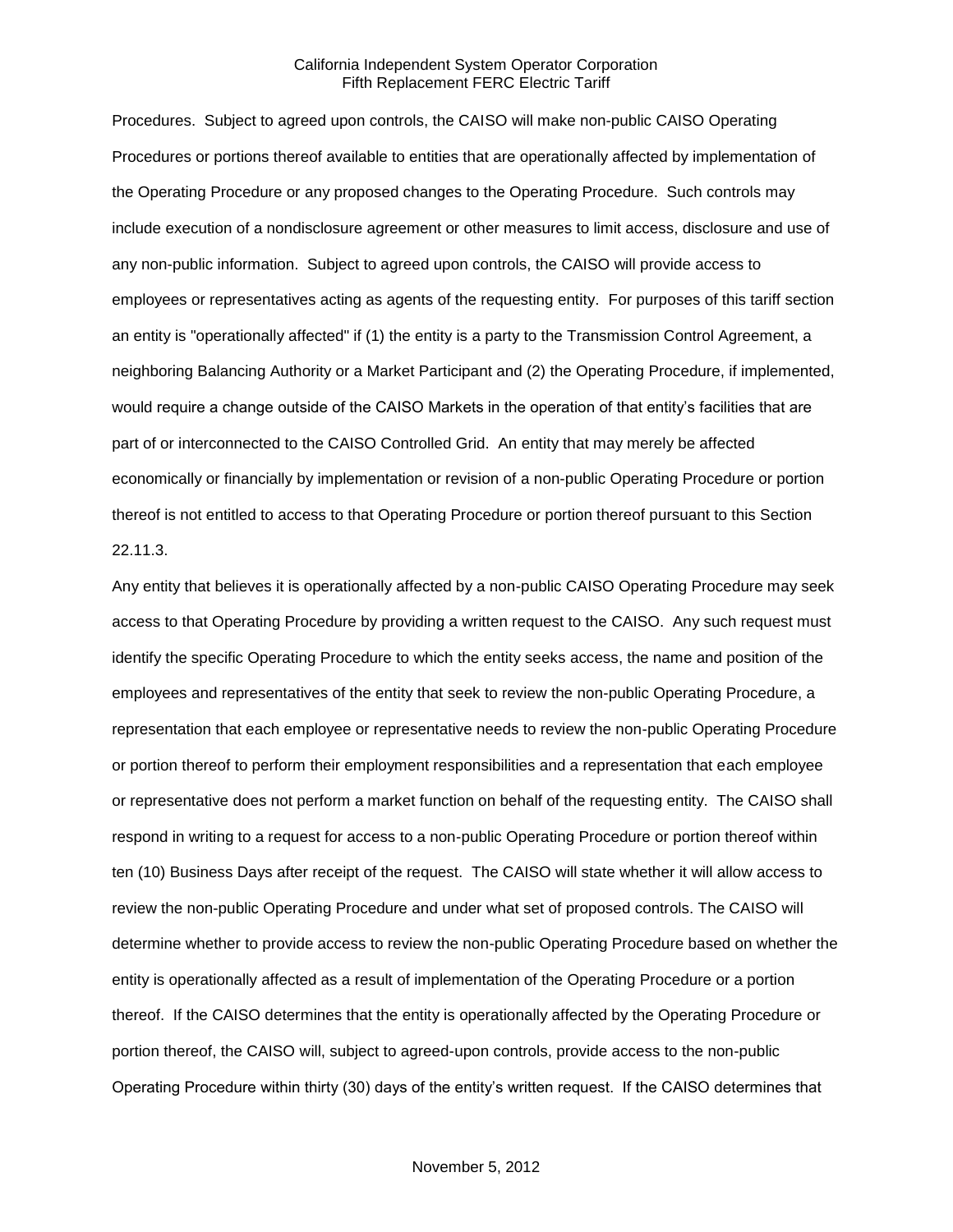Procedures. Subject to agreed upon controls, the CAISO will make non-public CAISO Operating Procedures or portions thereof available to entities that are operationally affected by implementation of the Operating Procedure or any proposed changes to the Operating Procedure. Such controls may include execution of a nondisclosure agreement or other measures to limit access, disclosure and use of any non-public information. Subject to agreed upon controls, the CAISO will provide access to employees or representatives acting as agents of the requesting entity. For purposes of this tariff section an entity is "operationally affected" if (1) the entity is a party to the Transmission Control Agreement, a neighboring Balancing Authority or a Market Participant and (2) the Operating Procedure, if implemented, would require a change outside of the CAISO Markets in the operation of that entity's facilities that are part of or interconnected to the CAISO Controlled Grid. An entity that may merely be affected economically or financially by implementation or revision of a non-public Operating Procedure or portion thereof is not entitled to access to that Operating Procedure or portion thereof pursuant to this Section 22.11.3.

Any entity that believes it is operationally affected by a non-public CAISO Operating Procedure may seek access to that Operating Procedure by providing a written request to the CAISO. Any such request must identify the specific Operating Procedure to which the entity seeks access, the name and position of the employees and representatives of the entity that seek to review the non-public Operating Procedure, a representation that each employee or representative needs to review the non-public Operating Procedure or portion thereof to perform their employment responsibilities and a representation that each employee or representative does not perform a market function on behalf of the requesting entity. The CAISO shall respond in writing to a request for access to a non-public Operating Procedure or portion thereof within ten (10) Business Days after receipt of the request. The CAISO will state whether it will allow access to review the non-public Operating Procedure and under what set of proposed controls. The CAISO will determine whether to provide access to review the non-public Operating Procedure based on whether the entity is operationally affected as a result of implementation of the Operating Procedure or a portion thereof. If the CAISO determines that the entity is operationally affected by the Operating Procedure or portion thereof, the CAISO will, subject to agreed-upon controls, provide access to the non-public Operating Procedure within thirty (30) days of the entity's written request. If the CAISO determines that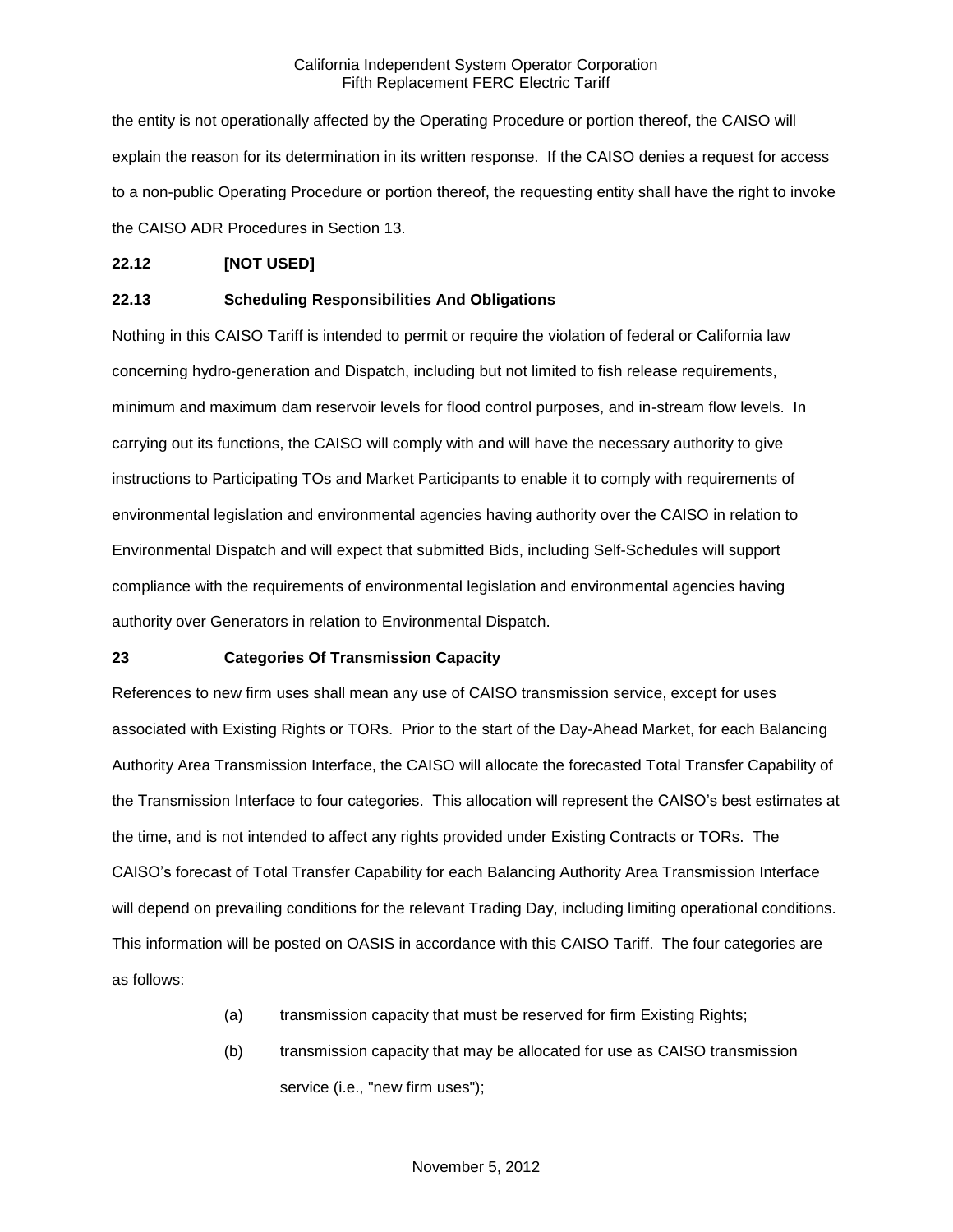the entity is not operationally affected by the Operating Procedure or portion thereof, the CAISO will explain the reason for its determination in its written response. If the CAISO denies a request for access to a non-public Operating Procedure or portion thereof, the requesting entity shall have the right to invoke the CAISO ADR Procedures in Section 13.

# **22.12 [NOT USED]**

# **22.13 Scheduling Responsibilities And Obligations**

Nothing in this CAISO Tariff is intended to permit or require the violation of federal or California law concerning hydro-generation and Dispatch, including but not limited to fish release requirements, minimum and maximum dam reservoir levels for flood control purposes, and in-stream flow levels. In carrying out its functions, the CAISO will comply with and will have the necessary authority to give instructions to Participating TOs and Market Participants to enable it to comply with requirements of environmental legislation and environmental agencies having authority over the CAISO in relation to Environmental Dispatch and will expect that submitted Bids, including Self-Schedules will support compliance with the requirements of environmental legislation and environmental agencies having authority over Generators in relation to Environmental Dispatch.

### **23 Categories Of Transmission Capacity**

References to new firm uses shall mean any use of CAISO transmission service, except for uses associated with Existing Rights or TORs. Prior to the start of the Day-Ahead Market, for each Balancing Authority Area Transmission Interface, the CAISO will allocate the forecasted Total Transfer Capability of the Transmission Interface to four categories. This allocation will represent the CAISO's best estimates at the time, and is not intended to affect any rights provided under Existing Contracts or TORs. The CAISO's forecast of Total Transfer Capability for each Balancing Authority Area Transmission Interface will depend on prevailing conditions for the relevant Trading Day, including limiting operational conditions. This information will be posted on OASIS in accordance with this CAISO Tariff. The four categories are as follows:

- (a) transmission capacity that must be reserved for firm Existing Rights;
- (b) transmission capacity that may be allocated for use as CAISO transmission service (i.e., "new firm uses");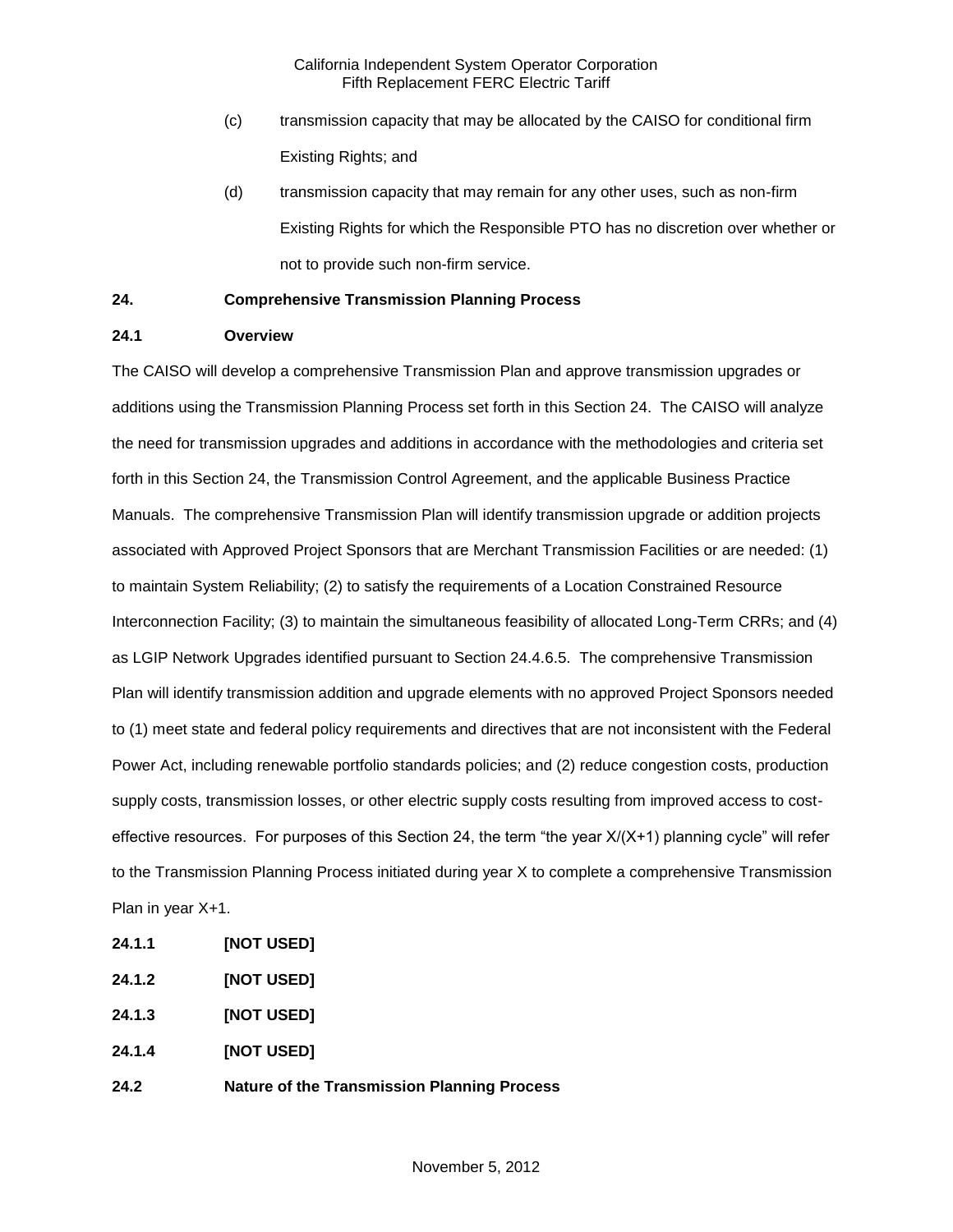- (c) transmission capacity that may be allocated by the CAISO for conditional firm Existing Rights; and
- (d) transmission capacity that may remain for any other uses, such as non-firm Existing Rights for which the Responsible PTO has no discretion over whether or not to provide such non-firm service.

# **24. Comprehensive Transmission Planning Process**

# **24.1 Overview**

The CAISO will develop a comprehensive Transmission Plan and approve transmission upgrades or additions using the Transmission Planning Process set forth in this Section 24. The CAISO will analyze the need for transmission upgrades and additions in accordance with the methodologies and criteria set forth in this Section 24, the Transmission Control Agreement, and the applicable Business Practice Manuals. The comprehensive Transmission Plan will identify transmission upgrade or addition projects associated with Approved Project Sponsors that are Merchant Transmission Facilities or are needed: (1) to maintain System Reliability; (2) to satisfy the requirements of a Location Constrained Resource Interconnection Facility; (3) to maintain the simultaneous feasibility of allocated Long-Term CRRs; and (4) as LGIP Network Upgrades identified pursuant to Section 24.4.6.5. The comprehensive Transmission Plan will identify transmission addition and upgrade elements with no approved Project Sponsors needed to (1) meet state and federal policy requirements and directives that are not inconsistent with the Federal Power Act, including renewable portfolio standards policies; and (2) reduce congestion costs, production supply costs, transmission losses, or other electric supply costs resulting from improved access to costeffective resources. For purposes of this Section 24, the term "the year X/(X+1) planning cycle" will refer to the Transmission Planning Process initiated during year X to complete a comprehensive Transmission Plan in year X+1.

- **24.1.1 [NOT USED]**
- **24.1.2 [NOT USED]**
- **24.1.3 [NOT USED]**
- **24.1.4 [NOT USED]**
- **24.2 Nature of the Transmission Planning Process**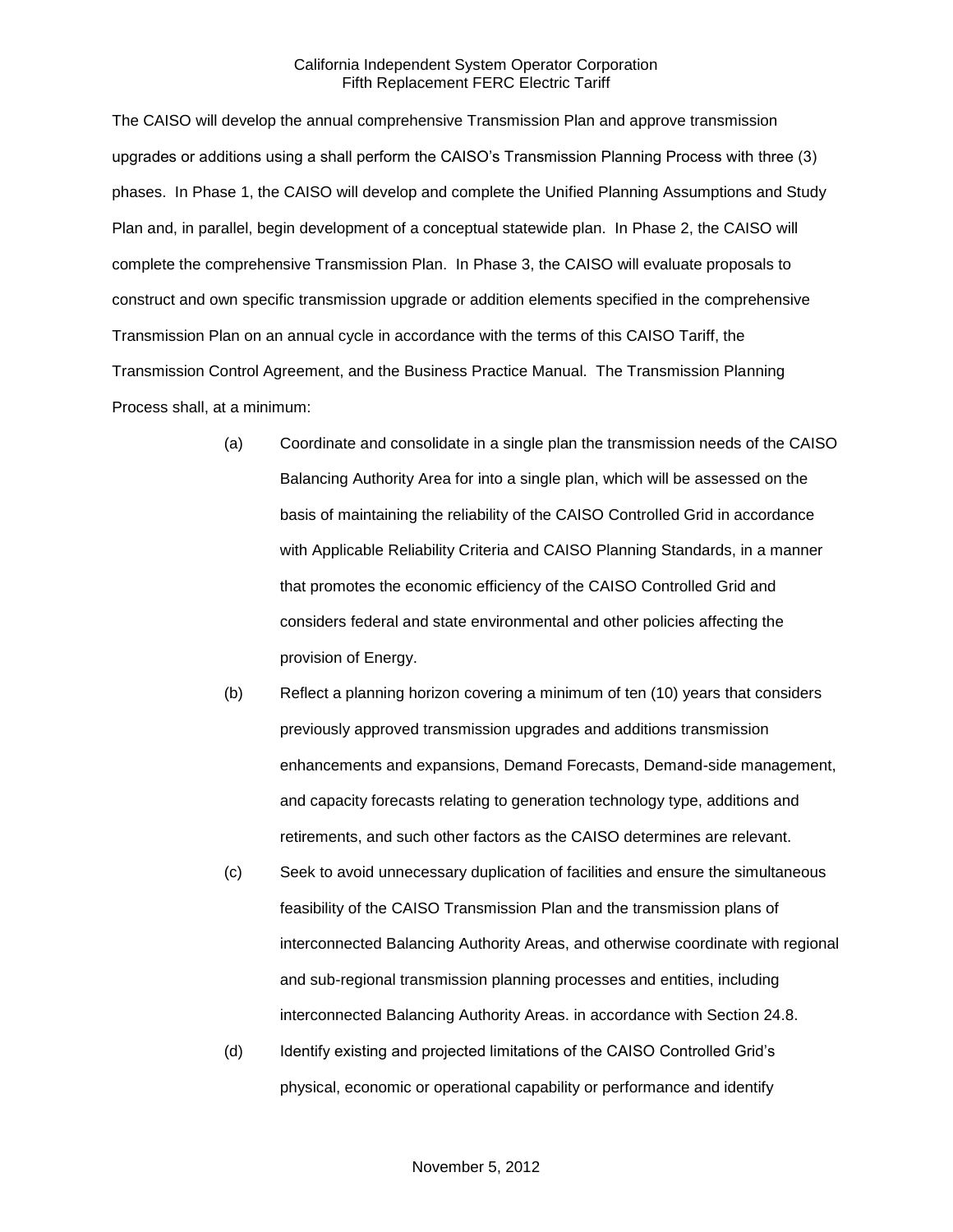The CAISO will develop the annual comprehensive Transmission Plan and approve transmission upgrades or additions using a shall perform the CAISO's Transmission Planning Process with three (3) phases. In Phase 1, the CAISO will develop and complete the Unified Planning Assumptions and Study Plan and, in parallel, begin development of a conceptual statewide plan. In Phase 2, the CAISO will complete the comprehensive Transmission Plan. In Phase 3, the CAISO will evaluate proposals to construct and own specific transmission upgrade or addition elements specified in the comprehensive Transmission Plan on an annual cycle in accordance with the terms of this CAISO Tariff, the Transmission Control Agreement, and the Business Practice Manual. The Transmission Planning Process shall, at a minimum:

- (a) Coordinate and consolidate in a single plan the transmission needs of the CAISO Balancing Authority Area for into a single plan, which will be assessed on the basis of maintaining the reliability of the CAISO Controlled Grid in accordance with Applicable Reliability Criteria and CAISO Planning Standards, in a manner that promotes the economic efficiency of the CAISO Controlled Grid and considers federal and state environmental and other policies affecting the provision of Energy.
- (b) Reflect a planning horizon covering a minimum of ten (10) years that considers previously approved transmission upgrades and additions transmission enhancements and expansions, Demand Forecasts, Demand-side management, and capacity forecasts relating to generation technology type, additions and retirements, and such other factors as the CAISO determines are relevant.
- (c) Seek to avoid unnecessary duplication of facilities and ensure the simultaneous feasibility of the CAISO Transmission Plan and the transmission plans of interconnected Balancing Authority Areas, and otherwise coordinate with regional and sub-regional transmission planning processes and entities, including interconnected Balancing Authority Areas. in accordance with Section 24.8.
- (d) Identify existing and projected limitations of the CAISO Controlled Grid's physical, economic or operational capability or performance and identify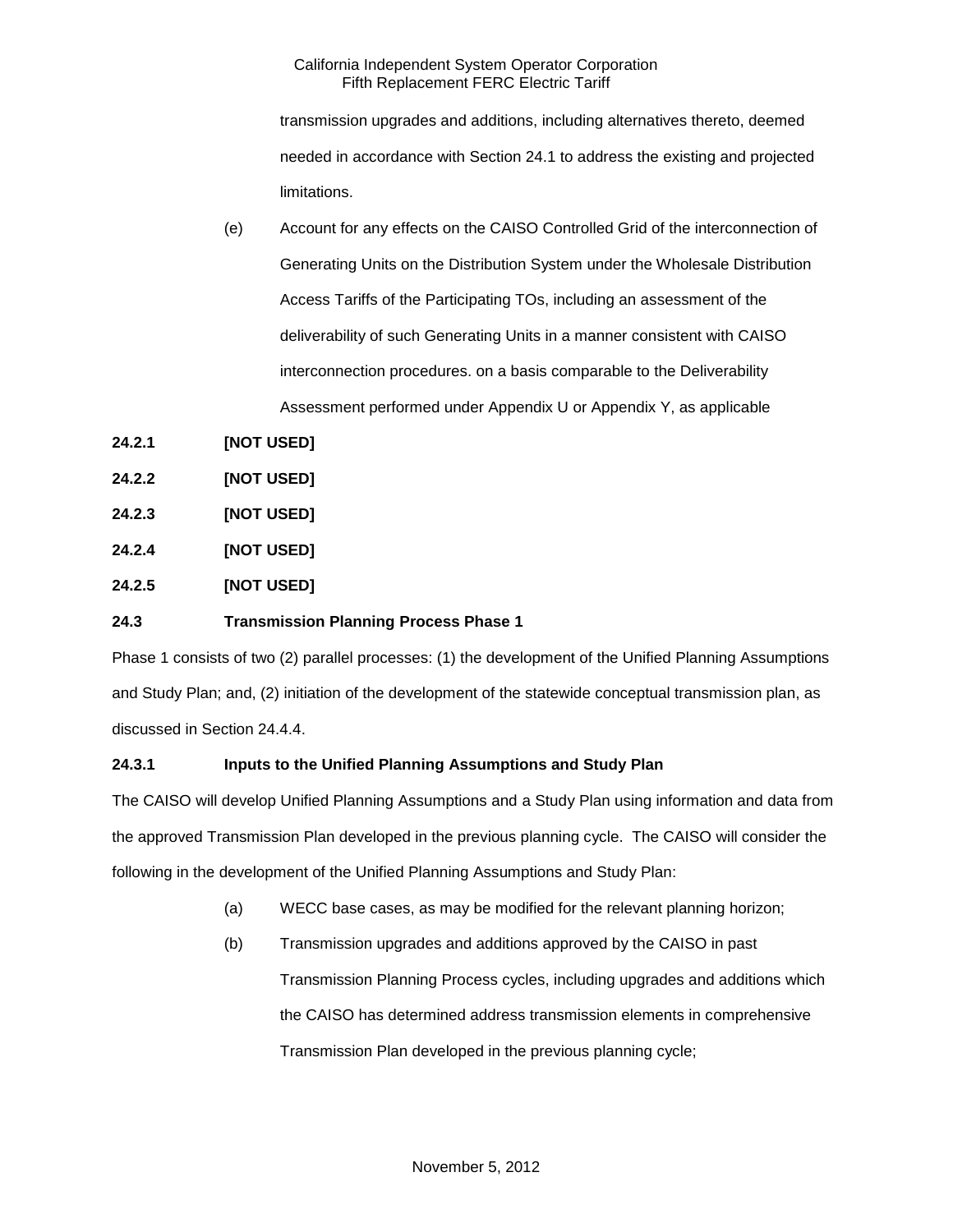transmission upgrades and additions, including alternatives thereto, deemed needed in accordance with Section 24.1 to address the existing and projected limitations.

- (e) Account for any effects on the CAISO Controlled Grid of the interconnection of Generating Units on the Distribution System under the Wholesale Distribution Access Tariffs of the Participating TOs, including an assessment of the deliverability of such Generating Units in a manner consistent with CAISO interconnection procedures. on a basis comparable to the Deliverability Assessment performed under Appendix U or Appendix Y, as applicable
- **24.2.1 [NOT USED]**
- **24.2.2 [NOT USED]**
- **24.2.3 [NOT USED]**
- **24.2.4 [NOT USED]**
- **24.2.5 [NOT USED]**

# **24.3 Transmission Planning Process Phase 1**

Phase 1 consists of two (2) parallel processes: (1) the development of the Unified Planning Assumptions and Study Plan; and, (2) initiation of the development of the statewide conceptual transmission plan, as discussed in Section 24.4.4.

# **24.3.1 Inputs to the Unified Planning Assumptions and Study Plan**

The CAISO will develop Unified Planning Assumptions and a Study Plan using information and data from the approved Transmission Plan developed in the previous planning cycle. The CAISO will consider the following in the development of the Unified Planning Assumptions and Study Plan:

- (a) WECC base cases, as may be modified for the relevant planning horizon;
- (b) Transmission upgrades and additions approved by the CAISO in past Transmission Planning Process cycles, including upgrades and additions which the CAISO has determined address transmission elements in comprehensive Transmission Plan developed in the previous planning cycle;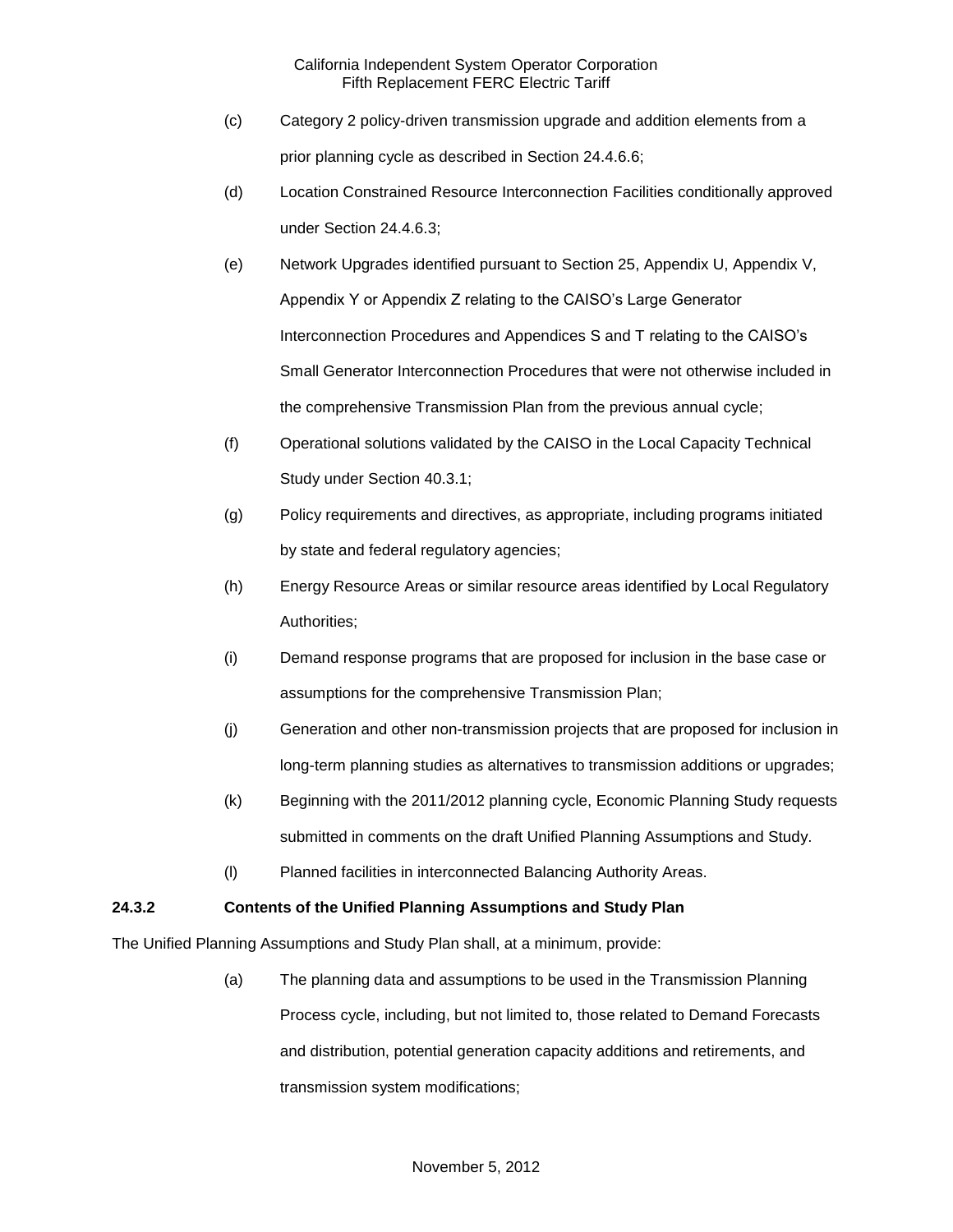- (c) Category 2 policy-driven transmission upgrade and addition elements from a prior planning cycle as described in Section 24.4.6.6;
- (d) Location Constrained Resource Interconnection Facilities conditionally approved under Section 24.4.6.3;
- (e) Network Upgrades identified pursuant to Section 25, Appendix U, Appendix V, Appendix Y or Appendix Z relating to the CAISO's Large Generator Interconnection Procedures and Appendices S and T relating to the CAISO's Small Generator Interconnection Procedures that were not otherwise included in the comprehensive Transmission Plan from the previous annual cycle;
- (f) Operational solutions validated by the CAISO in the Local Capacity Technical Study under Section 40.3.1;
- (g) Policy requirements and directives, as appropriate, including programs initiated by state and federal regulatory agencies;
- (h) Energy Resource Areas or similar resource areas identified by Local Regulatory Authorities;
- (i) Demand response programs that are proposed for inclusion in the base case or assumptions for the comprehensive Transmission Plan;
- (j) Generation and other non-transmission projects that are proposed for inclusion in long-term planning studies as alternatives to transmission additions or upgrades;
- (k) Beginning with the 2011/2012 planning cycle, Economic Planning Study requests submitted in comments on the draft Unified Planning Assumptions and Study.
- (l) Planned facilities in interconnected Balancing Authority Areas.

# **24.3.2 Contents of the Unified Planning Assumptions and Study Plan**

The Unified Planning Assumptions and Study Plan shall, at a minimum, provide:

(a) The planning data and assumptions to be used in the Transmission Planning Process cycle, including, but not limited to, those related to Demand Forecasts and distribution, potential generation capacity additions and retirements, and transmission system modifications;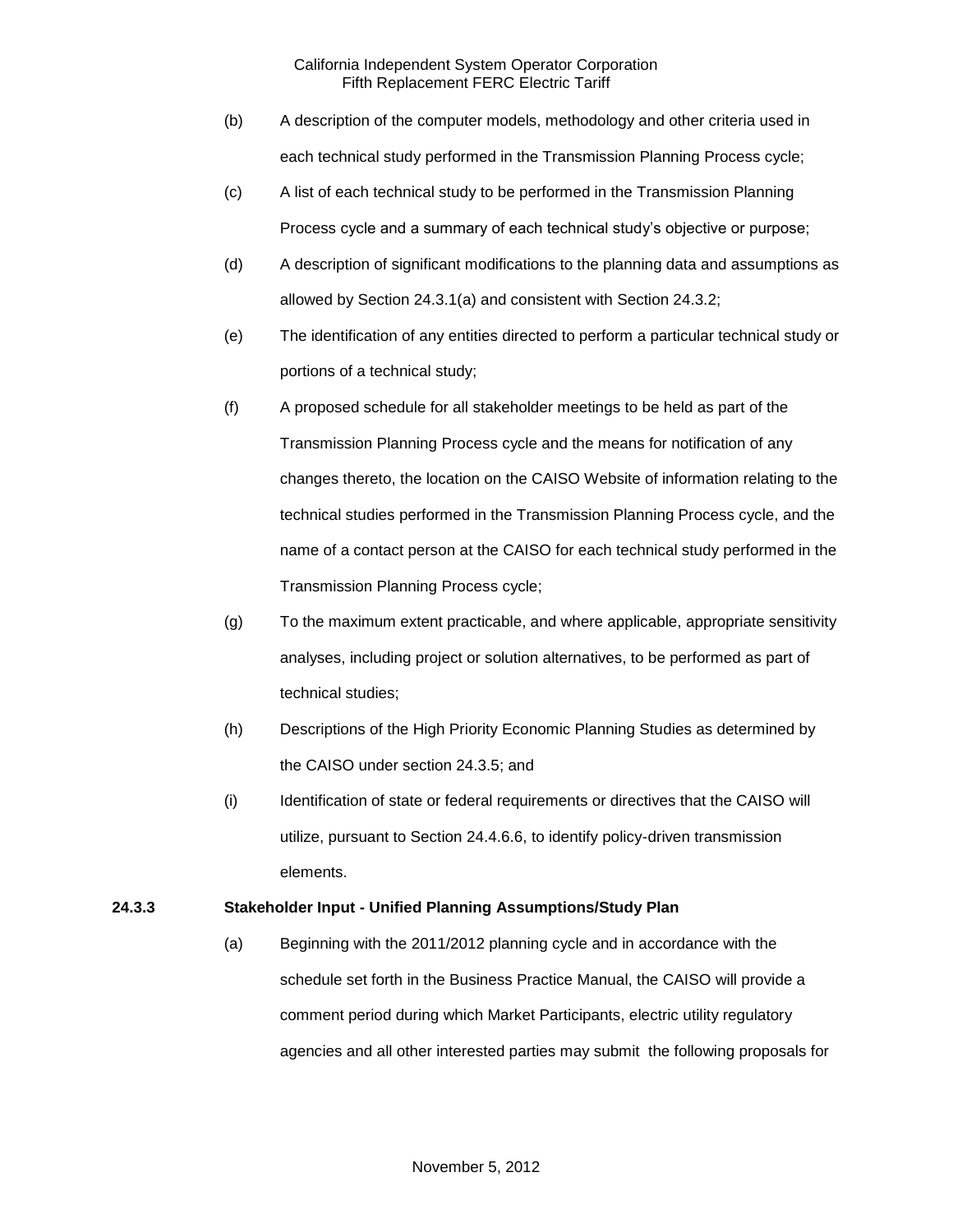- (b) A description of the computer models, methodology and other criteria used in each technical study performed in the Transmission Planning Process cycle;
- (c) A list of each technical study to be performed in the Transmission Planning Process cycle and a summary of each technical study's objective or purpose;
- (d) A description of significant modifications to the planning data and assumptions as allowed by Section 24.3.1(a) and consistent with Section 24.3.2;
- (e) The identification of any entities directed to perform a particular technical study or portions of a technical study;
- (f) A proposed schedule for all stakeholder meetings to be held as part of the Transmission Planning Process cycle and the means for notification of any changes thereto, the location on the CAISO Website of information relating to the technical studies performed in the Transmission Planning Process cycle, and the name of a contact person at the CAISO for each technical study performed in the Transmission Planning Process cycle;
- (g) To the maximum extent practicable, and where applicable, appropriate sensitivity analyses, including project or solution alternatives, to be performed as part of technical studies;
- (h) Descriptions of the High Priority Economic Planning Studies as determined by the CAISO under section 24.3.5; and
- (i) Identification of state or federal requirements or directives that the CAISO will utilize, pursuant to Section 24.4.6.6, to identify policy-driven transmission elements.

# **24.3.3 Stakeholder Input - Unified Planning Assumptions/Study Plan**

(a) Beginning with the 2011/2012 planning cycle and in accordance with the schedule set forth in the Business Practice Manual, the CAISO will provide a comment period during which Market Participants, electric utility regulatory agencies and all other interested parties may submit the following proposals for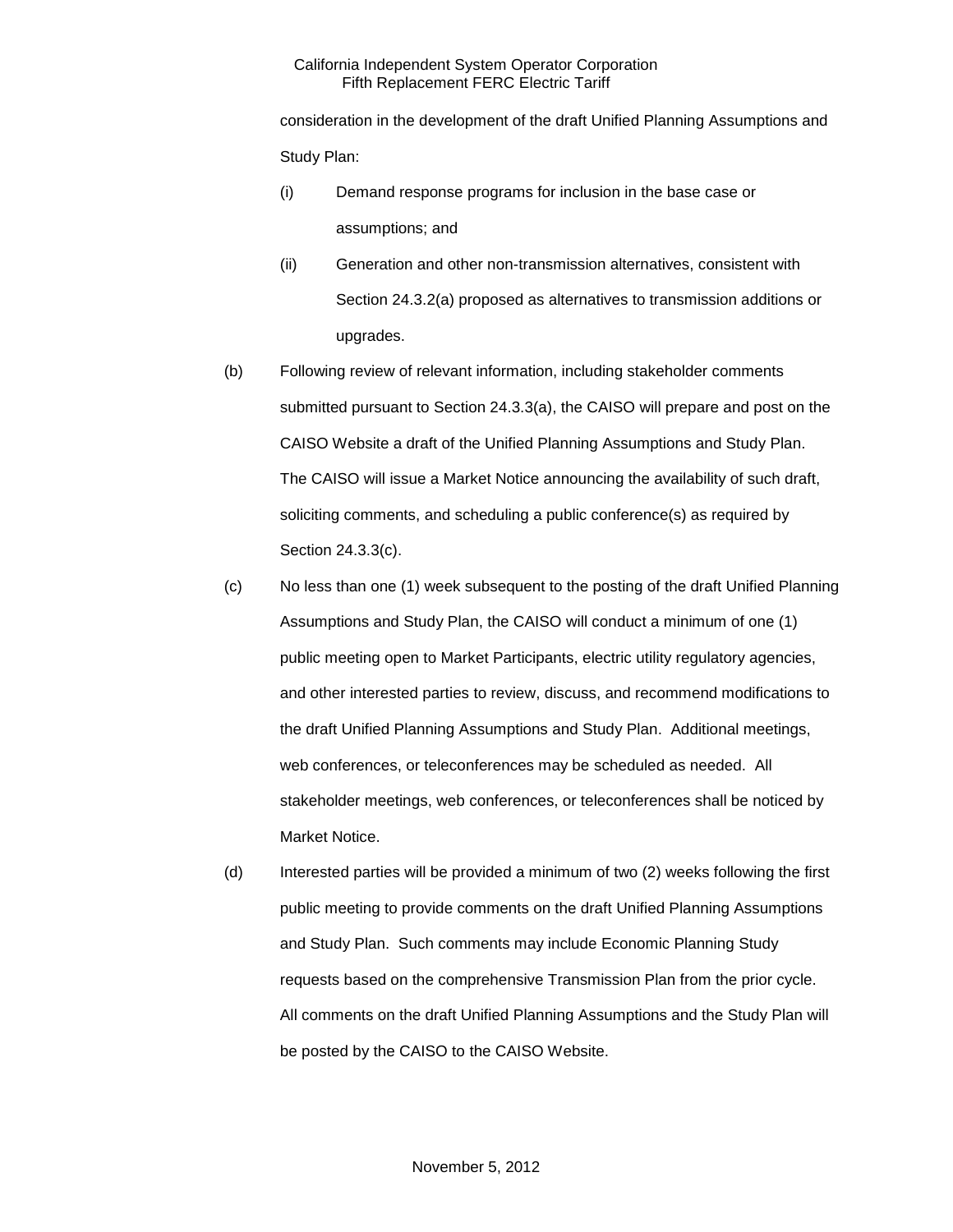consideration in the development of the draft Unified Planning Assumptions and Study Plan:

- (i) Demand response programs for inclusion in the base case or assumptions; and
- (ii) Generation and other non-transmission alternatives, consistent with Section 24.3.2(a) proposed as alternatives to transmission additions or upgrades.
- (b) Following review of relevant information, including stakeholder comments submitted pursuant to Section 24.3.3(a), the CAISO will prepare and post on the CAISO Website a draft of the Unified Planning Assumptions and Study Plan. The CAISO will issue a Market Notice announcing the availability of such draft, soliciting comments, and scheduling a public conference(s) as required by Section 24.3.3(c).
- (c) No less than one (1) week subsequent to the posting of the draft Unified Planning Assumptions and Study Plan, the CAISO will conduct a minimum of one (1) public meeting open to Market Participants, electric utility regulatory agencies, and other interested parties to review, discuss, and recommend modifications to the draft Unified Planning Assumptions and Study Plan. Additional meetings, web conferences, or teleconferences may be scheduled as needed. All stakeholder meetings, web conferences, or teleconferences shall be noticed by Market Notice.
- (d) Interested parties will be provided a minimum of two (2) weeks following the first public meeting to provide comments on the draft Unified Planning Assumptions and Study Plan. Such comments may include Economic Planning Study requests based on the comprehensive Transmission Plan from the prior cycle. All comments on the draft Unified Planning Assumptions and the Study Plan will be posted by the CAISO to the CAISO Website.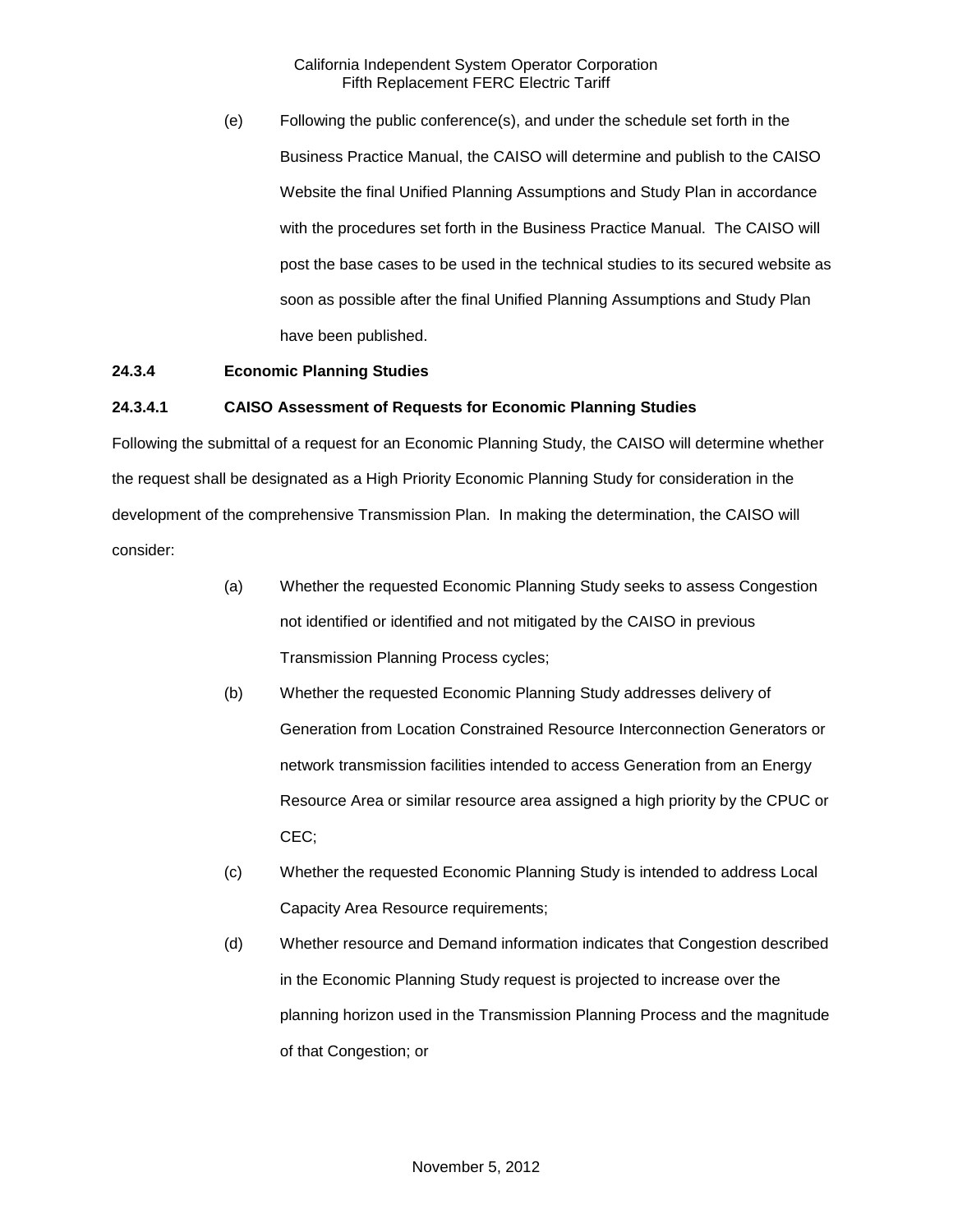(e) Following the public conference(s), and under the schedule set forth in the Business Practice Manual, the CAISO will determine and publish to the CAISO Website the final Unified Planning Assumptions and Study Plan in accordance with the procedures set forth in the Business Practice Manual. The CAISO will post the base cases to be used in the technical studies to its secured website as soon as possible after the final Unified Planning Assumptions and Study Plan have been published.

# **24.3.4 Economic Planning Studies**

### **24.3.4.1 CAISO Assessment of Requests for Economic Planning Studies**

Following the submittal of a request for an Economic Planning Study, the CAISO will determine whether the request shall be designated as a High Priority Economic Planning Study for consideration in the development of the comprehensive Transmission Plan. In making the determination, the CAISO will consider:

- (a) Whether the requested Economic Planning Study seeks to assess Congestion not identified or identified and not mitigated by the CAISO in previous Transmission Planning Process cycles;
- (b) Whether the requested Economic Planning Study addresses delivery of Generation from Location Constrained Resource Interconnection Generators or network transmission facilities intended to access Generation from an Energy Resource Area or similar resource area assigned a high priority by the CPUC or CEC;
- (c) Whether the requested Economic Planning Study is intended to address Local Capacity Area Resource requirements;
- (d) Whether resource and Demand information indicates that Congestion described in the Economic Planning Study request is projected to increase over the planning horizon used in the Transmission Planning Process and the magnitude of that Congestion; or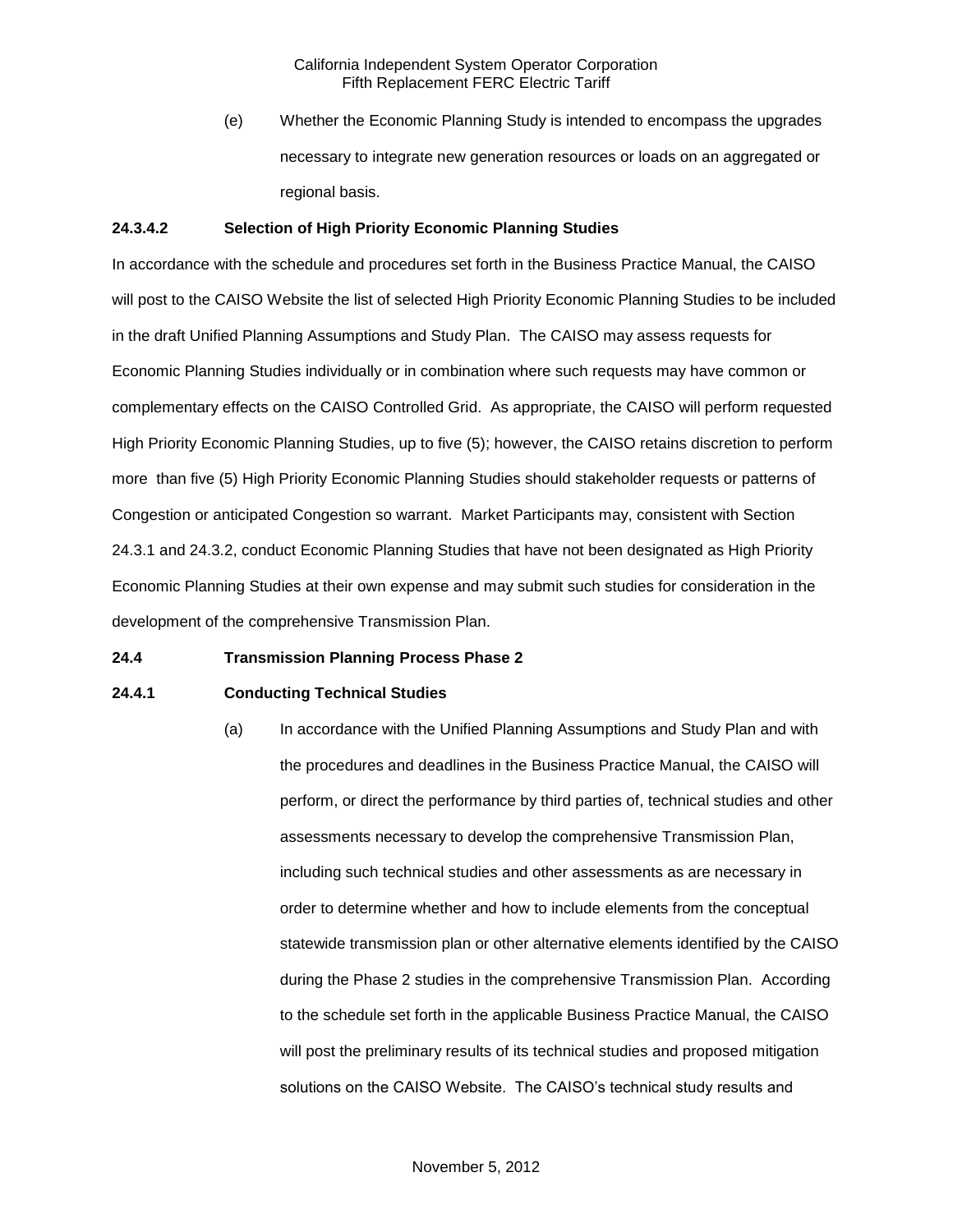(e) Whether the Economic Planning Study is intended to encompass the upgrades necessary to integrate new generation resources or loads on an aggregated or regional basis.

### **24.3.4.2 Selection of High Priority Economic Planning Studies**

In accordance with the schedule and procedures set forth in the Business Practice Manual, the CAISO will post to the CAISO Website the list of selected High Priority Economic Planning Studies to be included in the draft Unified Planning Assumptions and Study Plan. The CAISO may assess requests for Economic Planning Studies individually or in combination where such requests may have common or complementary effects on the CAISO Controlled Grid. As appropriate, the CAISO will perform requested High Priority Economic Planning Studies, up to five (5); however, the CAISO retains discretion to perform more than five (5) High Priority Economic Planning Studies should stakeholder requests or patterns of Congestion or anticipated Congestion so warrant. Market Participants may, consistent with Section 24.3.1 and 24.3.2, conduct Economic Planning Studies that have not been designated as High Priority Economic Planning Studies at their own expense and may submit such studies for consideration in the development of the comprehensive Transmission Plan.

### **24.4 Transmission Planning Process Phase 2**

### **24.4.1 Conducting Technical Studies**

(a) In accordance with the Unified Planning Assumptions and Study Plan and with the procedures and deadlines in the Business Practice Manual, the CAISO will perform, or direct the performance by third parties of, technical studies and other assessments necessary to develop the comprehensive Transmission Plan, including such technical studies and other assessments as are necessary in order to determine whether and how to include elements from the conceptual statewide transmission plan or other alternative elements identified by the CAISO during the Phase 2 studies in the comprehensive Transmission Plan. According to the schedule set forth in the applicable Business Practice Manual, the CAISO will post the preliminary results of its technical studies and proposed mitigation solutions on the CAISO Website. The CAISO's technical study results and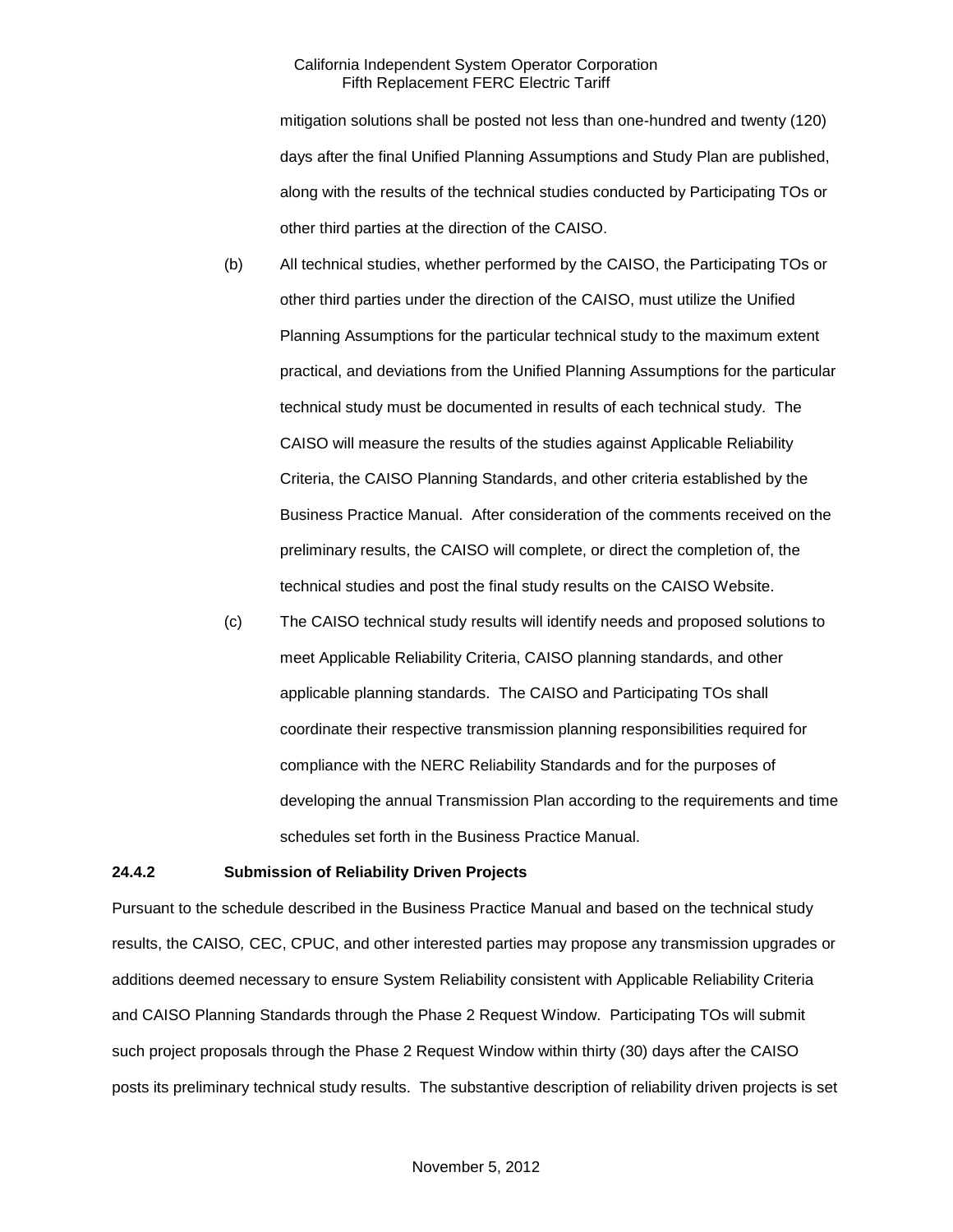mitigation solutions shall be posted not less than one-hundred and twenty (120) days after the final Unified Planning Assumptions and Study Plan are published, along with the results of the technical studies conducted by Participating TOs or other third parties at the direction of the CAISO.

- (b) All technical studies, whether performed by the CAISO, the Participating TOs or other third parties under the direction of the CAISO, must utilize the Unified Planning Assumptions for the particular technical study to the maximum extent practical, and deviations from the Unified Planning Assumptions for the particular technical study must be documented in results of each technical study. The CAISO will measure the results of the studies against Applicable Reliability Criteria, the CAISO Planning Standards, and other criteria established by the Business Practice Manual. After consideration of the comments received on the preliminary results, the CAISO will complete, or direct the completion of, the technical studies and post the final study results on the CAISO Website.
- (c) The CAISO technical study results will identify needs and proposed solutions to meet Applicable Reliability Criteria, CAISO planning standards, and other applicable planning standards. The CAISO and Participating TOs shall coordinate their respective transmission planning responsibilities required for compliance with the NERC Reliability Standards and for the purposes of developing the annual Transmission Plan according to the requirements and time schedules set forth in the Business Practice Manual.

#### **24.4.2 Submission of Reliability Driven Projects**

Pursuant to the schedule described in the Business Practice Manual and based on the technical study results, the CAISO*,* CEC, CPUC, and other interested parties may propose any transmission upgrades or additions deemed necessary to ensure System Reliability consistent with Applicable Reliability Criteria and CAISO Planning Standards through the Phase 2 Request Window. Participating TOs will submit such project proposals through the Phase 2 Request Window within thirty (30) days after the CAISO posts its preliminary technical study results. The substantive description of reliability driven projects is set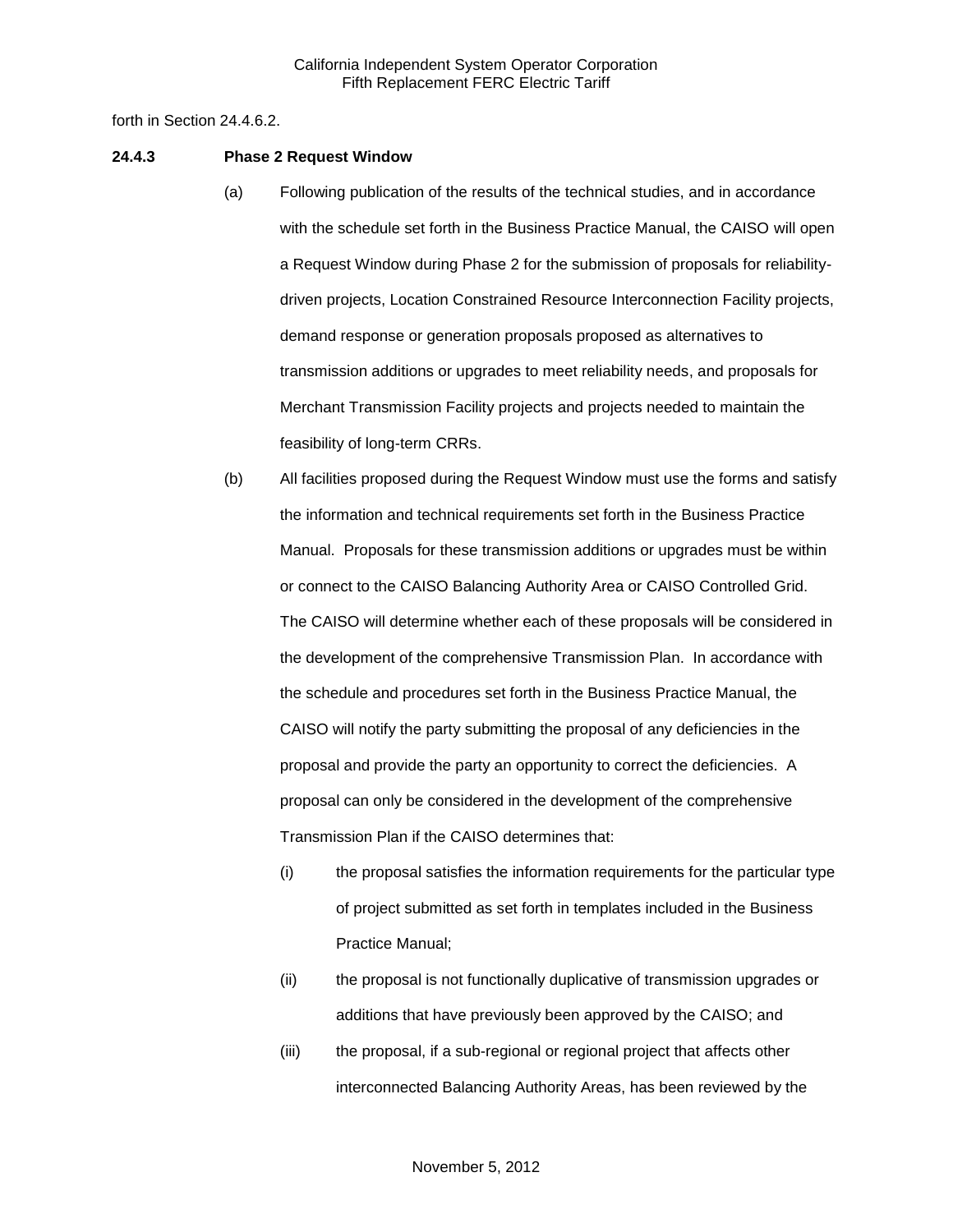forth in Section 24.4.6.2.

#### **24.4.3 Phase 2 Request Window**

- (a) Following publication of the results of the technical studies, and in accordance with the schedule set forth in the Business Practice Manual, the CAISO will open a Request Window during Phase 2 for the submission of proposals for reliabilitydriven projects, Location Constrained Resource Interconnection Facility projects, demand response or generation proposals proposed as alternatives to transmission additions or upgrades to meet reliability needs, and proposals for Merchant Transmission Facility projects and projects needed to maintain the feasibility of long-term CRRs.
- (b) All facilities proposed during the Request Window must use the forms and satisfy the information and technical requirements set forth in the Business Practice Manual. Proposals for these transmission additions or upgrades must be within or connect to the CAISO Balancing Authority Area or CAISO Controlled Grid. The CAISO will determine whether each of these proposals will be considered in the development of the comprehensive Transmission Plan. In accordance with the schedule and procedures set forth in the Business Practice Manual, the CAISO will notify the party submitting the proposal of any deficiencies in the proposal and provide the party an opportunity to correct the deficiencies. A proposal can only be considered in the development of the comprehensive Transmission Plan if the CAISO determines that:
	- (i) the proposal satisfies the information requirements for the particular type of project submitted as set forth in templates included in the Business Practice Manual;
	- (ii) the proposal is not functionally duplicative of transmission upgrades or additions that have previously been approved by the CAISO; and
	- (iii) the proposal, if a sub-regional or regional project that affects other interconnected Balancing Authority Areas, has been reviewed by the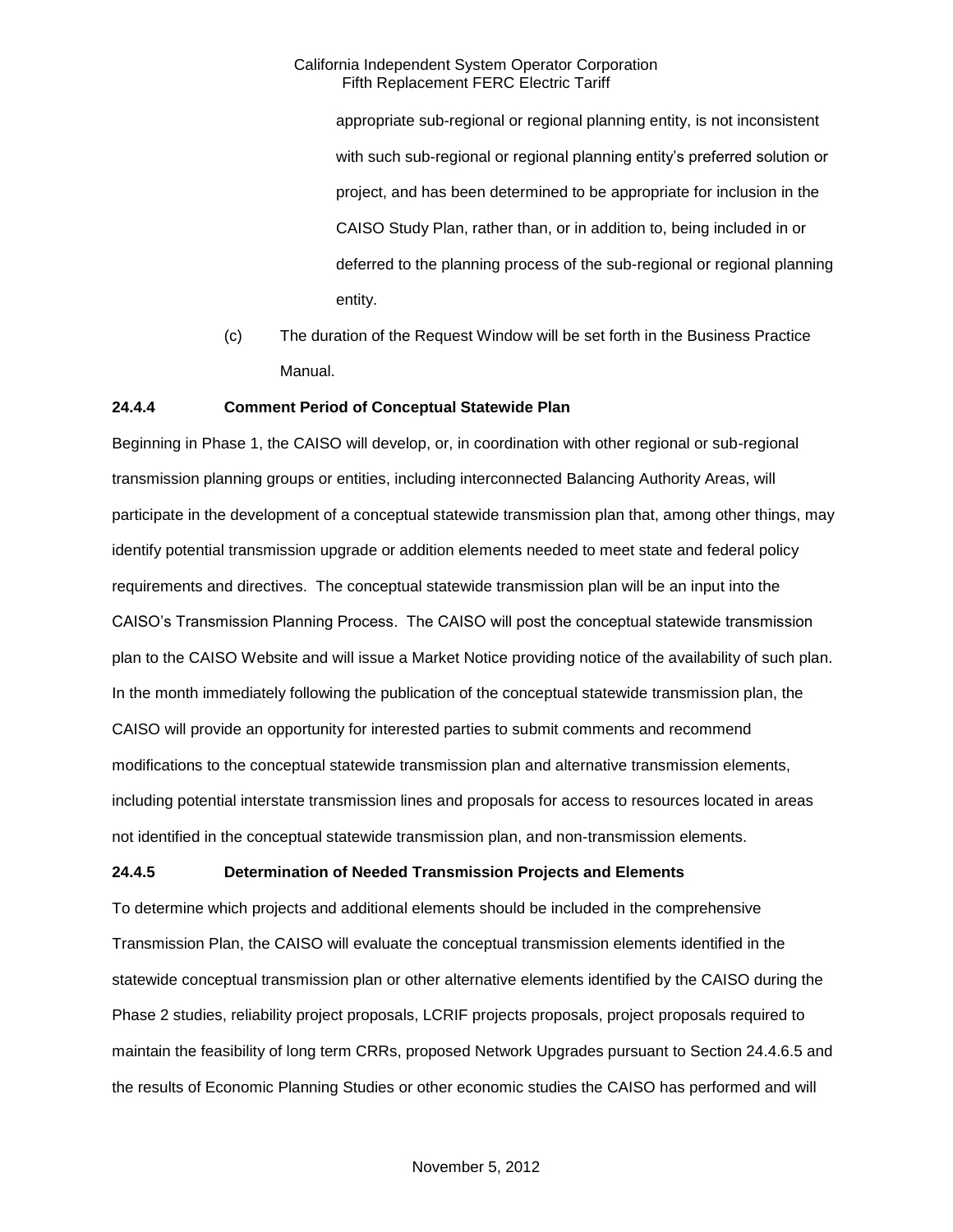appropriate sub-regional or regional planning entity, is not inconsistent with such sub-regional or regional planning entity's preferred solution or project, and has been determined to be appropriate for inclusion in the CAISO Study Plan, rather than, or in addition to, being included in or deferred to the planning process of the sub-regional or regional planning entity.

(c) The duration of the Request Window will be set forth in the Business Practice Manual.

### **24.4.4 Comment Period of Conceptual Statewide Plan**

Beginning in Phase 1, the CAISO will develop, or, in coordination with other regional or sub-regional transmission planning groups or entities, including interconnected Balancing Authority Areas, will participate in the development of a conceptual statewide transmission plan that, among other things, may identify potential transmission upgrade or addition elements needed to meet state and federal policy requirements and directives. The conceptual statewide transmission plan will be an input into the CAISO's Transmission Planning Process. The CAISO will post the conceptual statewide transmission plan to the CAISO Website and will issue a Market Notice providing notice of the availability of such plan. In the month immediately following the publication of the conceptual statewide transmission plan, the CAISO will provide an opportunity for interested parties to submit comments and recommend modifications to the conceptual statewide transmission plan and alternative transmission elements, including potential interstate transmission lines and proposals for access to resources located in areas not identified in the conceptual statewide transmission plan, and non-transmission elements.

### **24.4.5 Determination of Needed Transmission Projects and Elements**

To determine which projects and additional elements should be included in the comprehensive Transmission Plan, the CAISO will evaluate the conceptual transmission elements identified in the statewide conceptual transmission plan or other alternative elements identified by the CAISO during the Phase 2 studies, reliability project proposals, LCRIF projects proposals, project proposals required to maintain the feasibility of long term CRRs, proposed Network Upgrades pursuant to Section 24.4.6.5 and the results of Economic Planning Studies or other economic studies the CAISO has performed and will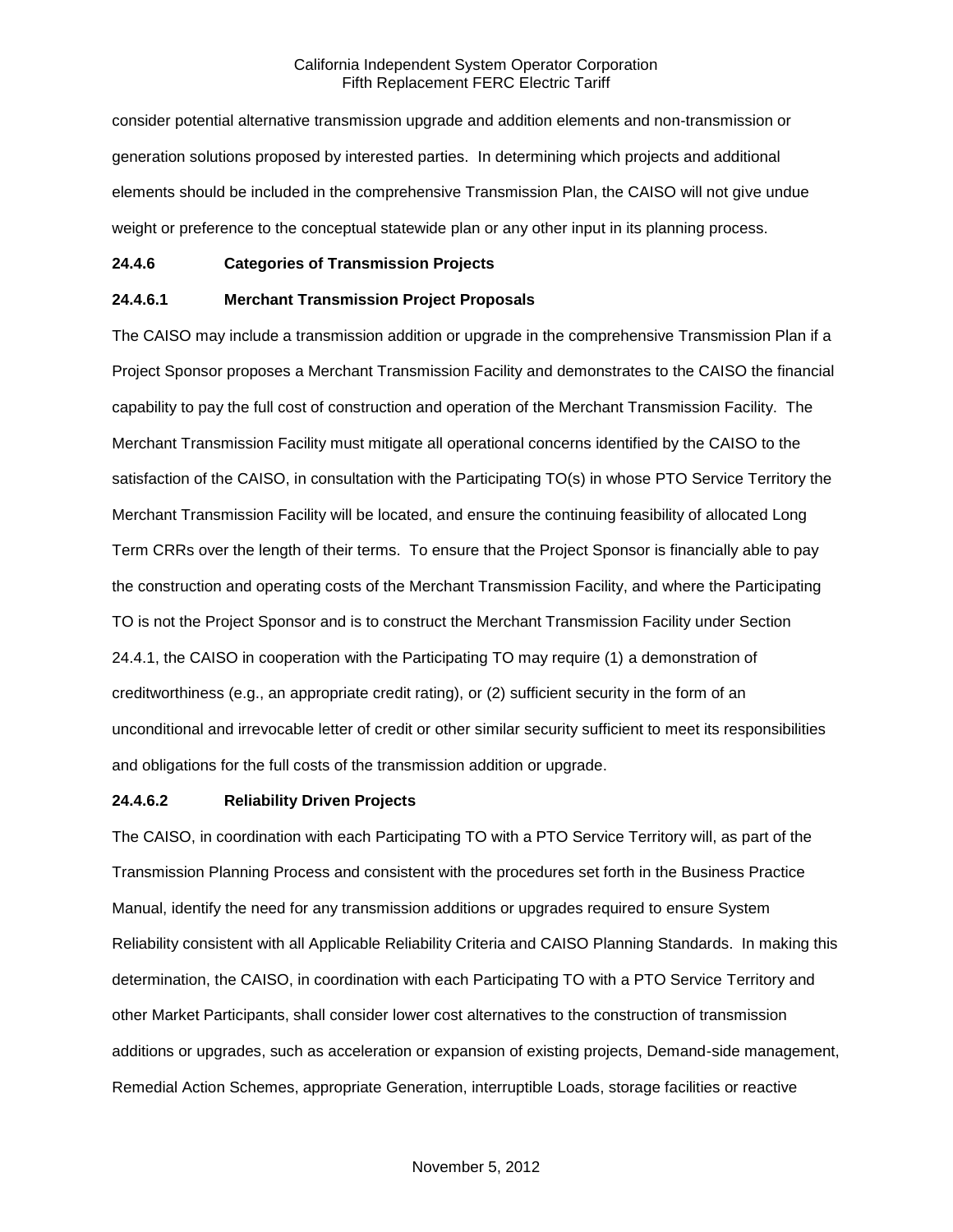consider potential alternative transmission upgrade and addition elements and non-transmission or generation solutions proposed by interested parties. In determining which projects and additional elements should be included in the comprehensive Transmission Plan, the CAISO will not give undue weight or preference to the conceptual statewide plan or any other input in its planning process.

#### **24.4.6 Categories of Transmission Projects**

### **24.4.6.1 Merchant Transmission Project Proposals**

The CAISO may include a transmission addition or upgrade in the comprehensive Transmission Plan if a Project Sponsor proposes a Merchant Transmission Facility and demonstrates to the CAISO the financial capability to pay the full cost of construction and operation of the Merchant Transmission Facility. The Merchant Transmission Facility must mitigate all operational concerns identified by the CAISO to the satisfaction of the CAISO, in consultation with the Participating TO(s) in whose PTO Service Territory the Merchant Transmission Facility will be located, and ensure the continuing feasibility of allocated Long Term CRRs over the length of their terms. To ensure that the Project Sponsor is financially able to pay the construction and operating costs of the Merchant Transmission Facility, and where the Participating TO is not the Project Sponsor and is to construct the Merchant Transmission Facility under Section 24.4.1, the CAISO in cooperation with the Participating TO may require (1) a demonstration of creditworthiness (e.g., an appropriate credit rating), or (2) sufficient security in the form of an unconditional and irrevocable letter of credit or other similar security sufficient to meet its responsibilities and obligations for the full costs of the transmission addition or upgrade.

#### **24.4.6.2 Reliability Driven Projects**

The CAISO, in coordination with each Participating TO with a PTO Service Territory will, as part of the Transmission Planning Process and consistent with the procedures set forth in the Business Practice Manual, identify the need for any transmission additions or upgrades required to ensure System Reliability consistent with all Applicable Reliability Criteria and CAISO Planning Standards. In making this determination, the CAISO, in coordination with each Participating TO with a PTO Service Territory and other Market Participants, shall consider lower cost alternatives to the construction of transmission additions or upgrades, such as acceleration or expansion of existing projects, Demand-side management, Remedial Action Schemes, appropriate Generation, interruptible Loads, storage facilities or reactive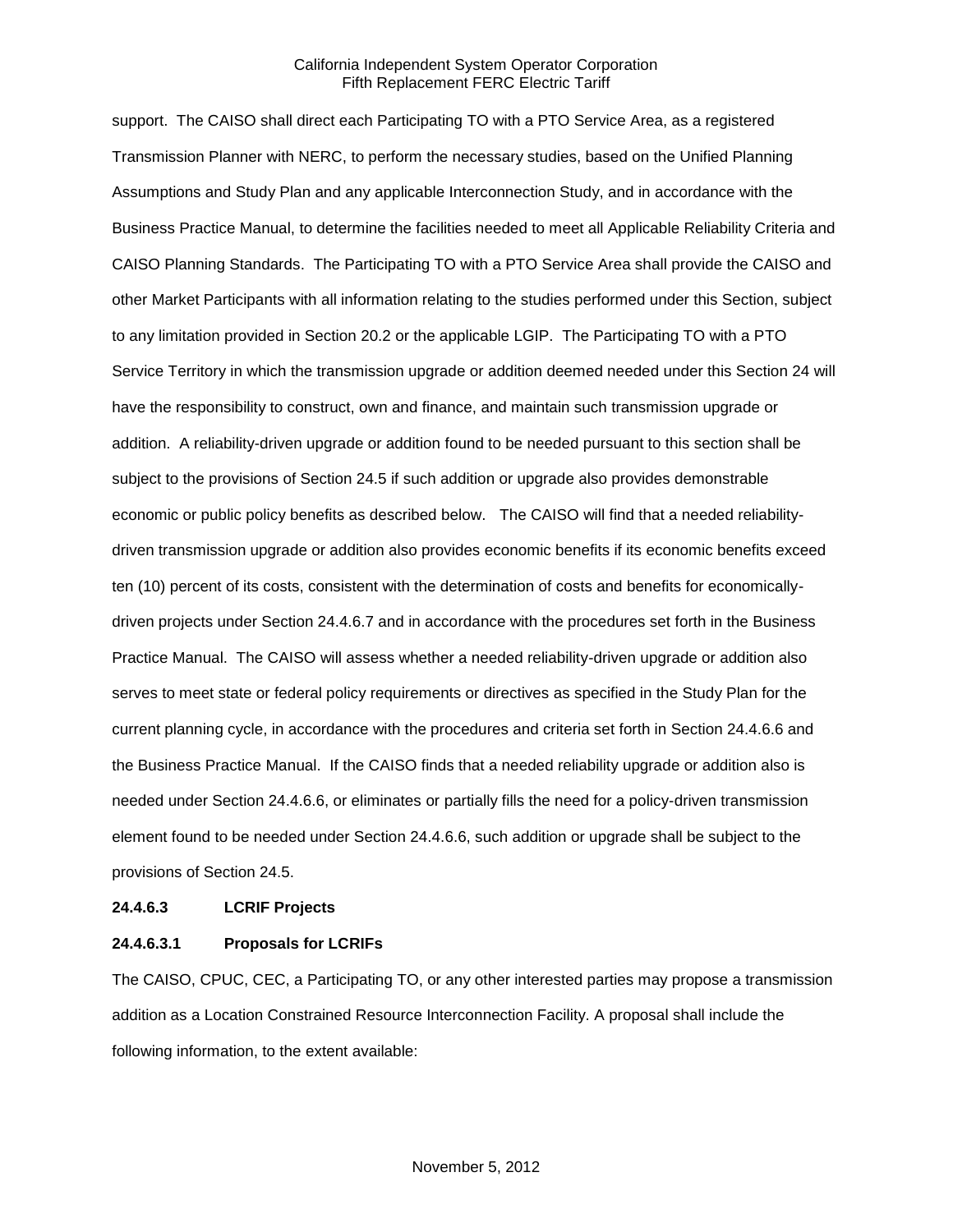support. The CAISO shall direct each Participating TO with a PTO Service Area, as a registered Transmission Planner with NERC, to perform the necessary studies, based on the Unified Planning Assumptions and Study Plan and any applicable Interconnection Study, and in accordance with the Business Practice Manual, to determine the facilities needed to meet all Applicable Reliability Criteria and CAISO Planning Standards. The Participating TO with a PTO Service Area shall provide the CAISO and other Market Participants with all information relating to the studies performed under this Section, subject to any limitation provided in Section 20.2 or the applicable LGIP. The Participating TO with a PTO Service Territory in which the transmission upgrade or addition deemed needed under this Section 24 will have the responsibility to construct, own and finance, and maintain such transmission upgrade or addition. A reliability-driven upgrade or addition found to be needed pursuant to this section shall be subject to the provisions of Section 24.5 if such addition or upgrade also provides demonstrable economic or public policy benefits as described below. The CAISO will find that a needed reliabilitydriven transmission upgrade or addition also provides economic benefits if its economic benefits exceed ten (10) percent of its costs, consistent with the determination of costs and benefits for economicallydriven projects under Section 24.4.6.7 and in accordance with the procedures set forth in the Business Practice Manual. The CAISO will assess whether a needed reliability-driven upgrade or addition also serves to meet state or federal policy requirements or directives as specified in the Study Plan for the current planning cycle, in accordance with the procedures and criteria set forth in Section 24.4.6.6 and the Business Practice Manual. If the CAISO finds that a needed reliability upgrade or addition also is needed under Section 24.4.6.6, or eliminates or partially fills the need for a policy-driven transmission element found to be needed under Section 24.4.6.6, such addition or upgrade shall be subject to the provisions of Section 24.5.

#### **24.4.6.3 LCRIF Projects**

### **24.4.6.3.1 Proposals for LCRIFs**

The CAISO, CPUC, CEC, a Participating TO, or any other interested parties may propose a transmission addition as a Location Constrained Resource Interconnection Facility. A proposal shall include the following information, to the extent available: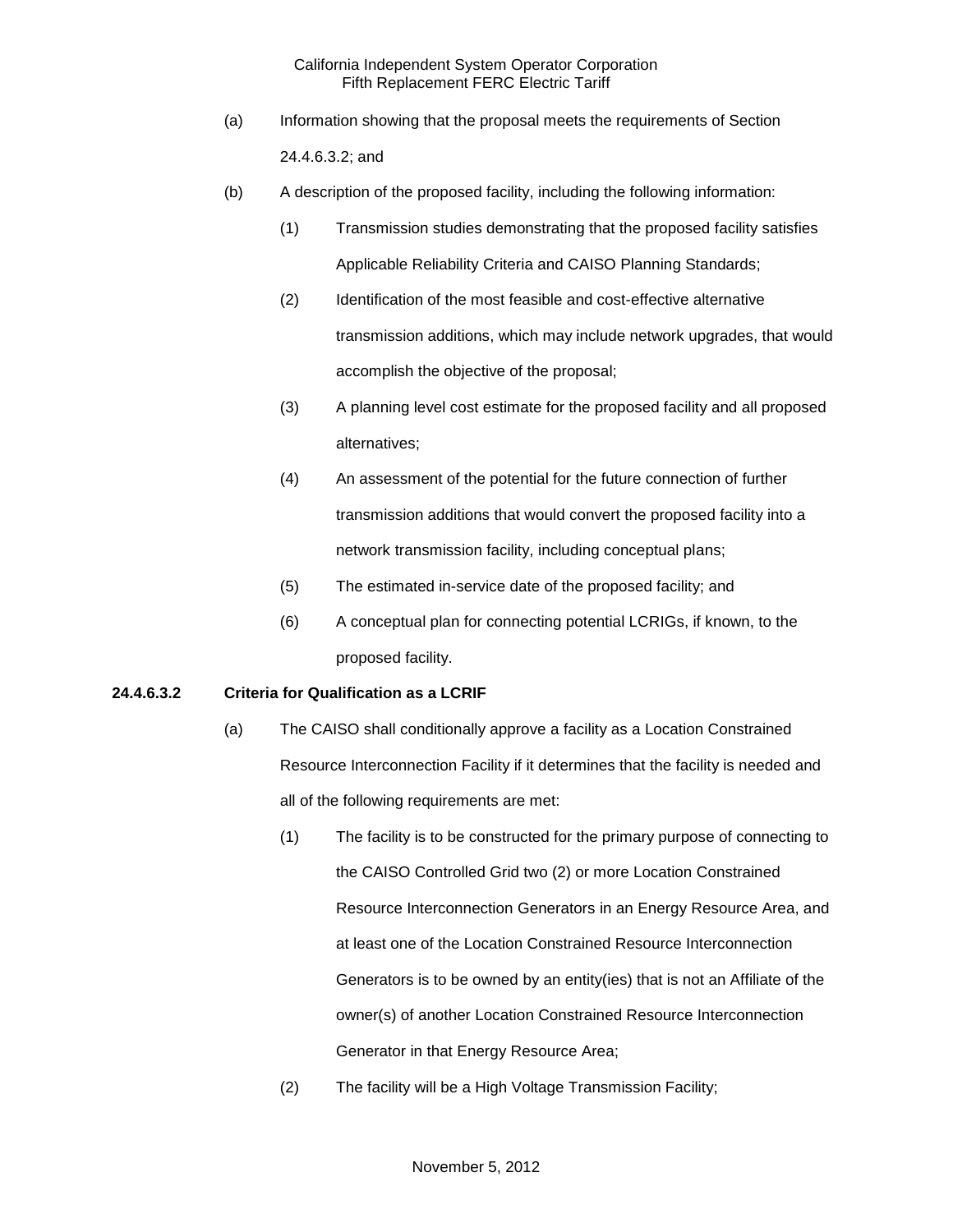- (a) Information showing that the proposal meets the requirements of Section 24.4.6.3.2; and
- (b) A description of the proposed facility, including the following information:
	- (1) Transmission studies demonstrating that the proposed facility satisfies Applicable Reliability Criteria and CAISO Planning Standards;
	- (2) Identification of the most feasible and cost-effective alternative transmission additions, which may include network upgrades, that would accomplish the objective of the proposal;
	- (3) A planning level cost estimate for the proposed facility and all proposed alternatives;
	- (4) An assessment of the potential for the future connection of further transmission additions that would convert the proposed facility into a network transmission facility, including conceptual plans;
	- (5) The estimated in-service date of the proposed facility; and
	- (6) A conceptual plan for connecting potential LCRIGs, if known, to the proposed facility.

### **24.4.6.3.2 Criteria for Qualification as a LCRIF**

- (a) The CAISO shall conditionally approve a facility as a Location Constrained Resource Interconnection Facility if it determines that the facility is needed and all of the following requirements are met:
	- (1) The facility is to be constructed for the primary purpose of connecting to the CAISO Controlled Grid two (2) or more Location Constrained Resource Interconnection Generators in an Energy Resource Area, and at least one of the Location Constrained Resource Interconnection Generators is to be owned by an entity(ies) that is not an Affiliate of the owner(s) of another Location Constrained Resource Interconnection Generator in that Energy Resource Area;
	- (2) The facility will be a High Voltage Transmission Facility;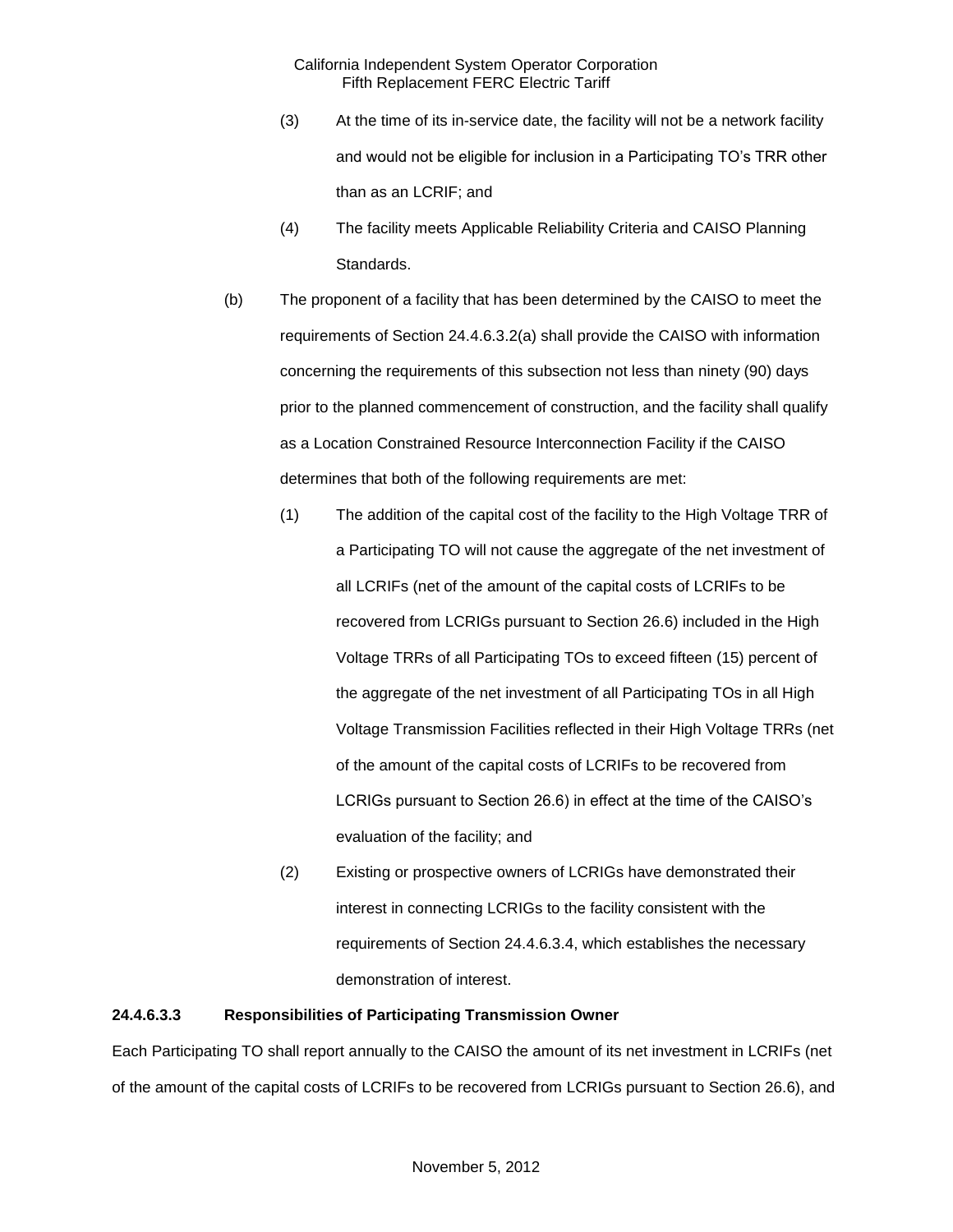- (3) At the time of its in-service date, the facility will not be a network facility and would not be eligible for inclusion in a Participating TO's TRR other than as an LCRIF; and
- (4) The facility meets Applicable Reliability Criteria and CAISO Planning Standards.
- (b) The proponent of a facility that has been determined by the CAISO to meet the requirements of Section 24.4.6.3.2(a) shall provide the CAISO with information concerning the requirements of this subsection not less than ninety (90) days prior to the planned commencement of construction, and the facility shall qualify as a Location Constrained Resource Interconnection Facility if the CAISO determines that both of the following requirements are met:
	- (1) The addition of the capital cost of the facility to the High Voltage TRR of a Participating TO will not cause the aggregate of the net investment of all LCRIFs (net of the amount of the capital costs of LCRIFs to be recovered from LCRIGs pursuant to Section 26.6) included in the High Voltage TRRs of all Participating TOs to exceed fifteen (15) percent of the aggregate of the net investment of all Participating TOs in all High Voltage Transmission Facilities reflected in their High Voltage TRRs (net of the amount of the capital costs of LCRIFs to be recovered from LCRIGs pursuant to Section 26.6) in effect at the time of the CAISO's evaluation of the facility; and
	- (2) Existing or prospective owners of LCRIGs have demonstrated their interest in connecting LCRIGs to the facility consistent with the requirements of Section 24.4.6.3.4, which establishes the necessary demonstration of interest.

### **24.4.6.3.3 Responsibilities of Participating Transmission Owner**

Each Participating TO shall report annually to the CAISO the amount of its net investment in LCRIFs (net of the amount of the capital costs of LCRIFs to be recovered from LCRIGs pursuant to Section 26.6), and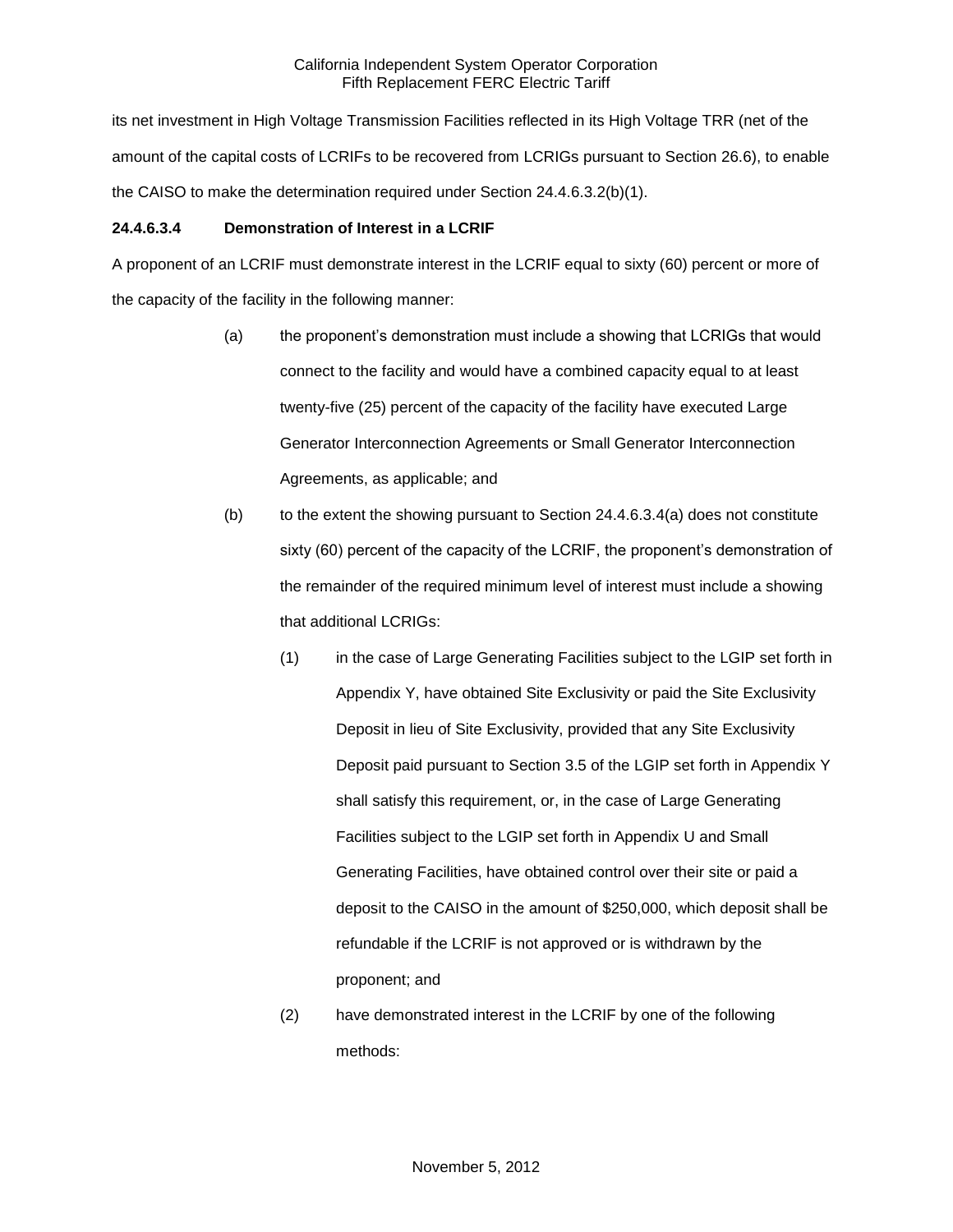its net investment in High Voltage Transmission Facilities reflected in its High Voltage TRR (net of the amount of the capital costs of LCRIFs to be recovered from LCRIGs pursuant to Section 26.6), to enable the CAISO to make the determination required under Section 24.4.6.3.2(b)(1).

# **24.4.6.3.4 Demonstration of Interest in a LCRIF**

A proponent of an LCRIF must demonstrate interest in the LCRIF equal to sixty (60) percent or more of the capacity of the facility in the following manner:

- (a) the proponent's demonstration must include a showing that LCRIGs that would connect to the facility and would have a combined capacity equal to at least twenty-five (25) percent of the capacity of the facility have executed Large Generator Interconnection Agreements or Small Generator Interconnection Agreements, as applicable; and
- $(b)$  to the extent the showing pursuant to Section 24.4.6.3.4(a) does not constitute sixty (60) percent of the capacity of the LCRIF, the proponent's demonstration of the remainder of the required minimum level of interest must include a showing that additional LCRIGs:
	- (1) in the case of Large Generating Facilities subject to the LGIP set forth in Appendix Y, have obtained Site Exclusivity or paid the Site Exclusivity Deposit in lieu of Site Exclusivity, provided that any Site Exclusivity Deposit paid pursuant to Section 3.5 of the LGIP set forth in Appendix Y shall satisfy this requirement, or, in the case of Large Generating Facilities subject to the LGIP set forth in Appendix U and Small Generating Facilities, have obtained control over their site or paid a deposit to the CAISO in the amount of \$250,000, which deposit shall be refundable if the LCRIF is not approved or is withdrawn by the proponent; and
	- (2) have demonstrated interest in the LCRIF by one of the following methods: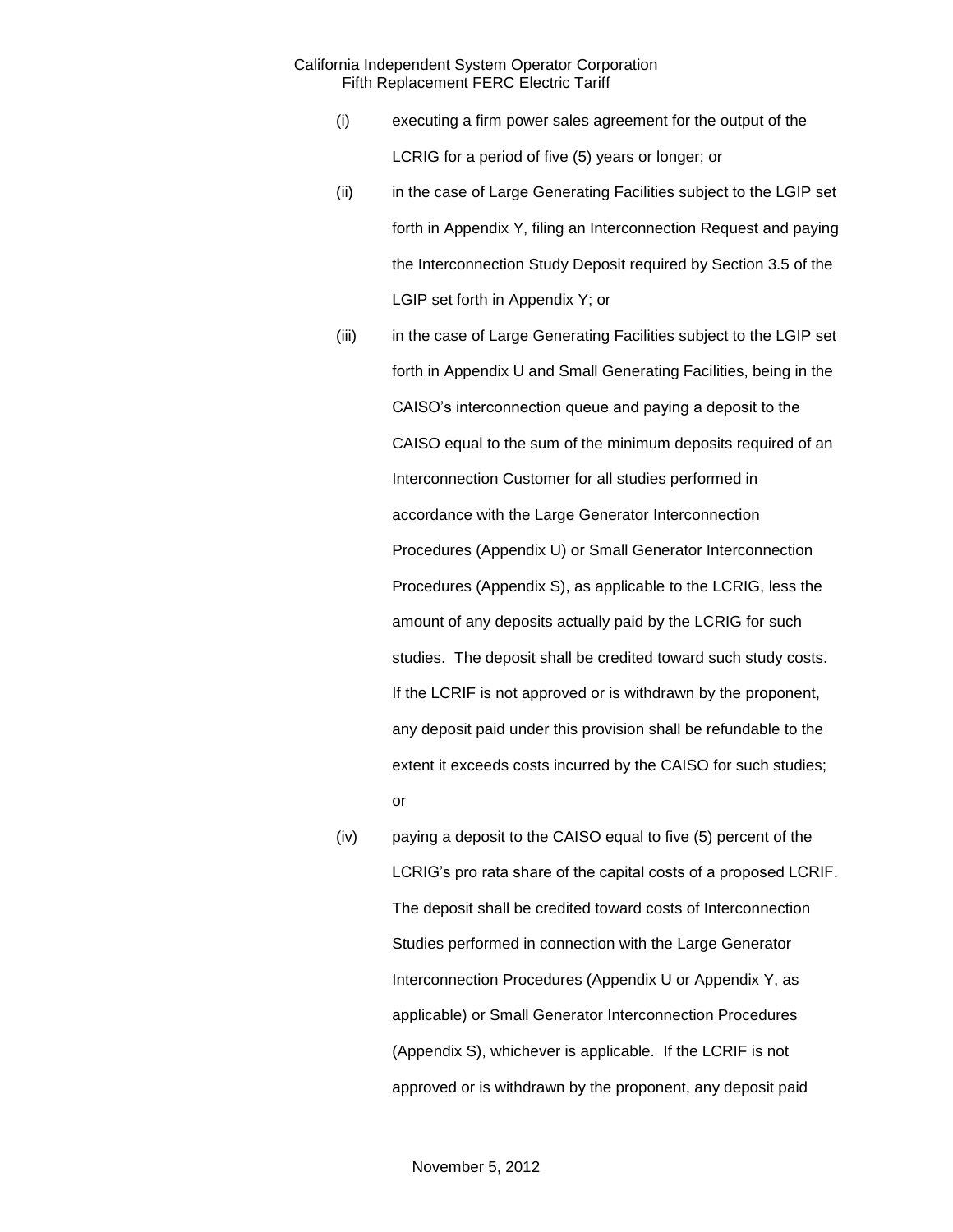- (i) executing a firm power sales agreement for the output of the LCRIG for a period of five (5) years or longer; or
- (ii) in the case of Large Generating Facilities subject to the LGIP set forth in Appendix Y, filing an Interconnection Request and paying the Interconnection Study Deposit required by Section 3.5 of the LGIP set forth in Appendix Y; or
- (iii) in the case of Large Generating Facilities subject to the LGIP set forth in Appendix U and Small Generating Facilities, being in the CAISO's interconnection queue and paying a deposit to the CAISO equal to the sum of the minimum deposits required of an Interconnection Customer for all studies performed in accordance with the Large Generator Interconnection Procedures (Appendix U) or Small Generator Interconnection Procedures (Appendix S), as applicable to the LCRIG, less the amount of any deposits actually paid by the LCRIG for such studies. The deposit shall be credited toward such study costs. If the LCRIF is not approved or is withdrawn by the proponent, any deposit paid under this provision shall be refundable to the extent it exceeds costs incurred by the CAISO for such studies; or
- (iv) paying a deposit to the CAISO equal to five (5) percent of the LCRIG's pro rata share of the capital costs of a proposed LCRIF. The deposit shall be credited toward costs of Interconnection Studies performed in connection with the Large Generator Interconnection Procedures (Appendix U or Appendix Y, as applicable) or Small Generator Interconnection Procedures (Appendix S), whichever is applicable. If the LCRIF is not approved or is withdrawn by the proponent, any deposit paid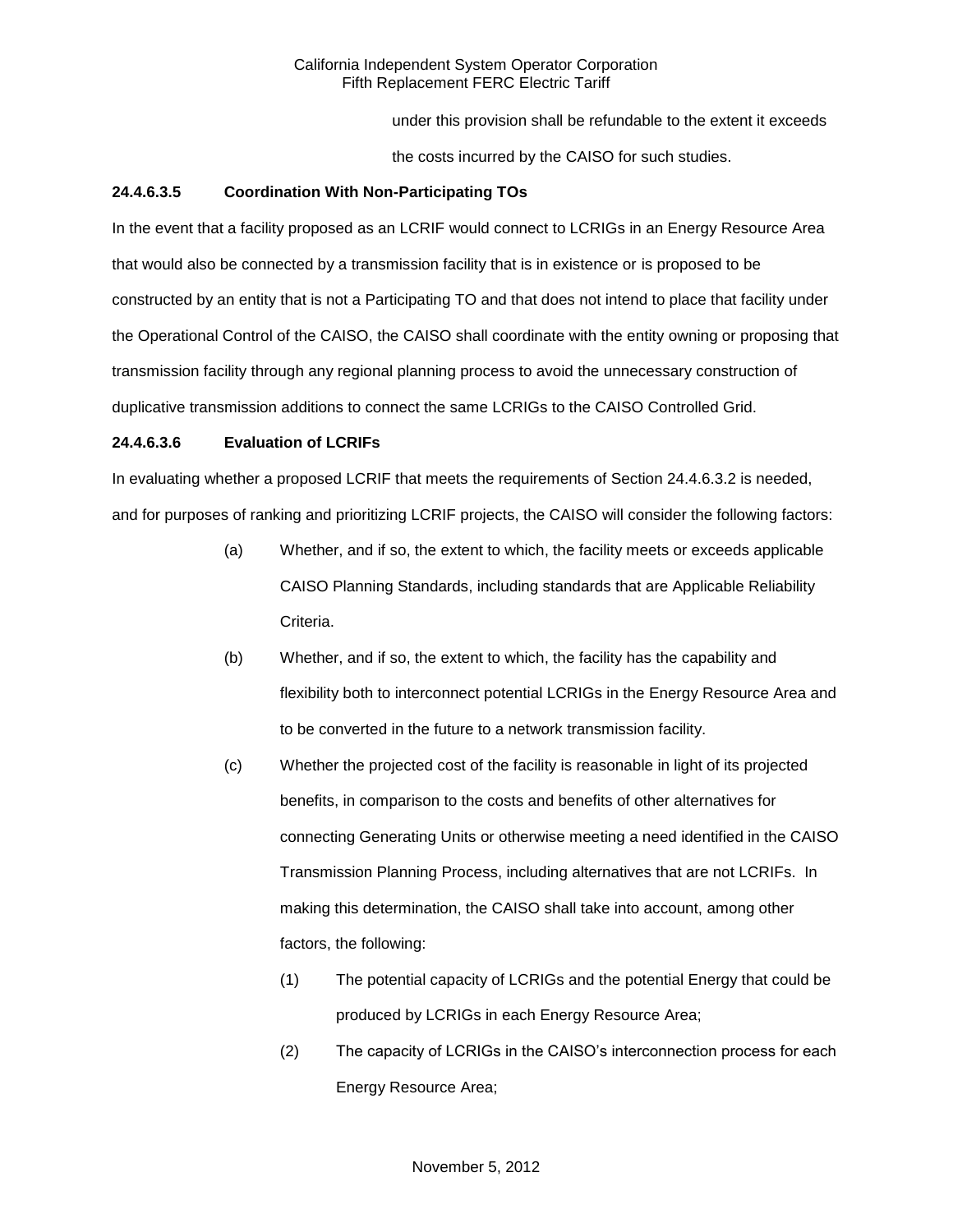under this provision shall be refundable to the extent it exceeds

the costs incurred by the CAISO for such studies.

## **24.4.6.3.5 Coordination With Non-Participating TOs**

In the event that a facility proposed as an LCRIF would connect to LCRIGs in an Energy Resource Area that would also be connected by a transmission facility that is in existence or is proposed to be constructed by an entity that is not a Participating TO and that does not intend to place that facility under the Operational Control of the CAISO, the CAISO shall coordinate with the entity owning or proposing that transmission facility through any regional planning process to avoid the unnecessary construction of duplicative transmission additions to connect the same LCRIGs to the CAISO Controlled Grid.

### **24.4.6.3.6 Evaluation of LCRIFs**

In evaluating whether a proposed LCRIF that meets the requirements of Section 24.4.6.3.2 is needed, and for purposes of ranking and prioritizing LCRIF projects, the CAISO will consider the following factors:

- (a) Whether, and if so, the extent to which, the facility meets or exceeds applicable CAISO Planning Standards, including standards that are Applicable Reliability Criteria.
- (b) Whether, and if so, the extent to which, the facility has the capability and flexibility both to interconnect potential LCRIGs in the Energy Resource Area and to be converted in the future to a network transmission facility.
- (c) Whether the projected cost of the facility is reasonable in light of its projected benefits, in comparison to the costs and benefits of other alternatives for connecting Generating Units or otherwise meeting a need identified in the CAISO Transmission Planning Process, including alternatives that are not LCRIFs. In making this determination, the CAISO shall take into account, among other factors, the following:
	- (1) The potential capacity of LCRIGs and the potential Energy that could be produced by LCRIGs in each Energy Resource Area;
	- (2) The capacity of LCRIGs in the CAISO's interconnection process for each Energy Resource Area;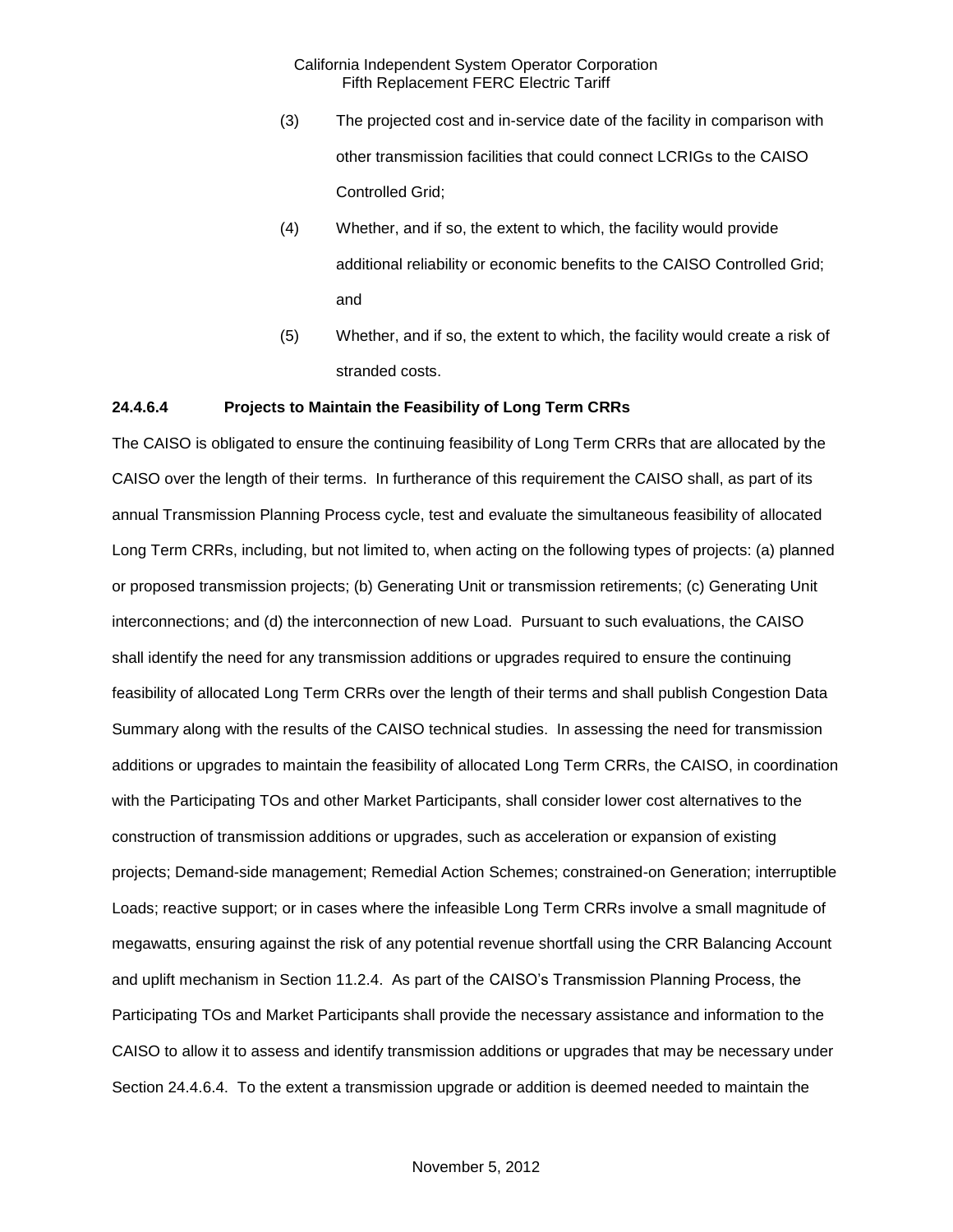- (3) The projected cost and in-service date of the facility in comparison with other transmission facilities that could connect LCRIGs to the CAISO Controlled Grid;
- (4) Whether, and if so, the extent to which, the facility would provide additional reliability or economic benefits to the CAISO Controlled Grid; and
- (5) Whether, and if so, the extent to which, the facility would create a risk of stranded costs.

#### **24.4.6.4 Projects to Maintain the Feasibility of Long Term CRRs**

The CAISO is obligated to ensure the continuing feasibility of Long Term CRRs that are allocated by the CAISO over the length of their terms. In furtherance of this requirement the CAISO shall, as part of its annual Transmission Planning Process cycle, test and evaluate the simultaneous feasibility of allocated Long Term CRRs, including, but not limited to, when acting on the following types of projects: (a) planned or proposed transmission projects; (b) Generating Unit or transmission retirements; (c) Generating Unit interconnections; and (d) the interconnection of new Load. Pursuant to such evaluations, the CAISO shall identify the need for any transmission additions or upgrades required to ensure the continuing feasibility of allocated Long Term CRRs over the length of their terms and shall publish Congestion Data Summary along with the results of the CAISO technical studies. In assessing the need for transmission additions or upgrades to maintain the feasibility of allocated Long Term CRRs, the CAISO, in coordination with the Participating TOs and other Market Participants, shall consider lower cost alternatives to the construction of transmission additions or upgrades, such as acceleration or expansion of existing projects; Demand-side management; Remedial Action Schemes; constrained-on Generation; interruptible Loads; reactive support; or in cases where the infeasible Long Term CRRs involve a small magnitude of megawatts, ensuring against the risk of any potential revenue shortfall using the CRR Balancing Account and uplift mechanism in Section 11.2.4. As part of the CAISO's Transmission Planning Process, the Participating TOs and Market Participants shall provide the necessary assistance and information to the CAISO to allow it to assess and identify transmission additions or upgrades that may be necessary under Section 24.4.6.4. To the extent a transmission upgrade or addition is deemed needed to maintain the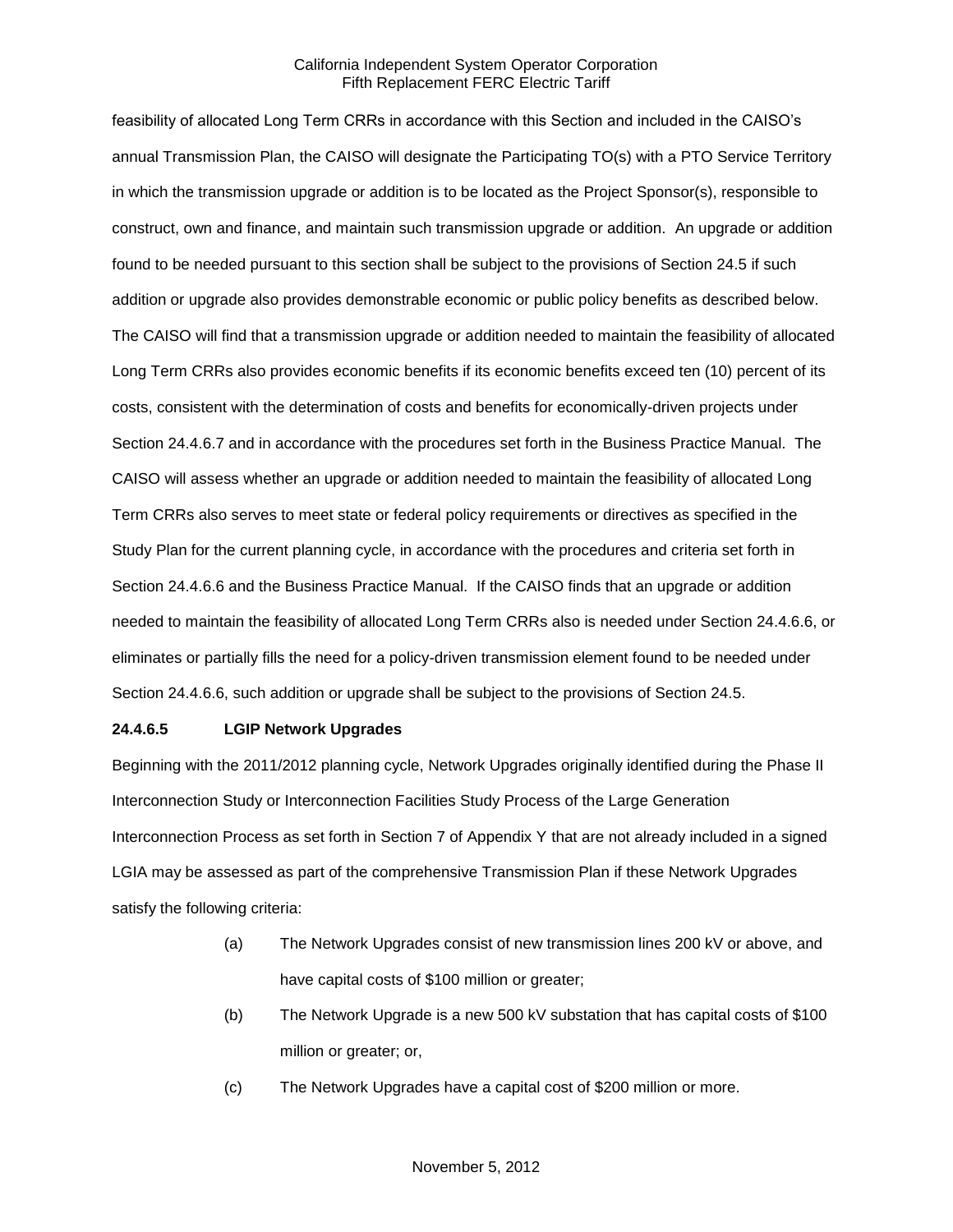feasibility of allocated Long Term CRRs in accordance with this Section and included in the CAISO's annual Transmission Plan, the CAISO will designate the Participating TO(s) with a PTO Service Territory in which the transmission upgrade or addition is to be located as the Project Sponsor(s), responsible to construct, own and finance, and maintain such transmission upgrade or addition. An upgrade or addition found to be needed pursuant to this section shall be subject to the provisions of Section 24.5 if such addition or upgrade also provides demonstrable economic or public policy benefits as described below. The CAISO will find that a transmission upgrade or addition needed to maintain the feasibility of allocated Long Term CRRs also provides economic benefits if its economic benefits exceed ten (10) percent of its costs, consistent with the determination of costs and benefits for economically-driven projects under Section 24.4.6.7 and in accordance with the procedures set forth in the Business Practice Manual. The CAISO will assess whether an upgrade or addition needed to maintain the feasibility of allocated Long Term CRRs also serves to meet state or federal policy requirements or directives as specified in the Study Plan for the current planning cycle, in accordance with the procedures and criteria set forth in Section 24.4.6.6 and the Business Practice Manual. If the CAISO finds that an upgrade or addition needed to maintain the feasibility of allocated Long Term CRRs also is needed under Section 24.4.6.6, or eliminates or partially fills the need for a policy-driven transmission element found to be needed under Section 24.4.6.6, such addition or upgrade shall be subject to the provisions of Section 24.5.

### **24.4.6.5 LGIP Network Upgrades**

Beginning with the 2011/2012 planning cycle, Network Upgrades originally identified during the Phase II Interconnection Study or Interconnection Facilities Study Process of the Large Generation Interconnection Process as set forth in Section 7 of Appendix Y that are not already included in a signed LGIA may be assessed as part of the comprehensive Transmission Plan if these Network Upgrades satisfy the following criteria:

- (a) The Network Upgrades consist of new transmission lines 200 kV or above, and have capital costs of \$100 million or greater;
- (b) The Network Upgrade is a new 500 kV substation that has capital costs of \$100 million or greater; or,
- (c) The Network Upgrades have a capital cost of \$200 million or more.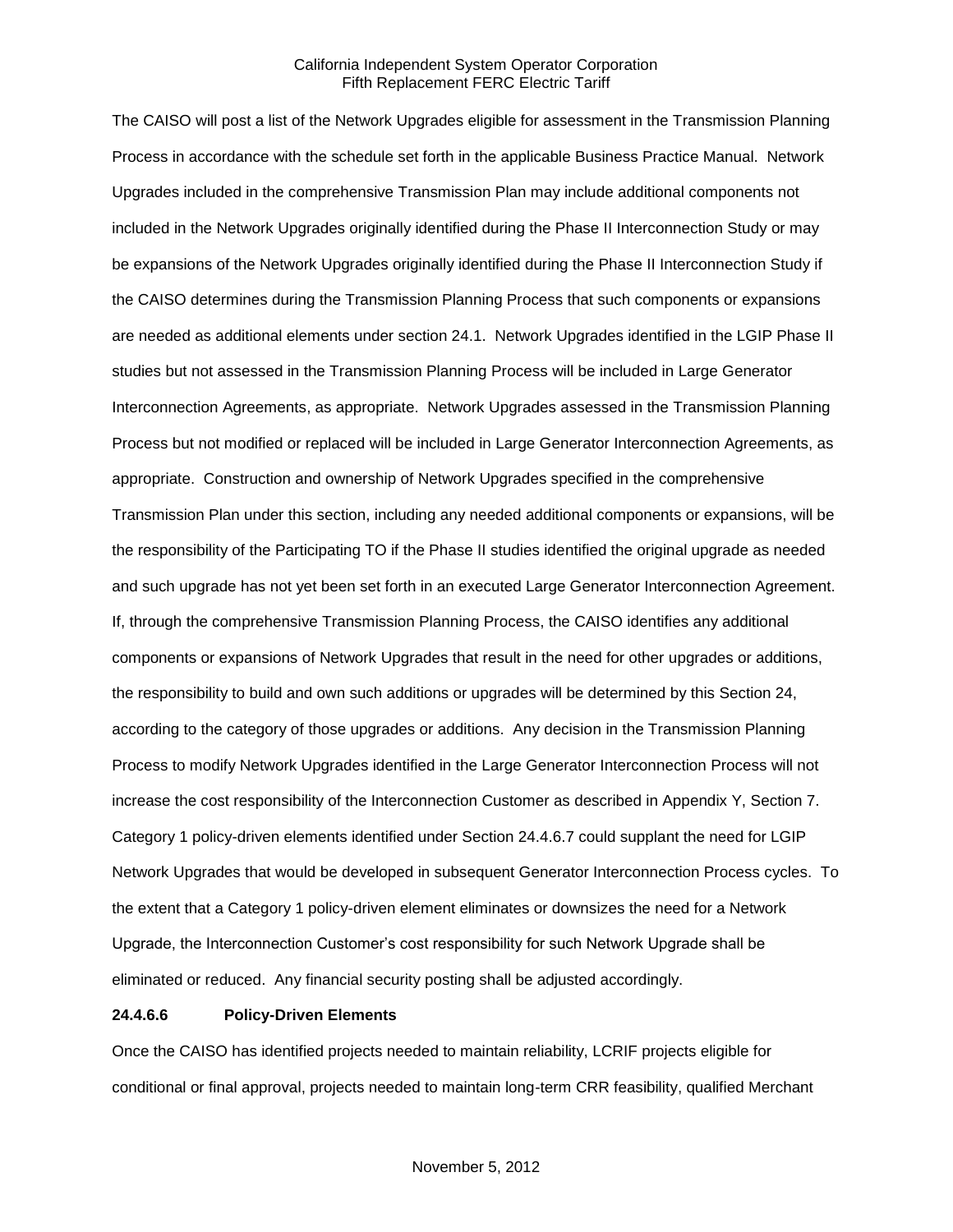The CAISO will post a list of the Network Upgrades eligible for assessment in the Transmission Planning Process in accordance with the schedule set forth in the applicable Business Practice Manual. Network Upgrades included in the comprehensive Transmission Plan may include additional components not included in the Network Upgrades originally identified during the Phase II Interconnection Study or may be expansions of the Network Upgrades originally identified during the Phase II Interconnection Study if the CAISO determines during the Transmission Planning Process that such components or expansions are needed as additional elements under section 24.1. Network Upgrades identified in the LGIP Phase II studies but not assessed in the Transmission Planning Process will be included in Large Generator Interconnection Agreements, as appropriate. Network Upgrades assessed in the Transmission Planning Process but not modified or replaced will be included in Large Generator Interconnection Agreements, as appropriate. Construction and ownership of Network Upgrades specified in the comprehensive Transmission Plan under this section, including any needed additional components or expansions, will be the responsibility of the Participating TO if the Phase II studies identified the original upgrade as needed and such upgrade has not yet been set forth in an executed Large Generator Interconnection Agreement. If, through the comprehensive Transmission Planning Process, the CAISO identifies any additional components or expansions of Network Upgrades that result in the need for other upgrades or additions, the responsibility to build and own such additions or upgrades will be determined by this Section 24, according to the category of those upgrades or additions. Any decision in the Transmission Planning Process to modify Network Upgrades identified in the Large Generator Interconnection Process will not increase the cost responsibility of the Interconnection Customer as described in Appendix Y, Section 7. Category 1 policy-driven elements identified under Section 24.4.6.7 could supplant the need for LGIP Network Upgrades that would be developed in subsequent Generator Interconnection Process cycles. To the extent that a Category 1 policy-driven element eliminates or downsizes the need for a Network Upgrade, the Interconnection Customer's cost responsibility for such Network Upgrade shall be eliminated or reduced. Any financial security posting shall be adjusted accordingly.

### **24.4.6.6 Policy-Driven Elements**

Once the CAISO has identified projects needed to maintain reliability, LCRIF projects eligible for conditional or final approval, projects needed to maintain long-term CRR feasibility, qualified Merchant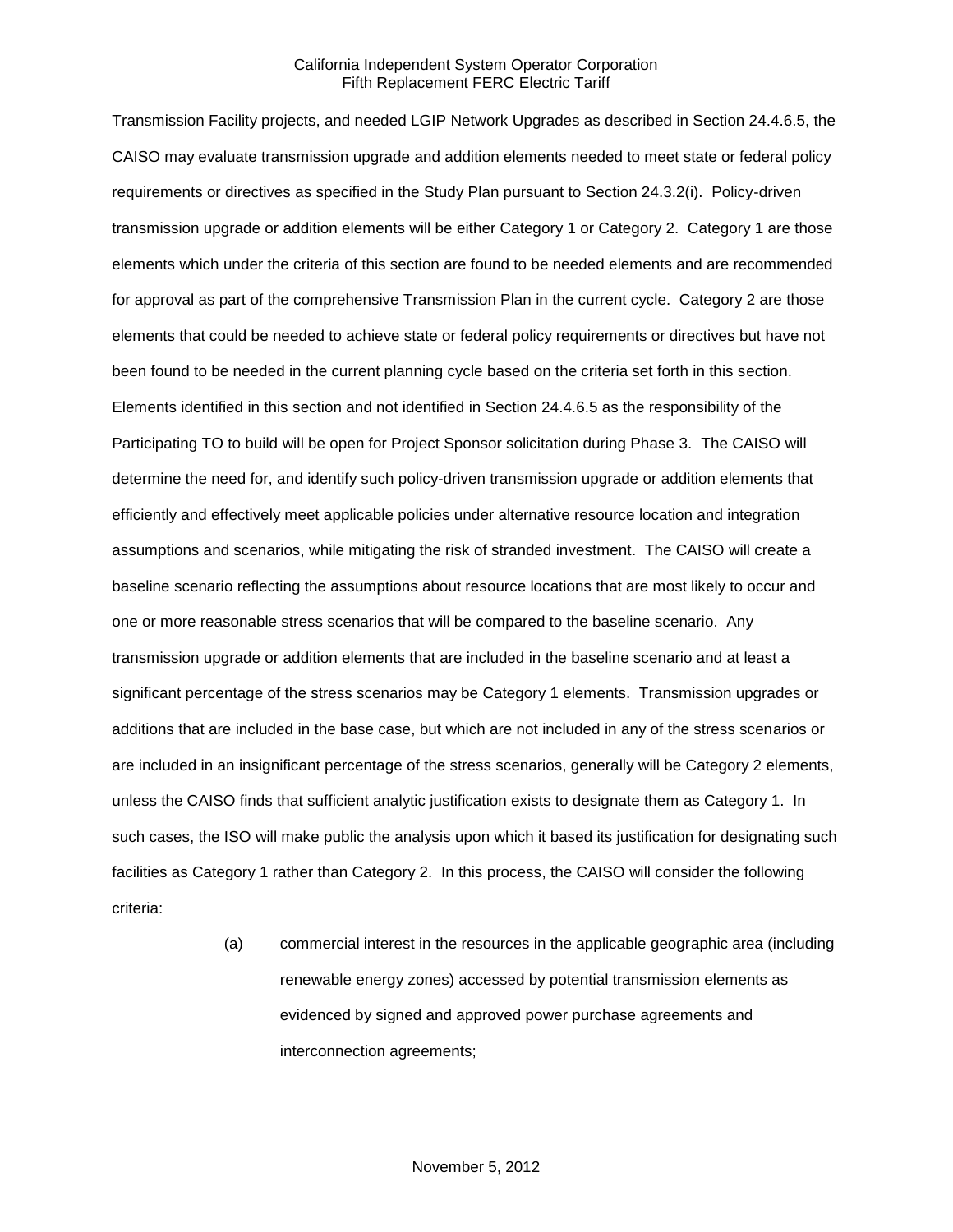Transmission Facility projects, and needed LGIP Network Upgrades as described in Section 24.4.6.5, the CAISO may evaluate transmission upgrade and addition elements needed to meet state or federal policy requirements or directives as specified in the Study Plan pursuant to Section 24.3.2(i). Policy-driven transmission upgrade or addition elements will be either Category 1 or Category 2. Category 1 are those elements which under the criteria of this section are found to be needed elements and are recommended for approval as part of the comprehensive Transmission Plan in the current cycle. Category 2 are those elements that could be needed to achieve state or federal policy requirements or directives but have not been found to be needed in the current planning cycle based on the criteria set forth in this section. Elements identified in this section and not identified in Section 24.4.6.5 as the responsibility of the Participating TO to build will be open for Project Sponsor solicitation during Phase 3. The CAISO will determine the need for, and identify such policy-driven transmission upgrade or addition elements that efficiently and effectively meet applicable policies under alternative resource location and integration assumptions and scenarios, while mitigating the risk of stranded investment. The CAISO will create a baseline scenario reflecting the assumptions about resource locations that are most likely to occur and one or more reasonable stress scenarios that will be compared to the baseline scenario. Any transmission upgrade or addition elements that are included in the baseline scenario and at least a significant percentage of the stress scenarios may be Category 1 elements. Transmission upgrades or additions that are included in the base case, but which are not included in any of the stress scenarios or are included in an insignificant percentage of the stress scenarios, generally will be Category 2 elements, unless the CAISO finds that sufficient analytic justification exists to designate them as Category 1. In such cases, the ISO will make public the analysis upon which it based its justification for designating such facilities as Category 1 rather than Category 2. In this process, the CAISO will consider the following criteria:

> (a) commercial interest in the resources in the applicable geographic area (including renewable energy zones) accessed by potential transmission elements as evidenced by signed and approved power purchase agreements and interconnection agreements;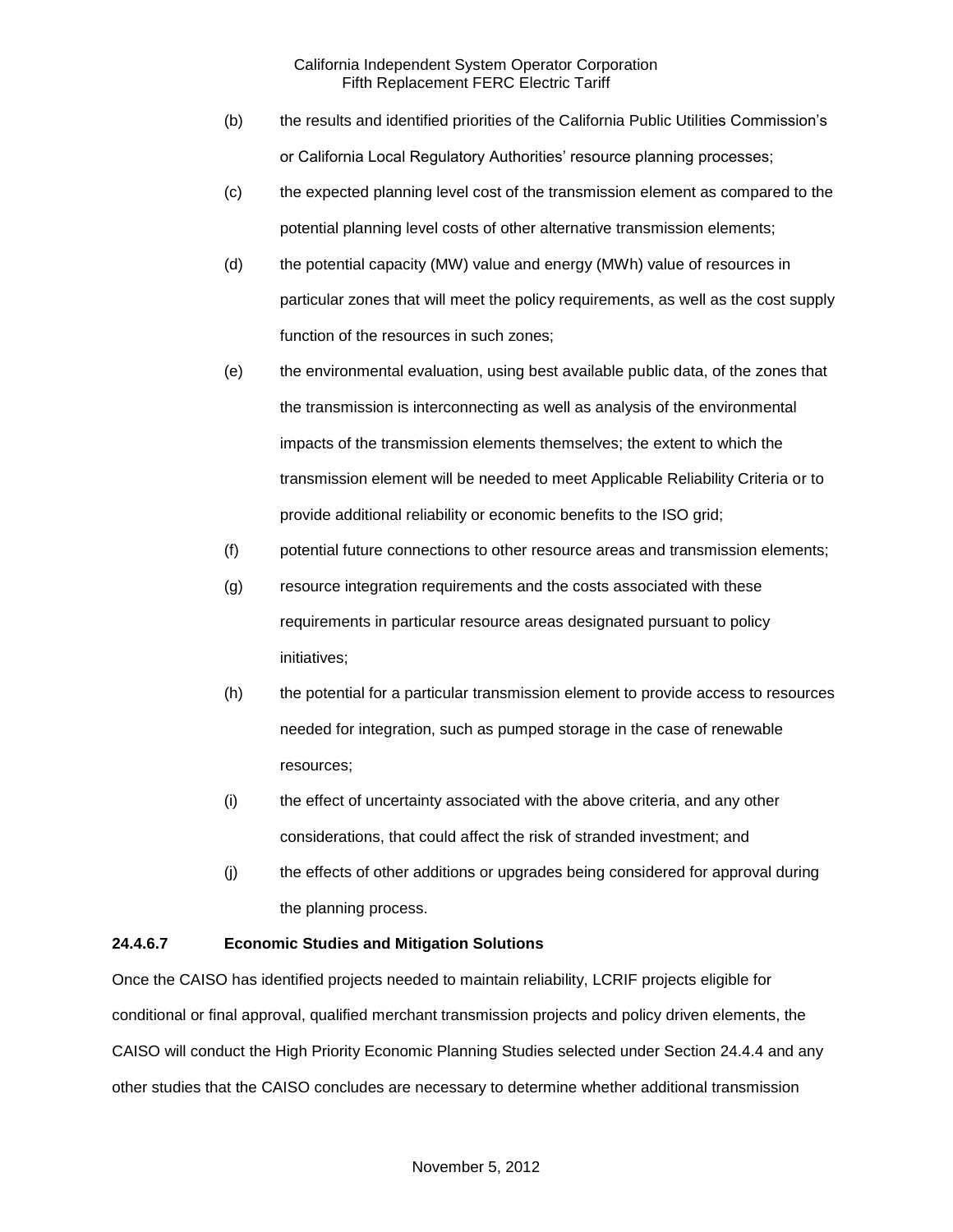- (b) the results and identified priorities of the California Public Utilities Commission's or California Local Regulatory Authorities' resource planning processes;
- (c) the expected planning level cost of the transmission element as compared to the potential planning level costs of other alternative transmission elements;
- (d) the potential capacity (MW) value and energy (MWh) value of resources in particular zones that will meet the policy requirements, as well as the cost supply function of the resources in such zones;
- (e) the environmental evaluation, using best available public data, of the zones that the transmission is interconnecting as well as analysis of the environmental impacts of the transmission elements themselves; the extent to which the transmission element will be needed to meet Applicable Reliability Criteria or to provide additional reliability or economic benefits to the ISO grid;
- (f) potential future connections to other resource areas and transmission elements;
- (g) resource integration requirements and the costs associated with these requirements in particular resource areas designated pursuant to policy initiatives;
- (h) the potential for a particular transmission element to provide access to resources needed for integration, such as pumped storage in the case of renewable resources;
- (i) the effect of uncertainty associated with the above criteria, and any other considerations, that could affect the risk of stranded investment; and
- (j) the effects of other additions or upgrades being considered for approval during the planning process.

# **24.4.6.7 Economic Studies and Mitigation Solutions**

Once the CAISO has identified projects needed to maintain reliability, LCRIF projects eligible for conditional or final approval, qualified merchant transmission projects and policy driven elements, the CAISO will conduct the High Priority Economic Planning Studies selected under Section 24.4.4 and any other studies that the CAISO concludes are necessary to determine whether additional transmission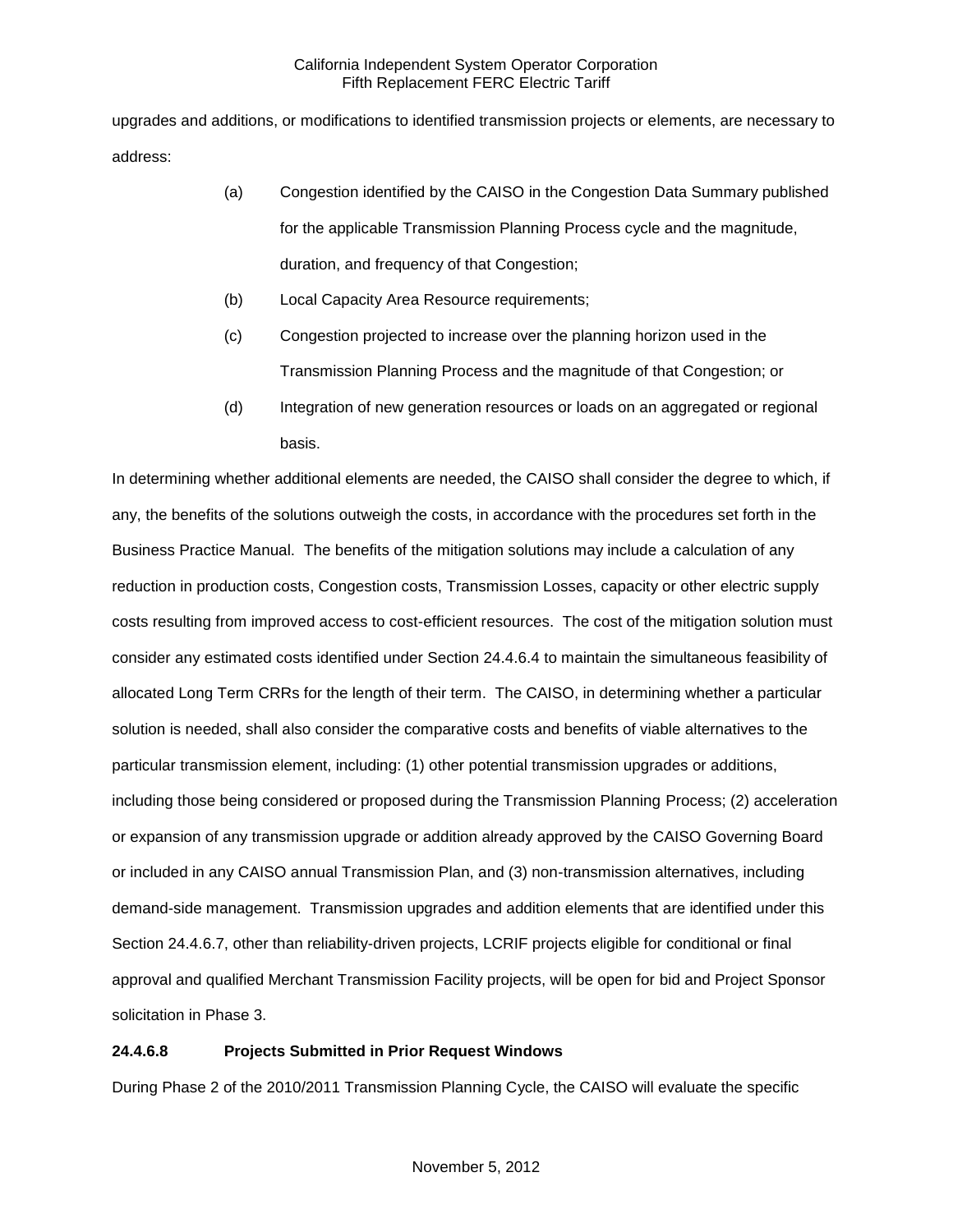upgrades and additions, or modifications to identified transmission projects or elements, are necessary to address:

- (a) Congestion identified by the CAISO in the Congestion Data Summary published for the applicable Transmission Planning Process cycle and the magnitude, duration, and frequency of that Congestion;
- (b) Local Capacity Area Resource requirements;
- (c) Congestion projected to increase over the planning horizon used in the Transmission Planning Process and the magnitude of that Congestion; or
- (d) Integration of new generation resources or loads on an aggregated or regional basis.

In determining whether additional elements are needed, the CAISO shall consider the degree to which, if any, the benefits of the solutions outweigh the costs, in accordance with the procedures set forth in the Business Practice Manual. The benefits of the mitigation solutions may include a calculation of any reduction in production costs, Congestion costs, Transmission Losses, capacity or other electric supply costs resulting from improved access to cost-efficient resources. The cost of the mitigation solution must consider any estimated costs identified under Section 24.4.6.4 to maintain the simultaneous feasibility of allocated Long Term CRRs for the length of their term. The CAISO, in determining whether a particular solution is needed, shall also consider the comparative costs and benefits of viable alternatives to the particular transmission element, including: (1) other potential transmission upgrades or additions, including those being considered or proposed during the Transmission Planning Process; (2) acceleration or expansion of any transmission upgrade or addition already approved by the CAISO Governing Board or included in any CAISO annual Transmission Plan, and (3) non-transmission alternatives, including demand-side management. Transmission upgrades and addition elements that are identified under this Section 24.4.6.7, other than reliability-driven projects, LCRIF projects eligible for conditional or final approval and qualified Merchant Transmission Facility projects, will be open for bid and Project Sponsor solicitation in Phase 3.

# **24.4.6.8 Projects Submitted in Prior Request Windows**

During Phase 2 of the 2010/2011 Transmission Planning Cycle, the CAISO will evaluate the specific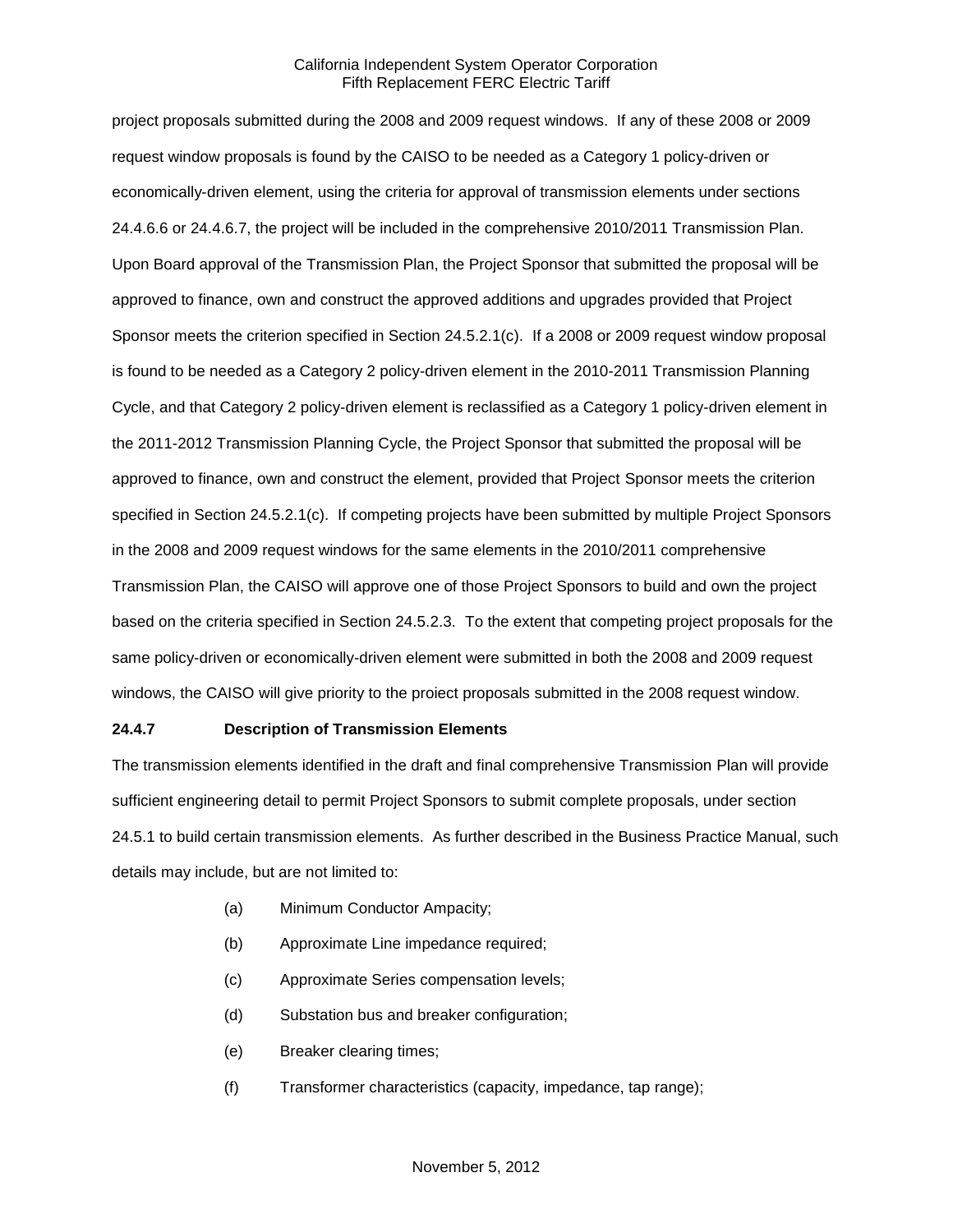project proposals submitted during the 2008 and 2009 request windows. If any of these 2008 or 2009 request window proposals is found by the CAISO to be needed as a Category 1 policy-driven or economically-driven element, using the criteria for approval of transmission elements under sections 24.4.6.6 or 24.4.6.7, the project will be included in the comprehensive 2010/2011 Transmission Plan. Upon Board approval of the Transmission Plan, the Project Sponsor that submitted the proposal will be approved to finance, own and construct the approved additions and upgrades provided that Project Sponsor meets the criterion specified in Section 24.5.2.1(c). If a 2008 or 2009 request window proposal is found to be needed as a Category 2 policy-driven element in the 2010-2011 Transmission Planning Cycle, and that Category 2 policy-driven element is reclassified as a Category 1 policy-driven element in the 2011-2012 Transmission Planning Cycle, the Project Sponsor that submitted the proposal will be approved to finance, own and construct the element, provided that Project Sponsor meets the criterion specified in Section 24.5.2.1(c). If competing projects have been submitted by multiple Project Sponsors in the 2008 and 2009 request windows for the same elements in the 2010/2011 comprehensive Transmission Plan, the CAISO will approve one of those Project Sponsors to build and own the project based on the criteria specified in Section 24.5.2.3. To the extent that competing project proposals for the same policy-driven or economically-driven element were submitted in both the 2008 and 2009 request windows, the CAISO will give priority to the proiect proposals submitted in the 2008 request window.

### **24.4.7 Description of Transmission Elements**

The transmission elements identified in the draft and final comprehensive Transmission Plan will provide sufficient engineering detail to permit Project Sponsors to submit complete proposals, under section 24.5.1 to build certain transmission elements. As further described in the Business Practice Manual, such details may include, but are not limited to:

- (a) Minimum Conductor Ampacity;
- (b) Approximate Line impedance required;
- (c) Approximate Series compensation levels;
- (d) Substation bus and breaker configuration;
- (e) Breaker clearing times;
- (f) Transformer characteristics (capacity, impedance, tap range);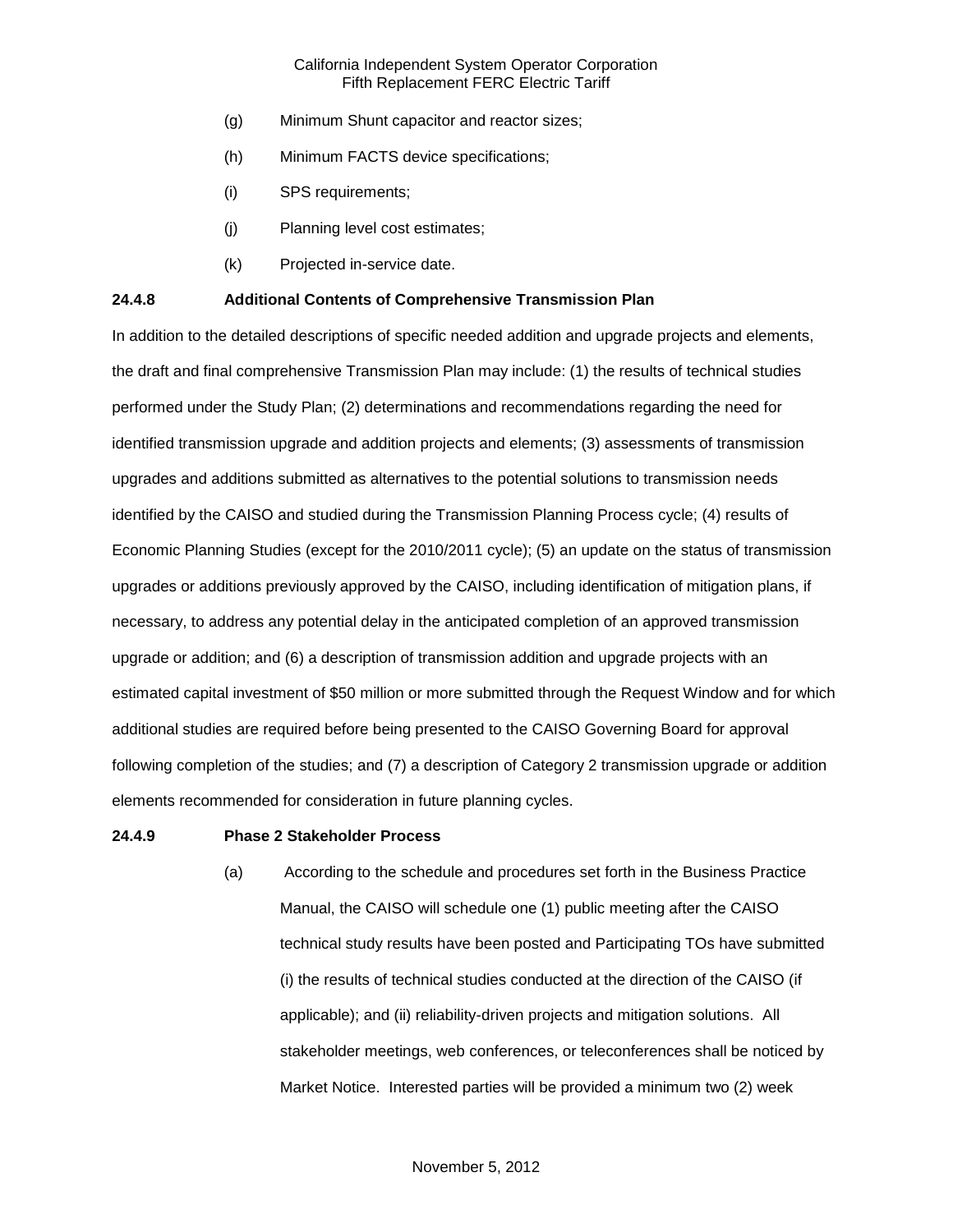- (g) Minimum Shunt capacitor and reactor sizes;
- (h) Minimum FACTS device specifications;
- (i) SPS requirements;
- (j) Planning level cost estimates;
- (k) Projected in-service date.

#### **24.4.8 Additional Contents of Comprehensive Transmission Plan**

In addition to the detailed descriptions of specific needed addition and upgrade projects and elements, the draft and final comprehensive Transmission Plan may include: (1) the results of technical studies performed under the Study Plan; (2) determinations and recommendations regarding the need for identified transmission upgrade and addition projects and elements; (3) assessments of transmission upgrades and additions submitted as alternatives to the potential solutions to transmission needs identified by the CAISO and studied during the Transmission Planning Process cycle; (4) results of Economic Planning Studies (except for the 2010/2011 cycle); (5) an update on the status of transmission upgrades or additions previously approved by the CAISO, including identification of mitigation plans, if necessary, to address any potential delay in the anticipated completion of an approved transmission upgrade or addition; and (6) a description of transmission addition and upgrade projects with an estimated capital investment of \$50 million or more submitted through the Request Window and for which additional studies are required before being presented to the CAISO Governing Board for approval following completion of the studies; and (7) a description of Category 2 transmission upgrade or addition elements recommended for consideration in future planning cycles.

#### **24.4.9 Phase 2 Stakeholder Process**

(a) According to the schedule and procedures set forth in the Business Practice Manual, the CAISO will schedule one (1) public meeting after the CAISO technical study results have been posted and Participating TOs have submitted (i) the results of technical studies conducted at the direction of the CAISO (if applicable); and (ii) reliability-driven projects and mitigation solutions. All stakeholder meetings, web conferences, or teleconferences shall be noticed by Market Notice. Interested parties will be provided a minimum two (2) week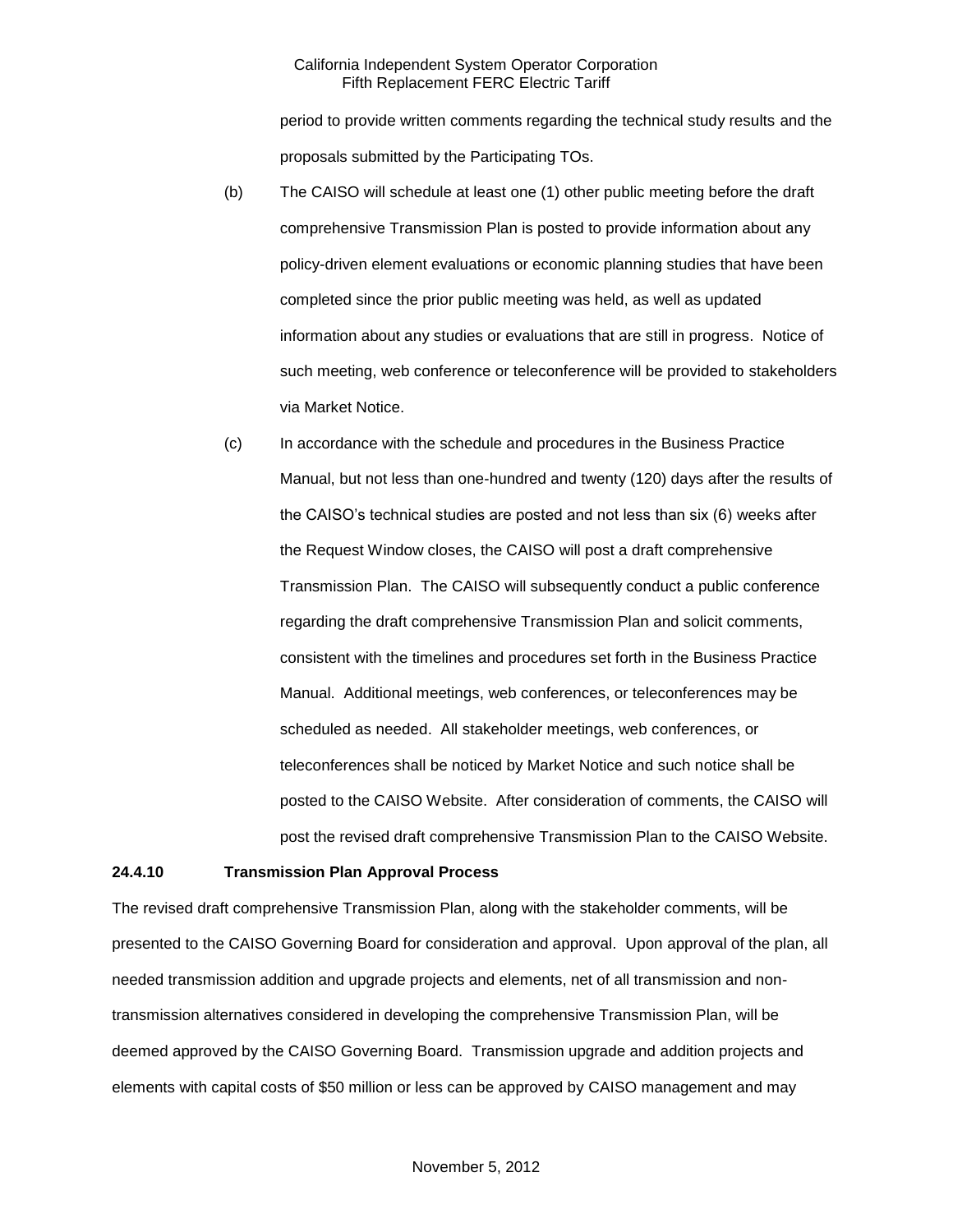period to provide written comments regarding the technical study results and the proposals submitted by the Participating TOs.

- (b) The CAISO will schedule at least one (1) other public meeting before the draft comprehensive Transmission Plan is posted to provide information about any policy-driven element evaluations or economic planning studies that have been completed since the prior public meeting was held, as well as updated information about any studies or evaluations that are still in progress. Notice of such meeting, web conference or teleconference will be provided to stakeholders via Market Notice.
- (c) In accordance with the schedule and procedures in the Business Practice Manual, but not less than one-hundred and twenty (120) days after the results of the CAISO's technical studies are posted and not less than six (6) weeks after the Request Window closes, the CAISO will post a draft comprehensive Transmission Plan. The CAISO will subsequently conduct a public conference regarding the draft comprehensive Transmission Plan and solicit comments, consistent with the timelines and procedures set forth in the Business Practice Manual. Additional meetings, web conferences, or teleconferences may be scheduled as needed. All stakeholder meetings, web conferences, or teleconferences shall be noticed by Market Notice and such notice shall be posted to the CAISO Website. After consideration of comments, the CAISO will post the revised draft comprehensive Transmission Plan to the CAISO Website.

#### **24.4.10 Transmission Plan Approval Process**

The revised draft comprehensive Transmission Plan, along with the stakeholder comments, will be presented to the CAISO Governing Board for consideration and approval. Upon approval of the plan, all needed transmission addition and upgrade projects and elements, net of all transmission and nontransmission alternatives considered in developing the comprehensive Transmission Plan, will be deemed approved by the CAISO Governing Board. Transmission upgrade and addition projects and elements with capital costs of \$50 million or less can be approved by CAISO management and may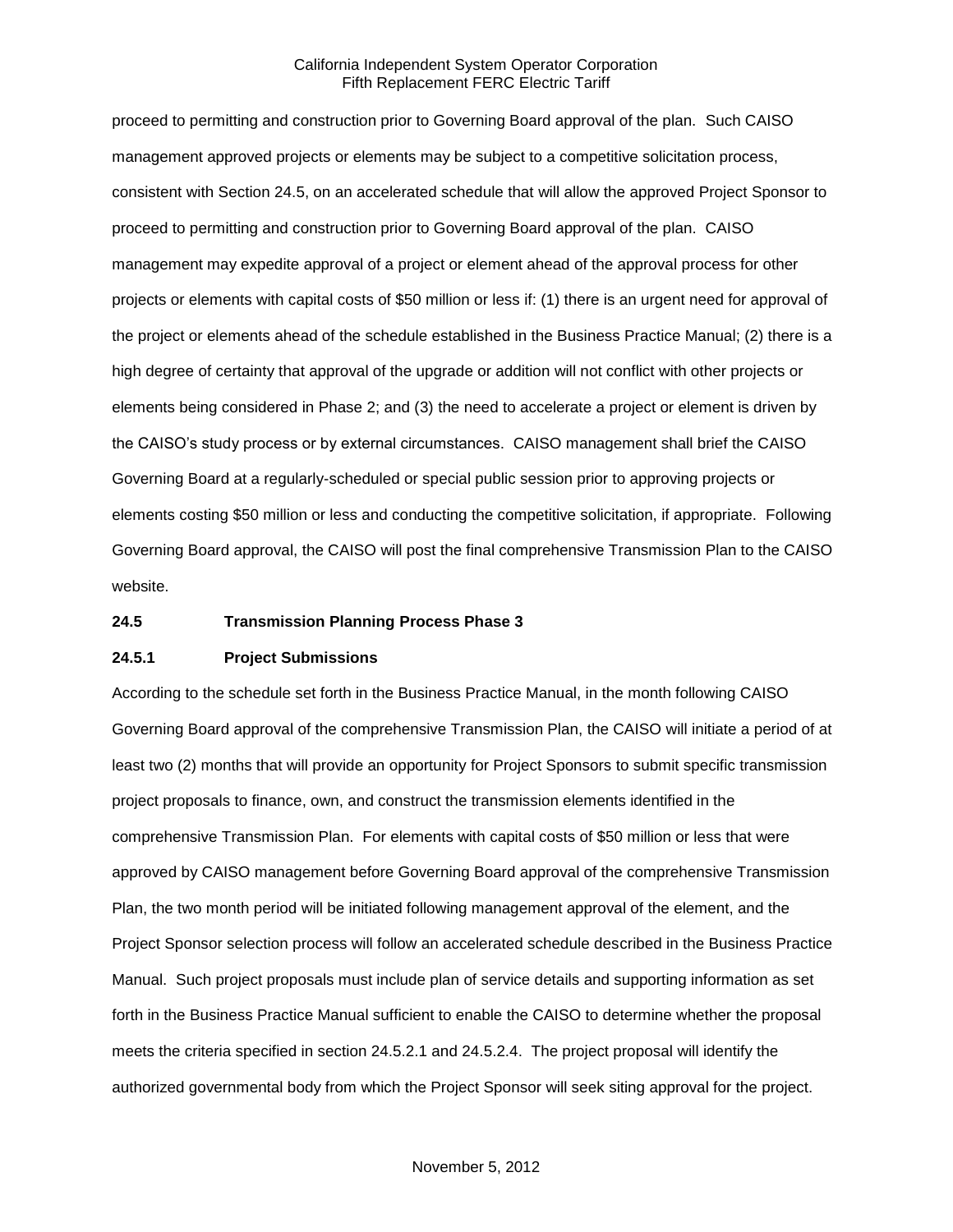proceed to permitting and construction prior to Governing Board approval of the plan. Such CAISO management approved projects or elements may be subject to a competitive solicitation process, consistent with Section 24.5, on an accelerated schedule that will allow the approved Project Sponsor to proceed to permitting and construction prior to Governing Board approval of the plan. CAISO management may expedite approval of a project or element ahead of the approval process for other projects or elements with capital costs of \$50 million or less if: (1) there is an urgent need for approval of the project or elements ahead of the schedule established in the Business Practice Manual; (2) there is a high degree of certainty that approval of the upgrade or addition will not conflict with other projects or elements being considered in Phase 2; and (3) the need to accelerate a project or element is driven by the CAISO's study process or by external circumstances. CAISO management shall brief the CAISO Governing Board at a regularly-scheduled or special public session prior to approving projects or elements costing \$50 million or less and conducting the competitive solicitation, if appropriate. Following Governing Board approval, the CAISO will post the final comprehensive Transmission Plan to the CAISO website.

### **24.5 Transmission Planning Process Phase 3**

#### **24.5.1 Project Submissions**

According to the schedule set forth in the Business Practice Manual, in the month following CAISO Governing Board approval of the comprehensive Transmission Plan, the CAISO will initiate a period of at least two (2) months that will provide an opportunity for Project Sponsors to submit specific transmission project proposals to finance, own, and construct the transmission elements identified in the comprehensive Transmission Plan. For elements with capital costs of \$50 million or less that were approved by CAISO management before Governing Board approval of the comprehensive Transmission Plan, the two month period will be initiated following management approval of the element, and the Project Sponsor selection process will follow an accelerated schedule described in the Business Practice Manual. Such project proposals must include plan of service details and supporting information as set forth in the Business Practice Manual sufficient to enable the CAISO to determine whether the proposal meets the criteria specified in section 24.5.2.1 and 24.5.2.4. The project proposal will identify the authorized governmental body from which the Project Sponsor will seek siting approval for the project.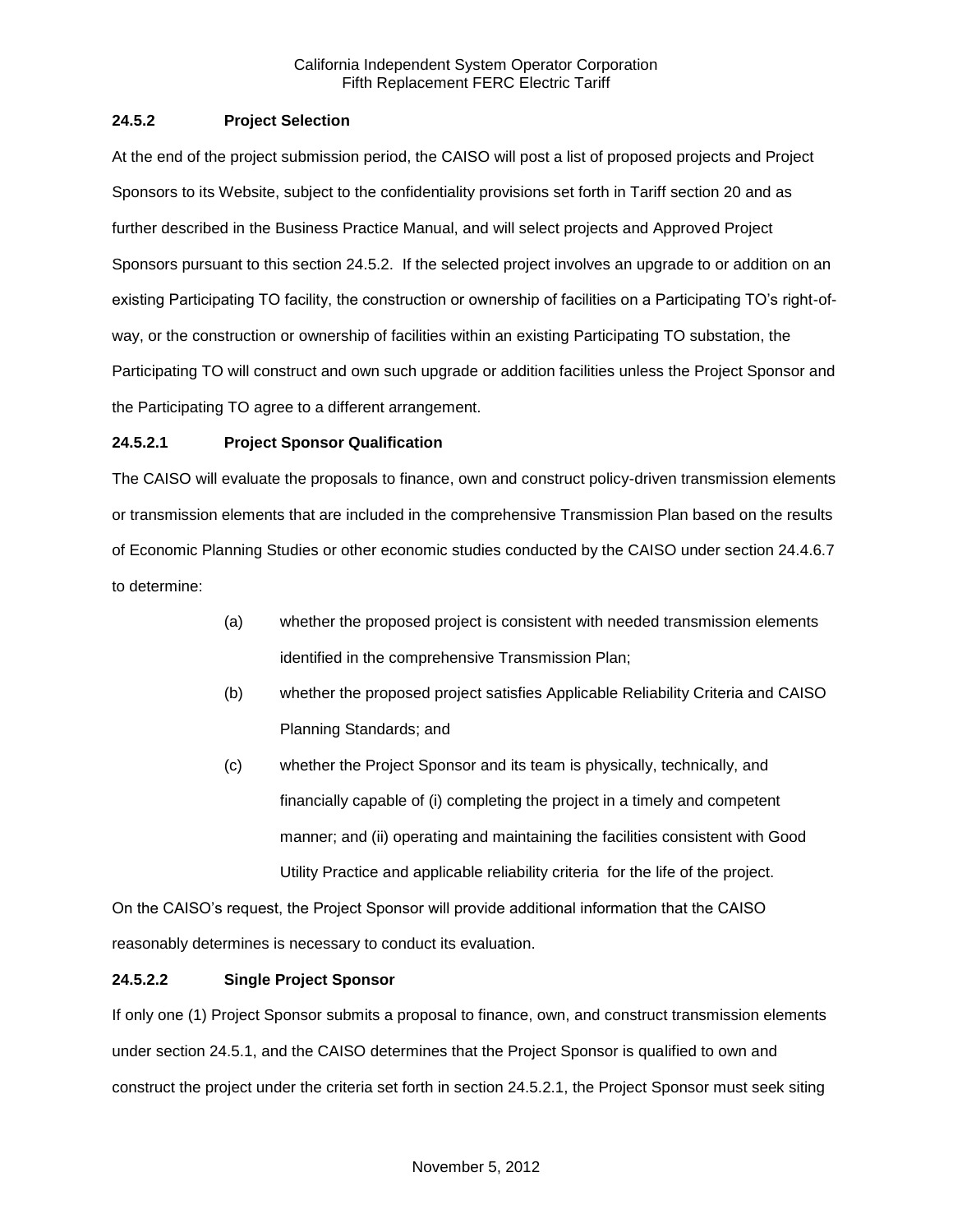## **24.5.2 Project Selection**

At the end of the project submission period, the CAISO will post a list of proposed projects and Project Sponsors to its Website, subject to the confidentiality provisions set forth in Tariff section 20 and as further described in the Business Practice Manual, and will select projects and Approved Project Sponsors pursuant to this section 24.5.2. If the selected project involves an upgrade to or addition on an existing Participating TO facility, the construction or ownership of facilities on a Participating TO's right-ofway, or the construction or ownership of facilities within an existing Participating TO substation, the Participating TO will construct and own such upgrade or addition facilities unless the Project Sponsor and the Participating TO agree to a different arrangement.

### **24.5.2.1 Project Sponsor Qualification**

The CAISO will evaluate the proposals to finance, own and construct policy-driven transmission elements or transmission elements that are included in the comprehensive Transmission Plan based on the results of Economic Planning Studies or other economic studies conducted by the CAISO under section 24.4.6.7 to determine:

- (a) whether the proposed project is consistent with needed transmission elements identified in the comprehensive Transmission Plan;
- (b) whether the proposed project satisfies Applicable Reliability Criteria and CAISO Planning Standards; and
- (c) whether the Project Sponsor and its team is physically, technically, and financially capable of (i) completing the project in a timely and competent manner; and (ii) operating and maintaining the facilities consistent with Good Utility Practice and applicable reliability criteria for the life of the project.

On the CAISO's request, the Project Sponsor will provide additional information that the CAISO reasonably determines is necessary to conduct its evaluation.

# **24.5.2.2 Single Project Sponsor**

If only one (1) Project Sponsor submits a proposal to finance, own, and construct transmission elements under section 24.5.1, and the CAISO determines that the Project Sponsor is qualified to own and construct the project under the criteria set forth in section 24.5.2.1, the Project Sponsor must seek siting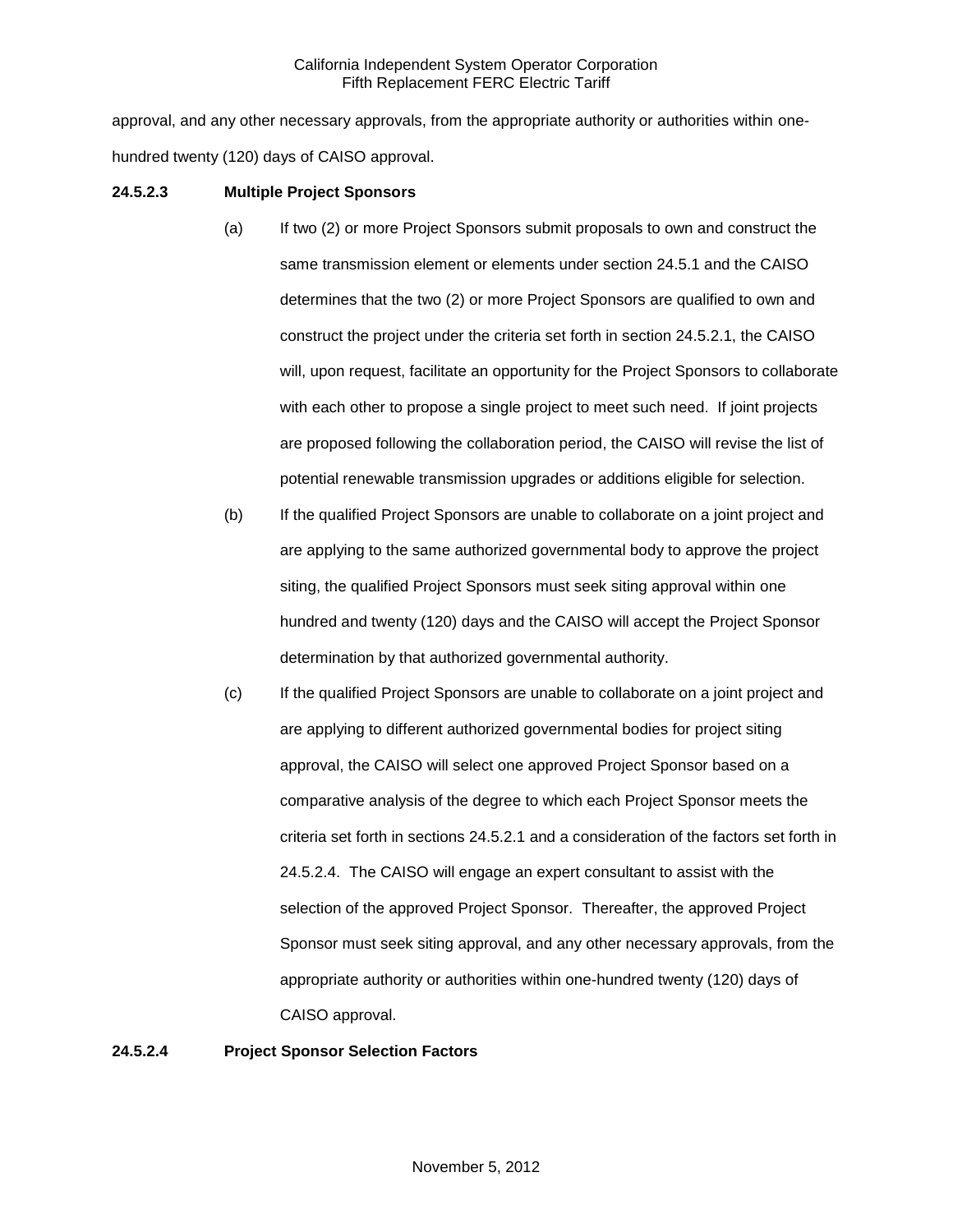approval, and any other necessary approvals, from the appropriate authority or authorities within onehundred twenty (120) days of CAISO approval.

## **24.5.2.3 Multiple Project Sponsors**

- (a) If two (2) or more Project Sponsors submit proposals to own and construct the same transmission element or elements under section 24.5.1 and the CAISO determines that the two (2) or more Project Sponsors are qualified to own and construct the project under the criteria set forth in section 24.5.2.1, the CAISO will, upon request, facilitate an opportunity for the Project Sponsors to collaborate with each other to propose a single project to meet such need. If joint projects are proposed following the collaboration period, the CAISO will revise the list of potential renewable transmission upgrades or additions eligible for selection.
- (b) If the qualified Project Sponsors are unable to collaborate on a joint project and are applying to the same authorized governmental body to approve the project siting, the qualified Project Sponsors must seek siting approval within one hundred and twenty (120) days and the CAISO will accept the Project Sponsor determination by that authorized governmental authority.
- (c) If the qualified Project Sponsors are unable to collaborate on a joint project and are applying to different authorized governmental bodies for project siting approval, the CAISO will select one approved Project Sponsor based on a comparative analysis of the degree to which each Project Sponsor meets the criteria set forth in sections 24.5.2.1 and a consideration of the factors set forth in 24.5.2.4. The CAISO will engage an expert consultant to assist with the selection of the approved Project Sponsor. Thereafter, the approved Project Sponsor must seek siting approval, and any other necessary approvals, from the appropriate authority or authorities within one-hundred twenty (120) days of CAISO approval.

### **24.5.2.4 Project Sponsor Selection Factors**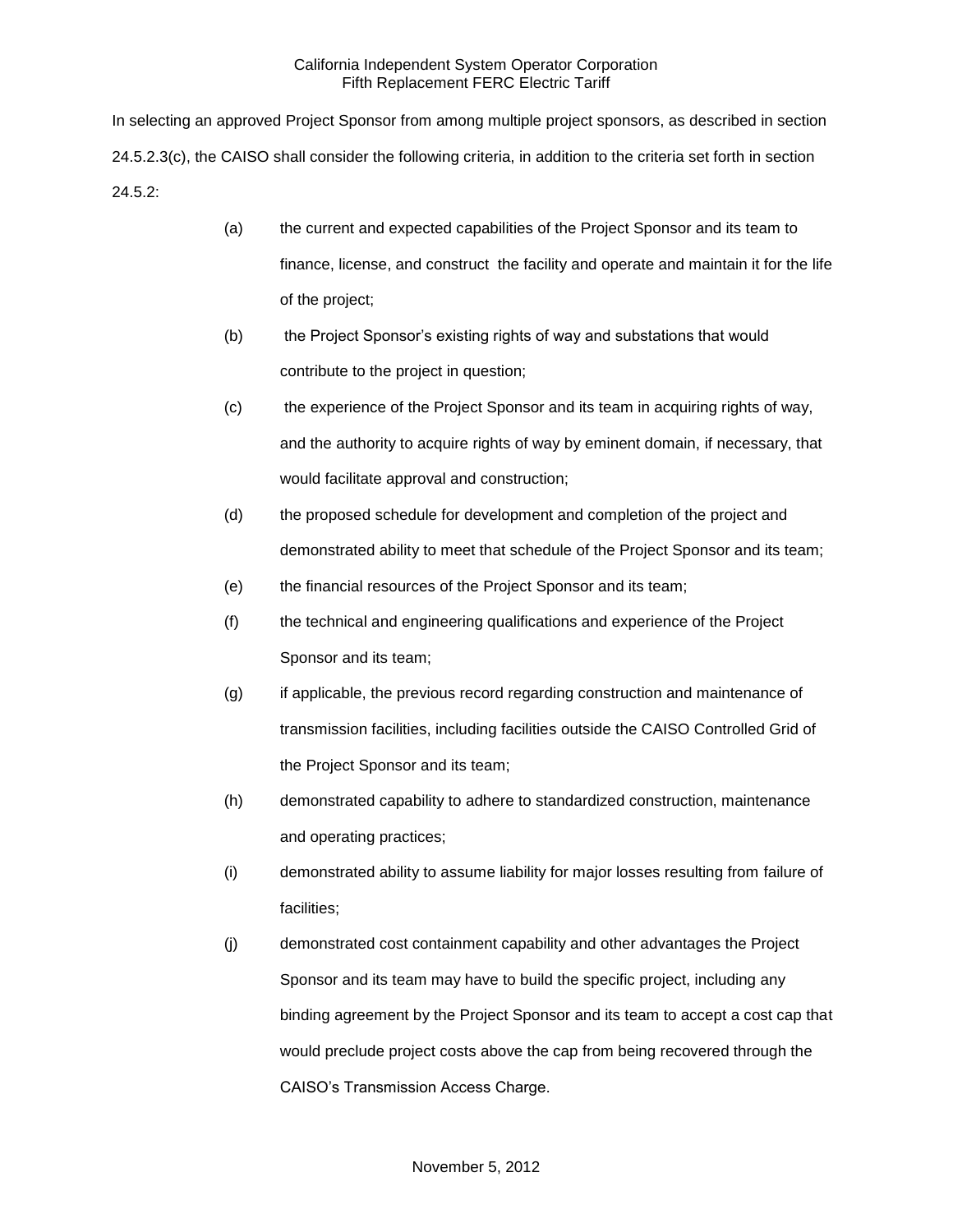In selecting an approved Project Sponsor from among multiple project sponsors, as described in section 24.5.2.3(c), the CAISO shall consider the following criteria, in addition to the criteria set forth in section 24.5.2:

- (a) the current and expected capabilities of the Project Sponsor and its team to finance, license, and construct the facility and operate and maintain it for the life of the project;
- (b) the Project Sponsor's existing rights of way and substations that would contribute to the project in question;
- (c) the experience of the Project Sponsor and its team in acquiring rights of way, and the authority to acquire rights of way by eminent domain, if necessary, that would facilitate approval and construction;
- (d) the proposed schedule for development and completion of the project and demonstrated ability to meet that schedule of the Project Sponsor and its team;
- (e) the financial resources of the Project Sponsor and its team;
- (f) the technical and engineering qualifications and experience of the Project Sponsor and its team;
- (g) if applicable, the previous record regarding construction and maintenance of transmission facilities, including facilities outside the CAISO Controlled Grid of the Project Sponsor and its team;
- (h) demonstrated capability to adhere to standardized construction, maintenance and operating practices;
- (i) demonstrated ability to assume liability for major losses resulting from failure of facilities;
- (j) demonstrated cost containment capability and other advantages the Project Sponsor and its team may have to build the specific project, including any binding agreement by the Project Sponsor and its team to accept a cost cap that would preclude project costs above the cap from being recovered through the CAISO's Transmission Access Charge.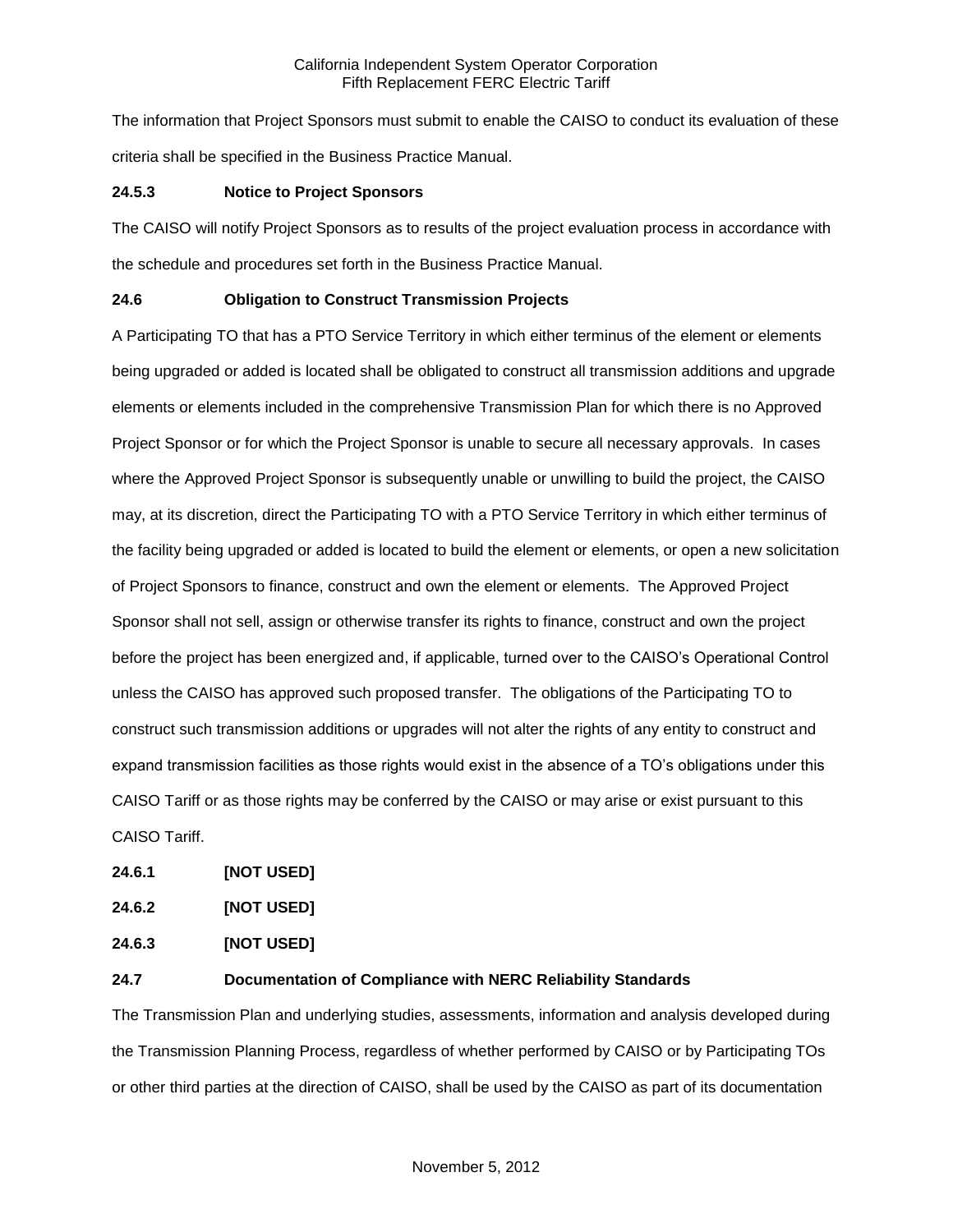The information that Project Sponsors must submit to enable the CAISO to conduct its evaluation of these criteria shall be specified in the Business Practice Manual.

## **24.5.3 Notice to Project Sponsors**

The CAISO will notify Project Sponsors as to results of the project evaluation process in accordance with the schedule and procedures set forth in the Business Practice Manual.

## **24.6 Obligation to Construct Transmission Projects**

A Participating TO that has a PTO Service Territory in which either terminus of the element or elements being upgraded or added is located shall be obligated to construct all transmission additions and upgrade elements or elements included in the comprehensive Transmission Plan for which there is no Approved Project Sponsor or for which the Project Sponsor is unable to secure all necessary approvals. In cases where the Approved Project Sponsor is subsequently unable or unwilling to build the project, the CAISO may, at its discretion, direct the Participating TO with a PTO Service Territory in which either terminus of the facility being upgraded or added is located to build the element or elements, or open a new solicitation of Project Sponsors to finance, construct and own the element or elements. The Approved Project Sponsor shall not sell, assign or otherwise transfer its rights to finance, construct and own the project before the project has been energized and, if applicable, turned over to the CAISO's Operational Control unless the CAISO has approved such proposed transfer. The obligations of the Participating TO to construct such transmission additions or upgrades will not alter the rights of any entity to construct and expand transmission facilities as those rights would exist in the absence of a TO's obligations under this CAISO Tariff or as those rights may be conferred by the CAISO or may arise or exist pursuant to this CAISO Tariff.

**24.6.1 [NOT USED]**

| 24.6.2 | [NOT USED] |
|--------|------------|
|        |            |

**24.6.3 [NOT USED]**

### **24.7 Documentation of Compliance with NERC Reliability Standards**

The Transmission Plan and underlying studies, assessments, information and analysis developed during the Transmission Planning Process, regardless of whether performed by CAISO or by Participating TOs or other third parties at the direction of CAISO, shall be used by the CAISO as part of its documentation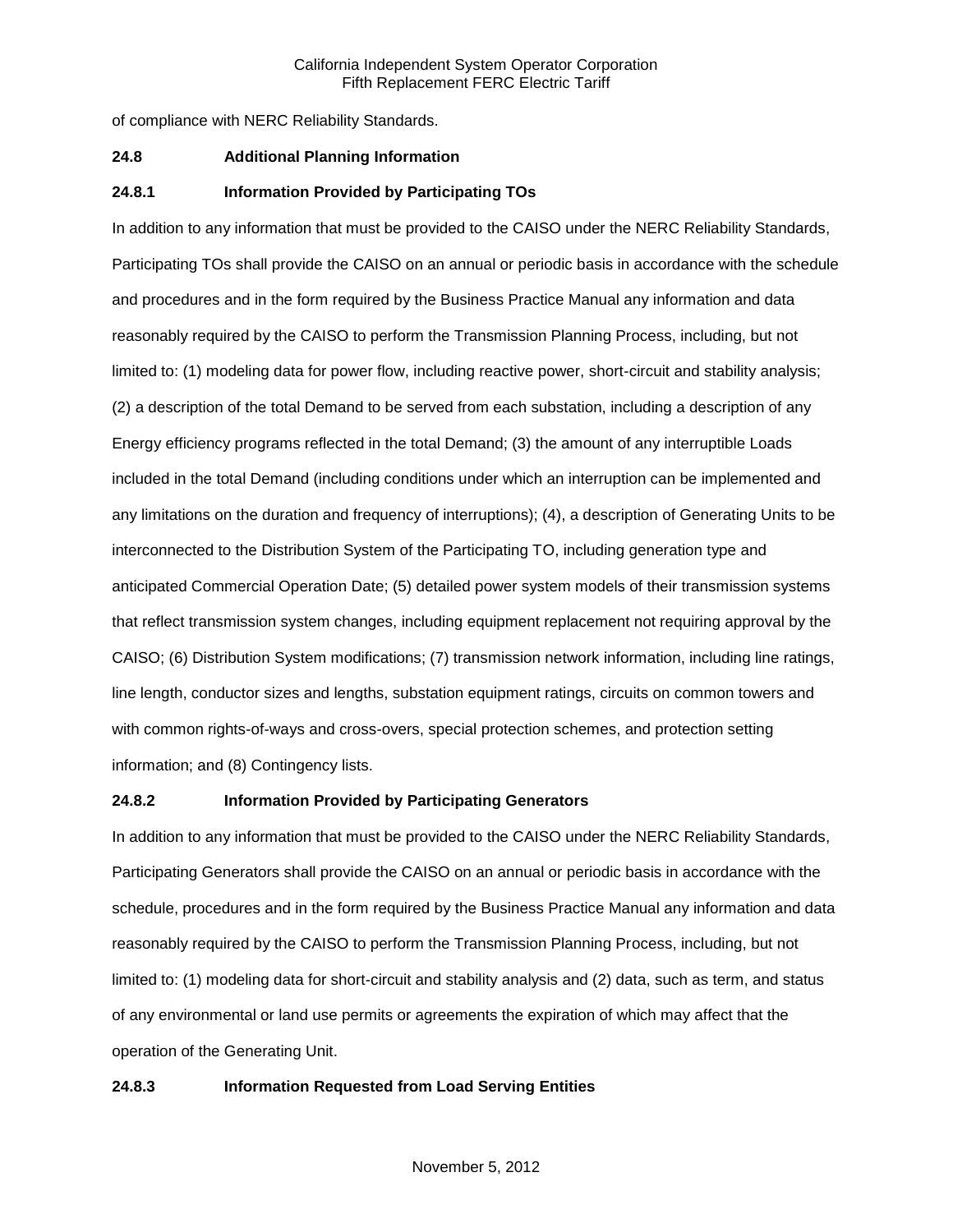of compliance with NERC Reliability Standards.

#### **24.8 Additional Planning Information**

### **24.8.1 Information Provided by Participating TOs**

In addition to any information that must be provided to the CAISO under the NERC Reliability Standards, Participating TOs shall provide the CAISO on an annual or periodic basis in accordance with the schedule and procedures and in the form required by the Business Practice Manual any information and data reasonably required by the CAISO to perform the Transmission Planning Process, including, but not limited to: (1) modeling data for power flow, including reactive power, short-circuit and stability analysis; (2) a description of the total Demand to be served from each substation, including a description of any Energy efficiency programs reflected in the total Demand; (3) the amount of any interruptible Loads included in the total Demand (including conditions under which an interruption can be implemented and any limitations on the duration and frequency of interruptions); (4), a description of Generating Units to be interconnected to the Distribution System of the Participating TO, including generation type and anticipated Commercial Operation Date; (5) detailed power system models of their transmission systems that reflect transmission system changes, including equipment replacement not requiring approval by the CAISO; (6) Distribution System modifications; (7) transmission network information, including line ratings, line length, conductor sizes and lengths, substation equipment ratings, circuits on common towers and with common rights-of-ways and cross-overs, special protection schemes, and protection setting information; and (8) Contingency lists.

#### **24.8.2 Information Provided by Participating Generators**

In addition to any information that must be provided to the CAISO under the NERC Reliability Standards, Participating Generators shall provide the CAISO on an annual or periodic basis in accordance with the schedule, procedures and in the form required by the Business Practice Manual any information and data reasonably required by the CAISO to perform the Transmission Planning Process, including, but not limited to: (1) modeling data for short-circuit and stability analysis and (2) data, such as term, and status of any environmental or land use permits or agreements the expiration of which may affect that the operation of the Generating Unit.

#### **24.8.3 Information Requested from Load Serving Entities**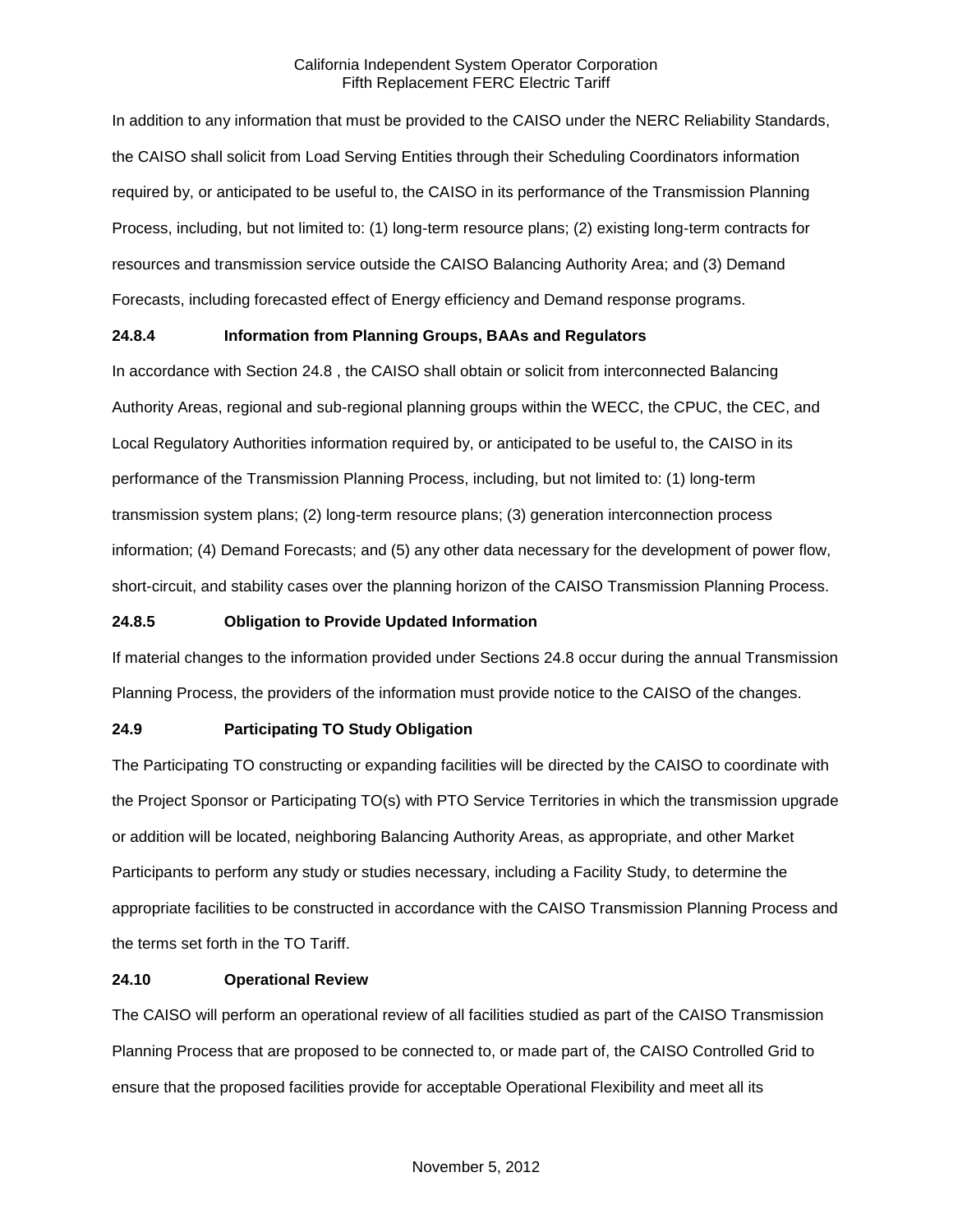In addition to any information that must be provided to the CAISO under the NERC Reliability Standards, the CAISO shall solicit from Load Serving Entities through their Scheduling Coordinators information required by, or anticipated to be useful to, the CAISO in its performance of the Transmission Planning Process, including, but not limited to: (1) long-term resource plans; (2) existing long-term contracts for resources and transmission service outside the CAISO Balancing Authority Area; and (3) Demand Forecasts, including forecasted effect of Energy efficiency and Demand response programs.

# **24.8.4 Information from Planning Groups, BAAs and Regulators**

In accordance with Section 24.8 , the CAISO shall obtain or solicit from interconnected Balancing Authority Areas, regional and sub-regional planning groups within the WECC, the CPUC, the CEC, and Local Regulatory Authorities information required by, or anticipated to be useful to, the CAISO in its performance of the Transmission Planning Process, including, but not limited to: (1) long-term transmission system plans; (2) long-term resource plans; (3) generation interconnection process information; (4) Demand Forecasts; and (5) any other data necessary for the development of power flow, short-circuit, and stability cases over the planning horizon of the CAISO Transmission Planning Process.

## **24.8.5 Obligation to Provide Updated Information**

If material changes to the information provided under Sections 24.8 occur during the annual Transmission Planning Process, the providers of the information must provide notice to the CAISO of the changes.

# **24.9 Participating TO Study Obligation**

The Participating TO constructing or expanding facilities will be directed by the CAISO to coordinate with the Project Sponsor or Participating TO(s) with PTO Service Territories in which the transmission upgrade or addition will be located, neighboring Balancing Authority Areas, as appropriate, and other Market Participants to perform any study or studies necessary, including a Facility Study, to determine the appropriate facilities to be constructed in accordance with the CAISO Transmission Planning Process and the terms set forth in the TO Tariff.

### **24.10 Operational Review**

The CAISO will perform an operational review of all facilities studied as part of the CAISO Transmission Planning Process that are proposed to be connected to, or made part of, the CAISO Controlled Grid to ensure that the proposed facilities provide for acceptable Operational Flexibility and meet all its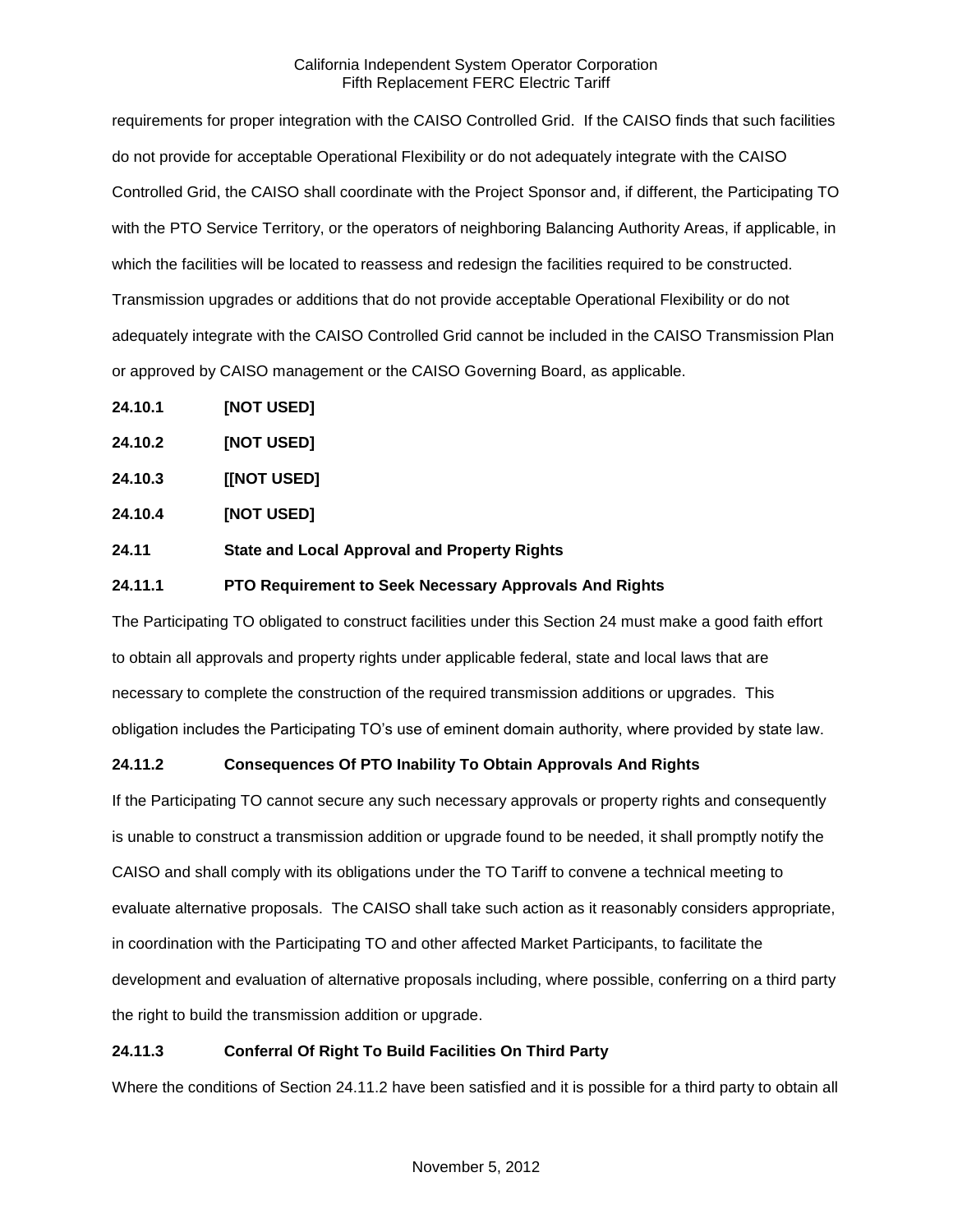requirements for proper integration with the CAISO Controlled Grid. If the CAISO finds that such facilities do not provide for acceptable Operational Flexibility or do not adequately integrate with the CAISO Controlled Grid, the CAISO shall coordinate with the Project Sponsor and, if different, the Participating TO with the PTO Service Territory, or the operators of neighboring Balancing Authority Areas, if applicable, in which the facilities will be located to reassess and redesign the facilities required to be constructed. Transmission upgrades or additions that do not provide acceptable Operational Flexibility or do not adequately integrate with the CAISO Controlled Grid cannot be included in the CAISO Transmission Plan or approved by CAISO management or the CAISO Governing Board, as applicable.

- **24.10.1 [NOT USED]**
- **24.10.2 [NOT USED]**
- **24.10.3 [[NOT USED]**
- **24.10.4 [NOT USED]**
- **24.11 State and Local Approval and Property Rights**

## **24.11.1 PTO Requirement to Seek Necessary Approvals And Rights**

The Participating TO obligated to construct facilities under this Section 24 must make a good faith effort to obtain all approvals and property rights under applicable federal, state and local laws that are necessary to complete the construction of the required transmission additions or upgrades. This obligation includes the Participating TO's use of eminent domain authority, where provided by state law.

# **24.11.2 Consequences Of PTO Inability To Obtain Approvals And Rights**

If the Participating TO cannot secure any such necessary approvals or property rights and consequently is unable to construct a transmission addition or upgrade found to be needed, it shall promptly notify the CAISO and shall comply with its obligations under the TO Tariff to convene a technical meeting to evaluate alternative proposals. The CAISO shall take such action as it reasonably considers appropriate, in coordination with the Participating TO and other affected Market Participants, to facilitate the development and evaluation of alternative proposals including, where possible, conferring on a third party the right to build the transmission addition or upgrade.

# **24.11.3 Conferral Of Right To Build Facilities On Third Party**

Where the conditions of Section 24.11.2 have been satisfied and it is possible for a third party to obtain all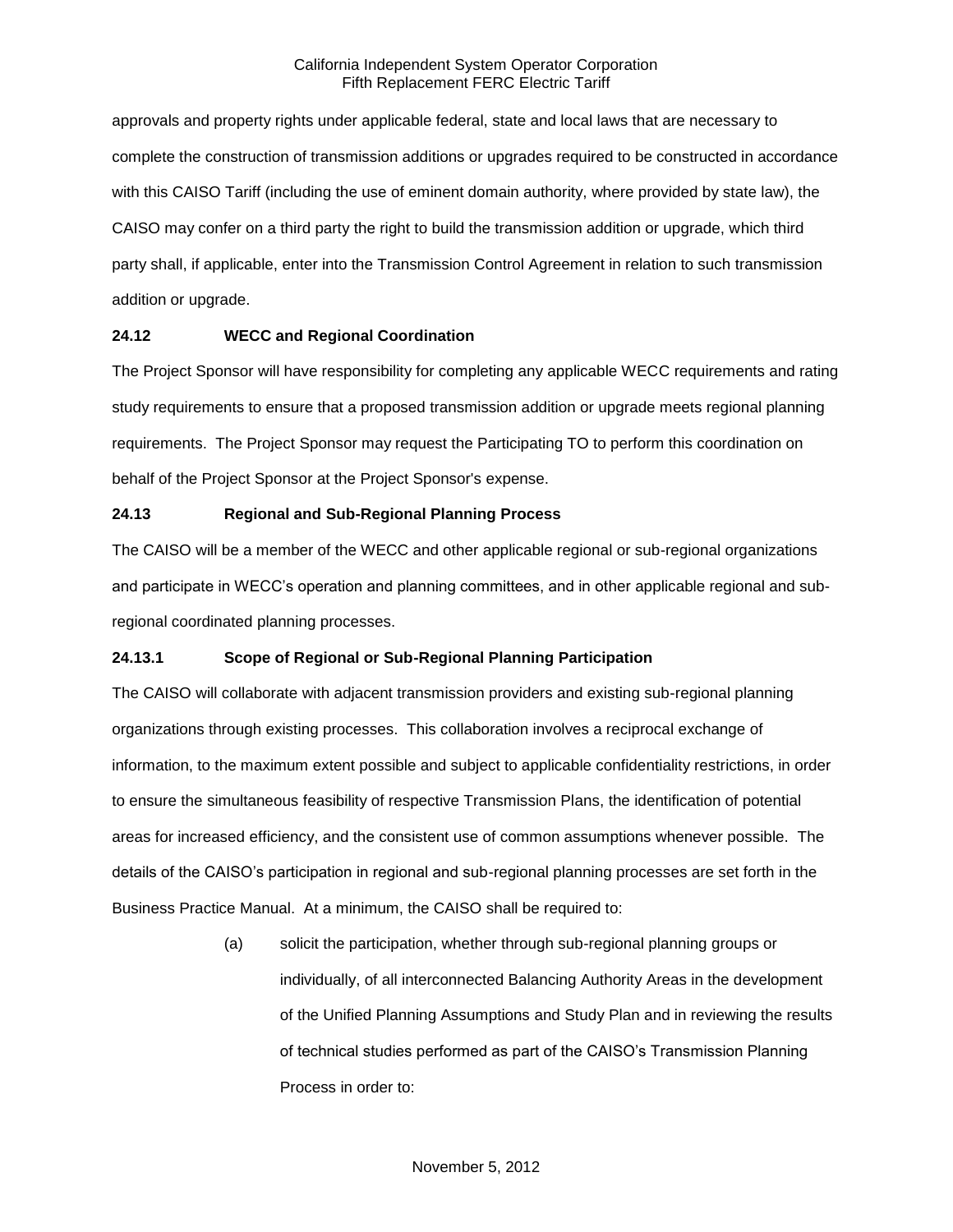approvals and property rights under applicable federal, state and local laws that are necessary to complete the construction of transmission additions or upgrades required to be constructed in accordance with this CAISO Tariff (including the use of eminent domain authority, where provided by state law), the CAISO may confer on a third party the right to build the transmission addition or upgrade, which third party shall, if applicable, enter into the Transmission Control Agreement in relation to such transmission addition or upgrade.

# **24.12 WECC and Regional Coordination**

The Project Sponsor will have responsibility for completing any applicable WECC requirements and rating study requirements to ensure that a proposed transmission addition or upgrade meets regional planning requirements. The Project Sponsor may request the Participating TO to perform this coordination on behalf of the Project Sponsor at the Project Sponsor's expense.

# **24.13 Regional and Sub-Regional Planning Process**

The CAISO will be a member of the WECC and other applicable regional or sub-regional organizations and participate in WECC's operation and planning committees, and in other applicable regional and subregional coordinated planning processes.

# **24.13.1 Scope of Regional or Sub-Regional Planning Participation**

The CAISO will collaborate with adjacent transmission providers and existing sub-regional planning organizations through existing processes. This collaboration involves a reciprocal exchange of information, to the maximum extent possible and subject to applicable confidentiality restrictions, in order to ensure the simultaneous feasibility of respective Transmission Plans, the identification of potential areas for increased efficiency, and the consistent use of common assumptions whenever possible. The details of the CAISO's participation in regional and sub-regional planning processes are set forth in the Business Practice Manual. At a minimum, the CAISO shall be required to:

> (a) solicit the participation, whether through sub-regional planning groups or individually, of all interconnected Balancing Authority Areas in the development of the Unified Planning Assumptions and Study Plan and in reviewing the results of technical studies performed as part of the CAISO's Transmission Planning Process in order to: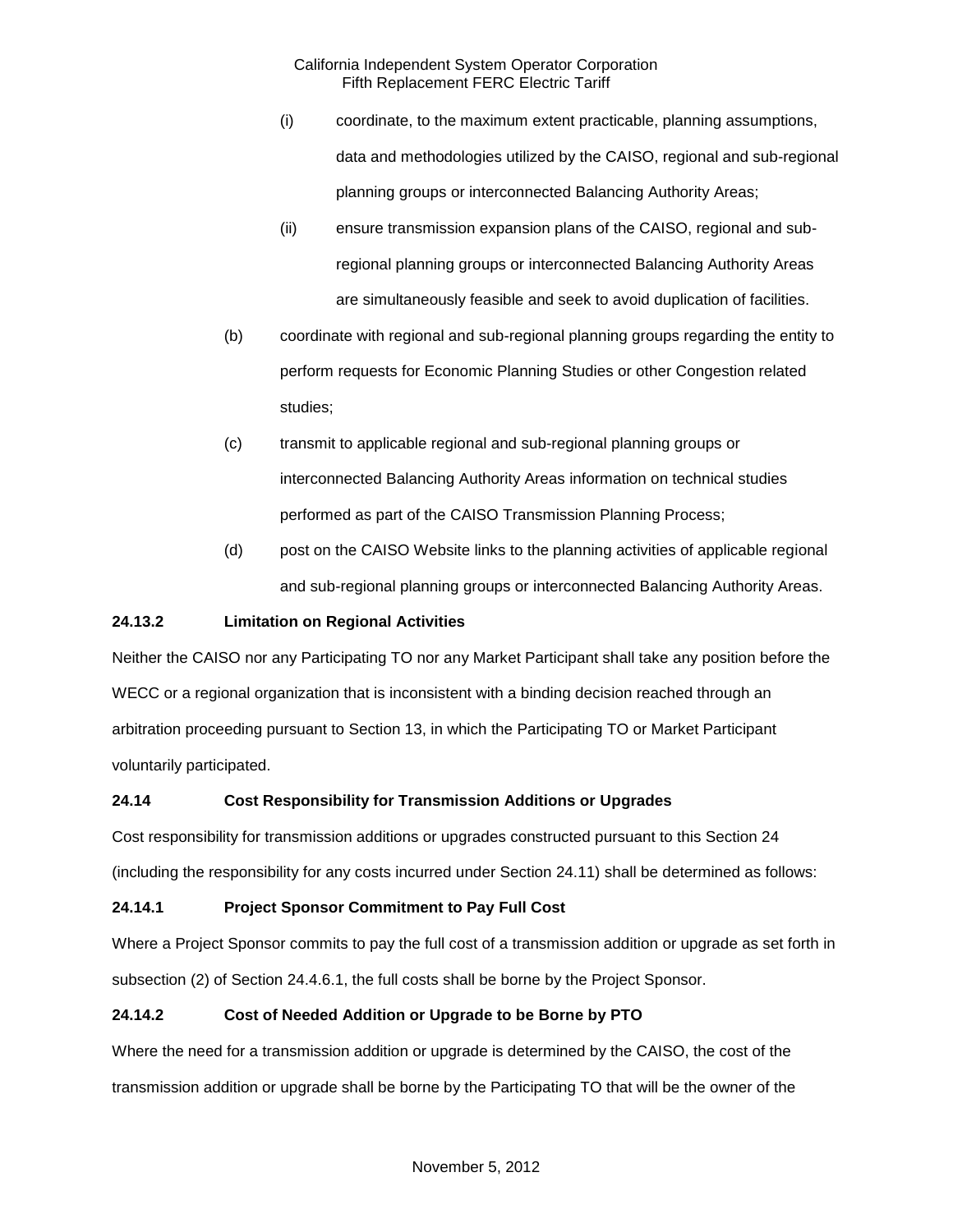- (i) coordinate, to the maximum extent practicable, planning assumptions, data and methodologies utilized by the CAISO, regional and sub-regional planning groups or interconnected Balancing Authority Areas;
- (ii) ensure transmission expansion plans of the CAISO, regional and subregional planning groups or interconnected Balancing Authority Areas are simultaneously feasible and seek to avoid duplication of facilities.
- (b) coordinate with regional and sub-regional planning groups regarding the entity to perform requests for Economic Planning Studies or other Congestion related studies;
- (c) transmit to applicable regional and sub-regional planning groups or interconnected Balancing Authority Areas information on technical studies performed as part of the CAISO Transmission Planning Process;
- (d) post on the CAISO Website links to the planning activities of applicable regional and sub-regional planning groups or interconnected Balancing Authority Areas.

# **24.13.2 Limitation on Regional Activities**

Neither the CAISO nor any Participating TO nor any Market Participant shall take any position before the WECC or a regional organization that is inconsistent with a binding decision reached through an arbitration proceeding pursuant to Section 13, in which the Participating TO or Market Participant voluntarily participated.

# **24.14 Cost Responsibility for Transmission Additions or Upgrades**

Cost responsibility for transmission additions or upgrades constructed pursuant to this Section 24 (including the responsibility for any costs incurred under Section 24.11) shall be determined as follows:

# **24.14.1 Project Sponsor Commitment to Pay Full Cost**

Where a Project Sponsor commits to pay the full cost of a transmission addition or upgrade as set forth in subsection (2) of Section 24.4.6.1, the full costs shall be borne by the Project Sponsor.

# **24.14.2 Cost of Needed Addition or Upgrade to be Borne by PTO**

Where the need for a transmission addition or upgrade is determined by the CAISO, the cost of the transmission addition or upgrade shall be borne by the Participating TO that will be the owner of the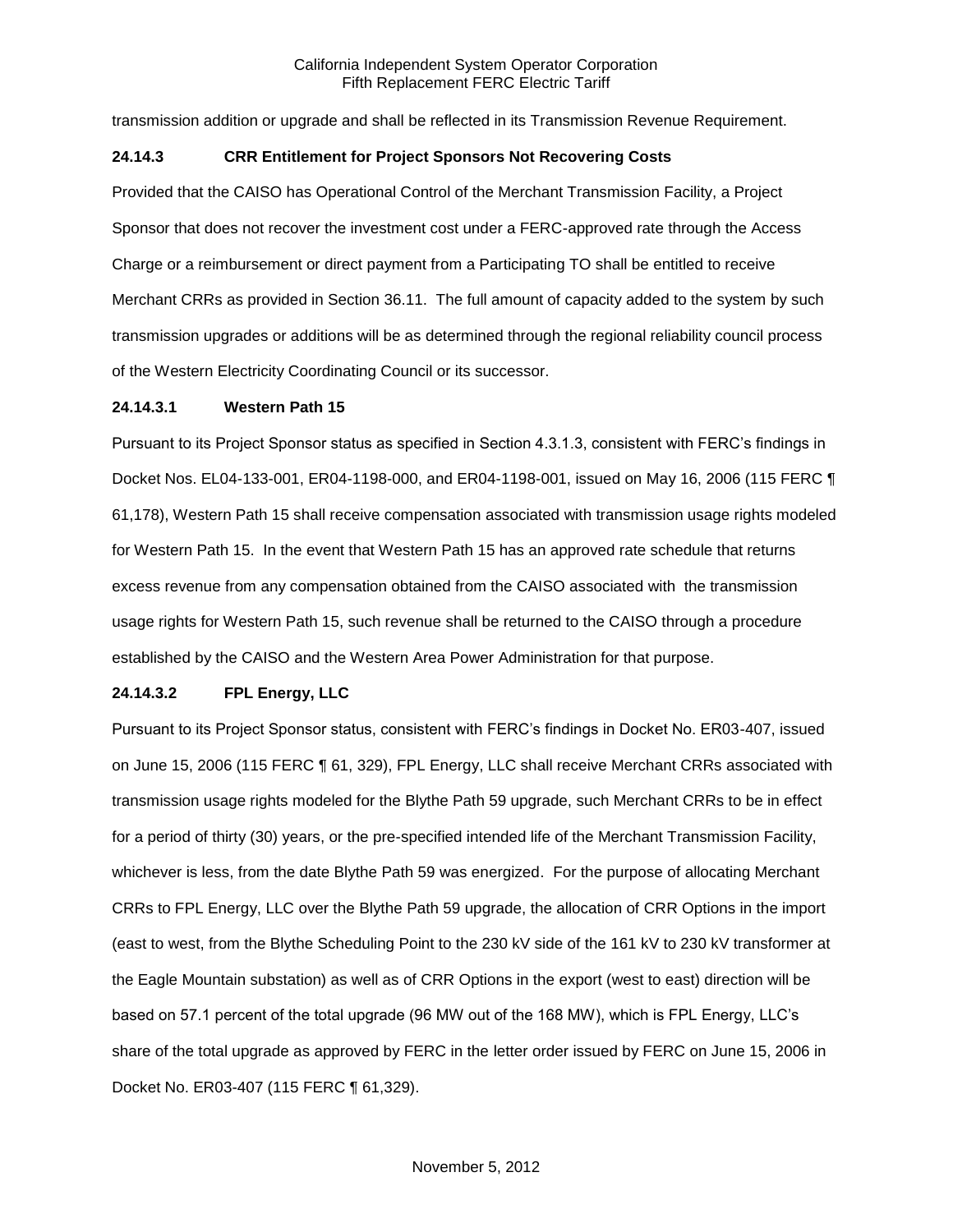transmission addition or upgrade and shall be reflected in its Transmission Revenue Requirement.

## **24.14.3 CRR Entitlement for Project Sponsors Not Recovering Costs**

Provided that the CAISO has Operational Control of the Merchant Transmission Facility, a Project Sponsor that does not recover the investment cost under a FERC-approved rate through the Access Charge or a reimbursement or direct payment from a Participating TO shall be entitled to receive Merchant CRRs as provided in Section 36.11. The full amount of capacity added to the system by such transmission upgrades or additions will be as determined through the regional reliability council process of the Western Electricity Coordinating Council or its successor.

### **24.14.3.1 Western Path 15**

Pursuant to its Project Sponsor status as specified in Section 4.3.1.3, consistent with FERC's findings in Docket Nos. EL04-133-001, ER04-1198-000, and ER04-1198-001, issued on May 16, 2006 (115 FERC ¶ 61,178), Western Path 15 shall receive compensation associated with transmission usage rights modeled for Western Path 15. In the event that Western Path 15 has an approved rate schedule that returns excess revenue from any compensation obtained from the CAISO associated with the transmission usage rights for Western Path 15, such revenue shall be returned to the CAISO through a procedure established by the CAISO and the Western Area Power Administration for that purpose.

### **24.14.3.2 FPL Energy, LLC**

Pursuant to its Project Sponsor status, consistent with FERC's findings in Docket No. ER03-407, issued on June 15, 2006 (115 FERC ¶ 61, 329), FPL Energy, LLC shall receive Merchant CRRs associated with transmission usage rights modeled for the Blythe Path 59 upgrade, such Merchant CRRs to be in effect for a period of thirty (30) years, or the pre-specified intended life of the Merchant Transmission Facility, whichever is less, from the date Blythe Path 59 was energized. For the purpose of allocating Merchant CRRs to FPL Energy, LLC over the Blythe Path 59 upgrade, the allocation of CRR Options in the import (east to west, from the Blythe Scheduling Point to the 230 kV side of the 161 kV to 230 kV transformer at the Eagle Mountain substation) as well as of CRR Options in the export (west to east) direction will be based on 57.1 percent of the total upgrade (96 MW out of the 168 MW), which is FPL Energy, LLC's share of the total upgrade as approved by FERC in the letter order issued by FERC on June 15, 2006 in Docket No. ER03-407 (115 FERC ¶ 61,329).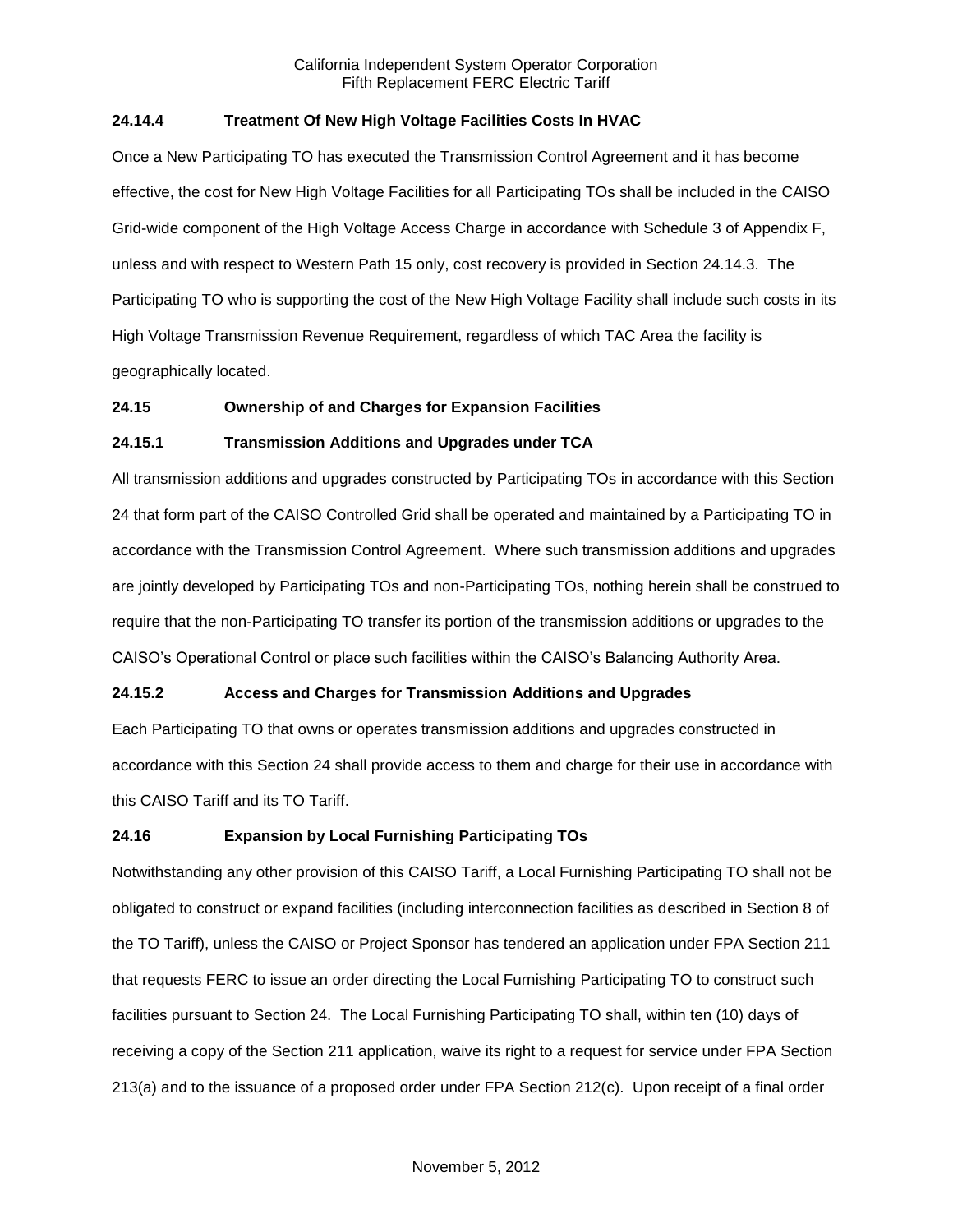## **24.14.4 Treatment Of New High Voltage Facilities Costs In HVAC**

Once a New Participating TO has executed the Transmission Control Agreement and it has become effective, the cost for New High Voltage Facilities for all Participating TOs shall be included in the CAISO Grid-wide component of the High Voltage Access Charge in accordance with Schedule 3 of Appendix F, unless and with respect to Western Path 15 only, cost recovery is provided in Section 24.14.3. The Participating TO who is supporting the cost of the New High Voltage Facility shall include such costs in its High Voltage Transmission Revenue Requirement, regardless of which TAC Area the facility is geographically located.

### **24.15 Ownership of and Charges for Expansion Facilities**

## **24.15.1 Transmission Additions and Upgrades under TCA**

All transmission additions and upgrades constructed by Participating TOs in accordance with this Section 24 that form part of the CAISO Controlled Grid shall be operated and maintained by a Participating TO in accordance with the Transmission Control Agreement. Where such transmission additions and upgrades are jointly developed by Participating TOs and non-Participating TOs, nothing herein shall be construed to require that the non-Participating TO transfer its portion of the transmission additions or upgrades to the CAISO's Operational Control or place such facilities within the CAISO's Balancing Authority Area.

# **24.15.2 Access and Charges for Transmission Additions and Upgrades**

Each Participating TO that owns or operates transmission additions and upgrades constructed in accordance with this Section 24 shall provide access to them and charge for their use in accordance with this CAISO Tariff and its TO Tariff.

### **24.16 Expansion by Local Furnishing Participating TOs**

Notwithstanding any other provision of this CAISO Tariff, a Local Furnishing Participating TO shall not be obligated to construct or expand facilities (including interconnection facilities as described in Section 8 of the TO Tariff), unless the CAISO or Project Sponsor has tendered an application under FPA Section 211 that requests FERC to issue an order directing the Local Furnishing Participating TO to construct such facilities pursuant to Section 24. The Local Furnishing Participating TO shall, within ten (10) days of receiving a copy of the Section 211 application, waive its right to a request for service under FPA Section 213(a) and to the issuance of a proposed order under FPA Section 212(c). Upon receipt of a final order